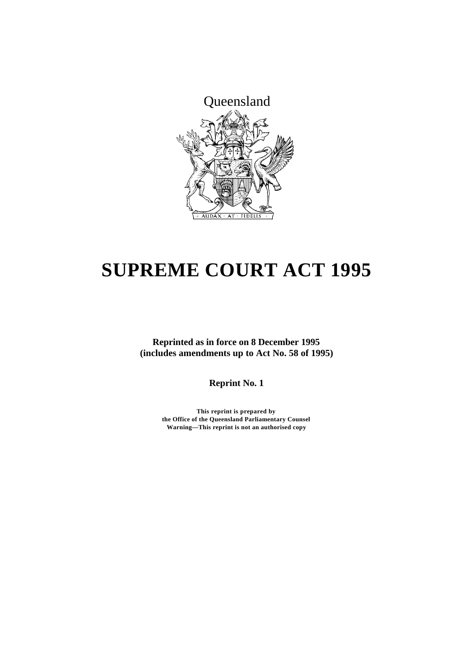

# **SUPREME COURT ACT 1995**

**Reprinted as in force on 8 December 1995 (includes amendments up to Act No. 58 of 1995)**

**Reprint No. 1**

**This reprint is prepared by the Office of the Queensland Parliamentary Counsel Warning—This reprint is not an authorised copy**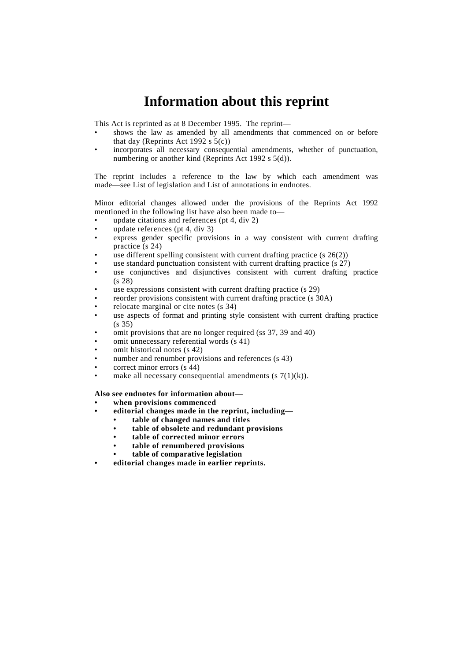# **Information about this reprint**

This Act is reprinted as at 8 December 1995. The reprint—

- shows the law as amended by all amendments that commenced on or before that day (Reprints Act 1992 s  $5(c)$ )
- incorporates all necessary consequential amendments, whether of punctuation, numbering or another kind (Reprints Act 1992 s 5(d)).

The reprint includes a reference to the law by which each amendment was made—see List of legislation and List of annotations in endnotes.

Minor editorial changes allowed under the provisions of the Reprints Act 1992 mentioned in the following list have also been made to—

- update citations and references ( $pt$  4, div 2)
- update references (pt 4, div 3)
- express gender specific provisions in a way consistent with current drafting practice (s 24)
- use different spelling consistent with current drafting practice  $(s 26(2))$
- use standard punctuation consistent with current drafting practice (s 27)
- use conjunctives and disjunctives consistent with current drafting practice (s 28)
- use expressions consistent with current drafting practice (s 29)
- reorder provisions consistent with current drafting practice (s 30A)
- relocate marginal or cite notes (s 34)
- use aspects of format and printing style consistent with current drafting practice (s 35)
- omit provisions that are no longer required (ss 37, 39 and 40)
- omit unnecessary referential words (s 41)
- omit historical notes (s 42)
- number and renumber provisions and references (s 43)
- correct minor errors (s 44)
- make all necessary consequential amendments  $(s \, 7(1)(k))$ .

#### **Also see endnotes for information about—**

- **• when provisions commenced**
- **• editorial changes made in the reprint, including—**
	- **• table of changed names and titles**
	- **• table of obsolete and redundant provisions**
	- **• table of corrected minor errors**
	- **• table of renumbered provisions**
	- **• table of comparative legislation**
- **• editorial changes made in earlier reprints.**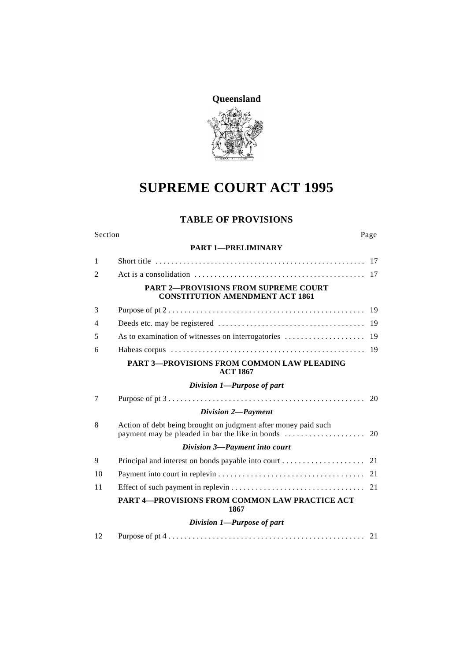

# **SUPREME COURT ACT 1995**

# **TABLE OF PROVISIONS**

#### Section Page

#### **PART 1—PRELIMINARY**

| $\mathbf{1}$   |                                                                                                                                                            |    |
|----------------|------------------------------------------------------------------------------------------------------------------------------------------------------------|----|
| $\mathfrak{D}$ |                                                                                                                                                            |    |
|                | <b>PART 2-PROVISIONS FROM SUPREME COURT</b><br><b>CONSTITUTION AMENDMENT ACT 1861</b>                                                                      |    |
| 3              |                                                                                                                                                            |    |
| 4              |                                                                                                                                                            |    |
| 5              | As to examination of witnesses on interrogatories                                                                                                          | 19 |
| 6              |                                                                                                                                                            |    |
|                | <b>PART 3-PROVISIONS FROM COMMON LAW PLEADING</b><br><b>ACT 1867</b>                                                                                       |    |
|                | Division 1—Purpose of part                                                                                                                                 |    |
| 7              |                                                                                                                                                            |    |
|                | Division 2-Payment                                                                                                                                         |    |
| 8              | Action of debt being brought on judgment after money paid such<br>payment may be pleaded in bar the like in bonds $\dots \dots \dots \dots \dots \dots$ 20 |    |
|                | Division 3-Payment into court                                                                                                                              |    |
| 9              |                                                                                                                                                            |    |
| 10             |                                                                                                                                                            |    |
| 11             |                                                                                                                                                            |    |
|                | PART 4-PROVISIONS FROM COMMON LAW PRACTICE ACT<br>1867                                                                                                     |    |
|                | Division 1-Purpose of part                                                                                                                                 |    |
| 12             |                                                                                                                                                            |    |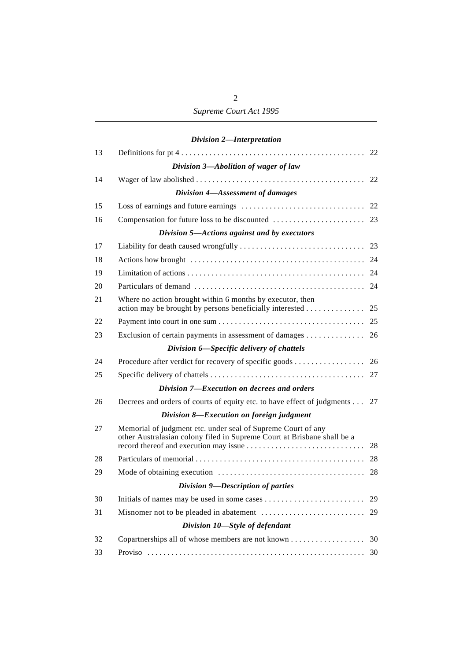# *Division 2—Interpretation*

| 13 |                                                                                                                                         |    |
|----|-----------------------------------------------------------------------------------------------------------------------------------------|----|
|    | Division 3-Abolition of wager of law                                                                                                    |    |
| 14 |                                                                                                                                         | 22 |
|    | Division 4-Assessment of damages                                                                                                        |    |
| 15 |                                                                                                                                         | 22 |
| 16 |                                                                                                                                         |    |
|    | Division 5-Actions against and by executors                                                                                             |    |
| 17 |                                                                                                                                         |    |
| 18 |                                                                                                                                         |    |
| 19 |                                                                                                                                         | 24 |
| 20 |                                                                                                                                         | 24 |
| 21 | Where no action brought within 6 months by executor, then<br>action may be brought by persons beneficially interested                   | 25 |
| 22 |                                                                                                                                         | 25 |
| 23 | Exclusion of certain payments in assessment of damages 26                                                                               |    |
|    | Division 6-Specific delivery of chattels                                                                                                |    |
| 24 | Procedure after verdict for recovery of specific goods 26                                                                               |    |
| 25 |                                                                                                                                         | 27 |
|    | Division 7-Execution on decrees and orders                                                                                              |    |
| 26 | Decrees and orders of courts of equity etc. to have effect of judgments                                                                 | 27 |
|    | Division 8-Execution on foreign judgment                                                                                                |    |
| 27 | Memorial of judgment etc. under seal of Supreme Court of any<br>other Australasian colony filed in Supreme Court at Brisbane shall be a | 28 |
| 28 |                                                                                                                                         | 28 |
| 29 |                                                                                                                                         | 28 |
|    | Division 9-Description of parties                                                                                                       |    |
| 30 |                                                                                                                                         | 29 |
| 31 |                                                                                                                                         | 29 |
|    | Division 10-Style of defendant                                                                                                          |    |
| 32 |                                                                                                                                         |    |
| 33 |                                                                                                                                         |    |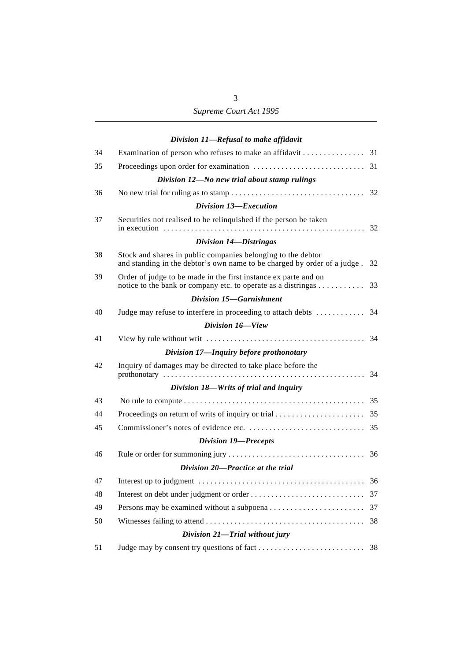|    | Division 11-Refusal to make affidavit                                                                                                    |    |
|----|------------------------------------------------------------------------------------------------------------------------------------------|----|
| 34 | Examination of person who refuses to make an affidavit 31                                                                                |    |
| 35 |                                                                                                                                          |    |
|    | Division 12-No new trial about stamp rulings                                                                                             |    |
| 36 |                                                                                                                                          |    |
|    | Division 13-Execution                                                                                                                    |    |
| 37 | Securities not realised to be relinquished if the person be taken                                                                        |    |
|    | Division 14-Distringas                                                                                                                   |    |
| 38 | Stock and shares in public companies belonging to the debtor<br>and standing in the debtor's own name to be charged by order of a judge. | 32 |
| 39 | Order of judge to be made in the first instance ex parte and on<br>notice to the bank or company etc. to operate as a distringas 33      |    |
|    | Division 15-Garnishment                                                                                                                  |    |
| 40 |                                                                                                                                          |    |
|    | Division 16-View                                                                                                                         |    |
| 41 |                                                                                                                                          |    |
|    | Division 17-Inquiry before prothonotary                                                                                                  |    |
| 42 | Inquiry of damages may be directed to take place before the                                                                              |    |
|    | Division 18-Writs of trial and inquiry                                                                                                   |    |
| 43 |                                                                                                                                          |    |
| 44 |                                                                                                                                          |    |
| 45 |                                                                                                                                          |    |
|    | <b>Division 19-Precepts</b>                                                                                                              |    |
| 46 |                                                                                                                                          |    |
|    | Division 20-Practice at the trial                                                                                                        |    |
| 47 |                                                                                                                                          | 36 |
| 48 |                                                                                                                                          | 37 |
| 49 |                                                                                                                                          | 37 |
| 50 |                                                                                                                                          | 38 |
|    | Division 21-Trial without jury                                                                                                           |    |
|    |                                                                                                                                          |    |

# 51 Judge may by consent try questions of fact . . . . . . . . . . . . . . . . . . . . . . . . . . 38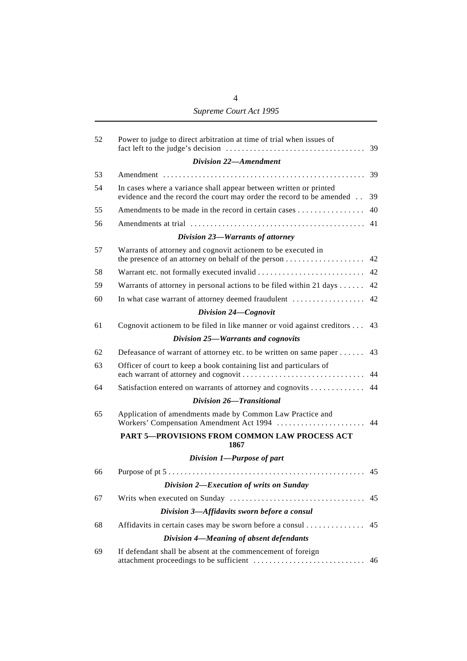# *Supreme Court Act 1995*

| 52 | Power to judge to direct arbitration at time of trial when issues of                                                                      | 39 |
|----|-------------------------------------------------------------------------------------------------------------------------------------------|----|
|    | Division 22-Amendment                                                                                                                     |    |
| 53 |                                                                                                                                           | 39 |
| 54 | In cases where a variance shall appear between written or printed<br>evidence and the record the court may order the record to be amended | 39 |
| 55 | Amendments to be made in the record in certain cases                                                                                      | 40 |
| 56 |                                                                                                                                           | 41 |
|    | Division 23-Warrants of attorney                                                                                                          |    |
| 57 | Warrants of attorney and cognovit actionem to be executed in                                                                              | 42 |
| 58 |                                                                                                                                           | 42 |
| 59 | Warrants of attorney in personal actions to be filed within 21 days                                                                       | 42 |
| 60 | In what case warrant of attorney deemed fraudulent                                                                                        | 42 |
|    | Division 24-Cognovit                                                                                                                      |    |
| 61 | Cognovit actionem to be filed in like manner or void against creditors                                                                    | 43 |
|    | Division 25-Warrants and cognovits                                                                                                        |    |
| 62 | Defeasance of warrant of attorney etc. to be written on same paper                                                                        | 43 |
| 63 | Officer of court to keep a book containing list and particulars of                                                                        | 44 |
| 64 | Satisfaction entered on warrants of attorney and cognovits                                                                                | 44 |
|    | Division 26-Transitional                                                                                                                  |    |
| 65 | Application of amendments made by Common Law Practice and<br>Workers' Compensation Amendment Act 1994                                     | 44 |
|    | PART 5-PROVISIONS FROM COMMON LAW PROCESS ACT<br>1867                                                                                     |    |
|    | Division 1-Purpose of part                                                                                                                |    |
| 66 |                                                                                                                                           | 45 |
|    | Division 2-Execution of writs on Sunday                                                                                                   |    |
| 67 |                                                                                                                                           | 45 |
|    | Division 3-Affidavits sworn before a consul                                                                                               |    |
| 68 | Affidavits in certain cases may be sworn before a consul                                                                                  | 45 |
|    | Division 4-Meaning of absent defendants                                                                                                   |    |
| 69 | If defendant shall be absent at the commencement of foreign                                                                               | 46 |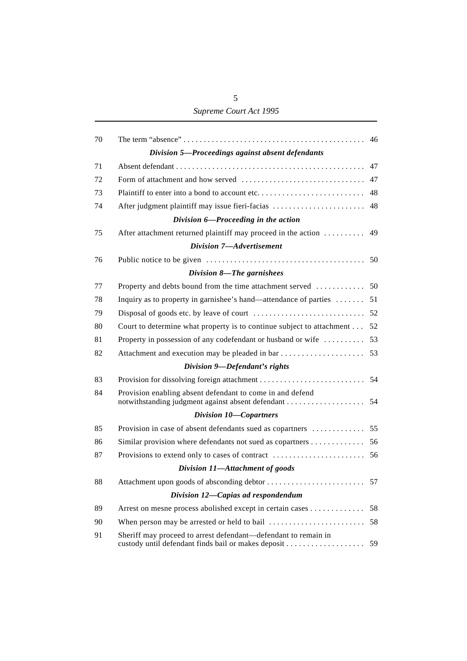# *Supreme Court Act 1995*

| 70 |                                                                       |    |
|----|-----------------------------------------------------------------------|----|
|    | Division 5-Proceedings against absent defendants                      |    |
| 71 |                                                                       | 47 |
| 72 |                                                                       | 47 |
| 73 |                                                                       | 48 |
| 74 | After judgment plaintiff may issue fieri-facias                       | 48 |
|    | Division 6-Proceeding in the action                                   |    |
| 75 | After attachment returned plaintiff may proceed in the action  49     |    |
|    | Division 7-Advertisement                                              |    |
| 76 |                                                                       |    |
|    | Division 8-The garnishees                                             |    |
| 77 |                                                                       |    |
| 78 | Inquiry as to property in garnishee's hand—attendance of parties      | 51 |
| 79 |                                                                       |    |
| 80 | Court to determine what property is to continue subject to attachment | 52 |
| 81 | Property in possession of any codefendant or husband or wife          | 53 |
| 82 |                                                                       |    |
|    | Division 9-Defendant's rights                                         |    |
| 83 |                                                                       |    |
| 84 | Provision enabling absent defendant to come in and defend             |    |
|    | Division 10-Copartners                                                |    |
| 85 |                                                                       |    |
| 86 |                                                                       |    |
| 87 |                                                                       |    |
|    | Division 11-Attachment of goods                                       |    |
| 88 |                                                                       |    |
|    | Division 12-Capias ad respondendum                                    |    |
| 89 | Arrest on mesne process abolished except in certain cases             | 58 |
| 90 |                                                                       | 58 |
| 91 | Sheriff may proceed to arrest defendant—defendant to remain in        |    |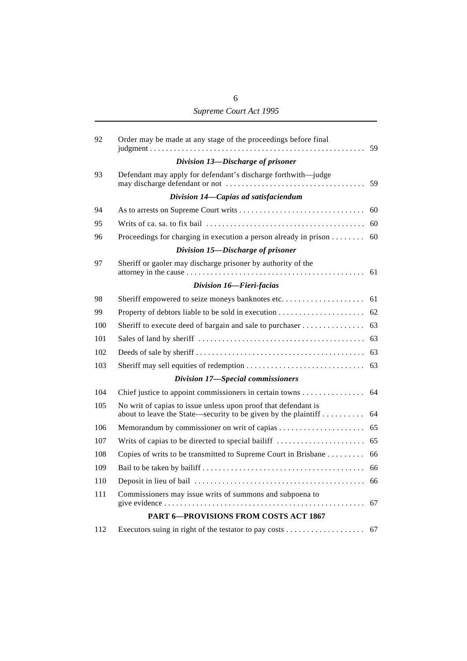| 92  | Order may be made at any stage of the proceedings before final<br>$judgment \ldots \ldots \ldots \ldots \ldots \ldots \ldots \ldots \ldots \ldots \ldots$ | 59 |
|-----|-----------------------------------------------------------------------------------------------------------------------------------------------------------|----|
|     | Division 13-Discharge of prisoner                                                                                                                         |    |
| 93  | Defendant may apply for defendant's discharge forthwith-judge                                                                                             | 59 |
|     | Division 14-Capias ad satisfaciendum                                                                                                                      |    |
| 94  |                                                                                                                                                           | 60 |
| 95  |                                                                                                                                                           | 60 |
| 96  | Proceedings for charging in execution a person already in prison $\dots \dots$                                                                            | 60 |
|     | Division 15-Discharge of prisoner                                                                                                                         |    |
| 97  | Sheriff or gaoler may discharge prisoner by authority of the                                                                                              | 61 |
|     | Division 16-Fieri-facias                                                                                                                                  |    |
| 98  | Sheriff empowered to seize moneys banknotes etc                                                                                                           | 61 |
| 99  |                                                                                                                                                           | 62 |
| 100 | Sheriff to execute deed of bargain and sale to purchaser                                                                                                  | 63 |
| 101 |                                                                                                                                                           | 63 |
| 102 |                                                                                                                                                           | 63 |
| 103 | Sheriff may sell equities of redemption                                                                                                                   | 63 |
|     | Division 17-Special commissioners                                                                                                                         |    |
| 104 | Chief justice to appoint commissioners in certain towns                                                                                                   | 64 |
| 105 | No writ of capias to issue unless upon proof that defendant is<br>about to leave the State—security to be given by the plaintiff                          | 64 |
| 106 |                                                                                                                                                           | 65 |
| 107 | Writs of capias to be directed to special bailiff                                                                                                         | 65 |
| 108 | Copies of writs to be transmitted to Supreme Court in Brisbane                                                                                            | 66 |
| 109 |                                                                                                                                                           | 66 |
| 110 |                                                                                                                                                           | 66 |
| 111 | Commissioners may issue writs of summons and subpoena to                                                                                                  | 67 |
|     | <b>PART 6-PROVISIONS FROM COSTS ACT 1867</b>                                                                                                              |    |
| 112 |                                                                                                                                                           |    |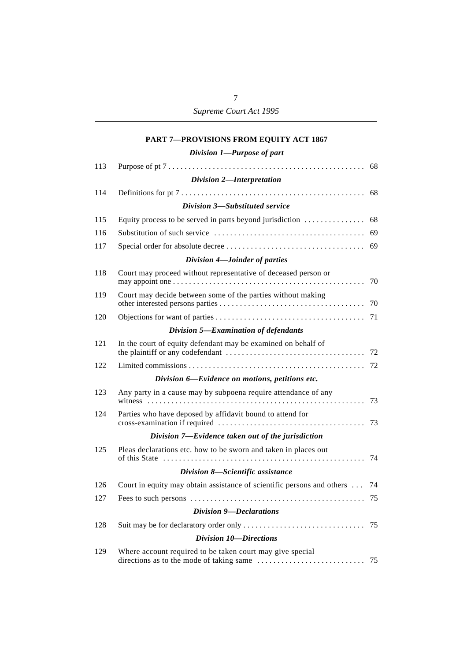# **PART 7—PROVISIONS FROM EQUITY ACT 1867**

| 113 |                                                                        | 68 |
|-----|------------------------------------------------------------------------|----|
|     | Division 2-Interpretation                                              |    |
| 114 |                                                                        | 68 |
|     | Division 3-Substituted service                                         |    |
| 115 | Equity process to be served in parts beyond jurisdiction $\ldots$      | 68 |
| 116 |                                                                        |    |
| 117 |                                                                        |    |
|     | Division 4-Joinder of parties                                          |    |
| 118 | Court may proceed without representative of deceased person or         | 70 |
| 119 | Court may decide between some of the parties without making            | 70 |
| 120 |                                                                        | 71 |
|     | Division 5-Examination of defendants                                   |    |
| 121 | In the court of equity defendant may be examined on behalf of          | 72 |
| 122 |                                                                        |    |
|     | Division 6-Evidence on motions, petitions etc.                         |    |
| 123 | Any party in a cause may by subpoena require attendance of any<br>. 73 |    |
| 124 | Parties who have deposed by affidavit bound to attend for              | 73 |
|     | Division 7-Evidence taken out of the jurisdiction                      |    |
| 125 | Pleas declarations etc. how to be sworn and taken in places out        | 74 |
|     | Division 8-Scientific assistance                                       |    |
| 126 | Court in equity may obtain assistance of scientific persons and others | 74 |
| 127 |                                                                        |    |
|     | Division 9-Declarations                                                |    |
| 128 |                                                                        |    |
|     | <b>Division 10-Directions</b>                                          |    |
| 129 | Where account required to be taken court may give special              |    |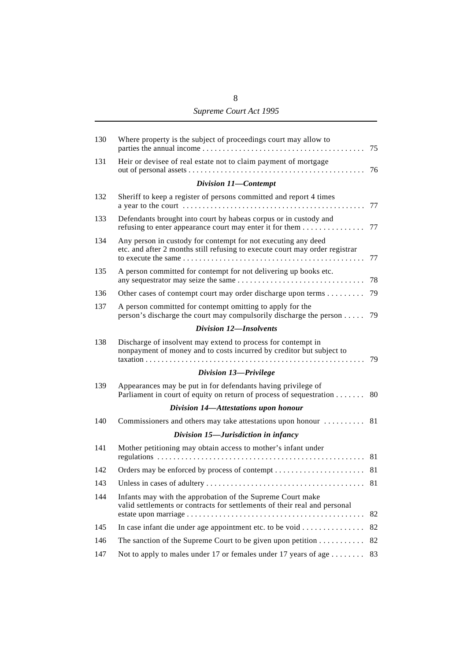# 8 *Supreme Court Act 1995*

| 130 | Where property is the subject of proceedings court may allow to                                                                              | 75 |
|-----|----------------------------------------------------------------------------------------------------------------------------------------------|----|
| 131 | Heir or devisee of real estate not to claim payment of mortgage                                                                              | 76 |
|     | Division 11-Contempt                                                                                                                         |    |
| 132 | Sheriff to keep a register of persons committed and report 4 times                                                                           | 77 |
| 133 | Defendants brought into court by habeas corpus or in custody and<br>refusing to enter appearance court may enter it for them                 | 77 |
| 134 | Any person in custody for contempt for not executing any deed<br>etc. and after 2 months still refusing to execute court may order registrar | 77 |
| 135 | A person committed for contempt for not delivering up books etc.                                                                             | 78 |
| 136 | Other cases of contempt court may order discharge upon terms                                                                                 | 79 |
| 137 | A person committed for contempt omitting to apply for the<br>person's discharge the court may compulsorily discharge the person $\dots$ .    | 79 |
|     | Division 12-Insolvents                                                                                                                       |    |
| 138 | Discharge of insolvent may extend to process for contempt in<br>nonpayment of money and to costs incurred by creditor but subject to         | 79 |
|     | Division 13-Privilege                                                                                                                        |    |
| 139 | Appearances may be put in for defendants having privilege of<br>Parliament in court of equity on return of process of sequestration 80       |    |
|     | Division 14-Attestations upon honour                                                                                                         |    |
| 140 | Commissioners and others may take attestations upon honour  81                                                                               |    |
|     | Division 15-Jurisdiction in infancy                                                                                                          |    |
| 141 | Mother petitioning may obtain access to mother's infant under                                                                                | 81 |
| 142 |                                                                                                                                              |    |
| 143 |                                                                                                                                              |    |
| 144 | Infants may with the approbation of the Supreme Court make<br>valid settlements or contracts for settlements of their real and personal      | 82 |
| 145 |                                                                                                                                              | 82 |
| 146 | The sanction of the Supreme Court to be given upon petition                                                                                  | 82 |
| 147 | Not to apply to males under 17 or females under 17 years of age                                                                              | 83 |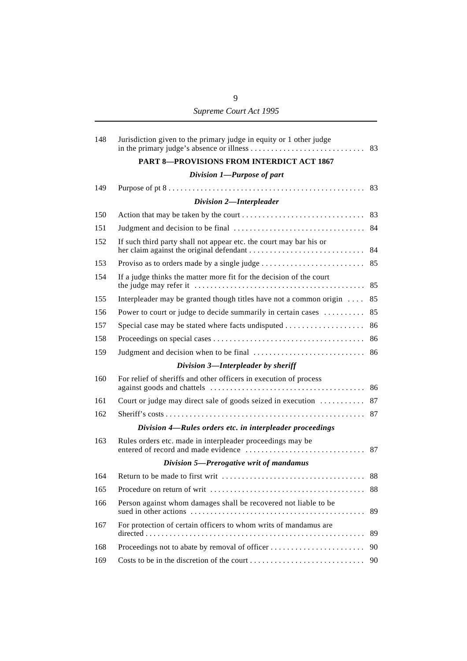| 148 | Jurisdiction given to the primary judge in equity or 1 other judge  | 83 |
|-----|---------------------------------------------------------------------|----|
|     | <b>PART 8-PROVISIONS FROM INTERDICT ACT 1867</b>                    |    |
|     | Division 1-Purpose of part                                          |    |
| 149 |                                                                     |    |
|     | Division 2-Interpleader                                             |    |
| 150 |                                                                     |    |
| 151 |                                                                     |    |
| 152 | If such third party shall not appear etc. the court may bar his or  |    |
| 153 |                                                                     |    |
| 154 | If a judge thinks the matter more fit for the decision of the court |    |
| 155 | Interpleader may be granted though titles have not a common origin  | 85 |
| 156 | Power to court or judge to decide summarily in certain cases        | 85 |
| 157 | Special case may be stated where facts undisputed                   | 86 |
| 158 |                                                                     | 86 |
| 159 |                                                                     |    |
|     | Division 3-Interpleader by sheriff                                  |    |
| 160 | For relief of sheriffs and other officers in execution of process   |    |
| 161 | Court or judge may direct sale of goods seized in execution  87     |    |
| 162 |                                                                     |    |
|     | Division 4-Rules orders etc. in interpleader proceedings            |    |
| 163 | Rules orders etc. made in interpleader proceedings may be           | 87 |
|     | Division 5-Prerogative writ of mandamus                             |    |
| 164 |                                                                     |    |
|     |                                                                     |    |
| 166 | Person against whom damages shall be recovered not liable to be     | 89 |
| 167 | For protection of certain officers to whom writs of mandamus are    | 89 |
| 168 |                                                                     | 90 |
| 169 |                                                                     | 90 |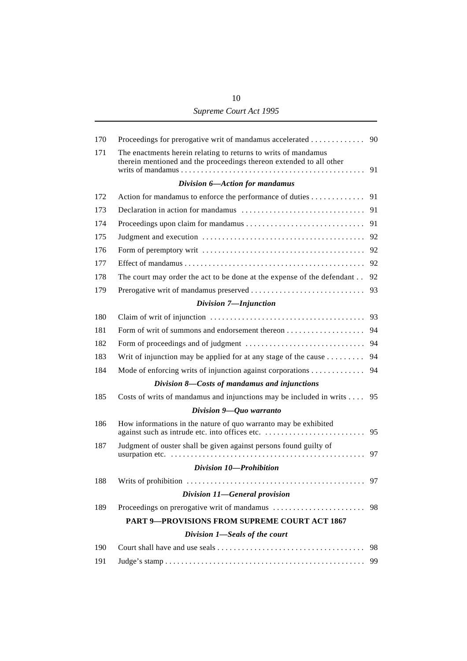| 10                     |
|------------------------|
| Supreme Court Act 1995 |

| 170 | Proceedings for prerogative writ of mandamus accelerated 90                                                                           |    |
|-----|---------------------------------------------------------------------------------------------------------------------------------------|----|
| 171 | The enactments herein relating to returns to writs of mandamus<br>therein mentioned and the proceedings thereon extended to all other |    |
|     | Division 6-Action for mandamus                                                                                                        |    |
| 172 | Action for mandamus to enforce the performance of duties                                                                              | 91 |
| 173 |                                                                                                                                       |    |
| 174 |                                                                                                                                       | 91 |
| 175 |                                                                                                                                       |    |
| 176 |                                                                                                                                       | 92 |
| 177 |                                                                                                                                       |    |
| 178 | The court may order the act to be done at the expense of the defendant                                                                | 92 |
| 179 |                                                                                                                                       | 93 |
|     | Division 7-Injunction                                                                                                                 |    |
| 180 |                                                                                                                                       |    |
| 181 |                                                                                                                                       |    |
| 182 |                                                                                                                                       |    |
| 183 | Writ of injunction may be applied for at any stage of the cause $\dots \dots$                                                         | 94 |
| 184 | Mode of enforcing writs of injunction against corporations                                                                            | 94 |
|     | Division 8-Costs of mandamus and injunctions                                                                                          |    |
| 185 | Costs of writs of mandamus and injunctions may be included in writs                                                                   | 95 |
|     | Division $9 - Q$ uo warranto                                                                                                          |    |
| 186 | How informations in the nature of quo warranto may be exhibited<br>against such as intrude etc. into offices etc.                     | 95 |
| 187 | Judgment of ouster shall be given against persons found guilty of                                                                     | 97 |
|     | Division 10-Prohibition                                                                                                               |    |
| 188 |                                                                                                                                       |    |
|     | Division 11-General provision                                                                                                         |    |
| 189 |                                                                                                                                       | 98 |
|     | <b>PART 9-PROVISIONS FROM SUPREME COURT ACT 1867</b>                                                                                  |    |
|     | Division 1-Seals of the court                                                                                                         |    |
| 190 |                                                                                                                                       | 98 |
| 191 |                                                                                                                                       | 99 |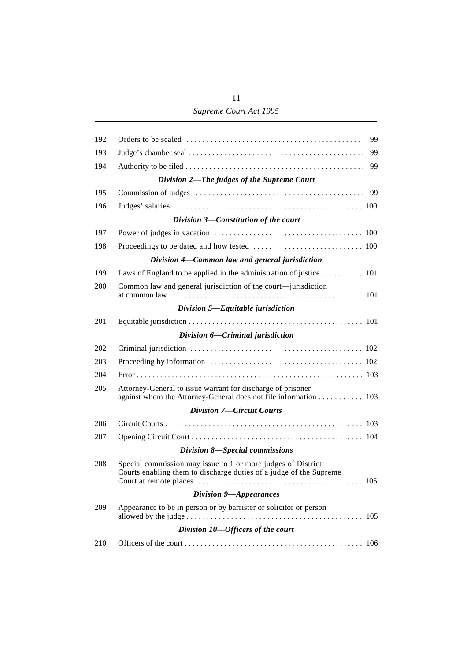# 11 *Supreme Court Act 1995*

| 192 | 99                                                                                                                                        |
|-----|-------------------------------------------------------------------------------------------------------------------------------------------|
| 193 | 99                                                                                                                                        |
| 194 | 99                                                                                                                                        |
|     | Division 2-The judges of the Supreme Court                                                                                                |
| 195 | 99                                                                                                                                        |
| 196 |                                                                                                                                           |
|     | Division 3-Constitution of the court                                                                                                      |
| 197 |                                                                                                                                           |
| 198 |                                                                                                                                           |
|     | Division 4-Common law and general jurisdiction                                                                                            |
| 199 | Laws of England to be applied in the administration of justice 101                                                                        |
| 200 | Common law and general jurisdiction of the court—jurisdiction                                                                             |
|     | Division 5-Equitable jurisdiction                                                                                                         |
| 201 |                                                                                                                                           |
|     | Division 6-Criminal jurisdiction                                                                                                          |
| 202 |                                                                                                                                           |
| 203 |                                                                                                                                           |
| 204 |                                                                                                                                           |
| 205 | Attorney-General to issue warrant for discharge of prisoner<br>against whom the Attorney-General does not file information 103            |
|     | <b>Division 7-Circuit Courts</b>                                                                                                          |
| 206 |                                                                                                                                           |
| 207 |                                                                                                                                           |
|     | Division 8-Special commissions                                                                                                            |
| 208 | Special commission may issue to 1 or more judges of District<br>Courts enabling them to discharge duties of a judge of the Supreme<br>105 |
|     | Division 9-Appearances                                                                                                                    |
| 209 | Appearance to be in person or by barrister or solicitor or person                                                                         |
|     | Division 10-Officers of the court                                                                                                         |
| 210 |                                                                                                                                           |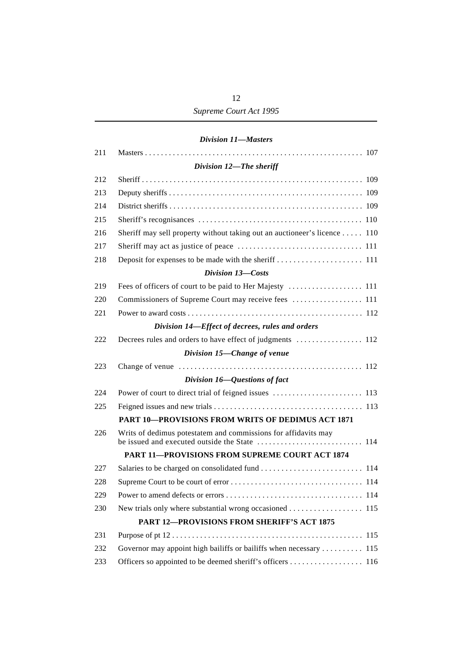#### *Division 11—Masters*

| 211 |                                                                           |
|-----|---------------------------------------------------------------------------|
|     | Division 12-The sheriff                                                   |
| 212 |                                                                           |
| 213 |                                                                           |
| 214 |                                                                           |
| 215 |                                                                           |
| 216 | Sheriff may sell property without taking out an auctioneer's licence  110 |
| 217 |                                                                           |
| 218 |                                                                           |
|     | Division 13-Costs                                                         |
| 219 |                                                                           |
| 220 | Commissioners of Supreme Court may receive fees  111                      |
| 221 |                                                                           |
|     | Division 14-Effect of decrees, rules and orders                           |
| 222 |                                                                           |
|     | Division 15-Change of venue                                               |
| 223 |                                                                           |
|     | Division 16-Questions of fact                                             |
| 224 |                                                                           |
| 225 |                                                                           |
|     | <b>PART 10-PROVISIONS FROM WRITS OF DEDIMUS ACT 1871</b>                  |
| 226 | Writs of dedimus potestatem and commissions for affidavits may            |
|     | PART 11-PROVISIONS FROM SUPREME COURT ACT 1874                            |
| 227 |                                                                           |
| 228 |                                                                           |
| 229 |                                                                           |
| 230 |                                                                           |
|     | PART 12-PROVISIONS FROM SHERIFF'S ACT 1875                                |
| 231 |                                                                           |
| 232 | Governor may appoint high bailiffs or bailiffs when necessary  115        |
| 233 |                                                                           |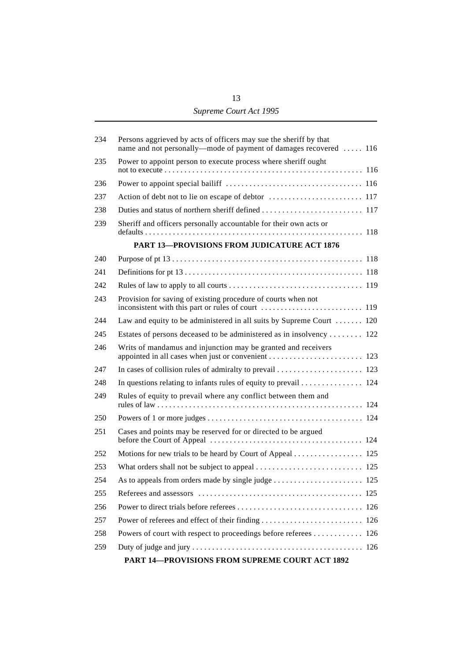| 234 | Persons aggrieved by acts of officers may sue the sheriff by that<br>name and not personally—mode of payment of damages recovered  116 |
|-----|----------------------------------------------------------------------------------------------------------------------------------------|
| 235 | Power to appoint person to execute process where sheriff ought                                                                         |
| 236 |                                                                                                                                        |
| 237 |                                                                                                                                        |
| 238 |                                                                                                                                        |
| 239 | Sheriff and officers personally accountable for their own acts or                                                                      |
|     | <b>PART 13-PROVISIONS FROM JUDICATURE ACT 1876</b>                                                                                     |
| 240 |                                                                                                                                        |
| 241 |                                                                                                                                        |
| 242 |                                                                                                                                        |
| 243 | Provision for saving of existing procedure of courts when not                                                                          |
| 244 | Law and equity to be administered in all suits by Supreme Court $\dots$ 120                                                            |
| 245 | Estates of persons deceased to be administered as in insolvency 122                                                                    |
| 246 | Writs of mandamus and injunction may be granted and receivers                                                                          |
| 247 |                                                                                                                                        |
| 248 | In questions relating to infants rules of equity to prevail 124                                                                        |
| 249 | Rules of equity to prevail where any conflict between them and                                                                         |
| 250 |                                                                                                                                        |
| 251 | Cases and points may be reserved for or directed to be argued                                                                          |
| 252 | Motions for new trials to be heard by Court of Appeal 125                                                                              |
| 253 |                                                                                                                                        |
| 254 |                                                                                                                                        |
| 255 |                                                                                                                                        |
| 256 |                                                                                                                                        |
| 257 |                                                                                                                                        |
| 258 | Powers of court with respect to proceedings before referees 126                                                                        |
| 259 |                                                                                                                                        |
|     | PART 14-PROVISIONS FROM SUPREME COURT ACT 1892                                                                                         |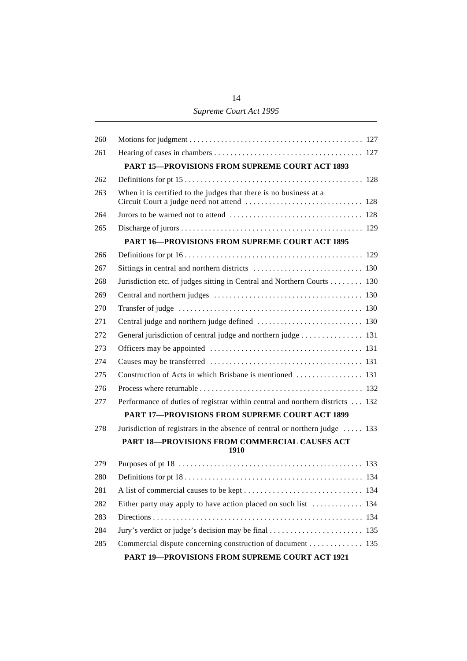# 14 *Supreme Court Act 1995*

| 260 |                                                                               |
|-----|-------------------------------------------------------------------------------|
| 261 |                                                                               |
|     | <b>PART 15-PROVISIONS FROM SUPREME COURT ACT 1893</b>                         |
| 262 |                                                                               |
| 263 | When it is certified to the judges that there is no business at a             |
| 264 |                                                                               |
| 265 |                                                                               |
|     | <b>PART 16-PROVISIONS FROM SUPREME COURT ACT 1895</b>                         |
| 266 |                                                                               |
| 267 |                                                                               |
| 268 | Jurisdiction etc. of judges sitting in Central and Northern Courts 130        |
| 269 |                                                                               |
| 270 |                                                                               |
| 271 | Central judge and northern judge defined  130                                 |
| 272 | General jurisdiction of central judge and northern judge 131                  |
| 273 |                                                                               |
| 274 |                                                                               |
| 275 | Construction of Acts in which Brisbane is mentioned  131                      |
| 276 |                                                                               |
| 277 | Performance of duties of registrar within central and northern districts  132 |
|     | <b>PART 17-PROVISIONS FROM SUPREME COURT ACT 1899</b>                         |
| 278 | Jurisdiction of registrars in the absence of central or northern judge  133   |
|     | PART 18-PROVISIONS FROM COMMERCIAL CAUSES ACT<br>1910                         |
| 279 |                                                                               |
| 280 |                                                                               |
| 281 |                                                                               |
| 282 |                                                                               |
| 283 |                                                                               |
| 284 |                                                                               |
| 285 | Commercial dispute concerning construction of document 135                    |
|     | <b>PART 19-PROVISIONS FROM SUPREME COURT ACT 1921</b>                         |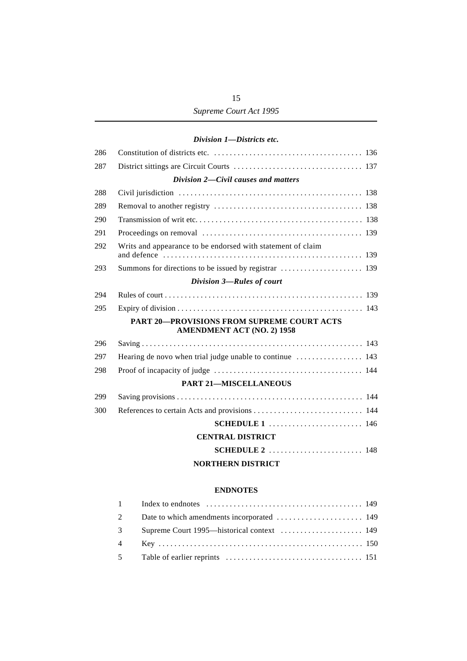# *Division 1—Districts etc.*

| 286 |                                                                                        |
|-----|----------------------------------------------------------------------------------------|
| 287 |                                                                                        |
|     | Division 2-Civil causes and matters                                                    |
| 288 |                                                                                        |
| 289 |                                                                                        |
| 290 |                                                                                        |
| 291 |                                                                                        |
| 292 | Writs and appearance to be endorsed with statement of claim                            |
| 293 |                                                                                        |
|     | Division 3-Rules of court                                                              |
| 294 |                                                                                        |
| 295 |                                                                                        |
|     | <b>PART 20-PROVISIONS FROM SUPREME COURT ACTS</b><br><b>AMENDMENT ACT (NO. 2) 1958</b> |
| 296 |                                                                                        |
| 297 | Hearing de novo when trial judge unable to continue  143                               |
| 298 |                                                                                        |
|     | <b>PART 21-MISCELLANEOUS</b>                                                           |
| 299 |                                                                                        |
| 300 |                                                                                        |
|     |                                                                                        |
|     | <b>CENTRAL DISTRICT</b>                                                                |
|     |                                                                                        |
|     | <b>NORTHERN DISTRICT</b>                                                               |

#### **ENDNOTES**

| $\mathbf{2}$ |  |
|--------------|--|
| $3^{\circ}$  |  |
|              |  |
|              |  |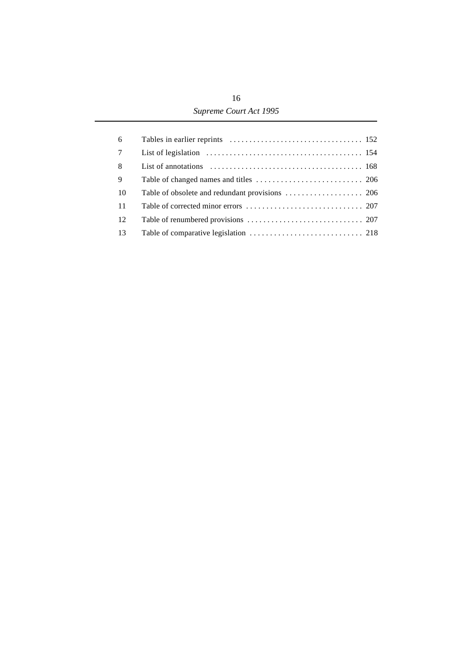| 6              |  |
|----------------|--|
| $\overline{7}$ |  |
| 8              |  |
| 9              |  |
| -10            |  |
| <b>11</b>      |  |
| 12             |  |
| 13             |  |
|                |  |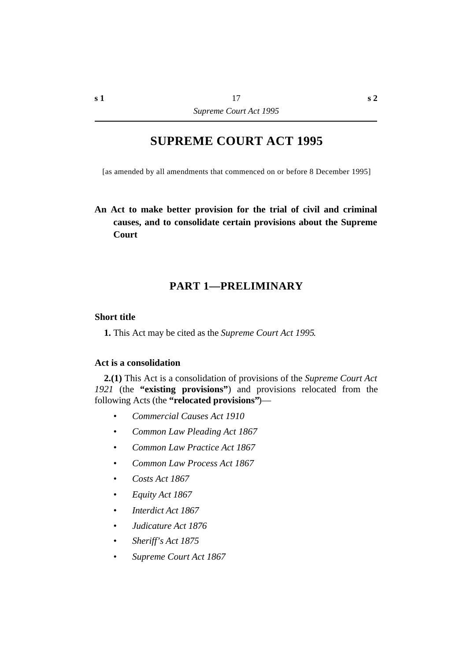# **SUPREME COURT ACT 1995**

[as amended by all amendments that commenced on or before 8 December 1995]

# **An Act to make better provision for the trial of civil and criminal causes, and to consolidate certain provisions about the Supreme Court**

# **†PART 1—PRELIMINARY**

#### **˙Short title**

**1.** This Act may be cited as the *Supreme Court Act 1995*.

#### **˙Act is a consolidation**

**2.(1)** This Act is a consolidation of provisions of the *Supreme Court Act 1921* (the **"existing provisions"**) and provisions relocated from the following Acts (the **"relocated provisions"**)—

- *• Commercial Causes Act 1910*
- *• Common Law Pleading Act 1867*
- *• Common Law Practice Act 1867*
- *• Common Law Process Act 1867*
- *• Costs Act 1867*
- *• Equity Act 1867*
- *• Interdict Act 1867*
- *• Judicature Act 1876*
- *• Sheriff's Act 1875*
- *• Supreme Court Act 1867*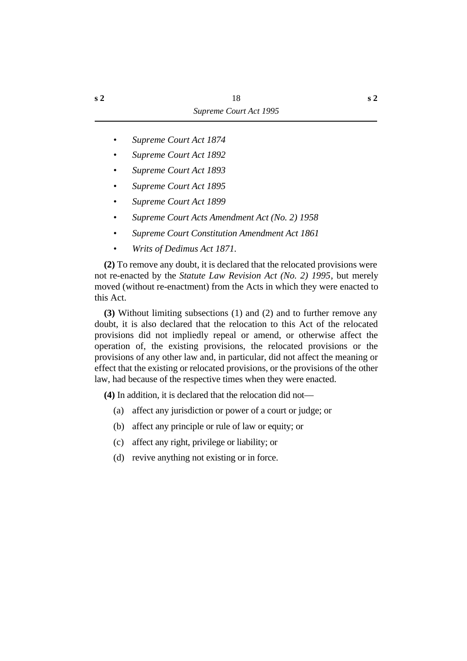- *• Supreme Court Act 1874*
- *• Supreme Court Act 1892*
- *• Supreme Court Act 1893*
- *• Supreme Court Act 1895*
- *• Supreme Court Act 1899*
- *• Supreme Court Acts Amendment Act (No. 2) 1958*
- *• Supreme Court Constitution Amendment Act 1861*
- *• Writs of Dedimus Act 1871.*

**(2)** To remove any doubt, it is declared that the relocated provisions were not re-enacted by the *Statute Law Revision Act (No. 2) 1995*, but merely moved (without re-enactment) from the Acts in which they were enacted to this Act.

**(3)** Without limiting subsections (1) and (2) and to further remove any doubt, it is also declared that the relocation to this Act of the relocated provisions did not impliedly repeal or amend, or otherwise affect the operation of, the existing provisions, the relocated provisions or the provisions of any other law and, in particular, did not affect the meaning or effect that the existing or relocated provisions, or the provisions of the other law, had because of the respective times when they were enacted.

**(4)** In addition, it is declared that the relocation did not—

- (a) affect any jurisdiction or power of a court or judge; or
- (b) affect any principle or rule of law or equity; or
- (c) affect any right, privilege or liability; or
- (d) revive anything not existing or in force.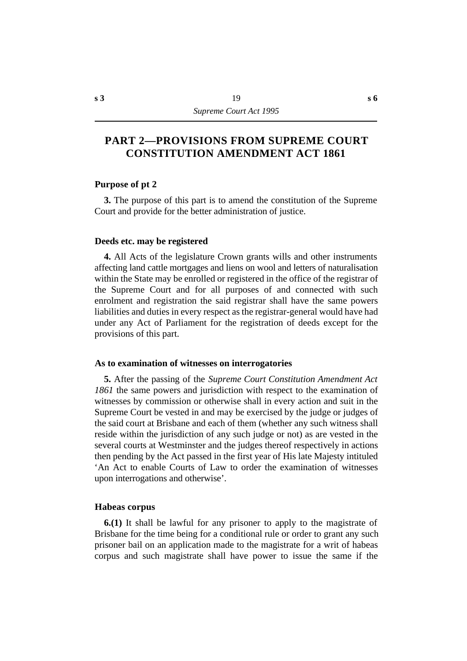# **†PART 2—PROVISIONS FROM SUPREME COURT CONSTITUTION AMENDMENT ACT 1861**

#### **˙Purpose of pt 2**

**3.** The purpose of this part is to amend the constitution of the Supreme Court and provide for the better administration of justice.

#### **˙Deeds etc. may be registered**

**4.** All Acts of the legislature Crown grants wills and other instruments affecting land cattle mortgages and liens on wool and letters of naturalisation within the State may be enrolled or registered in the office of the registrar of the Supreme Court and for all purposes of and connected with such enrolment and registration the said registrar shall have the same powers liabilities and duties in every respect as the registrar-general would have had under any Act of Parliament for the registration of deeds except for the provisions of this part.

#### **˙As to examination of witnesses on interrogatories**

**5.** After the passing of the *Supreme Court Constitution Amendment Act 1861* the same powers and jurisdiction with respect to the examination of witnesses by commission or otherwise shall in every action and suit in the Supreme Court be vested in and may be exercised by the judge or judges of the said court at Brisbane and each of them (whether any such witness shall reside within the jurisdiction of any such judge or not) as are vested in the several courts at Westminster and the judges thereof respectively in actions then pending by the Act passed in the first year of His late Majesty intituled 'An Act to enable Courts of Law to order the examination of witnesses upon interrogations and otherwise'.

#### **˙Habeas corpus**

**6.(1)** It shall be lawful for any prisoner to apply to the magistrate of Brisbane for the time being for a conditional rule or order to grant any such prisoner bail on an application made to the magistrate for a writ of habeas corpus and such magistrate shall have power to issue the same if the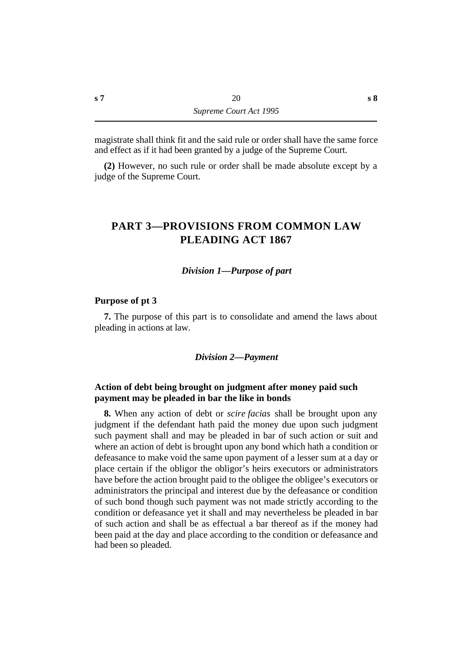magistrate shall think fit and the said rule or order shall have the same force and effect as if it had been granted by a judge of the Supreme Court.

**(2)** However, no such rule or order shall be made absolute except by a judge of the Supreme Court.

# **†PART 3—PROVISIONS FROM COMMON LAW PLEADING ACT 1867**

#### *†Division 1—Purpose of part*

#### **˙Purpose of pt 3**

**7.** The purpose of this part is to consolidate and amend the laws about pleading in actions at law.

#### *†Division 2—Payment*

# **˙Action of debt being brought on judgment after money paid such payment may be pleaded in bar the like in bonds**

**8.** When any action of debt or *scire facias* shall be brought upon any judgment if the defendant hath paid the money due upon such judgment such payment shall and may be pleaded in bar of such action or suit and where an action of debt is brought upon any bond which hath a condition or defeasance to make void the same upon payment of a lesser sum at a day or place certain if the obligor the obligor's heirs executors or administrators have before the action brought paid to the obligee the obligee's executors or administrators the principal and interest due by the defeasance or condition of such bond though such payment was not made strictly according to the condition or defeasance yet it shall and may nevertheless be pleaded in bar of such action and shall be as effectual a bar thereof as if the money had been paid at the day and place according to the condition or defeasance and had been so pleaded.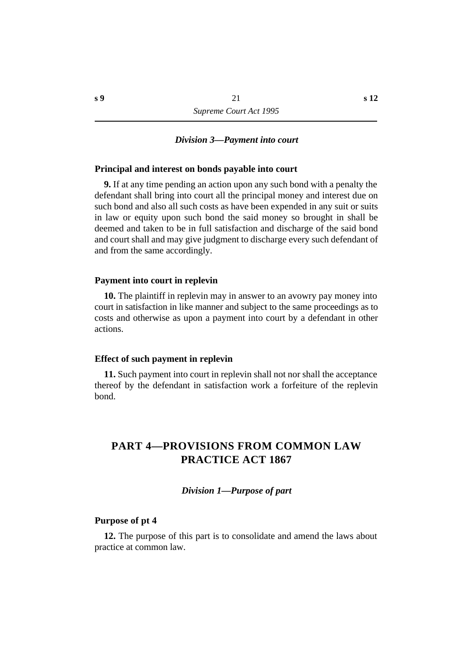#### *†Division 3—Payment into court*

#### **˙Principal and interest on bonds payable into court**

**9.** If at any time pending an action upon any such bond with a penalty the defendant shall bring into court all the principal money and interest due on such bond and also all such costs as have been expended in any suit or suits in law or equity upon such bond the said money so brought in shall be deemed and taken to be in full satisfaction and discharge of the said bond and court shall and may give judgment to discharge every such defendant of and from the same accordingly.

#### **˙Payment into court in replevin**

**10.** The plaintiff in replevin may in answer to an avowry pay money into court in satisfaction in like manner and subject to the same proceedings as to costs and otherwise as upon a payment into court by a defendant in other actions.

#### **˙Effect of such payment in replevin**

**11.** Such payment into court in replevin shall not nor shall the acceptance thereof by the defendant in satisfaction work a forfeiture of the replevin bond.

# **†PART 4—PROVISIONS FROM COMMON LAW PRACTICE ACT 1867**

#### *†Division 1—Purpose of part*

#### **˙Purpose of pt 4**

**12.** The purpose of this part is to consolidate and amend the laws about practice at common law.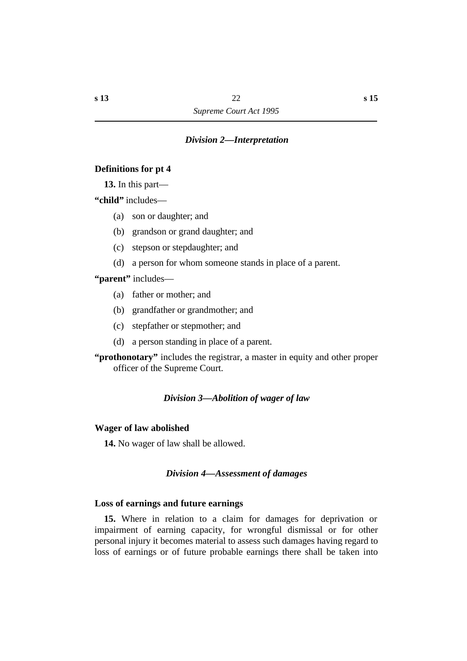# *†Division 2—Interpretation*

# **˙Definitions for pt 4**

**13.** In this part—

**"child"** includes—

- (a) son or daughter; and
- (b) grandson or grand daughter; and
- (c) stepson or stepdaughter; and
- (d) a person for whom someone stands in place of a parent.

**"parent"** includes—

- (a) father or mother; and
- (b) grandfather or grandmother; and
- (c) stepfather or stepmother; and
- (d) a person standing in place of a parent.

**"prothonotary"** includes the registrar, a master in equity and other proper officer of the Supreme Court.

#### *†Division 3—Abolition of wager of law*

#### **˙Wager of law abolished**

**14.** No wager of law shall be allowed.

# *†Division 4—Assessment of damages*

# **˙Loss of earnings and future earnings**

**15.** Where in relation to a claim for damages for deprivation or impairment of earning capacity, for wrongful dismissal or for other personal injury it becomes material to assess such damages having regard to loss of earnings or of future probable earnings there shall be taken into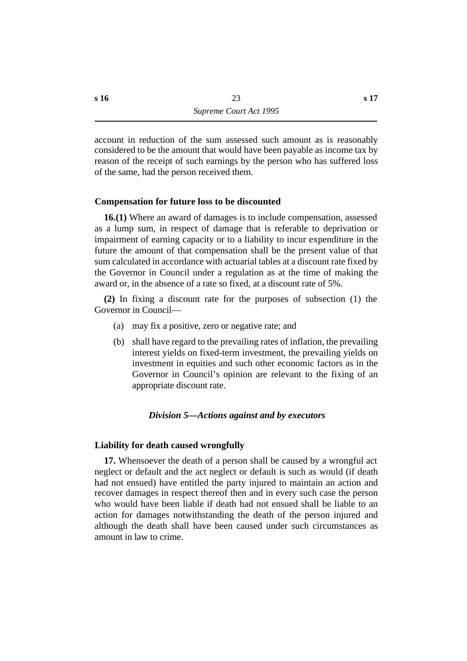account in reduction of the sum assessed such amount as is reasonably considered to be the amount that would have been payable as income tax by reason of the receipt of such earnings by the person who has suffered loss of the same, had the person received them.

# **˙Compensation for future loss to be discounted**

**16.(1)** Where an award of damages is to include compensation, assessed as a lump sum, in respect of damage that is referable to deprivation or impairment of earning capacity or to a liability to incur expenditure in the future the amount of that compensation shall be the present value of that sum calculated in accordance with actuarial tables at a discount rate fixed by the Governor in Council under a regulation as at the time of making the award or, in the absence of a rate so fixed, at a discount rate of 5%.

**(2)** In fixing a discount rate for the purposes of subsection (1) the Governor in Council—

- (a) may fix a positive, zero or negative rate; and
- (b) shall have regard to the prevailing rates of inflation, the prevailing interest yields on fixed-term investment, the prevailing yields on investment in equities and such other economic factors as in the Governor in Council's opinion are relevant to the fixing of an appropriate discount rate.

# *†Division 5—Actions against and by executors*

# **˙Liability for death caused wrongfully**

**17.** Whensoever the death of a person shall be caused by a wrongful act neglect or default and the act neglect or default is such as would (if death had not ensued) have entitled the party injured to maintain an action and recover damages in respect thereof then and in every such case the person who would have been liable if death had not ensued shall be liable to an action for damages notwithstanding the death of the person injured and although the death shall have been caused under such circumstances as amount in law to crime.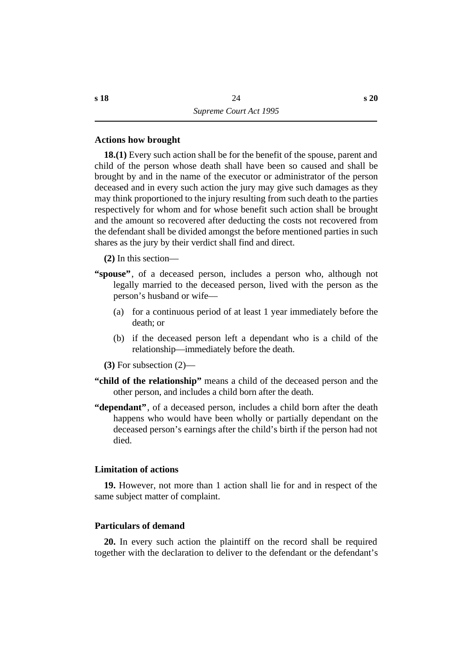# **˙Actions how brought**

**18.(1)** Every such action shall be for the benefit of the spouse, parent and child of the person whose death shall have been so caused and shall be brought by and in the name of the executor or administrator of the person deceased and in every such action the jury may give such damages as they may think proportioned to the injury resulting from such death to the parties respectively for whom and for whose benefit such action shall be brought and the amount so recovered after deducting the costs not recovered from the defendant shall be divided amongst the before mentioned parties in such shares as the jury by their verdict shall find and direct.

**(2)** In this section—

- **"spouse"**, of a deceased person, includes a person who, although not legally married to the deceased person, lived with the person as the person's husband or wife—
	- (a) for a continuous period of at least 1 year immediately before the death; or
	- (b) if the deceased person left a dependant who is a child of the relationship—immediately before the death.
	- **(3)** For subsection (2)—
- **"child of the relationship"** means a child of the deceased person and the other person, and includes a child born after the death.
- **"dependant"**, of a deceased person, includes a child born after the death happens who would have been wholly or partially dependant on the deceased person's earnings after the child's birth if the person had not died.

# **˙Limitation of actions**

**19.** However, not more than 1 action shall lie for and in respect of the same subject matter of complaint.

# **˙Particulars of demand**

**20.** In every such action the plaintiff on the record shall be required together with the declaration to deliver to the defendant or the defendant's

**s 20**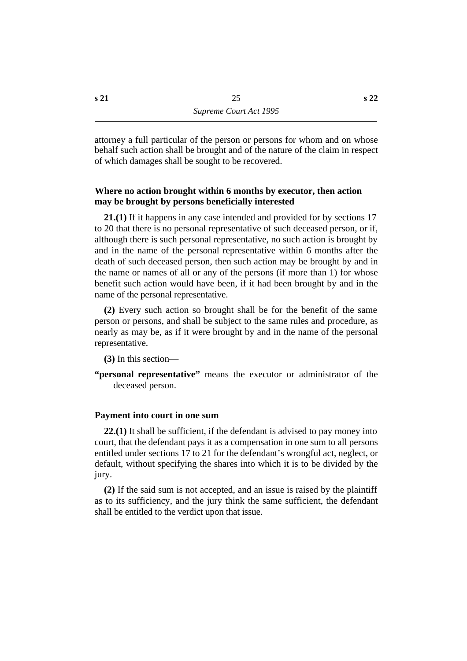attorney a full particular of the person or persons for whom and on whose behalf such action shall be brought and of the nature of the claim in respect of which damages shall be sought to be recovered.

# **˙Where no action brought within 6 months by executor, then action may be brought by persons beneficially interested**

**21.(1)** If it happens in any case intended and provided for by sections 17 to 20 that there is no personal representative of such deceased person, or if, although there is such personal representative, no such action is brought by and in the name of the personal representative within 6 months after the death of such deceased person, then such action may be brought by and in the name or names of all or any of the persons (if more than 1) for whose benefit such action would have been, if it had been brought by and in the name of the personal representative.

**(2)** Every such action so brought shall be for the benefit of the same person or persons, and shall be subject to the same rules and procedure, as nearly as may be, as if it were brought by and in the name of the personal representative.

**(3)** In this section—

**"personal representative"** means the executor or administrator of the deceased person.

# **˙Payment into court in one sum**

**22.(1)** It shall be sufficient, if the defendant is advised to pay money into court, that the defendant pays it as a compensation in one sum to all persons entitled under sections 17 to 21 for the defendant's wrongful act, neglect, or default, without specifying the shares into which it is to be divided by the jury.

**(2)** If the said sum is not accepted, and an issue is raised by the plaintiff as to its sufficiency, and the jury think the same sufficient, the defendant shall be entitled to the verdict upon that issue.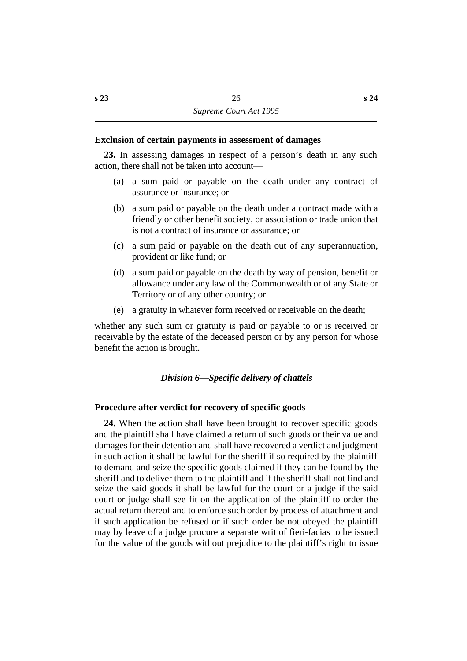#### **˙Exclusion of certain payments in assessment of damages**

**23.** In assessing damages in respect of a person's death in any such action, there shall not be taken into account—

- (a) a sum paid or payable on the death under any contract of assurance or insurance; or
- (b) a sum paid or payable on the death under a contract made with a friendly or other benefit society, or association or trade union that is not a contract of insurance or assurance; or
- (c) a sum paid or payable on the death out of any superannuation, provident or like fund; or
- (d) a sum paid or payable on the death by way of pension, benefit or allowance under any law of the Commonwealth or of any State or Territory or of any other country; or
- (e) a gratuity in whatever form received or receivable on the death;

whether any such sum or gratuity is paid or payable to or is received or receivable by the estate of the deceased person or by any person for whose benefit the action is brought.

# *†Division 6—Specific delivery of chattels*

# **˙Procedure after verdict for recovery of specific goods**

**24.** When the action shall have been brought to recover specific goods and the plaintiff shall have claimed a return of such goods or their value and damages for their detention and shall have recovered a verdict and judgment in such action it shall be lawful for the sheriff if so required by the plaintiff to demand and seize the specific goods claimed if they can be found by the sheriff and to deliver them to the plaintiff and if the sheriff shall not find and seize the said goods it shall be lawful for the court or a judge if the said court or judge shall see fit on the application of the plaintiff to order the actual return thereof and to enforce such order by process of attachment and if such application be refused or if such order be not obeyed the plaintiff may by leave of a judge procure a separate writ of fieri-facias to be issued for the value of the goods without prejudice to the plaintiff's right to issue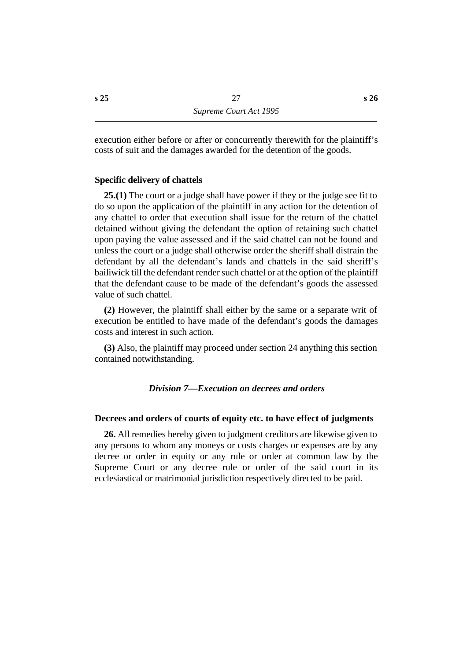execution either before or after or concurrently therewith for the plaintiff's costs of suit and the damages awarded for the detention of the goods.

# **˙Specific delivery of chattels**

**25.(1)** The court or a judge shall have power if they or the judge see fit to do so upon the application of the plaintiff in any action for the detention of any chattel to order that execution shall issue for the return of the chattel detained without giving the defendant the option of retaining such chattel upon paying the value assessed and if the said chattel can not be found and unless the court or a judge shall otherwise order the sheriff shall distrain the defendant by all the defendant's lands and chattels in the said sheriff's bailiwick till the defendant render such chattel or at the option of the plaintiff that the defendant cause to be made of the defendant's goods the assessed value of such chattel.

**(2)** However, the plaintiff shall either by the same or a separate writ of execution be entitled to have made of the defendant's goods the damages costs and interest in such action.

**(3)** Also, the plaintiff may proceed under section 24 anything this section contained notwithstanding.

# *†Division 7—Execution on decrees and orders*

# **˙Decrees and orders of courts of equity etc. to have effect of judgments**

**26.** All remedies hereby given to judgment creditors are likewise given to any persons to whom any moneys or costs charges or expenses are by any decree or order in equity or any rule or order at common law by the Supreme Court or any decree rule or order of the said court in its ecclesiastical or matrimonial jurisdiction respectively directed to be paid.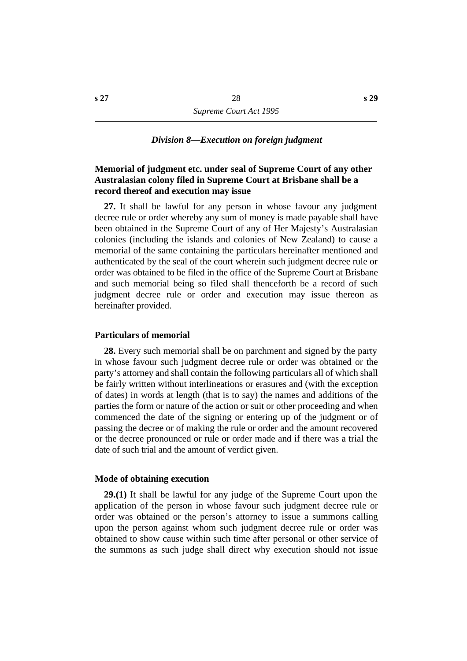#### *†Division 8—Execution on foreign judgment*

# **˙Memorial of judgment etc. under seal of Supreme Court of any other Australasian colony filed in Supreme Court at Brisbane shall be a record thereof and execution may issue**

**27.** It shall be lawful for any person in whose favour any judgment decree rule or order whereby any sum of money is made payable shall have been obtained in the Supreme Court of any of Her Majesty's Australasian colonies (including the islands and colonies of New Zealand) to cause a memorial of the same containing the particulars hereinafter mentioned and authenticated by the seal of the court wherein such judgment decree rule or order was obtained to be filed in the office of the Supreme Court at Brisbane and such memorial being so filed shall thenceforth be a record of such judgment decree rule or order and execution may issue thereon as hereinafter provided.

#### **˙Particulars of memorial**

**28.** Every such memorial shall be on parchment and signed by the party in whose favour such judgment decree rule or order was obtained or the party's attorney and shall contain the following particulars all of which shall be fairly written without interlineations or erasures and (with the exception of dates) in words at length (that is to say) the names and additions of the parties the form or nature of the action or suit or other proceeding and when commenced the date of the signing or entering up of the judgment or of passing the decree or of making the rule or order and the amount recovered or the decree pronounced or rule or order made and if there was a trial the date of such trial and the amount of verdict given.

#### **˙Mode of obtaining execution**

**29.(1)** It shall be lawful for any judge of the Supreme Court upon the application of the person in whose favour such judgment decree rule or order was obtained or the person's attorney to issue a summons calling upon the person against whom such judgment decree rule or order was obtained to show cause within such time after personal or other service of the summons as such judge shall direct why execution should not issue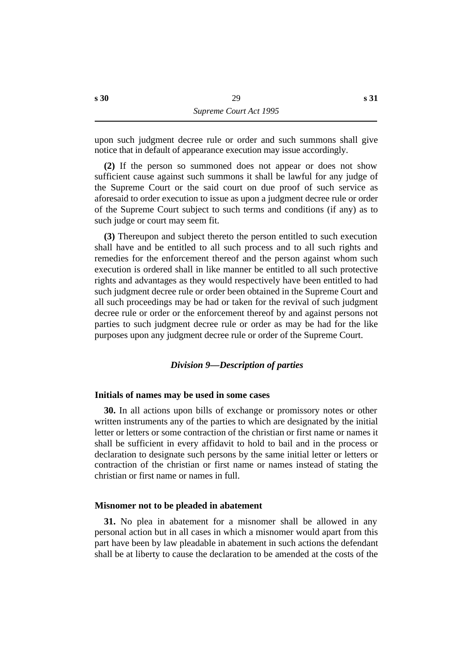upon such judgment decree rule or order and such summons shall give notice that in default of appearance execution may issue accordingly.

**(2)** If the person so summoned does not appear or does not show sufficient cause against such summons it shall be lawful for any judge of the Supreme Court or the said court on due proof of such service as aforesaid to order execution to issue as upon a judgment decree rule or order of the Supreme Court subject to such terms and conditions (if any) as to such judge or court may seem fit.

**(3)** Thereupon and subject thereto the person entitled to such execution shall have and be entitled to all such process and to all such rights and remedies for the enforcement thereof and the person against whom such execution is ordered shall in like manner be entitled to all such protective rights and advantages as they would respectively have been entitled to had such judgment decree rule or order been obtained in the Supreme Court and all such proceedings may be had or taken for the revival of such judgment decree rule or order or the enforcement thereof by and against persons not parties to such judgment decree rule or order as may be had for the like purposes upon any judgment decree rule or order of the Supreme Court.

# *†Division 9—Description of parties*

#### **˙Initials of names may be used in some cases**

**30.** In all actions upon bills of exchange or promissory notes or other written instruments any of the parties to which are designated by the initial letter or letters or some contraction of the christian or first name or names it shall be sufficient in every affidavit to hold to bail and in the process or declaration to designate such persons by the same initial letter or letters or contraction of the christian or first name or names instead of stating the christian or first name or names in full.

#### **˙Misnomer not to be pleaded in abatement**

**31.** No plea in abatement for a misnomer shall be allowed in any personal action but in all cases in which a misnomer would apart from this part have been by law pleadable in abatement in such actions the defendant shall be at liberty to cause the declaration to be amended at the costs of the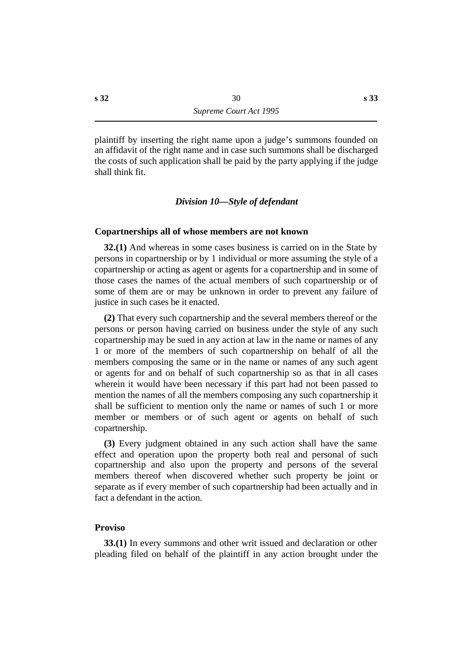plaintiff by inserting the right name upon a judge's summons founded on an affidavit of the right name and in case such summons shall be discharged the costs of such application shall be paid by the party applying if the judge shall think fit.

# *†Division 10—Style of defendant*

#### **˙Copartnerships all of whose members are not known**

**32.(1)** And whereas in some cases business is carried on in the State by persons in copartnership or by 1 individual or more assuming the style of a copartnership or acting as agent or agents for a copartnership and in some of those cases the names of the actual members of such copartnership or of some of them are or may be unknown in order to prevent any failure of justice in such cases be it enacted.

**(2)** That every such copartnership and the several members thereof or the persons or person having carried on business under the style of any such copartnership may be sued in any action at law in the name or names of any 1 or more of the members of such copartnership on behalf of all the members composing the same or in the name or names of any such agent or agents for and on behalf of such copartnership so as that in all cases wherein it would have been necessary if this part had not been passed to mention the names of all the members composing any such copartnership it shall be sufficient to mention only the name or names of such 1 or more member or members or of such agent or agents on behalf of such copartnership.

**(3)** Every judgment obtained in any such action shall have the same effect and operation upon the property both real and personal of such copartnership and also upon the property and persons of the several members thereof when discovered whether such property be joint or separate as if every member of such copartnership had been actually and in fact a defendant in the action.

# **˙Proviso**

**33.(1)** In every summons and other writ issued and declaration or other pleading filed on behalf of the plaintiff in any action brought under the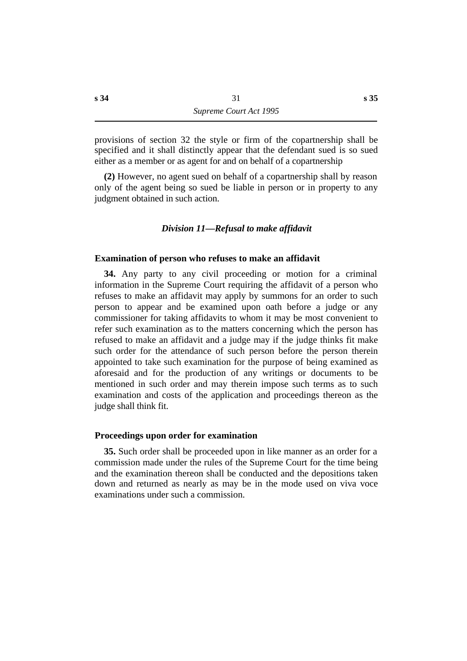provisions of section 32 the style or firm of the copartnership shall be specified and it shall distinctly appear that the defendant sued is so sued either as a member or as agent for and on behalf of a copartnership

**(2)** However, no agent sued on behalf of a copartnership shall by reason only of the agent being so sued be liable in person or in property to any judgment obtained in such action.

# *†Division 11—Refusal to make affidavit*

#### **˙Examination of person who refuses to make an affidavit**

**34.** Any party to any civil proceeding or motion for a criminal information in the Supreme Court requiring the affidavit of a person who refuses to make an affidavit may apply by summons for an order to such person to appear and be examined upon oath before a judge or any commissioner for taking affidavits to whom it may be most convenient to refer such examination as to the matters concerning which the person has refused to make an affidavit and a judge may if the judge thinks fit make such order for the attendance of such person before the person therein appointed to take such examination for the purpose of being examined as aforesaid and for the production of any writings or documents to be mentioned in such order and may therein impose such terms as to such examination and costs of the application and proceedings thereon as the judge shall think fit.

#### **˙Proceedings upon order for examination**

**35.** Such order shall be proceeded upon in like manner as an order for a commission made under the rules of the Supreme Court for the time being and the examination thereon shall be conducted and the depositions taken down and returned as nearly as may be in the mode used on viva voce examinations under such a commission.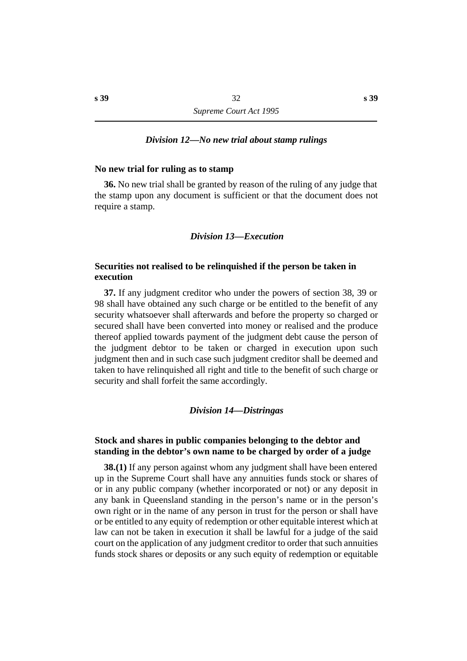#### *†Division 12—No new trial about stamp rulings*

#### **˙No new trial for ruling as to stamp**

**36.** No new trial shall be granted by reason of the ruling of any judge that the stamp upon any document is sufficient or that the document does not require a stamp.

#### *†Division 13—Execution*

# **˙Securities not realised to be relinquished if the person be taken in execution**

**37.** If any judgment creditor who under the powers of section 38, 39 or 98 shall have obtained any such charge or be entitled to the benefit of any security whatsoever shall afterwards and before the property so charged or secured shall have been converted into money or realised and the produce thereof applied towards payment of the judgment debt cause the person of the judgment debtor to be taken or charged in execution upon such judgment then and in such case such judgment creditor shall be deemed and taken to have relinquished all right and title to the benefit of such charge or security and shall forfeit the same accordingly.

#### *†Division 14—Distringas*

# **˙Stock and shares in public companies belonging to the debtor and standing in the debtor's own name to be charged by order of a judge**

**38.(1)** If any person against whom any judgment shall have been entered up in the Supreme Court shall have any annuities funds stock or shares of or in any public company (whether incorporated or not) or any deposit in any bank in Queensland standing in the person's name or in the person's own right or in the name of any person in trust for the person or shall have or be entitled to any equity of redemption or other equitable interest which at law can not be taken in execution it shall be lawful for a judge of the said court on the application of any judgment creditor to order that such annuities funds stock shares or deposits or any such equity of redemption or equitable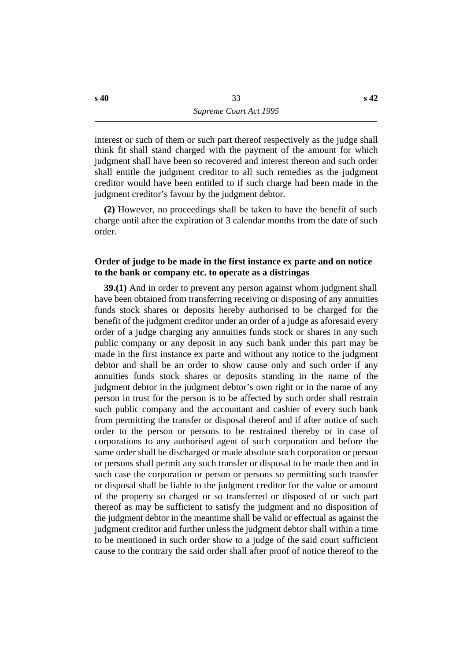interest or such of them or such part thereof respectively as the judge shall think fit shall stand charged with the payment of the amount for which judgment shall have been so recovered and interest thereon and such order shall entitle the judgment creditor to all such remedies as the judgment creditor would have been entitled to if such charge had been made in the judgment creditor's favour by the judgment debtor.

**(2)** However, no proceedings shall be taken to have the benefit of such charge until after the expiration of 3 calendar months from the date of such order.

# **˙Order of judge to be made in the first instance ex parte and on notice to the bank or company etc. to operate as a distringas**

**39.(1)** And in order to prevent any person against whom judgment shall have been obtained from transferring receiving or disposing of any annuities funds stock shares or deposits hereby authorised to be charged for the benefit of the judgment creditor under an order of a judge as aforesaid every order of a judge charging any annuities funds stock or shares in any such public company or any deposit in any such bank under this part may be made in the first instance ex parte and without any notice to the judgment debtor and shall be an order to show cause only and such order if any annuities funds stock shares or deposits standing in the name of the judgment debtor in the judgment debtor's own right or in the name of any person in trust for the person is to be affected by such order shall restrain such public company and the accountant and cashier of every such bank from permitting the transfer or disposal thereof and if after notice of such order to the person or persons to be restrained thereby or in case of corporations to any authorised agent of such corporation and before the same order shall be discharged or made absolute such corporation or person or persons shall permit any such transfer or disposal to be made then and in such case the corporation or person or persons so permitting such transfer or disposal shall be liable to the judgment creditor for the value or amount of the property so charged or so transferred or disposed of or such part thereof as may be sufficient to satisfy the judgment and no disposition of the judgment debtor in the meantime shall be valid or effectual as against the judgment creditor and further unless the judgment debtor shall within a time to be mentioned in such order show to a judge of the said court sufficient cause to the contrary the said order shall after proof of notice thereof to the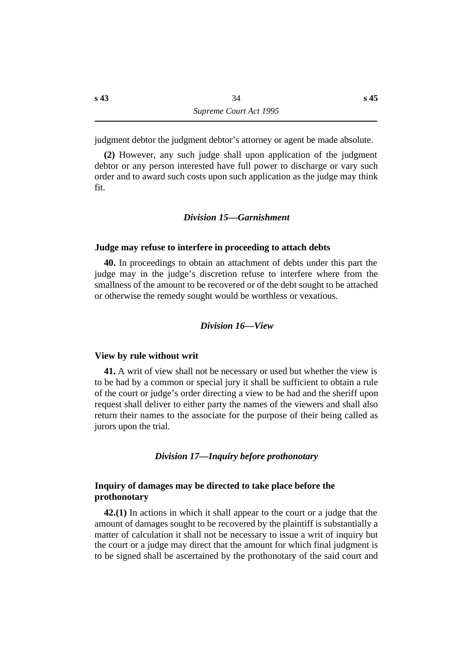judgment debtor the judgment debtor's attorney or agent be made absolute.

**(2)** However, any such judge shall upon application of the judgment debtor or any person interested have full power to discharge or vary such order and to award such costs upon such application as the judge may think fit.

#### *†Division 15—Garnishment*

# **˙Judge may refuse to interfere in proceeding to attach debts**

**40.** In proceedings to obtain an attachment of debts under this part the judge may in the judge's discretion refuse to interfere where from the smallness of the amount to be recovered or of the debt sought to be attached or otherwise the remedy sought would be worthless or vexatious.

#### *†Division 16—View*

#### **˙View by rule without writ**

**41.** A writ of view shall not be necessary or used but whether the view is to be had by a common or special jury it shall be sufficient to obtain a rule of the court or judge's order directing a view to be had and the sheriff upon request shall deliver to either party the names of the viewers and shall also return their names to the associate for the purpose of their being called as jurors upon the trial.

#### *†Division 17—Inquiry before prothonotary*

# **˙Inquiry of damages may be directed to take place before the prothonotary**

**42.(1)** In actions in which it shall appear to the court or a judge that the amount of damages sought to be recovered by the plaintiff is substantially a matter of calculation it shall not be necessary to issue a writ of inquiry but the court or a judge may direct that the amount for which final judgment is to be signed shall be ascertained by the prothonotary of the said court and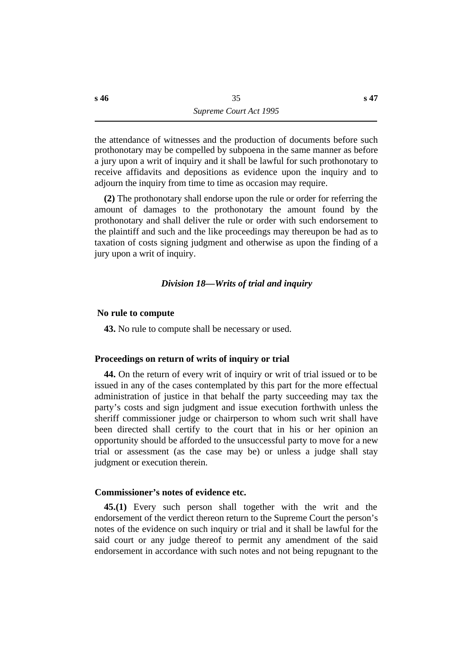the attendance of witnesses and the production of documents before such prothonotary may be compelled by subpoena in the same manner as before a jury upon a writ of inquiry and it shall be lawful for such prothonotary to receive affidavits and depositions as evidence upon the inquiry and to adjourn the inquiry from time to time as occasion may require.

**(2)** The prothonotary shall endorse upon the rule or order for referring the amount of damages to the prothonotary the amount found by the prothonotary and shall deliver the rule or order with such endorsement to the plaintiff and such and the like proceedings may thereupon be had as to taxation of costs signing judgment and otherwise as upon the finding of a jury upon a writ of inquiry.

## *†Division 18—Writs of trial and inquiry*

#### **˙ No rule to compute**

**43.** No rule to compute shall be necessary or used.

#### **˙Proceedings on return of writs of inquiry or trial**

**44.** On the return of every writ of inquiry or writ of trial issued or to be issued in any of the cases contemplated by this part for the more effectual administration of justice in that behalf the party succeeding may tax the party's costs and sign judgment and issue execution forthwith unless the sheriff commissioner judge or chairperson to whom such writ shall have been directed shall certify to the court that in his or her opinion an opportunity should be afforded to the unsuccessful party to move for a new trial or assessment (as the case may be) or unless a judge shall stay judgment or execution therein.

## **˙Commissioner's notes of evidence etc.**

**45.(1)** Every such person shall together with the writ and the endorsement of the verdict thereon return to the Supreme Court the person's notes of the evidence on such inquiry or trial and it shall be lawful for the said court or any judge thereof to permit any amendment of the said endorsement in accordance with such notes and not being repugnant to the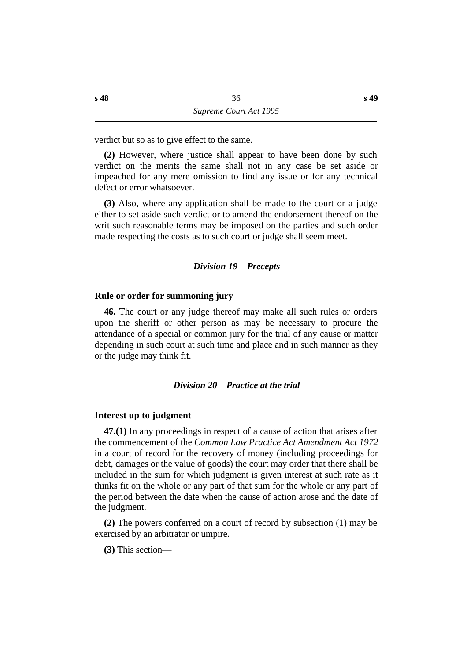verdict but so as to give effect to the same.

**(2)** However, where justice shall appear to have been done by such verdict on the merits the same shall not in any case be set aside or impeached for any mere omission to find any issue or for any technical defect or error whatsoever.

**(3)** Also, where any application shall be made to the court or a judge either to set aside such verdict or to amend the endorsement thereof on the writ such reasonable terms may be imposed on the parties and such order made respecting the costs as to such court or judge shall seem meet.

## *†Division 19—Precepts*

#### **˙Rule or order for summoning jury**

**46.** The court or any judge thereof may make all such rules or orders upon the sheriff or other person as may be necessary to procure the attendance of a special or common jury for the trial of any cause or matter depending in such court at such time and place and in such manner as they or the judge may think fit.

#### *†Division 20—Practice at the trial*

#### **˙Interest up to judgment**

**47.(1)** In any proceedings in respect of a cause of action that arises after the commencement of the *Common Law Practice Act Amendment Act 1972* in a court of record for the recovery of money (including proceedings for debt, damages or the value of goods) the court may order that there shall be included in the sum for which judgment is given interest at such rate as it thinks fit on the whole or any part of that sum for the whole or any part of the period between the date when the cause of action arose and the date of the judgment.

**(2)** The powers conferred on a court of record by subsection (1) may be exercised by an arbitrator or umpire.

**(3)** This section—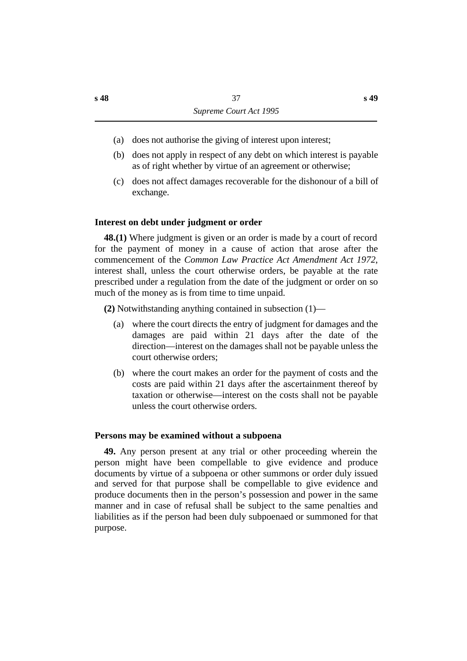- (a) does not authorise the giving of interest upon interest;
- (b) does not apply in respect of any debt on which interest is payable as of right whether by virtue of an agreement or otherwise;
- (c) does not affect damages recoverable for the dishonour of a bill of exchange.

## **˙Interest on debt under judgment or order**

**48.(1)** Where judgment is given or an order is made by a court of record for the payment of money in a cause of action that arose after the commencement of the *Common Law Practice Act Amendment Act 1972*, interest shall, unless the court otherwise orders, be payable at the rate prescribed under a regulation from the date of the judgment or order on so much of the money as is from time to time unpaid.

**(2)** Notwithstanding anything contained in subsection (1)—

- (a) where the court directs the entry of judgment for damages and the damages are paid within 21 days after the date of the direction—interest on the damages shall not be payable unless the court otherwise orders;
- (b) where the court makes an order for the payment of costs and the costs are paid within 21 days after the ascertainment thereof by taxation or otherwise—interest on the costs shall not be payable unless the court otherwise orders.

## **˙Persons may be examined without a subpoena**

**49.** Any person present at any trial or other proceeding wherein the person might have been compellable to give evidence and produce documents by virtue of a subpoena or other summons or order duly issued and served for that purpose shall be compellable to give evidence and produce documents then in the person's possession and power in the same manner and in case of refusal shall be subject to the same penalties and liabilities as if the person had been duly subpoenaed or summoned for that purpose.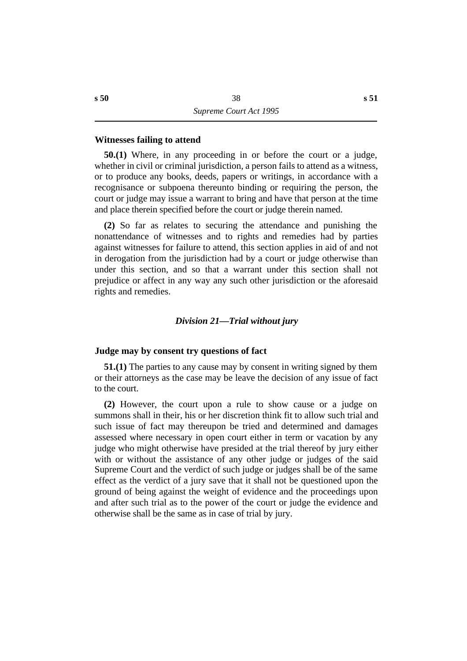#### **˙Witnesses failing to attend**

**50.(1)** Where, in any proceeding in or before the court or a judge, whether in civil or criminal jurisdiction, a person fails to attend as a witness, or to produce any books, deeds, papers or writings, in accordance with a recognisance or subpoena thereunto binding or requiring the person, the court or judge may issue a warrant to bring and have that person at the time and place therein specified before the court or judge therein named.

**(2)** So far as relates to securing the attendance and punishing the nonattendance of witnesses and to rights and remedies had by parties against witnesses for failure to attend, this section applies in aid of and not in derogation from the jurisdiction had by a court or judge otherwise than under this section, and so that a warrant under this section shall not prejudice or affect in any way any such other jurisdiction or the aforesaid rights and remedies.

## *†Division 21—Trial without jury*

## **˙Judge may by consent try questions of fact**

**51.(1)** The parties to any cause may by consent in writing signed by them or their attorneys as the case may be leave the decision of any issue of fact to the court.

**(2)** However, the court upon a rule to show cause or a judge on summons shall in their, his or her discretion think fit to allow such trial and such issue of fact may thereupon be tried and determined and damages assessed where necessary in open court either in term or vacation by any judge who might otherwise have presided at the trial thereof by jury either with or without the assistance of any other judge or judges of the said Supreme Court and the verdict of such judge or judges shall be of the same effect as the verdict of a jury save that it shall not be questioned upon the ground of being against the weight of evidence and the proceedings upon and after such trial as to the power of the court or judge the evidence and otherwise shall be the same as in case of trial by jury.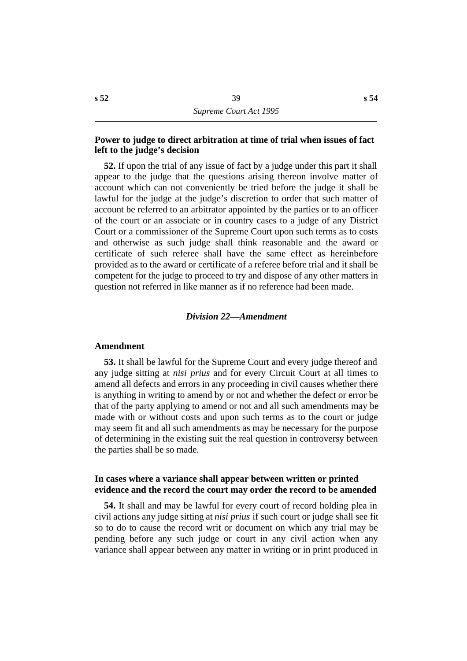## **˙Power to judge to direct arbitration at time of trial when issues of fact left to the judge's decision**

**52.** If upon the trial of any issue of fact by a judge under this part it shall appear to the judge that the questions arising thereon involve matter of account which can not conveniently be tried before the judge it shall be lawful for the judge at the judge's discretion to order that such matter of account be referred to an arbitrator appointed by the parties or to an officer of the court or an associate or in country cases to a judge of any District Court or a commissioner of the Supreme Court upon such terms as to costs and otherwise as such judge shall think reasonable and the award or certificate of such referee shall have the same effect as hereinbefore provided as to the award or certificate of a referee before trial and it shall be competent for the judge to proceed to try and dispose of any other matters in question not referred in like manner as if no reference had been made.

#### *†Division 22—Amendment*

#### **˙Amendment**

**53.** It shall be lawful for the Supreme Court and every judge thereof and any judge sitting at *nisi prius* and for every Circuit Court at all times to amend all defects and errors in any proceeding in civil causes whether there is anything in writing to amend by or not and whether the defect or error be that of the party applying to amend or not and all such amendments may be made with or without costs and upon such terms as to the court or judge may seem fit and all such amendments as may be necessary for the purpose of determining in the existing suit the real question in controversy between the parties shall be so made.

## **˙In cases where a variance shall appear between written or printed evidence and the record the court may order the record to be amended**

**54.** It shall and may be lawful for every court of record holding plea in civil actions any judge sitting at *nisi prius* if such court or judge shall see fit so to do to cause the record writ or document on which any trial may be pending before any such judge or court in any civil action when any variance shall appear between any matter in writing or in print produced in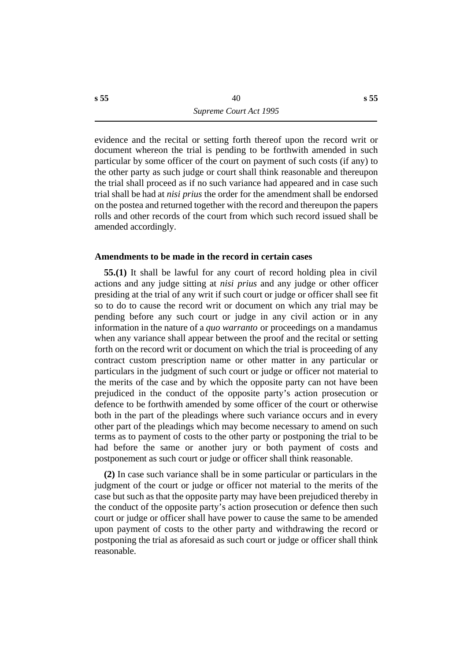evidence and the recital or setting forth thereof upon the record writ or document whereon the trial is pending to be forthwith amended in such particular by some officer of the court on payment of such costs (if any) to the other party as such judge or court shall think reasonable and thereupon the trial shall proceed as if no such variance had appeared and in case such trial shall be had at *nisi prius* the order for the amendment shall be endorsed on the postea and returned together with the record and thereupon the papers rolls and other records of the court from which such record issued shall be amended accordingly.

#### **˙Amendments to be made in the record in certain cases**

**55.(1)** It shall be lawful for any court of record holding plea in civil actions and any judge sitting at *nisi prius* and any judge or other officer presiding at the trial of any writ if such court or judge or officer shall see fit so to do to cause the record writ or document on which any trial may be pending before any such court or judge in any civil action or in any information in the nature of a *quo warranto* or proceedings on a mandamus when any variance shall appear between the proof and the recital or setting forth on the record writ or document on which the trial is proceeding of any contract custom prescription name or other matter in any particular or particulars in the judgment of such court or judge or officer not material to the merits of the case and by which the opposite party can not have been prejudiced in the conduct of the opposite party's action prosecution or defence to be forthwith amended by some officer of the court or otherwise both in the part of the pleadings where such variance occurs and in every other part of the pleadings which may become necessary to amend on such terms as to payment of costs to the other party or postponing the trial to be had before the same or another jury or both payment of costs and postponement as such court or judge or officer shall think reasonable.

**(2)** In case such variance shall be in some particular or particulars in the judgment of the court or judge or officer not material to the merits of the case but such as that the opposite party may have been prejudiced thereby in the conduct of the opposite party's action prosecution or defence then such court or judge or officer shall have power to cause the same to be amended upon payment of costs to the other party and withdrawing the record or postponing the trial as aforesaid as such court or judge or officer shall think reasonable.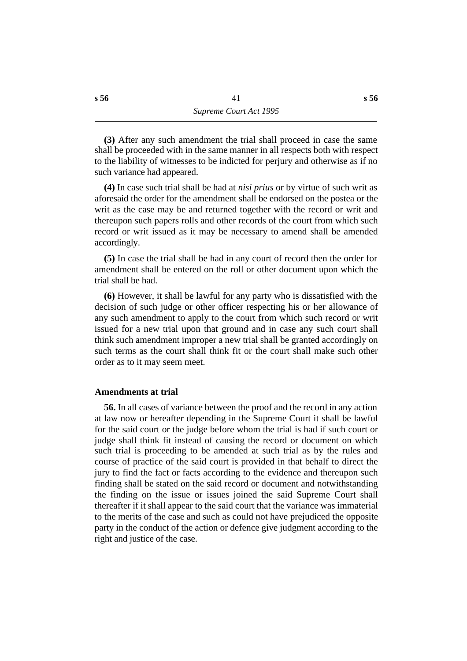**(3)** After any such amendment the trial shall proceed in case the same shall be proceeded with in the same manner in all respects both with respect to the liability of witnesses to be indicted for perjury and otherwise as if no such variance had appeared.

**(4)** In case such trial shall be had at *nisi prius* or by virtue of such writ as aforesaid the order for the amendment shall be endorsed on the postea or the writ as the case may be and returned together with the record or writ and thereupon such papers rolls and other records of the court from which such record or writ issued as it may be necessary to amend shall be amended accordingly.

**(5)** In case the trial shall be had in any court of record then the order for amendment shall be entered on the roll or other document upon which the trial shall be had.

**(6)** However, it shall be lawful for any party who is dissatisfied with the decision of such judge or other officer respecting his or her allowance of any such amendment to apply to the court from which such record or writ issued for a new trial upon that ground and in case any such court shall think such amendment improper a new trial shall be granted accordingly on such terms as the court shall think fit or the court shall make such other order as to it may seem meet.

## **˙Amendments at trial**

**56.** In all cases of variance between the proof and the record in any action at law now or hereafter depending in the Supreme Court it shall be lawful for the said court or the judge before whom the trial is had if such court or judge shall think fit instead of causing the record or document on which such trial is proceeding to be amended at such trial as by the rules and course of practice of the said court is provided in that behalf to direct the jury to find the fact or facts according to the evidence and thereupon such finding shall be stated on the said record or document and notwithstanding the finding on the issue or issues joined the said Supreme Court shall thereafter if it shall appear to the said court that the variance was immaterial to the merits of the case and such as could not have prejudiced the opposite party in the conduct of the action or defence give judgment according to the right and justice of the case.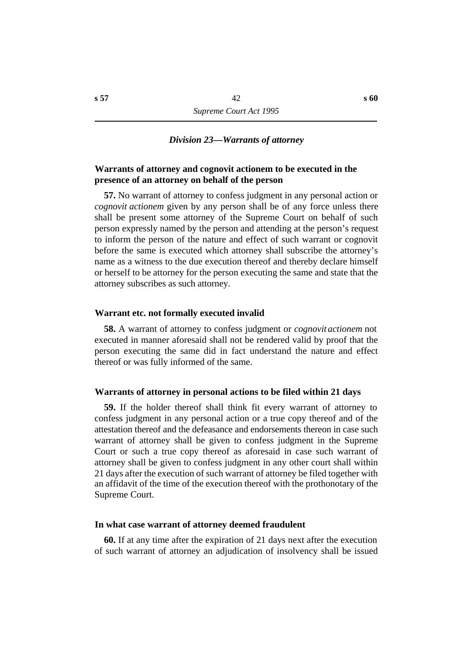#### *†Division 23—Warrants of attorney*

## **˙Warrants of attorney and cognovit actionem to be executed in the presence of an attorney on behalf of the person**

**57.** No warrant of attorney to confess judgment in any personal action or *cognovit actionem* given by any person shall be of any force unless there shall be present some attorney of the Supreme Court on behalf of such person expressly named by the person and attending at the person's request to inform the person of the nature and effect of such warrant or cognovit before the same is executed which attorney shall subscribe the attorney's name as a witness to the due execution thereof and thereby declare himself or herself to be attorney for the person executing the same and state that the attorney subscribes as such attorney.

## **˙Warrant etc. not formally executed invalid**

**58.** A warrant of attorney to confess judgment or *cognovit actionem* not executed in manner aforesaid shall not be rendered valid by proof that the person executing the same did in fact understand the nature and effect thereof or was fully informed of the same.

#### **˙Warrants of attorney in personal actions to be filed within 21 days**

**59.** If the holder thereof shall think fit every warrant of attorney to confess judgment in any personal action or a true copy thereof and of the attestation thereof and the defeasance and endorsements thereon in case such warrant of attorney shall be given to confess judgment in the Supreme Court or such a true copy thereof as aforesaid in case such warrant of attorney shall be given to confess judgment in any other court shall within 21 days after the execution of such warrant of attorney be filed together with an affidavit of the time of the execution thereof with the prothonotary of the Supreme Court.

#### **˙In what case warrant of attorney deemed fraudulent**

**60.** If at any time after the expiration of 21 days next after the execution of such warrant of attorney an adjudication of insolvency shall be issued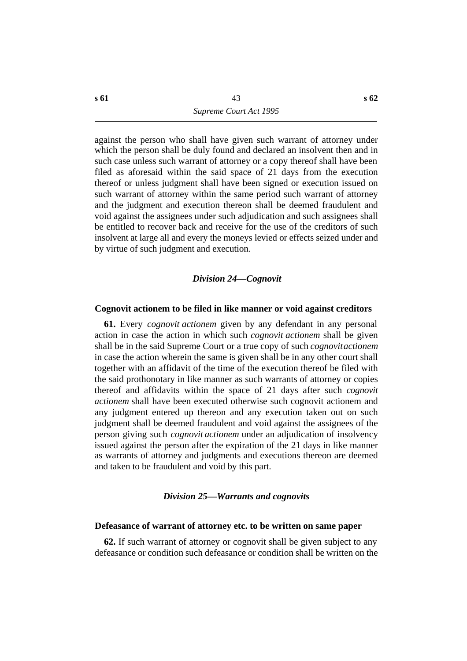against the person who shall have given such warrant of attorney under which the person shall be duly found and declared an insolvent then and in such case unless such warrant of attorney or a copy thereof shall have been filed as aforesaid within the said space of 21 days from the execution thereof or unless judgment shall have been signed or execution issued on such warrant of attorney within the same period such warrant of attorney and the judgment and execution thereon shall be deemed fraudulent and void against the assignees under such adjudication and such assignees shall be entitled to recover back and receive for the use of the creditors of such insolvent at large all and every the moneys levied or effects seized under and by virtue of such judgment and execution.

#### *†Division 24—Cognovit*

#### **˙Cognovit actionem to be filed in like manner or void against creditors**

**61.** Every *cognovit actionem* given by any defendant in any personal action in case the action in which such *cognovit actionem* shall be given shall be in the said Supreme Court or a true copy of such *cognovit actionem* in case the action wherein the same is given shall be in any other court shall together with an affidavit of the time of the execution thereof be filed with the said prothonotary in like manner as such warrants of attorney or copies thereof and affidavits within the space of 21 days after such *cognovit actionem* shall have been executed otherwise such cognovit actionem and any judgment entered up thereon and any execution taken out on such judgment shall be deemed fraudulent and void against the assignees of the person giving such *cognovit actionem* under an adjudication of insolvency issued against the person after the expiration of the 21 days in like manner as warrants of attorney and judgments and executions thereon are deemed and taken to be fraudulent and void by this part.

## *†Division 25—Warrants and cognovits*

## **˙Defeasance of warrant of attorney etc. to be written on same paper**

**62.** If such warrant of attorney or cognovit shall be given subject to any defeasance or condition such defeasance or condition shall be written on the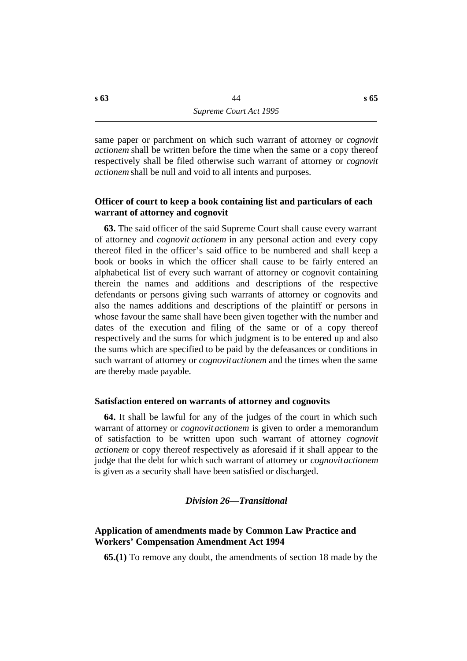same paper or parchment on which such warrant of attorney or *cognovit actionem* shall be written before the time when the same or a copy thereof respectively shall be filed otherwise such warrant of attorney or *cognovit actionem* shall be null and void to all intents and purposes.

## **˙Officer of court to keep a book containing list and particulars of each warrant of attorney and cognovit**

**63.** The said officer of the said Supreme Court shall cause every warrant of attorney and *cognovit actionem* in any personal action and every copy thereof filed in the officer's said office to be numbered and shall keep a book or books in which the officer shall cause to be fairly entered an alphabetical list of every such warrant of attorney or cognovit containing therein the names and additions and descriptions of the respective defendants or persons giving such warrants of attorney or cognovits and also the names additions and descriptions of the plaintiff or persons in whose favour the same shall have been given together with the number and dates of the execution and filing of the same or of a copy thereof respectively and the sums for which judgment is to be entered up and also the sums which are specified to be paid by the defeasances or conditions in such warrant of attorney or *cognovit actionem* and the times when the same are thereby made payable.

## **˙Satisfaction entered on warrants of attorney and cognovits**

**64.** It shall be lawful for any of the judges of the court in which such warrant of attorney or *cognovit actionem* is given to order a memorandum of satisfaction to be written upon such warrant of attorney *cognovit actionem* or copy thereof respectively as aforesaid if it shall appear to the judge that the debt for which such warrant of attorney or *cognovit actionem* is given as a security shall have been satisfied or discharged.

## *†Division 26—Transitional*

# **˙Application of amendments made by Common Law Practice and Workers' Compensation Amendment Act 1994**

**65.(1)** To remove any doubt, the amendments of section 18 made by the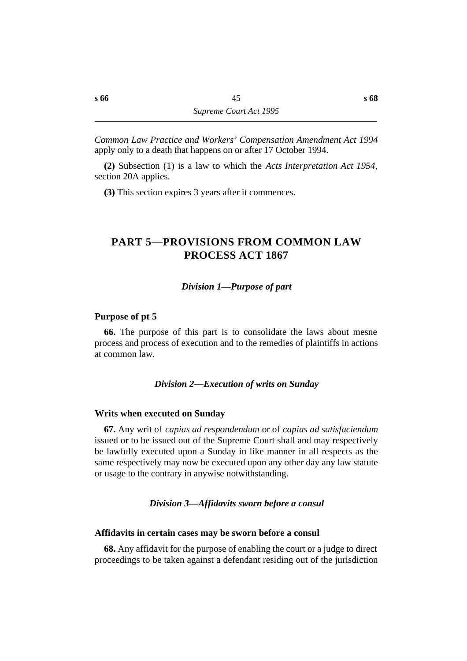*Common Law Practice and Workers' Compensation Amendment Act 1994* apply only to a death that happens on or after 17 October 1994.

**(2)** Subsection (1) is a law to which the *Acts Interpretation Act 1954*, section 20A applies.

**(3)** This section expires 3 years after it commences.

# **†PART 5—PROVISIONS FROM COMMON LAW PROCESS ACT 1867**

## *†Division 1—Purpose of part*

## **˙Purpose of pt 5**

**66.** The purpose of this part is to consolidate the laws about mesne process and process of execution and to the remedies of plaintiffs in actions at common law.

## *†Division 2—Execution of writs on Sunday*

#### **˙Writs when executed on Sunday**

**67.** Any writ of *capias ad respondendum* or of *capias ad satisfaciendum* issued or to be issued out of the Supreme Court shall and may respectively be lawfully executed upon a Sunday in like manner in all respects as the same respectively may now be executed upon any other day any law statute or usage to the contrary in anywise notwithstanding.

## *†Division 3—Affidavits sworn before a consul*

#### **˙Affidavits in certain cases may be sworn before a consul**

**68.** Any affidavit for the purpose of enabling the court or a judge to direct proceedings to be taken against a defendant residing out of the jurisdiction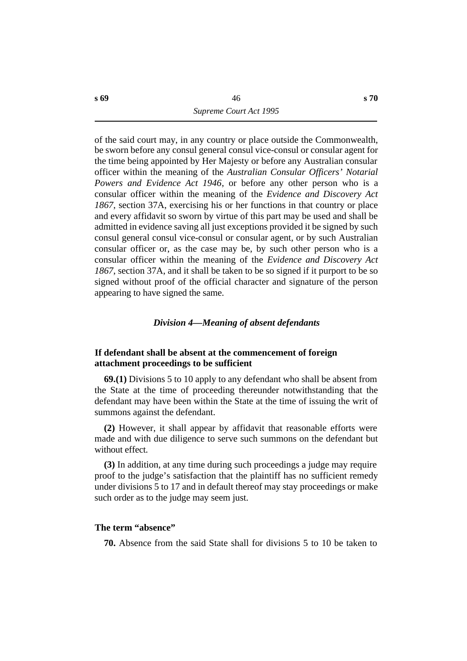of the said court may, in any country or place outside the Commonwealth, be sworn before any consul general consul vice-consul or consular agent for the time being appointed by Her Majesty or before any Australian consular officer within the meaning of the *Australian Consular Officers' Notarial Powers and Evidence Act 1946*, or before any other person who is a consular officer within the meaning of the *Evidence and Discovery Act 1867*, section 37A, exercising his or her functions in that country or place and every affidavit so sworn by virtue of this part may be used and shall be admitted in evidence saving all just exceptions provided it be signed by such consul general consul vice-consul or consular agent, or by such Australian consular officer or, as the case may be, by such other person who is a consular officer within the meaning of the *Evidence and Discovery Act 1867*, section 37A, and it shall be taken to be so signed if it purport to be so signed without proof of the official character and signature of the person appearing to have signed the same.

## *†Division 4—Meaning of absent defendants*

## **˙If defendant shall be absent at the commencement of foreign attachment proceedings to be sufficient**

**69.(1)** Divisions 5 to 10 apply to any defendant who shall be absent from the State at the time of proceeding thereunder notwithstanding that the defendant may have been within the State at the time of issuing the writ of summons against the defendant.

**(2)** However, it shall appear by affidavit that reasonable efforts were made and with due diligence to serve such summons on the defendant but without effect.

**(3)** In addition, at any time during such proceedings a judge may require proof to the judge's satisfaction that the plaintiff has no sufficient remedy under divisions 5 to 17 and in default thereof may stay proceedings or make such order as to the judge may seem just.

#### **˙The term "absence"**

**70.** Absence from the said State shall for divisions 5 to 10 be taken to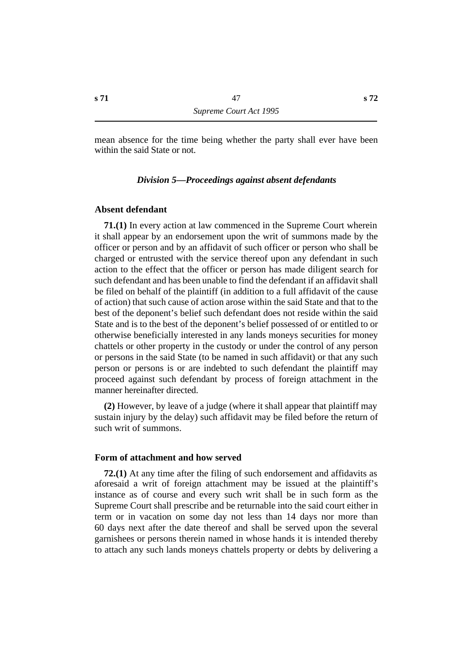mean absence for the time being whether the party shall ever have been within the said State or not.

## *†Division 5—Proceedings against absent defendants*

## **˙Absent defendant**

**71.(1)** In every action at law commenced in the Supreme Court wherein it shall appear by an endorsement upon the writ of summons made by the officer or person and by an affidavit of such officer or person who shall be charged or entrusted with the service thereof upon any defendant in such action to the effect that the officer or person has made diligent search for such defendant and has been unable to find the defendant if an affidavit shall be filed on behalf of the plaintiff (in addition to a full affidavit of the cause of action) that such cause of action arose within the said State and that to the best of the deponent's belief such defendant does not reside within the said State and is to the best of the deponent's belief possessed of or entitled to or otherwise beneficially interested in any lands moneys securities for money chattels or other property in the custody or under the control of any person or persons in the said State (to be named in such affidavit) or that any such person or persons is or are indebted to such defendant the plaintiff may proceed against such defendant by process of foreign attachment in the manner hereinafter directed.

**(2)** However, by leave of a judge (where it shall appear that plaintiff may sustain injury by the delay) such affidavit may be filed before the return of such writ of summons.

#### **˙Form of attachment and how served**

**72.(1)** At any time after the filing of such endorsement and affidavits as aforesaid a writ of foreign attachment may be issued at the plaintiff's instance as of course and every such writ shall be in such form as the Supreme Court shall prescribe and be returnable into the said court either in term or in vacation on some day not less than 14 days nor more than 60 days next after the date thereof and shall be served upon the several garnishees or persons therein named in whose hands it is intended thereby to attach any such lands moneys chattels property or debts by delivering a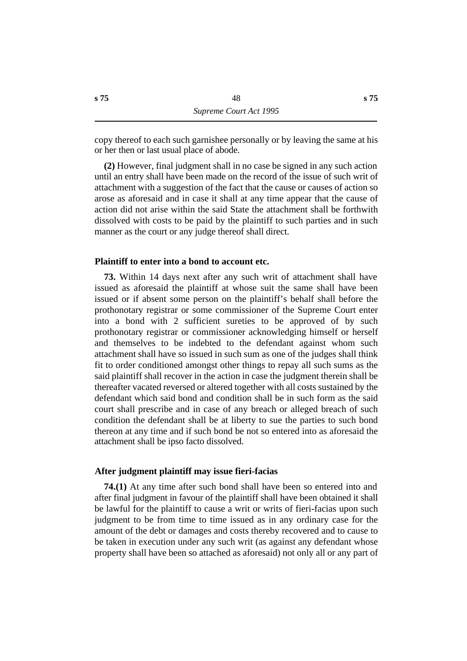copy thereof to each such garnishee personally or by leaving the same at his or her then or last usual place of abode.

**(2)** However, final judgment shall in no case be signed in any such action until an entry shall have been made on the record of the issue of such writ of attachment with a suggestion of the fact that the cause or causes of action so arose as aforesaid and in case it shall at any time appear that the cause of action did not arise within the said State the attachment shall be forthwith dissolved with costs to be paid by the plaintiff to such parties and in such manner as the court or any judge thereof shall direct.

## **˙Plaintiff to enter into a bond to account etc.**

**73.** Within 14 days next after any such writ of attachment shall have issued as aforesaid the plaintiff at whose suit the same shall have been issued or if absent some person on the plaintiff's behalf shall before the prothonotary registrar or some commissioner of the Supreme Court enter into a bond with 2 sufficient sureties to be approved of by such prothonotary registrar or commissioner acknowledging himself or herself and themselves to be indebted to the defendant against whom such attachment shall have so issued in such sum as one of the judges shall think fit to order conditioned amongst other things to repay all such sums as the said plaintiff shall recover in the action in case the judgment therein shall be thereafter vacated reversed or altered together with all costs sustained by the defendant which said bond and condition shall be in such form as the said court shall prescribe and in case of any breach or alleged breach of such condition the defendant shall be at liberty to sue the parties to such bond thereon at any time and if such bond be not so entered into as aforesaid the attachment shall be ipso facto dissolved.

#### **˙After judgment plaintiff may issue fieri-facias**

**74.(1)** At any time after such bond shall have been so entered into and after final judgment in favour of the plaintiff shall have been obtained it shall be lawful for the plaintiff to cause a writ or writs of fieri-facias upon such judgment to be from time to time issued as in any ordinary case for the amount of the debt or damages and costs thereby recovered and to cause to be taken in execution under any such writ (as against any defendant whose property shall have been so attached as aforesaid) not only all or any part of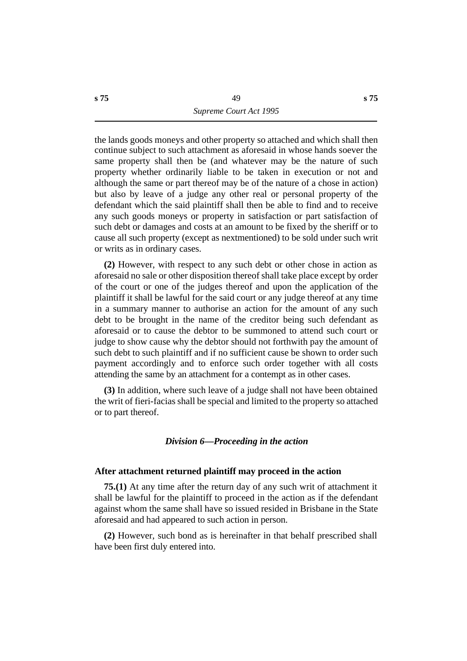the lands goods moneys and other property so attached and which shall then continue subject to such attachment as aforesaid in whose hands soever the same property shall then be (and whatever may be the nature of such property whether ordinarily liable to be taken in execution or not and although the same or part thereof may be of the nature of a chose in action) but also by leave of a judge any other real or personal property of the defendant which the said plaintiff shall then be able to find and to receive any such goods moneys or property in satisfaction or part satisfaction of such debt or damages and costs at an amount to be fixed by the sheriff or to cause all such property (except as nextmentioned) to be sold under such writ or writs as in ordinary cases.

**(2)** However, with respect to any such debt or other chose in action as aforesaid no sale or other disposition thereof shall take place except by order of the court or one of the judges thereof and upon the application of the plaintiff it shall be lawful for the said court or any judge thereof at any time in a summary manner to authorise an action for the amount of any such debt to be brought in the name of the creditor being such defendant as aforesaid or to cause the debtor to be summoned to attend such court or judge to show cause why the debtor should not forthwith pay the amount of such debt to such plaintiff and if no sufficient cause be shown to order such payment accordingly and to enforce such order together with all costs attending the same by an attachment for a contempt as in other cases.

**(3)** In addition, where such leave of a judge shall not have been obtained the writ of fieri-facias shall be special and limited to the property so attached or to part thereof.

## *†Division 6—Proceeding in the action*

#### **˙After attachment returned plaintiff may proceed in the action**

**75.(1)** At any time after the return day of any such writ of attachment it shall be lawful for the plaintiff to proceed in the action as if the defendant against whom the same shall have so issued resided in Brisbane in the State aforesaid and had appeared to such action in person.

**(2)** However, such bond as is hereinafter in that behalf prescribed shall have been first duly entered into.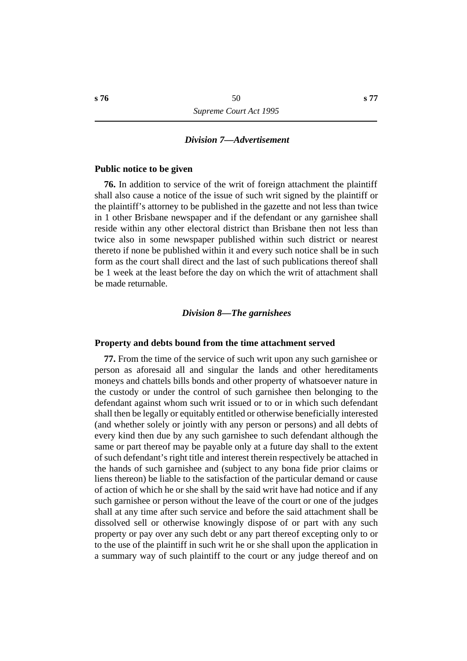#### *†Division 7—Advertisement*

#### **˙Public notice to be given**

**76.** In addition to service of the writ of foreign attachment the plaintiff shall also cause a notice of the issue of such writ signed by the plaintiff or the plaintiff's attorney to be published in the gazette and not less than twice in 1 other Brisbane newspaper and if the defendant or any garnishee shall reside within any other electoral district than Brisbane then not less than twice also in some newspaper published within such district or nearest thereto if none be published within it and every such notice shall be in such form as the court shall direct and the last of such publications thereof shall be 1 week at the least before the day on which the writ of attachment shall be made returnable.

#### *†Division 8—The garnishees*

#### **˙Property and debts bound from the time attachment served**

**77.** From the time of the service of such writ upon any such garnishee or person as aforesaid all and singular the lands and other hereditaments moneys and chattels bills bonds and other property of whatsoever nature in the custody or under the control of such garnishee then belonging to the defendant against whom such writ issued or to or in which such defendant shall then be legally or equitably entitled or otherwise beneficially interested (and whether solely or jointly with any person or persons) and all debts of every kind then due by any such garnishee to such defendant although the same or part thereof may be payable only at a future day shall to the extent of such defendant's right title and interest therein respectively be attached in the hands of such garnishee and (subject to any bona fide prior claims or liens thereon) be liable to the satisfaction of the particular demand or cause of action of which he or she shall by the said writ have had notice and if any such garnishee or person without the leave of the court or one of the judges shall at any time after such service and before the said attachment shall be dissolved sell or otherwise knowingly dispose of or part with any such property or pay over any such debt or any part thereof excepting only to or to the use of the plaintiff in such writ he or she shall upon the application in a summary way of such plaintiff to the court or any judge thereof and on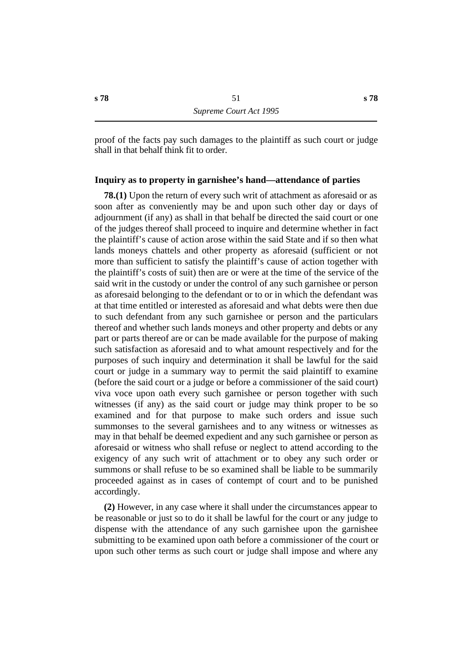proof of the facts pay such damages to the plaintiff as such court or judge shall in that behalf think fit to order.

## **˙Inquiry as to property in garnishee's hand—attendance of parties**

**78.(1)** Upon the return of every such writ of attachment as aforesaid or as soon after as conveniently may be and upon such other day or days of adjournment (if any) as shall in that behalf be directed the said court or one of the judges thereof shall proceed to inquire and determine whether in fact the plaintiff's cause of action arose within the said State and if so then what lands moneys chattels and other property as aforesaid (sufficient or not more than sufficient to satisfy the plaintiff's cause of action together with the plaintiff's costs of suit) then are or were at the time of the service of the said writ in the custody or under the control of any such garnishee or person as aforesaid belonging to the defendant or to or in which the defendant was at that time entitled or interested as aforesaid and what debts were then due to such defendant from any such garnishee or person and the particulars thereof and whether such lands moneys and other property and debts or any part or parts thereof are or can be made available for the purpose of making such satisfaction as aforesaid and to what amount respectively and for the purposes of such inquiry and determination it shall be lawful for the said court or judge in a summary way to permit the said plaintiff to examine (before the said court or a judge or before a commissioner of the said court) viva voce upon oath every such garnishee or person together with such witnesses (if any) as the said court or judge may think proper to be so examined and for that purpose to make such orders and issue such summonses to the several garnishees and to any witness or witnesses as may in that behalf be deemed expedient and any such garnishee or person as aforesaid or witness who shall refuse or neglect to attend according to the exigency of any such writ of attachment or to obey any such order or summons or shall refuse to be so examined shall be liable to be summarily proceeded against as in cases of contempt of court and to be punished accordingly.

**(2)** However, in any case where it shall under the circumstances appear to be reasonable or just so to do it shall be lawful for the court or any judge to dispense with the attendance of any such garnishee upon the garnishee submitting to be examined upon oath before a commissioner of the court or upon such other terms as such court or judge shall impose and where any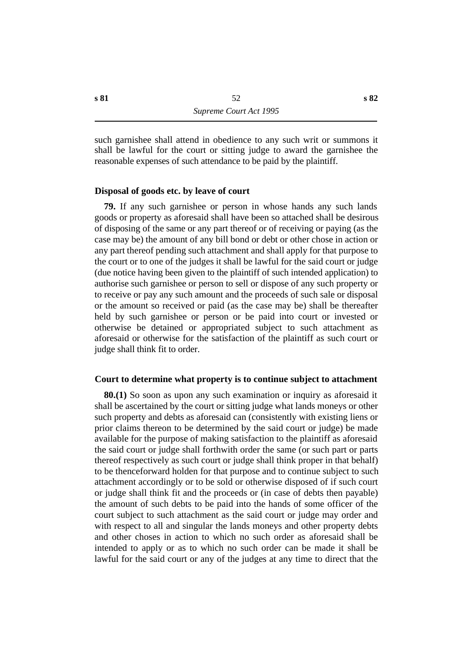such garnishee shall attend in obedience to any such writ or summons it shall be lawful for the court or sitting judge to award the garnishee the reasonable expenses of such attendance to be paid by the plaintiff.

## **˙Disposal of goods etc. by leave of court**

**79.** If any such garnishee or person in whose hands any such lands goods or property as aforesaid shall have been so attached shall be desirous of disposing of the same or any part thereof or of receiving or paying (as the case may be) the amount of any bill bond or debt or other chose in action or any part thereof pending such attachment and shall apply for that purpose to the court or to one of the judges it shall be lawful for the said court or judge (due notice having been given to the plaintiff of such intended application) to authorise such garnishee or person to sell or dispose of any such property or to receive or pay any such amount and the proceeds of such sale or disposal or the amount so received or paid (as the case may be) shall be thereafter held by such garnishee or person or be paid into court or invested or otherwise be detained or appropriated subject to such attachment as aforesaid or otherwise for the satisfaction of the plaintiff as such court or judge shall think fit to order.

## **˙Court to determine what property is to continue subject to attachment**

**80.(1)** So soon as upon any such examination or inquiry as aforesaid it shall be ascertained by the court or sitting judge what lands moneys or other such property and debts as aforesaid can (consistently with existing liens or prior claims thereon to be determined by the said court or judge) be made available for the purpose of making satisfaction to the plaintiff as aforesaid the said court or judge shall forthwith order the same (or such part or parts thereof respectively as such court or judge shall think proper in that behalf) to be thenceforward holden for that purpose and to continue subject to such attachment accordingly or to be sold or otherwise disposed of if such court or judge shall think fit and the proceeds or (in case of debts then payable) the amount of such debts to be paid into the hands of some officer of the court subject to such attachment as the said court or judge may order and with respect to all and singular the lands moneys and other property debts and other choses in action to which no such order as aforesaid shall be intended to apply or as to which no such order can be made it shall be lawful for the said court or any of the judges at any time to direct that the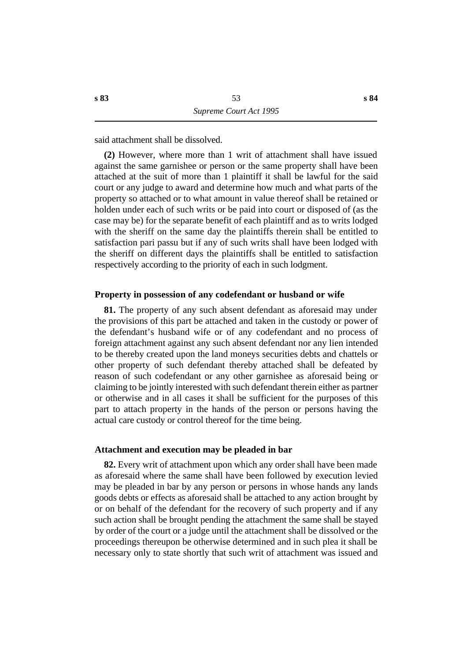said attachment shall be dissolved.

**(2)** However, where more than 1 writ of attachment shall have issued against the same garnishee or person or the same property shall have been attached at the suit of more than 1 plaintiff it shall be lawful for the said court or any judge to award and determine how much and what parts of the property so attached or to what amount in value thereof shall be retained or holden under each of such writs or be paid into court or disposed of (as the case may be) for the separate benefit of each plaintiff and as to writs lodged with the sheriff on the same day the plaintiffs therein shall be entitled to satisfaction pari passu but if any of such writs shall have been lodged with the sheriff on different days the plaintiffs shall be entitled to satisfaction respectively according to the priority of each in such lodgment.

#### **˙Property in possession of any codefendant or husband or wife**

**81.** The property of any such absent defendant as aforesaid may under the provisions of this part be attached and taken in the custody or power of the defendant's husband wife or of any codefendant and no process of foreign attachment against any such absent defendant nor any lien intended to be thereby created upon the land moneys securities debts and chattels or other property of such defendant thereby attached shall be defeated by reason of such codefendant or any other garnishee as aforesaid being or claiming to be jointly interested with such defendant therein either as partner or otherwise and in all cases it shall be sufficient for the purposes of this part to attach property in the hands of the person or persons having the actual care custody or control thereof for the time being.

#### **˙Attachment and execution may be pleaded in bar**

**82.** Every writ of attachment upon which any order shall have been made as aforesaid where the same shall have been followed by execution levied may be pleaded in bar by any person or persons in whose hands any lands goods debts or effects as aforesaid shall be attached to any action brought by or on behalf of the defendant for the recovery of such property and if any such action shall be brought pending the attachment the same shall be stayed by order of the court or a judge until the attachment shall be dissolved or the proceedings thereupon be otherwise determined and in such plea it shall be necessary only to state shortly that such writ of attachment was issued and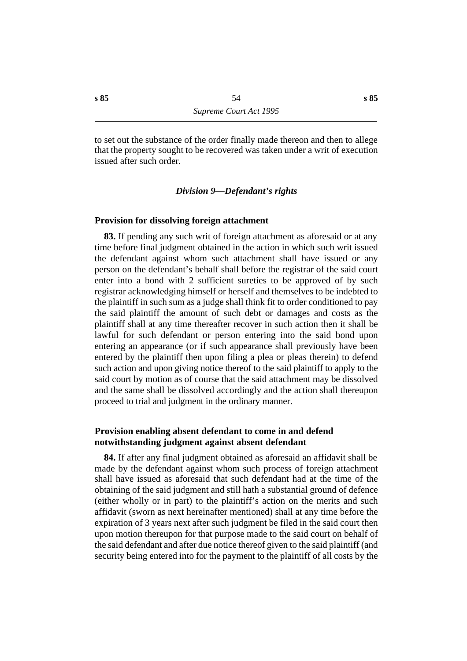to set out the substance of the order finally made thereon and then to allege that the property sought to be recovered was taken under a writ of execution issued after such order.

#### *†Division 9—Defendant's rights*

#### **˙Provision for dissolving foreign attachment**

**83.** If pending any such writ of foreign attachment as aforesaid or at any time before final judgment obtained in the action in which such writ issued the defendant against whom such attachment shall have issued or any person on the defendant's behalf shall before the registrar of the said court enter into a bond with 2 sufficient sureties to be approved of by such registrar acknowledging himself or herself and themselves to be indebted to the plaintiff in such sum as a judge shall think fit to order conditioned to pay the said plaintiff the amount of such debt or damages and costs as the plaintiff shall at any time thereafter recover in such action then it shall be lawful for such defendant or person entering into the said bond upon entering an appearance (or if such appearance shall previously have been entered by the plaintiff then upon filing a plea or pleas therein) to defend such action and upon giving notice thereof to the said plaintiff to apply to the said court by motion as of course that the said attachment may be dissolved and the same shall be dissolved accordingly and the action shall thereupon proceed to trial and judgment in the ordinary manner.

## **˙Provision enabling absent defendant to come in and defend notwithstanding judgment against absent defendant**

**84.** If after any final judgment obtained as aforesaid an affidavit shall be made by the defendant against whom such process of foreign attachment shall have issued as aforesaid that such defendant had at the time of the obtaining of the said judgment and still hath a substantial ground of defence (either wholly or in part) to the plaintiff's action on the merits and such affidavit (sworn as next hereinafter mentioned) shall at any time before the expiration of 3 years next after such judgment be filed in the said court then upon motion thereupon for that purpose made to the said court on behalf of the said defendant and after due notice thereof given to the said plaintiff (and security being entered into for the payment to the plaintiff of all costs by the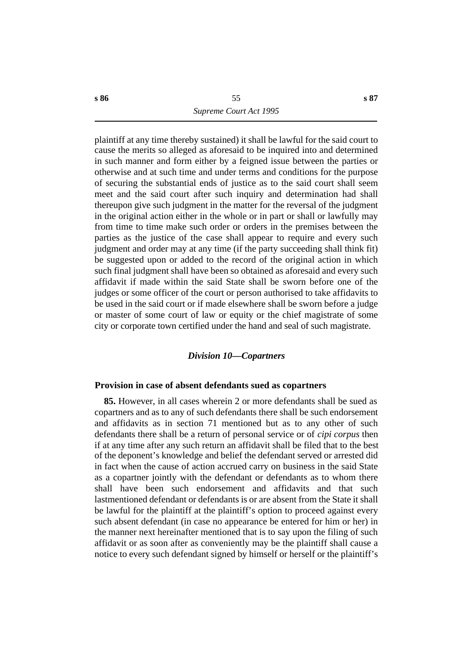plaintiff at any time thereby sustained) it shall be lawful for the said court to cause the merits so alleged as aforesaid to be inquired into and determined in such manner and form either by a feigned issue between the parties or otherwise and at such time and under terms and conditions for the purpose of securing the substantial ends of justice as to the said court shall seem meet and the said court after such inquiry and determination had shall thereupon give such judgment in the matter for the reversal of the judgment in the original action either in the whole or in part or shall or lawfully may from time to time make such order or orders in the premises between the parties as the justice of the case shall appear to require and every such judgment and order may at any time (if the party succeeding shall think fit) be suggested upon or added to the record of the original action in which such final judgment shall have been so obtained as aforesaid and every such affidavit if made within the said State shall be sworn before one of the judges or some officer of the court or person authorised to take affidavits to be used in the said court or if made elsewhere shall be sworn before a judge or master of some court of law or equity or the chief magistrate of some city or corporate town certified under the hand and seal of such magistrate.

#### *†Division 10—Copartners*

## **˙Provision in case of absent defendants sued as copartners**

**85.** However, in all cases wherein 2 or more defendants shall be sued as copartners and as to any of such defendants there shall be such endorsement and affidavits as in section 71 mentioned but as to any other of such defendants there shall be a return of personal service or of *cipi corpus* then if at any time after any such return an affidavit shall be filed that to the best of the deponent's knowledge and belief the defendant served or arrested did in fact when the cause of action accrued carry on business in the said State as a copartner jointly with the defendant or defendants as to whom there shall have been such endorsement and affidavits and that such lastmentioned defendant or defendants is or are absent from the State it shall be lawful for the plaintiff at the plaintiff's option to proceed against every such absent defendant (in case no appearance be entered for him or her) in the manner next hereinafter mentioned that is to say upon the filing of such affidavit or as soon after as conveniently may be the plaintiff shall cause a notice to every such defendant signed by himself or herself or the plaintiff's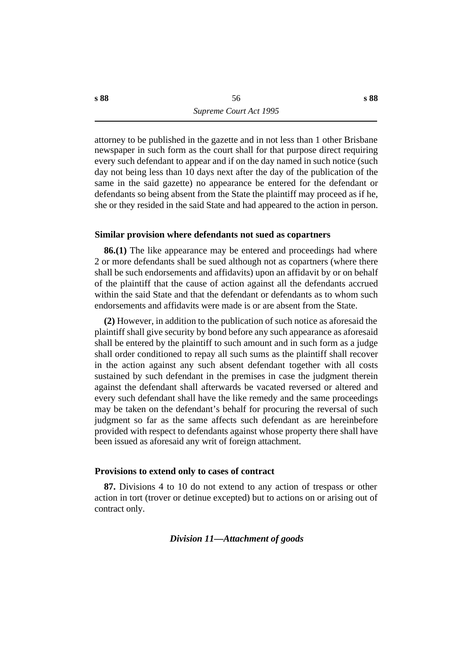attorney to be published in the gazette and in not less than 1 other Brisbane newspaper in such form as the court shall for that purpose direct requiring every such defendant to appear and if on the day named in such notice (such day not being less than 10 days next after the day of the publication of the same in the said gazette) no appearance be entered for the defendant or defendants so being absent from the State the plaintiff may proceed as if he, she or they resided in the said State and had appeared to the action in person.

## **˙Similar provision where defendants not sued as copartners**

**86.(1)** The like appearance may be entered and proceedings had where 2 or more defendants shall be sued although not as copartners (where there shall be such endorsements and affidavits) upon an affidavit by or on behalf of the plaintiff that the cause of action against all the defendants accrued within the said State and that the defendant or defendants as to whom such endorsements and affidavits were made is or are absent from the State.

**(2)** However, in addition to the publication of such notice as aforesaid the plaintiff shall give security by bond before any such appearance as aforesaid shall be entered by the plaintiff to such amount and in such form as a judge shall order conditioned to repay all such sums as the plaintiff shall recover in the action against any such absent defendant together with all costs sustained by such defendant in the premises in case the judgment therein against the defendant shall afterwards be vacated reversed or altered and every such defendant shall have the like remedy and the same proceedings may be taken on the defendant's behalf for procuring the reversal of such judgment so far as the same affects such defendant as are hereinbefore provided with respect to defendants against whose property there shall have been issued as aforesaid any writ of foreign attachment.

#### **˙Provisions to extend only to cases of contract**

**87.** Divisions 4 to 10 do not extend to any action of trespass or other action in tort (trover or detinue excepted) but to actions on or arising out of contract only.

## *†Division 11—Attachment of goods*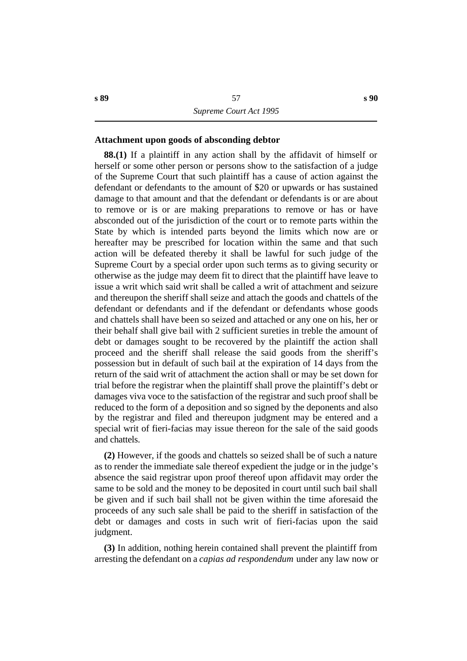## **˙Attachment upon goods of absconding debtor**

**88.(1)** If a plaintiff in any action shall by the affidavit of himself or herself or some other person or persons show to the satisfaction of a judge of the Supreme Court that such plaintiff has a cause of action against the defendant or defendants to the amount of \$20 or upwards or has sustained damage to that amount and that the defendant or defendants is or are about to remove or is or are making preparations to remove or has or have absconded out of the jurisdiction of the court or to remote parts within the State by which is intended parts beyond the limits which now are or hereafter may be prescribed for location within the same and that such action will be defeated thereby it shall be lawful for such judge of the Supreme Court by a special order upon such terms as to giving security or otherwise as the judge may deem fit to direct that the plaintiff have leave to issue a writ which said writ shall be called a writ of attachment and seizure and thereupon the sheriff shall seize and attach the goods and chattels of the defendant or defendants and if the defendant or defendants whose goods and chattels shall have been so seized and attached or any one on his, her or their behalf shall give bail with 2 sufficient sureties in treble the amount of debt or damages sought to be recovered by the plaintiff the action shall proceed and the sheriff shall release the said goods from the sheriff's possession but in default of such bail at the expiration of 14 days from the return of the said writ of attachment the action shall or may be set down for trial before the registrar when the plaintiff shall prove the plaintiff's debt or damages viva voce to the satisfaction of the registrar and such proof shall be reduced to the form of a deposition and so signed by the deponents and also by the registrar and filed and thereupon judgment may be entered and a special writ of fieri-facias may issue thereon for the sale of the said goods and chattels.

**(2)** However, if the goods and chattels so seized shall be of such a nature as to render the immediate sale thereof expedient the judge or in the judge's absence the said registrar upon proof thereof upon affidavit may order the same to be sold and the money to be deposited in court until such bail shall be given and if such bail shall not be given within the time aforesaid the proceeds of any such sale shall be paid to the sheriff in satisfaction of the debt or damages and costs in such writ of fieri-facias upon the said judgment.

**(3)** In addition, nothing herein contained shall prevent the plaintiff from arresting the defendant on a *capias ad respondendum* under any law now or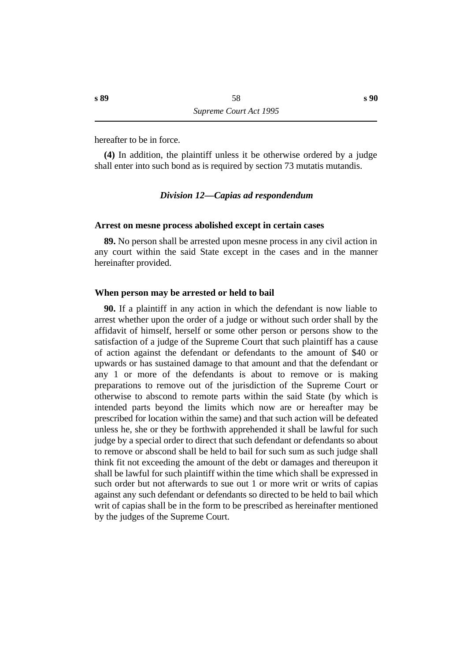hereafter to be in force.

**(4)** In addition, the plaintiff unless it be otherwise ordered by a judge shall enter into such bond as is required by section 73 mutatis mutandis.

## *†Division 12—Capias ad respondendum*

#### **˙Arrest on mesne process abolished except in certain cases**

**89.** No person shall be arrested upon mesne process in any civil action in any court within the said State except in the cases and in the manner hereinafter provided.

## **˙When person may be arrested or held to bail**

**90.** If a plaintiff in any action in which the defendant is now liable to arrest whether upon the order of a judge or without such order shall by the affidavit of himself, herself or some other person or persons show to the satisfaction of a judge of the Supreme Court that such plaintiff has a cause of action against the defendant or defendants to the amount of \$40 or upwards or has sustained damage to that amount and that the defendant or any 1 or more of the defendants is about to remove or is making preparations to remove out of the jurisdiction of the Supreme Court or otherwise to abscond to remote parts within the said State (by which is intended parts beyond the limits which now are or hereafter may be prescribed for location within the same) and that such action will be defeated unless he, she or they be forthwith apprehended it shall be lawful for such judge by a special order to direct that such defendant or defendants so about to remove or abscond shall be held to bail for such sum as such judge shall think fit not exceeding the amount of the debt or damages and thereupon it shall be lawful for such plaintiff within the time which shall be expressed in such order but not afterwards to sue out 1 or more writ or writs of capias against any such defendant or defendants so directed to be held to bail which writ of capias shall be in the form to be prescribed as hereinafter mentioned by the judges of the Supreme Court.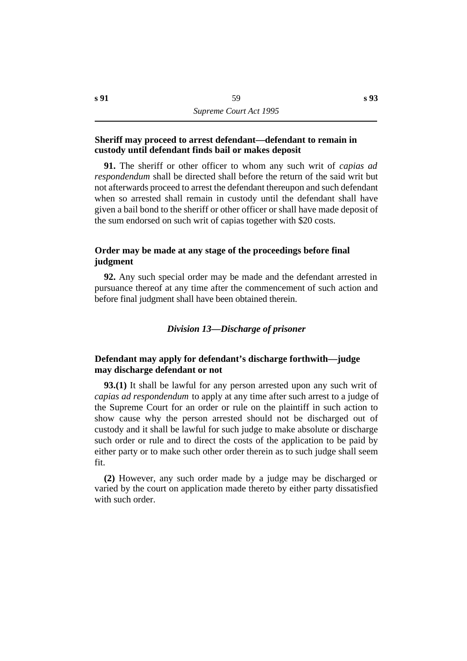## **˙Sheriff may proceed to arrest defendant—defendant to remain in custody until defendant finds bail or makes deposit**

**91.** The sheriff or other officer to whom any such writ of *capias ad respondendum* shall be directed shall before the return of the said writ but not afterwards proceed to arrest the defendant thereupon and such defendant when so arrested shall remain in custody until the defendant shall have given a bail bond to the sheriff or other officer or shall have made deposit of the sum endorsed on such writ of capias together with \$20 costs.

## **˙Order may be made at any stage of the proceedings before final judgment**

**92.** Any such special order may be made and the defendant arrested in pursuance thereof at any time after the commencement of such action and before final judgment shall have been obtained therein.

## *†Division 13—Discharge of prisoner*

## **˙Defendant may apply for defendant's discharge forthwith—judge may discharge defendant or not**

**93.(1)** It shall be lawful for any person arrested upon any such writ of *capias ad respondendum* to apply at any time after such arrest to a judge of the Supreme Court for an order or rule on the plaintiff in such action to show cause why the person arrested should not be discharged out of custody and it shall be lawful for such judge to make absolute or discharge such order or rule and to direct the costs of the application to be paid by either party or to make such other order therein as to such judge shall seem fit.

**(2)** However, any such order made by a judge may be discharged or varied by the court on application made thereto by either party dissatisfied with such order.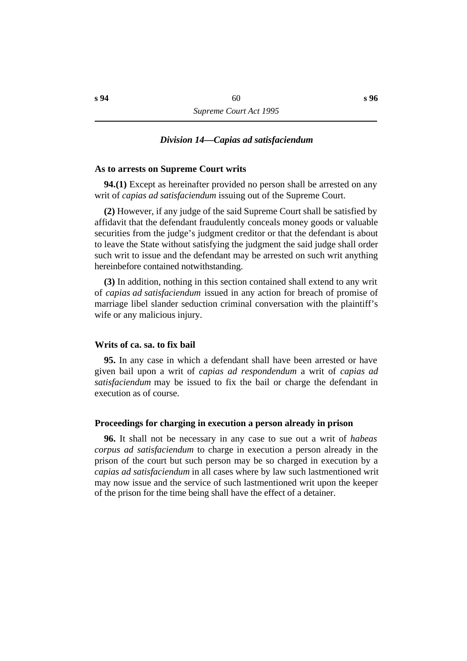#### *†Division 14—Capias ad satisfaciendum*

#### **˙As to arrests on Supreme Court writs**

**94.(1)** Except as hereinafter provided no person shall be arrested on any writ of *capias ad satisfaciendum* issuing out of the Supreme Court.

**(2)** However, if any judge of the said Supreme Court shall be satisfied by affidavit that the defendant fraudulently conceals money goods or valuable securities from the judge's judgment creditor or that the defendant is about to leave the State without satisfying the judgment the said judge shall order such writ to issue and the defendant may be arrested on such writ anything hereinbefore contained notwithstanding.

**(3)** In addition, nothing in this section contained shall extend to any writ of *capias ad satisfaciendum* issued in any action for breach of promise of marriage libel slander seduction criminal conversation with the plaintiff's wife or any malicious injury.

#### **˙Writs of ca. sa. to fix bail**

**95.** In any case in which a defendant shall have been arrested or have given bail upon a writ of *capias ad respondendum* a writ of *capias ad satisfaciendum* may be issued to fix the bail or charge the defendant in execution as of course.

#### **˙Proceedings for charging in execution a person already in prison**

**96.** It shall not be necessary in any case to sue out a writ of *habeas corpus ad satisfaciendum* to charge in execution a person already in the prison of the court but such person may be so charged in execution by a *capias ad satisfaciendum* in all cases where by law such lastmentioned writ may now issue and the service of such lastmentioned writ upon the keeper of the prison for the time being shall have the effect of a detainer.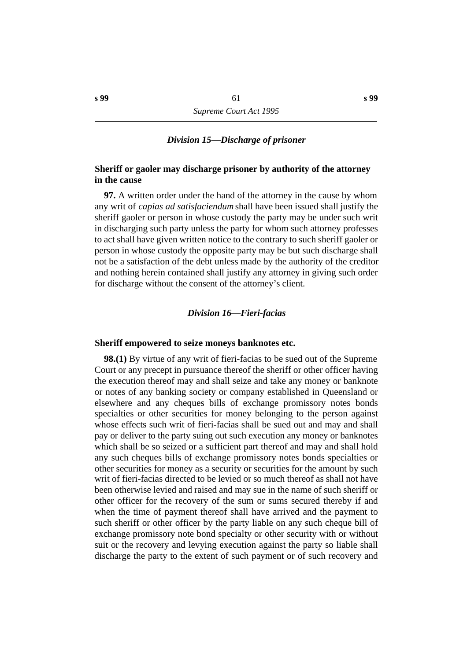## *†Division 15—Discharge of prisoner*

## **˙Sheriff or gaoler may discharge prisoner by authority of the attorney in the cause**

**97.** A written order under the hand of the attorney in the cause by whom any writ of *capias ad satisfaciendum* shall have been issued shall justify the sheriff gaoler or person in whose custody the party may be under such writ in discharging such party unless the party for whom such attorney professes to act shall have given written notice to the contrary to such sheriff gaoler or person in whose custody the opposite party may be but such discharge shall not be a satisfaction of the debt unless made by the authority of the creditor and nothing herein contained shall justify any attorney in giving such order for discharge without the consent of the attorney's client.

## *†Division 16—Fieri-facias*

#### **˙Sheriff empowered to seize moneys banknotes etc.**

**98.(1)** By virtue of any writ of fieri-facias to be sued out of the Supreme Court or any precept in pursuance thereof the sheriff or other officer having the execution thereof may and shall seize and take any money or banknote or notes of any banking society or company established in Queensland or elsewhere and any cheques bills of exchange promissory notes bonds specialties or other securities for money belonging to the person against whose effects such writ of fieri-facias shall be sued out and may and shall pay or deliver to the party suing out such execution any money or banknotes which shall be so seized or a sufficient part thereof and may and shall hold any such cheques bills of exchange promissory notes bonds specialties or other securities for money as a security or securities for the amount by such writ of fieri-facias directed to be levied or so much thereof as shall not have been otherwise levied and raised and may sue in the name of such sheriff or other officer for the recovery of the sum or sums secured thereby if and when the time of payment thereof shall have arrived and the payment to such sheriff or other officer by the party liable on any such cheque bill of exchange promissory note bond specialty or other security with or without suit or the recovery and levying execution against the party so liable shall discharge the party to the extent of such payment or of such recovery and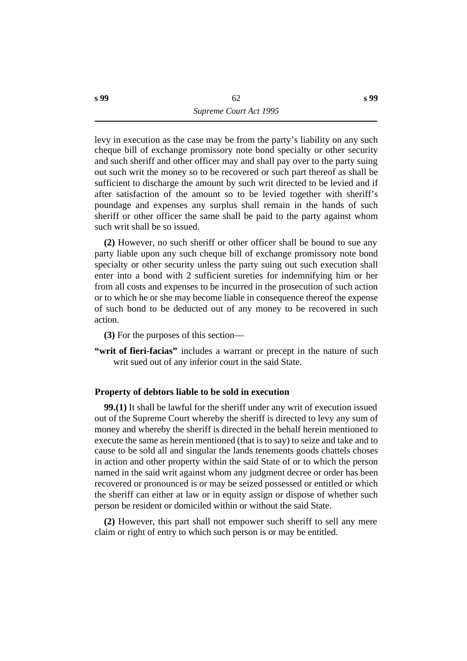levy in execution as the case may be from the party's liability on any such cheque bill of exchange promissory note bond specialty or other security and such sheriff and other officer may and shall pay over to the party suing out such writ the money so to be recovered or such part thereof as shall be sufficient to discharge the amount by such writ directed to be levied and if after satisfaction of the amount so to be levied together with sheriff's poundage and expenses any surplus shall remain in the hands of such sheriff or other officer the same shall be paid to the party against whom such writ shall be so issued.

**(2)** However, no such sheriff or other officer shall be bound to sue any party liable upon any such cheque bill of exchange promissory note bond specialty or other security unless the party suing out such execution shall enter into a bond with 2 sufficient sureties for indemnifying him or her from all costs and expenses to be incurred in the prosecution of such action or to which he or she may become liable in consequence thereof the expense of such bond to be deducted out of any money to be recovered in such action.

**(3)** For the purposes of this section—

**"writ of fieri-facias"** includes a warrant or precept in the nature of such writ sued out of any inferior court in the said State.

## **˙Property of debtors liable to be sold in execution**

**99.(1)** It shall be lawful for the sheriff under any writ of execution issued out of the Supreme Court whereby the sheriff is directed to levy any sum of money and whereby the sheriff is directed in the behalf herein mentioned to execute the same as herein mentioned (that is to say) to seize and take and to cause to be sold all and singular the lands tenements goods chattels choses in action and other property within the said State of or to which the person named in the said writ against whom any judgment decree or order has been recovered or pronounced is or may be seized possessed or entitled or which the sheriff can either at law or in equity assign or dispose of whether such person be resident or domiciled within or without the said State.

**(2)** However, this part shall not empower such sheriff to sell any mere claim or right of entry to which such person is or may be entitled.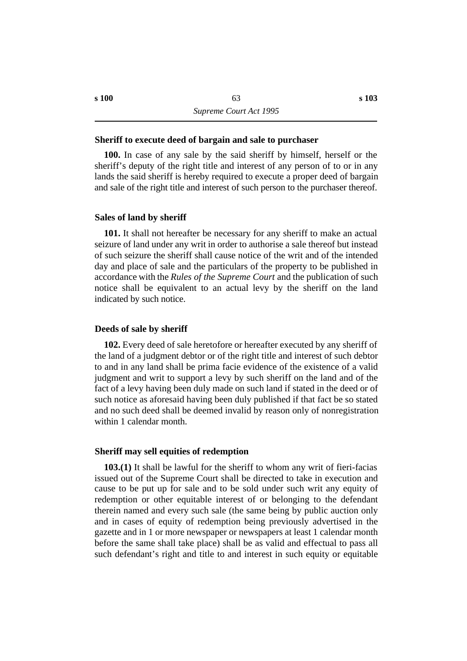#### **˙Sheriff to execute deed of bargain and sale to purchaser**

**100.** In case of any sale by the said sheriff by himself, herself or the sheriff's deputy of the right title and interest of any person of to or in any lands the said sheriff is hereby required to execute a proper deed of bargain and sale of the right title and interest of such person to the purchaser thereof.

#### **˙Sales of land by sheriff**

**101.** It shall not hereafter be necessary for any sheriff to make an actual seizure of land under any writ in order to authorise a sale thereof but instead of such seizure the sheriff shall cause notice of the writ and of the intended day and place of sale and the particulars of the property to be published in accordance with the *Rules of the Supreme Court* and the publication of such notice shall be equivalent to an actual levy by the sheriff on the land indicated by such notice.

#### **˙Deeds of sale by sheriff**

**102.** Every deed of sale heretofore or hereafter executed by any sheriff of the land of a judgment debtor or of the right title and interest of such debtor to and in any land shall be prima facie evidence of the existence of a valid judgment and writ to support a levy by such sheriff on the land and of the fact of a levy having been duly made on such land if stated in the deed or of such notice as aforesaid having been duly published if that fact be so stated and no such deed shall be deemed invalid by reason only of nonregistration within 1 calendar month.

#### **˙Sheriff may sell equities of redemption**

**103.(1)** It shall be lawful for the sheriff to whom any writ of fieri-facias issued out of the Supreme Court shall be directed to take in execution and cause to be put up for sale and to be sold under such writ any equity of redemption or other equitable interest of or belonging to the defendant therein named and every such sale (the same being by public auction only and in cases of equity of redemption being previously advertised in the gazette and in 1 or more newspaper or newspapers at least 1 calendar month before the same shall take place) shall be as valid and effectual to pass all such defendant's right and title to and interest in such equity or equitable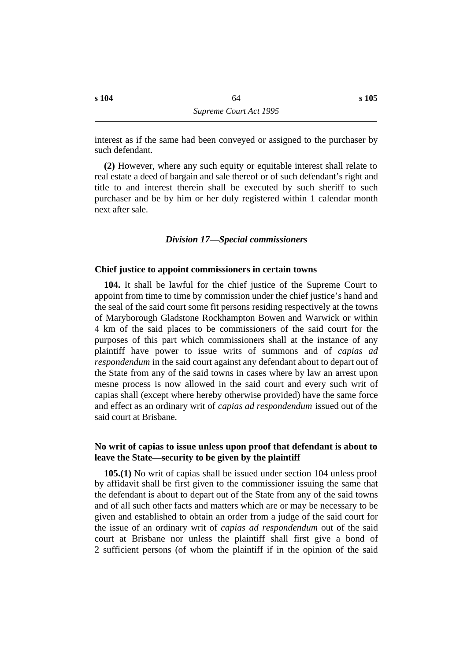interest as if the same had been conveyed or assigned to the purchaser by such defendant.

**(2)** However, where any such equity or equitable interest shall relate to real estate a deed of bargain and sale thereof or of such defendant's right and title to and interest therein shall be executed by such sheriff to such purchaser and be by him or her duly registered within 1 calendar month next after sale.

#### *†Division 17—Special commissioners*

#### **˙Chief justice to appoint commissioners in certain towns**

**104.** It shall be lawful for the chief justice of the Supreme Court to appoint from time to time by commission under the chief justice's hand and the seal of the said court some fit persons residing respectively at the towns of Maryborough Gladstone Rockhampton Bowen and Warwick or within 4 km of the said places to be commissioners of the said court for the purposes of this part which commissioners shall at the instance of any plaintiff have power to issue writs of summons and of *capias ad respondendum* in the said court against any defendant about to depart out of the State from any of the said towns in cases where by law an arrest upon mesne process is now allowed in the said court and every such writ of capias shall (except where hereby otherwise provided) have the same force and effect as an ordinary writ of *capias ad respondendum* issued out of the said court at Brisbane.

## **˙No writ of capias to issue unless upon proof that defendant is about to leave the State—security to be given by the plaintiff**

**105.(1)** No writ of capias shall be issued under section 104 unless proof by affidavit shall be first given to the commissioner issuing the same that the defendant is about to depart out of the State from any of the said towns and of all such other facts and matters which are or may be necessary to be given and established to obtain an order from a judge of the said court for the issue of an ordinary writ of *capias ad respondendum* out of the said court at Brisbane nor unless the plaintiff shall first give a bond of 2 sufficient persons (of whom the plaintiff if in the opinion of the said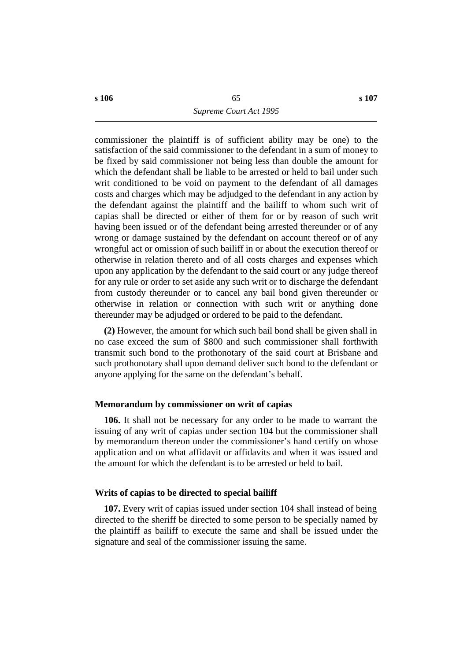commissioner the plaintiff is of sufficient ability may be one) to the satisfaction of the said commissioner to the defendant in a sum of money to be fixed by said commissioner not being less than double the amount for which the defendant shall be liable to be arrested or held to bail under such writ conditioned to be void on payment to the defendant of all damages costs and charges which may be adjudged to the defendant in any action by the defendant against the plaintiff and the bailiff to whom such writ of capias shall be directed or either of them for or by reason of such writ having been issued or of the defendant being arrested thereunder or of any wrong or damage sustained by the defendant on account thereof or of any wrongful act or omission of such bailiff in or about the execution thereof or otherwise in relation thereto and of all costs charges and expenses which upon any application by the defendant to the said court or any judge thereof for any rule or order to set aside any such writ or to discharge the defendant from custody thereunder or to cancel any bail bond given thereunder or otherwise in relation or connection with such writ or anything done thereunder may be adjudged or ordered to be paid to the defendant.

**(2)** However, the amount for which such bail bond shall be given shall in no case exceed the sum of \$800 and such commissioner shall forthwith transmit such bond to the prothonotary of the said court at Brisbane and such prothonotary shall upon demand deliver such bond to the defendant or anyone applying for the same on the defendant's behalf.

#### **˙Memorandum by commissioner on writ of capias**

**106.** It shall not be necessary for any order to be made to warrant the issuing of any writ of capias under section 104 but the commissioner shall by memorandum thereon under the commissioner's hand certify on whose application and on what affidavit or affidavits and when it was issued and the amount for which the defendant is to be arrested or held to bail.

#### **˙Writs of capias to be directed to special bailiff**

**107.** Every writ of capias issued under section 104 shall instead of being directed to the sheriff be directed to some person to be specially named by the plaintiff as bailiff to execute the same and shall be issued under the signature and seal of the commissioner issuing the same.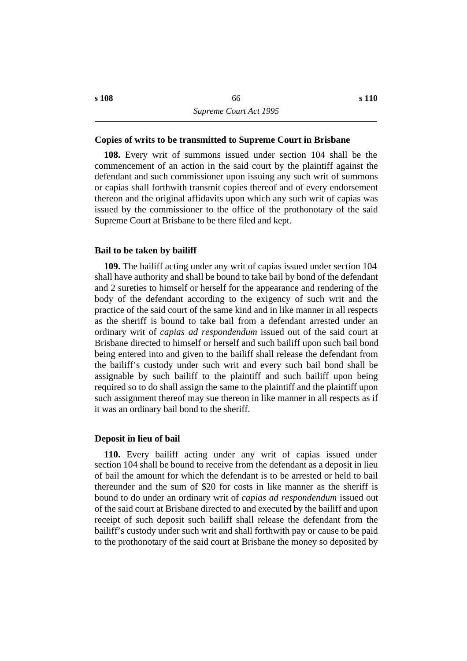#### **˙Copies of writs to be transmitted to Supreme Court in Brisbane**

**108.** Every writ of summons issued under section 104 shall be the commencement of an action in the said court by the plaintiff against the defendant and such commissioner upon issuing any such writ of summons or capias shall forthwith transmit copies thereof and of every endorsement thereon and the original affidavits upon which any such writ of capias was issued by the commissioner to the office of the prothonotary of the said Supreme Court at Brisbane to be there filed and kept.

#### **˙Bail to be taken by bailiff**

**109.** The bailiff acting under any writ of capias issued under section 104 shall have authority and shall be bound to take bail by bond of the defendant and 2 sureties to himself or herself for the appearance and rendering of the body of the defendant according to the exigency of such writ and the practice of the said court of the same kind and in like manner in all respects as the sheriff is bound to take bail from a defendant arrested under an ordinary writ of *capias ad respondendum* issued out of the said court at Brisbane directed to himself or herself and such bailiff upon such bail bond being entered into and given to the bailiff shall release the defendant from the bailiff's custody under such writ and every such bail bond shall be assignable by such bailiff to the plaintiff and such bailiff upon being required so to do shall assign the same to the plaintiff and the plaintiff upon such assignment thereof may sue thereon in like manner in all respects as if it was an ordinary bail bond to the sheriff.

#### **˙Deposit in lieu of bail**

**110.** Every bailiff acting under any writ of capias issued under section 104 shall be bound to receive from the defendant as a deposit in lieu of bail the amount for which the defendant is to be arrested or held to bail thereunder and the sum of \$20 for costs in like manner as the sheriff is bound to do under an ordinary writ of *capias ad respondendum* issued out of the said court at Brisbane directed to and executed by the bailiff and upon receipt of such deposit such bailiff shall release the defendant from the bailiff's custody under such writ and shall forthwith pay or cause to be paid to the prothonotary of the said court at Brisbane the money so deposited by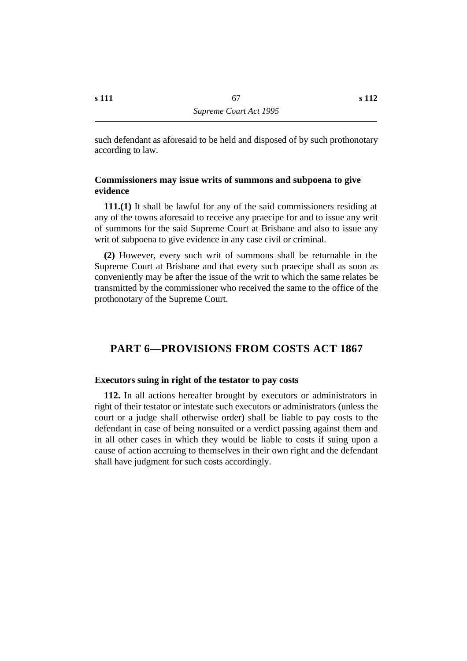such defendant as aforesaid to be held and disposed of by such prothonotary according to law.

## **˙Commissioners may issue writs of summons and subpoena to give evidence**

**111.(1)** It shall be lawful for any of the said commissioners residing at any of the towns aforesaid to receive any praecipe for and to issue any writ of summons for the said Supreme Court at Brisbane and also to issue any writ of subpoena to give evidence in any case civil or criminal.

**(2)** However, every such writ of summons shall be returnable in the Supreme Court at Brisbane and that every such praecipe shall as soon as conveniently may be after the issue of the writ to which the same relates be transmitted by the commissioner who received the same to the office of the prothonotary of the Supreme Court.

# **†PART 6—PROVISIONS FROM COSTS ACT 1867**

## **˙Executors suing in right of the testator to pay costs**

**112.** In all actions hereafter brought by executors or administrators in right of their testator or intestate such executors or administrators (unless the court or a judge shall otherwise order) shall be liable to pay costs to the defendant in case of being nonsuited or a verdict passing against them and in all other cases in which they would be liable to costs if suing upon a cause of action accruing to themselves in their own right and the defendant shall have judgment for such costs accordingly.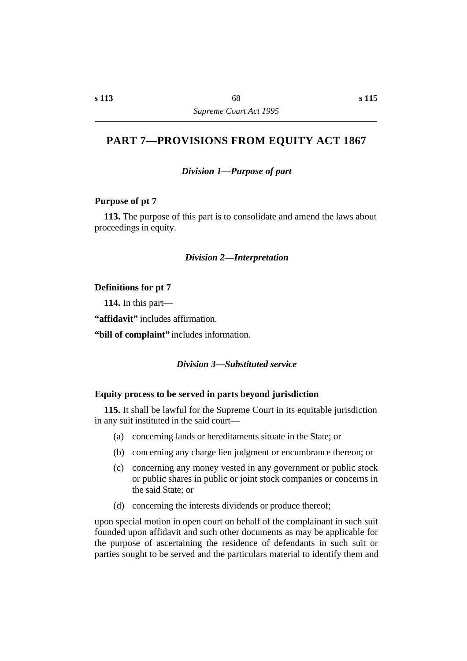# **†PART 7—PROVISIONS FROM EQUITY ACT 1867**

*†Division 1—Purpose of part*

## **˙Purpose of pt 7**

**113.** The purpose of this part is to consolidate and amend the laws about proceedings in equity.

## *†Division 2—Interpretation*

#### **˙Definitions for pt 7**

**114.** In this part—

**"affidavit"** includes affirmation.

**"bill of complaint"** includes information.

## *†Division 3—Substituted service*

#### **˙Equity process to be served in parts beyond jurisdiction**

**115.** It shall be lawful for the Supreme Court in its equitable jurisdiction in any suit instituted in the said court—

- (a) concerning lands or hereditaments situate in the State; or
- (b) concerning any charge lien judgment or encumbrance thereon; or
- (c) concerning any money vested in any government or public stock or public shares in public or joint stock companies or concerns in the said State; or
- (d) concerning the interests dividends or produce thereof;

upon special motion in open court on behalf of the complainant in such suit founded upon affidavit and such other documents as may be applicable for the purpose of ascertaining the residence of defendants in such suit or parties sought to be served and the particulars material to identify them and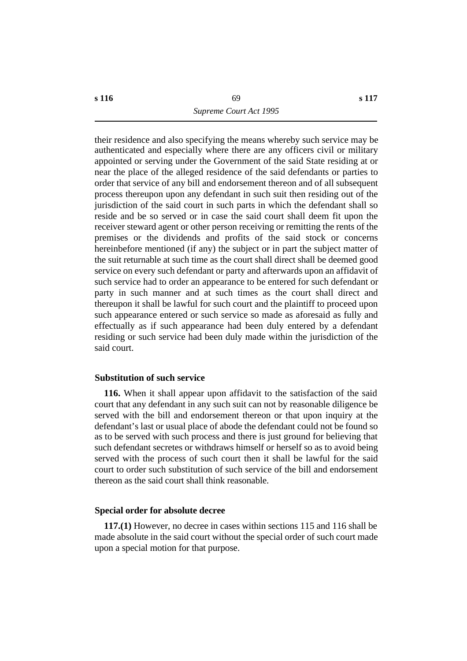their residence and also specifying the means whereby such service may be authenticated and especially where there are any officers civil or military appointed or serving under the Government of the said State residing at or near the place of the alleged residence of the said defendants or parties to order that service of any bill and endorsement thereon and of all subsequent process thereupon upon any defendant in such suit then residing out of the jurisdiction of the said court in such parts in which the defendant shall so reside and be so served or in case the said court shall deem fit upon the receiver steward agent or other person receiving or remitting the rents of the premises or the dividends and profits of the said stock or concerns hereinbefore mentioned (if any) the subject or in part the subject matter of the suit returnable at such time as the court shall direct shall be deemed good service on every such defendant or party and afterwards upon an affidavit of such service had to order an appearance to be entered for such defendant or party in such manner and at such times as the court shall direct and thereupon it shall be lawful for such court and the plaintiff to proceed upon such appearance entered or such service so made as aforesaid as fully and effectually as if such appearance had been duly entered by a defendant residing or such service had been duly made within the jurisdiction of the said court.

## **˙Substitution of such service**

**116.** When it shall appear upon affidavit to the satisfaction of the said court that any defendant in any such suit can not by reasonable diligence be served with the bill and endorsement thereon or that upon inquiry at the defendant's last or usual place of abode the defendant could not be found so as to be served with such process and there is just ground for believing that such defendant secretes or withdraws himself or herself so as to avoid being served with the process of such court then it shall be lawful for the said court to order such substitution of such service of the bill and endorsement thereon as the said court shall think reasonable.

## **˙Special order for absolute decree**

**117.(1)** However, no decree in cases within sections 115 and 116 shall be made absolute in the said court without the special order of such court made upon a special motion for that purpose.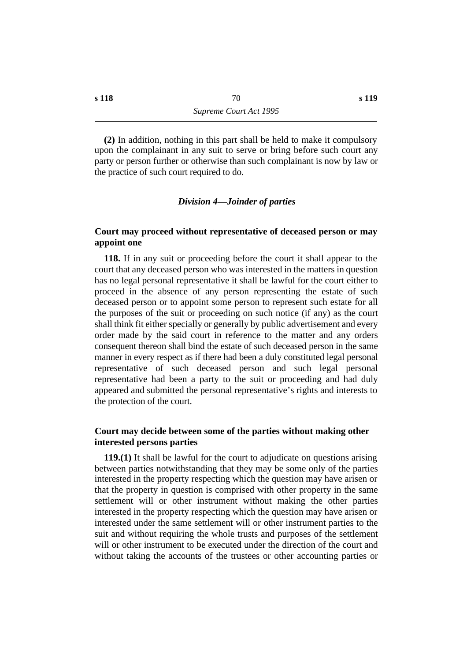**(2)** In addition, nothing in this part shall be held to make it compulsory upon the complainant in any suit to serve or bring before such court any party or person further or otherwise than such complainant is now by law or the practice of such court required to do.

## *†Division 4—Joinder of parties*

## **˙Court may proceed without representative of deceased person or may appoint one**

**118.** If in any suit or proceeding before the court it shall appear to the court that any deceased person who was interested in the matters in question has no legal personal representative it shall be lawful for the court either to proceed in the absence of any person representing the estate of such deceased person or to appoint some person to represent such estate for all the purposes of the suit or proceeding on such notice (if any) as the court shall think fit either specially or generally by public advertisement and every order made by the said court in reference to the matter and any orders consequent thereon shall bind the estate of such deceased person in the same manner in every respect as if there had been a duly constituted legal personal representative of such deceased person and such legal personal representative had been a party to the suit or proceeding and had duly appeared and submitted the personal representative's rights and interests to the protection of the court.

## **˙Court may decide between some of the parties without making other interested persons parties**

**119.(1)** It shall be lawful for the court to adjudicate on questions arising between parties notwithstanding that they may be some only of the parties interested in the property respecting which the question may have arisen or that the property in question is comprised with other property in the same settlement will or other instrument without making the other parties interested in the property respecting which the question may have arisen or interested under the same settlement will or other instrument parties to the suit and without requiring the whole trusts and purposes of the settlement will or other instrument to be executed under the direction of the court and without taking the accounts of the trustees or other accounting parties or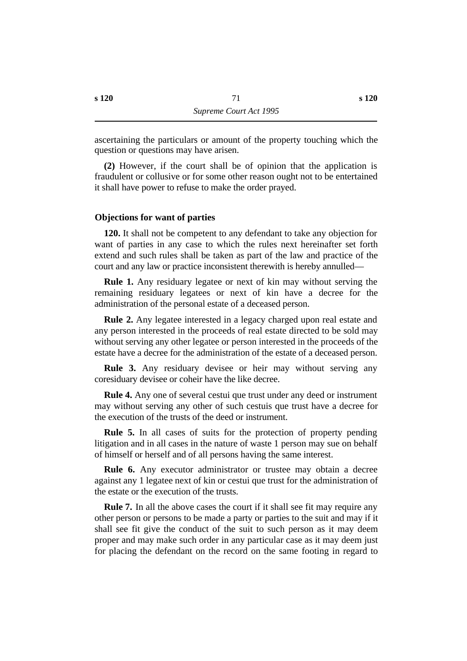ascertaining the particulars or amount of the property touching which the question or questions may have arisen.

**(2)** However, if the court shall be of opinion that the application is fraudulent or collusive or for some other reason ought not to be entertained it shall have power to refuse to make the order prayed.

# **˙Objections for want of parties**

**120.** It shall not be competent to any defendant to take any objection for want of parties in any case to which the rules next hereinafter set forth extend and such rules shall be taken as part of the law and practice of the court and any law or practice inconsistent therewith is hereby annulled—

**Rule 1.** Any residuary legatee or next of kin may without serving the remaining residuary legatees or next of kin have a decree for the administration of the personal estate of a deceased person.

**Rule 2.** Any legatee interested in a legacy charged upon real estate and any person interested in the proceeds of real estate directed to be sold may without serving any other legatee or person interested in the proceeds of the estate have a decree for the administration of the estate of a deceased person.

**Rule 3.** Any residuary devisee or heir may without serving any coresiduary devisee or coheir have the like decree.

**Rule 4.** Any one of several cestui que trust under any deed or instrument may without serving any other of such cestuis que trust have a decree for the execution of the trusts of the deed or instrument.

**Rule 5.** In all cases of suits for the protection of property pending litigation and in all cases in the nature of waste 1 person may sue on behalf of himself or herself and of all persons having the same interest.

**Rule 6.** Any executor administrator or trustee may obtain a decree against any 1 legatee next of kin or cestui que trust for the administration of the estate or the execution of the trusts.

**Rule 7.** In all the above cases the court if it shall see fit may require any other person or persons to be made a party or parties to the suit and may if it shall see fit give the conduct of the suit to such person as it may deem proper and may make such order in any particular case as it may deem just for placing the defendant on the record on the same footing in regard to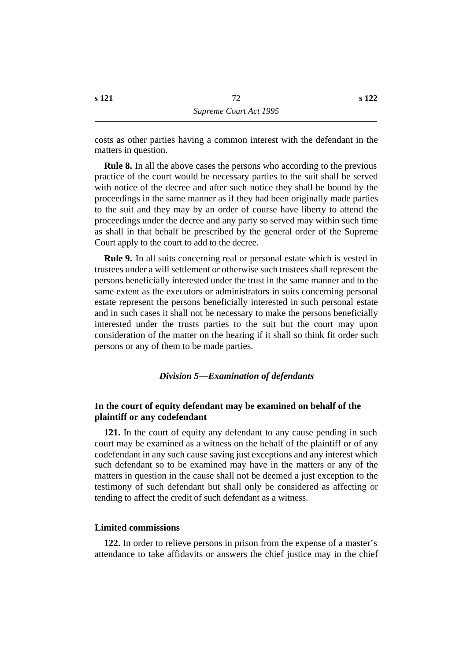costs as other parties having a common interest with the defendant in the matters in question.

**Rule 8.** In all the above cases the persons who according to the previous practice of the court would be necessary parties to the suit shall be served with notice of the decree and after such notice they shall be bound by the proceedings in the same manner as if they had been originally made parties to the suit and they may by an order of course have liberty to attend the proceedings under the decree and any party so served may within such time as shall in that behalf be prescribed by the general order of the Supreme Court apply to the court to add to the decree.

**Rule 9.** In all suits concerning real or personal estate which is vested in trustees under a will settlement or otherwise such trustees shall represent the persons beneficially interested under the trust in the same manner and to the same extent as the executors or administrators in suits concerning personal estate represent the persons beneficially interested in such personal estate and in such cases it shall not be necessary to make the persons beneficially interested under the trusts parties to the suit but the court may upon consideration of the matter on the hearing if it shall so think fit order such persons or any of them to be made parties.

## *†Division 5—Examination of defendants*

# **˙In the court of equity defendant may be examined on behalf of the plaintiff or any codefendant**

**121.** In the court of equity any defendant to any cause pending in such court may be examined as a witness on the behalf of the plaintiff or of any codefendant in any such cause saving just exceptions and any interest which such defendant so to be examined may have in the matters or any of the matters in question in the cause shall not be deemed a just exception to the testimony of such defendant but shall only be considered as affecting or tending to affect the credit of such defendant as a witness.

### **˙Limited commissions**

**122.** In order to relieve persons in prison from the expense of a master's attendance to take affidavits or answers the chief justice may in the chief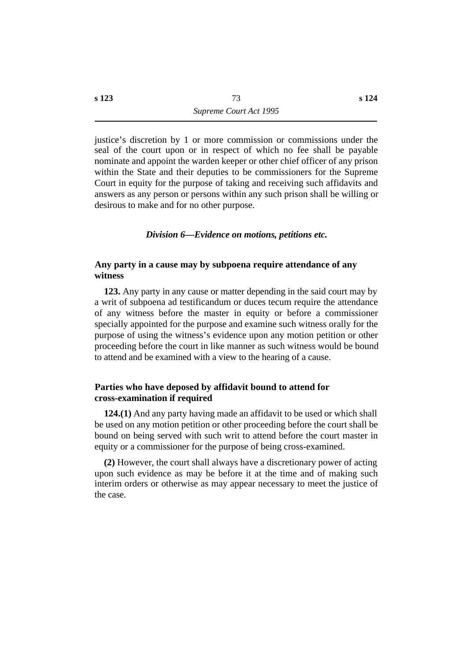justice's discretion by 1 or more commission or commissions under the seal of the court upon or in respect of which no fee shall be payable nominate and appoint the warden keeper or other chief officer of any prison within the State and their deputies to be commissioners for the Supreme Court in equity for the purpose of taking and receiving such affidavits and answers as any person or persons within any such prison shall be willing or desirous to make and for no other purpose.

# *†Division 6—Evidence on motions, petitions etc.*

# **˙Any party in a cause may by subpoena require attendance of any witness**

**123.** Any party in any cause or matter depending in the said court may by a writ of subpoena ad testificandum or duces tecum require the attendance of any witness before the master in equity or before a commissioner specially appointed for the purpose and examine such witness orally for the purpose of using the witness's evidence upon any motion petition or other proceeding before the court in like manner as such witness would be bound to attend and be examined with a view to the hearing of a cause.

# **˙Parties who have deposed by affidavit bound to attend for cross-examination if required**

**124.(1)** And any party having made an affidavit to be used or which shall be used on any motion petition or other proceeding before the court shall be bound on being served with such writ to attend before the court master in equity or a commissioner for the purpose of being cross-examined.

**(2)** However, the court shall always have a discretionary power of acting upon such evidence as may be before it at the time and of making such interim orders or otherwise as may appear necessary to meet the justice of the case.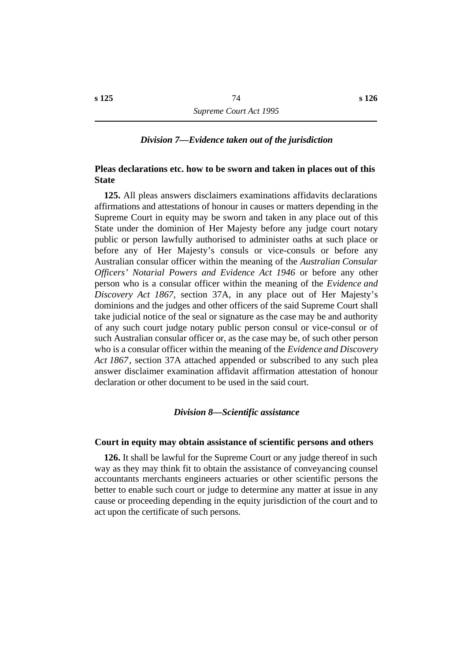## *†Division 7—Evidence taken out of the jurisdiction*

# **˙Pleas declarations etc. how to be sworn and taken in places out of this State**

**125.** All pleas answers disclaimers examinations affidavits declarations affirmations and attestations of honour in causes or matters depending in the Supreme Court in equity may be sworn and taken in any place out of this State under the dominion of Her Majesty before any judge court notary public or person lawfully authorised to administer oaths at such place or before any of Her Majesty's consuls or vice-consuls or before any Australian consular officer within the meaning of the *Australian Consular Officers' Notarial Powers and Evidence Act 1946* or before any other person who is a consular officer within the meaning of the *Evidence and Discovery Act 1867*, section 37A, in any place out of Her Majesty's dominions and the judges and other officers of the said Supreme Court shall take judicial notice of the seal or signature as the case may be and authority of any such court judge notary public person consul or vice-consul or of such Australian consular officer or, as the case may be, of such other person who is a consular officer within the meaning of the *Evidence and Discovery Act 1867*, section 37A attached appended or subscribed to any such plea answer disclaimer examination affidavit affirmation attestation of honour declaration or other document to be used in the said court.

#### *†Division 8—Scientific assistance*

#### **˙Court in equity may obtain assistance of scientific persons and others**

**126.** It shall be lawful for the Supreme Court or any judge thereof in such way as they may think fit to obtain the assistance of conveyancing counsel accountants merchants engineers actuaries or other scientific persons the better to enable such court or judge to determine any matter at issue in any cause or proceeding depending in the equity jurisdiction of the court and to act upon the certificate of such persons.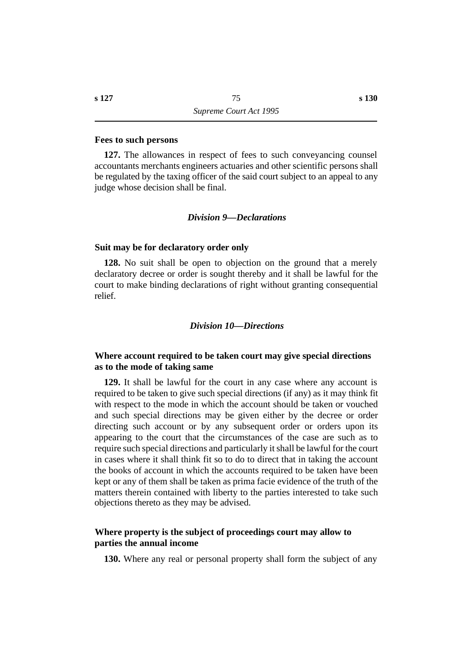### **˙Fees to such persons**

**127.** The allowances in respect of fees to such conveyancing counsel accountants merchants engineers actuaries and other scientific persons shall be regulated by the taxing officer of the said court subject to an appeal to any judge whose decision shall be final.

### *†Division 9—Declarations*

#### **˙Suit may be for declaratory order only**

**128.** No suit shall be open to objection on the ground that a merely declaratory decree or order is sought thereby and it shall be lawful for the court to make binding declarations of right without granting consequential relief.

### *†Division 10—Directions*

# **˙Where account required to be taken court may give special directions as to the mode of taking same**

**129.** It shall be lawful for the court in any case where any account is required to be taken to give such special directions (if any) as it may think fit with respect to the mode in which the account should be taken or vouched and such special directions may be given either by the decree or order directing such account or by any subsequent order or orders upon its appearing to the court that the circumstances of the case are such as to require such special directions and particularly it shall be lawful for the court in cases where it shall think fit so to do to direct that in taking the account the books of account in which the accounts required to be taken have been kept or any of them shall be taken as prima facie evidence of the truth of the matters therein contained with liberty to the parties interested to take such objections thereto as they may be advised.

## **˙Where property is the subject of proceedings court may allow to parties the annual income**

**130.** Where any real or personal property shall form the subject of any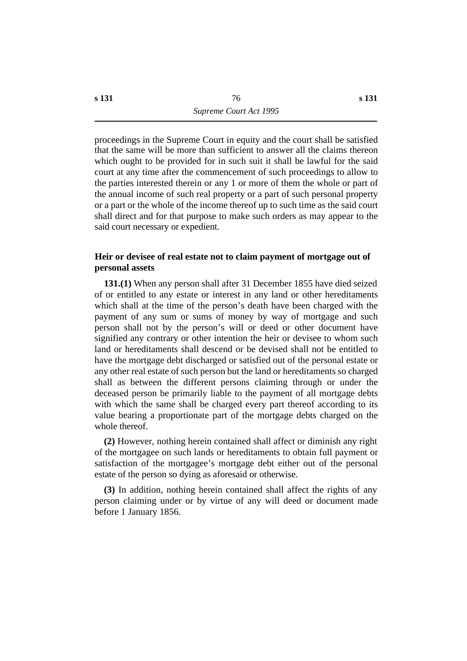proceedings in the Supreme Court in equity and the court shall be satisfied that the same will be more than sufficient to answer all the claims thereon which ought to be provided for in such suit it shall be lawful for the said court at any time after the commencement of such proceedings to allow to the parties interested therein or any 1 or more of them the whole or part of the annual income of such real property or a part of such personal property or a part or the whole of the income thereof up to such time as the said court shall direct and for that purpose to make such orders as may appear to the said court necessary or expedient.

# **˙Heir or devisee of real estate not to claim payment of mortgage out of personal assets**

**131.(1)** When any person shall after 31 December 1855 have died seized of or entitled to any estate or interest in any land or other hereditaments which shall at the time of the person's death have been charged with the payment of any sum or sums of money by way of mortgage and such person shall not by the person's will or deed or other document have signified any contrary or other intention the heir or devisee to whom such land or hereditaments shall descend or be devised shall not be entitled to have the mortgage debt discharged or satisfied out of the personal estate or any other real estate of such person but the land or hereditaments so charged shall as between the different persons claiming through or under the deceased person be primarily liable to the payment of all mortgage debts with which the same shall be charged every part thereof according to its value bearing a proportionate part of the mortgage debts charged on the whole thereof.

**(2)** However, nothing herein contained shall affect or diminish any right of the mortgagee on such lands or hereditaments to obtain full payment or satisfaction of the mortgagee's mortgage debt either out of the personal estate of the person so dying as aforesaid or otherwise.

**(3)** In addition, nothing herein contained shall affect the rights of any person claiming under or by virtue of any will deed or document made before 1 January 1856.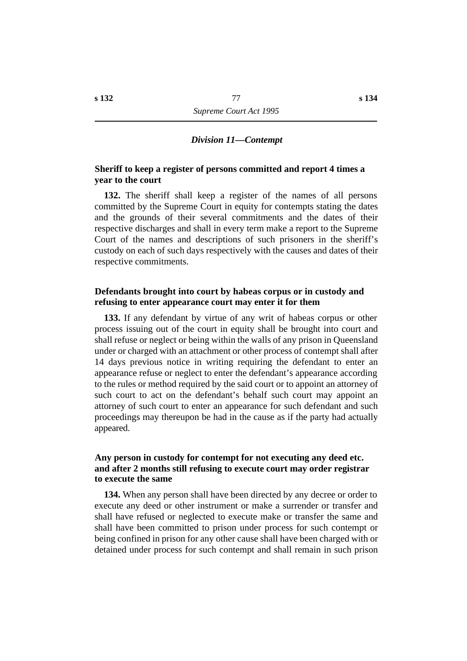### *†Division 11—Contempt*

# **˙Sheriff to keep a register of persons committed and report 4 times a year to the court**

**132.** The sheriff shall keep a register of the names of all persons committed by the Supreme Court in equity for contempts stating the dates and the grounds of their several commitments and the dates of their respective discharges and shall in every term make a report to the Supreme Court of the names and descriptions of such prisoners in the sheriff's custody on each of such days respectively with the causes and dates of their respective commitments.

# **˙Defendants brought into court by habeas corpus or in custody and refusing to enter appearance court may enter it for them**

**133.** If any defendant by virtue of any writ of habeas corpus or other process issuing out of the court in equity shall be brought into court and shall refuse or neglect or being within the walls of any prison in Queensland under or charged with an attachment or other process of contempt shall after 14 days previous notice in writing requiring the defendant to enter an appearance refuse or neglect to enter the defendant's appearance according to the rules or method required by the said court or to appoint an attorney of such court to act on the defendant's behalf such court may appoint an attorney of such court to enter an appearance for such defendant and such proceedings may thereupon be had in the cause as if the party had actually appeared.

# **˙Any person in custody for contempt for not executing any deed etc. and after 2 months still refusing to execute court may order registrar to execute the same**

**134.** When any person shall have been directed by any decree or order to execute any deed or other instrument or make a surrender or transfer and shall have refused or neglected to execute make or transfer the same and shall have been committed to prison under process for such contempt or being confined in prison for any other cause shall have been charged with or detained under process for such contempt and shall remain in such prison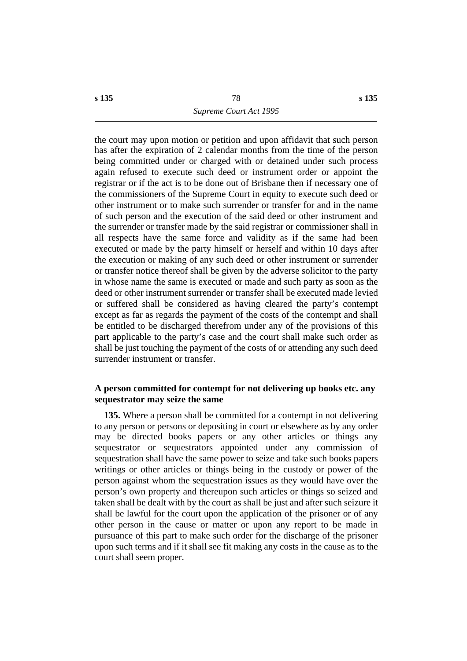the court may upon motion or petition and upon affidavit that such person has after the expiration of 2 calendar months from the time of the person being committed under or charged with or detained under such process again refused to execute such deed or instrument order or appoint the registrar or if the act is to be done out of Brisbane then if necessary one of the commissioners of the Supreme Court in equity to execute such deed or other instrument or to make such surrender or transfer for and in the name of such person and the execution of the said deed or other instrument and the surrender or transfer made by the said registrar or commissioner shall in all respects have the same force and validity as if the same had been executed or made by the party himself or herself and within 10 days after the execution or making of any such deed or other instrument or surrender or transfer notice thereof shall be given by the adverse solicitor to the party in whose name the same is executed or made and such party as soon as the deed or other instrument surrender or transfer shall be executed made levied or suffered shall be considered as having cleared the party's contempt except as far as regards the payment of the costs of the contempt and shall be entitled to be discharged therefrom under any of the provisions of this part applicable to the party's case and the court shall make such order as shall be just touching the payment of the costs of or attending any such deed surrender instrument or transfer.

# **˙A person committed for contempt for not delivering up books etc. any sequestrator may seize the same**

**135.** Where a person shall be committed for a contempt in not delivering to any person or persons or depositing in court or elsewhere as by any order may be directed books papers or any other articles or things any sequestrator or sequestrators appointed under any commission of sequestration shall have the same power to seize and take such books papers writings or other articles or things being in the custody or power of the person against whom the sequestration issues as they would have over the person's own property and thereupon such articles or things so seized and taken shall be dealt with by the court as shall be just and after such seizure it shall be lawful for the court upon the application of the prisoner or of any other person in the cause or matter or upon any report to be made in pursuance of this part to make such order for the discharge of the prisoner upon such terms and if it shall see fit making any costs in the cause as to the court shall seem proper.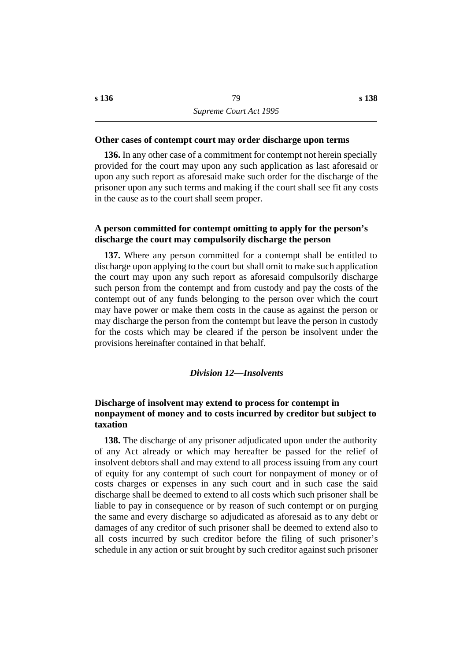## **˙Other cases of contempt court may order discharge upon terms**

**136.** In any other case of a commitment for contempt not herein specially provided for the court may upon any such application as last aforesaid or upon any such report as aforesaid make such order for the discharge of the prisoner upon any such terms and making if the court shall see fit any costs in the cause as to the court shall seem proper.

# **˙A person committed for contempt omitting to apply for the person's discharge the court may compulsorily discharge the person**

**137.** Where any person committed for a contempt shall be entitled to discharge upon applying to the court but shall omit to make such application the court may upon any such report as aforesaid compulsorily discharge such person from the contempt and from custody and pay the costs of the contempt out of any funds belonging to the person over which the court may have power or make them costs in the cause as against the person or may discharge the person from the contempt but leave the person in custody for the costs which may be cleared if the person be insolvent under the provisions hereinafter contained in that behalf.

## *†Division 12—Insolvents*

# **˙Discharge of insolvent may extend to process for contempt in nonpayment of money and to costs incurred by creditor but subject to taxation**

**138.** The discharge of any prisoner adjudicated upon under the authority of any Act already or which may hereafter be passed for the relief of insolvent debtors shall and may extend to all process issuing from any court of equity for any contempt of such court for nonpayment of money or of costs charges or expenses in any such court and in such case the said discharge shall be deemed to extend to all costs which such prisoner shall be liable to pay in consequence or by reason of such contempt or on purging the same and every discharge so adjudicated as aforesaid as to any debt or damages of any creditor of such prisoner shall be deemed to extend also to all costs incurred by such creditor before the filing of such prisoner's schedule in any action or suit brought by such creditor against such prisoner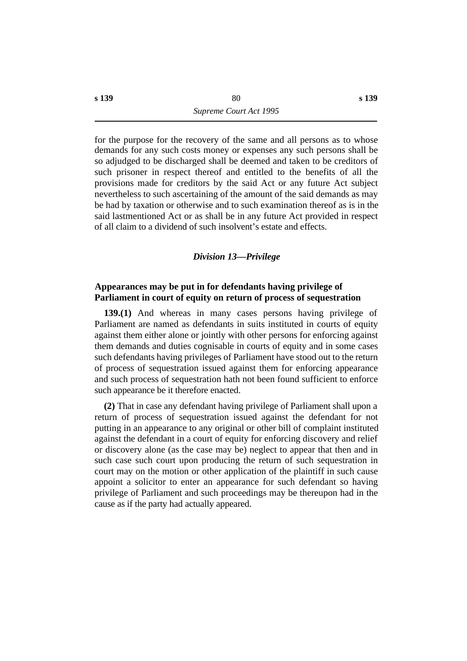for the purpose for the recovery of the same and all persons as to whose demands for any such costs money or expenses any such persons shall be so adjudged to be discharged shall be deemed and taken to be creditors of such prisoner in respect thereof and entitled to the benefits of all the provisions made for creditors by the said Act or any future Act subject nevertheless to such ascertaining of the amount of the said demands as may be had by taxation or otherwise and to such examination thereof as is in the said lastmentioned Act or as shall be in any future Act provided in respect of all claim to a dividend of such insolvent's estate and effects.

### *†Division 13—Privilege*

# **˙Appearances may be put in for defendants having privilege of Parliament in court of equity on return of process of sequestration**

**139.(1)** And whereas in many cases persons having privilege of Parliament are named as defendants in suits instituted in courts of equity against them either alone or jointly with other persons for enforcing against them demands and duties cognisable in courts of equity and in some cases such defendants having privileges of Parliament have stood out to the return of process of sequestration issued against them for enforcing appearance and such process of sequestration hath not been found sufficient to enforce such appearance be it therefore enacted.

**(2)** That in case any defendant having privilege of Parliament shall upon a return of process of sequestration issued against the defendant for not putting in an appearance to any original or other bill of complaint instituted against the defendant in a court of equity for enforcing discovery and relief or discovery alone (as the case may be) neglect to appear that then and in such case such court upon producing the return of such sequestration in court may on the motion or other application of the plaintiff in such cause appoint a solicitor to enter an appearance for such defendant so having privilege of Parliament and such proceedings may be thereupon had in the cause as if the party had actually appeared.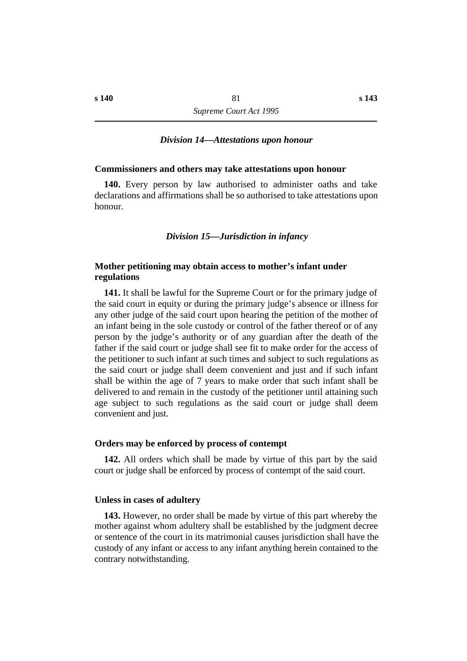### *†Division 14—Attestations upon honour*

#### **˙Commissioners and others may take attestations upon honour**

**140.** Every person by law authorised to administer oaths and take declarations and affirmations shall be so authorised to take attestations upon honour.

### *†Division 15—Jurisdiction in infancy*

# **˙Mother petitioning may obtain access to mother's infant under regulations**

**141.** It shall be lawful for the Supreme Court or for the primary judge of the said court in equity or during the primary judge's absence or illness for any other judge of the said court upon hearing the petition of the mother of an infant being in the sole custody or control of the father thereof or of any person by the judge's authority or of any guardian after the death of the father if the said court or judge shall see fit to make order for the access of the petitioner to such infant at such times and subject to such regulations as the said court or judge shall deem convenient and just and if such infant shall be within the age of 7 years to make order that such infant shall be delivered to and remain in the custody of the petitioner until attaining such age subject to such regulations as the said court or judge shall deem convenient and just.

#### **˙Orders may be enforced by process of contempt**

**142.** All orders which shall be made by virtue of this part by the said court or judge shall be enforced by process of contempt of the said court.

### **˙Unless in cases of adultery**

**143.** However, no order shall be made by virtue of this part whereby the mother against whom adultery shall be established by the judgment decree or sentence of the court in its matrimonial causes jurisdiction shall have the custody of any infant or access to any infant anything herein contained to the contrary notwithstanding.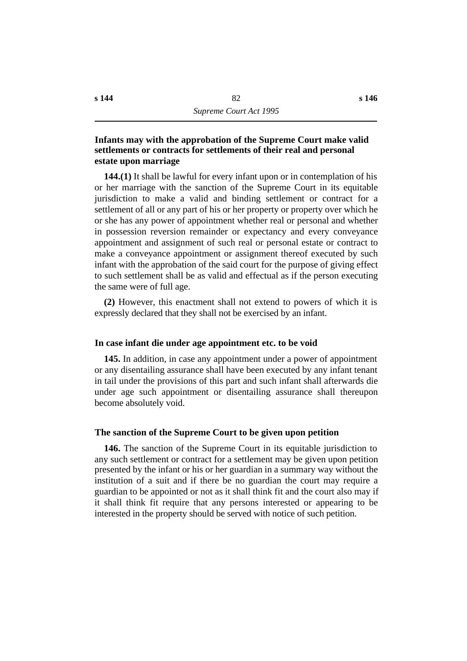# **˙Infants may with the approbation of the Supreme Court make valid settlements or contracts for settlements of their real and personal estate upon marriage**

**144.(1)** It shall be lawful for every infant upon or in contemplation of his or her marriage with the sanction of the Supreme Court in its equitable jurisdiction to make a valid and binding settlement or contract for a settlement of all or any part of his or her property or property over which he or she has any power of appointment whether real or personal and whether in possession reversion remainder or expectancy and every conveyance appointment and assignment of such real or personal estate or contract to make a conveyance appointment or assignment thereof executed by such infant with the approbation of the said court for the purpose of giving effect to such settlement shall be as valid and effectual as if the person executing the same were of full age.

**(2)** However, this enactment shall not extend to powers of which it is expressly declared that they shall not be exercised by an infant.

## **˙In case infant die under age appointment etc. to be void**

**145.** In addition, in case any appointment under a power of appointment or any disentailing assurance shall have been executed by any infant tenant in tail under the provisions of this part and such infant shall afterwards die under age such appointment or disentailing assurance shall thereupon become absolutely void.

## **˙The sanction of the Supreme Court to be given upon petition**

**146.** The sanction of the Supreme Court in its equitable jurisdiction to any such settlement or contract for a settlement may be given upon petition presented by the infant or his or her guardian in a summary way without the institution of a suit and if there be no guardian the court may require a guardian to be appointed or not as it shall think fit and the court also may if it shall think fit require that any persons interested or appearing to be interested in the property should be served with notice of such petition.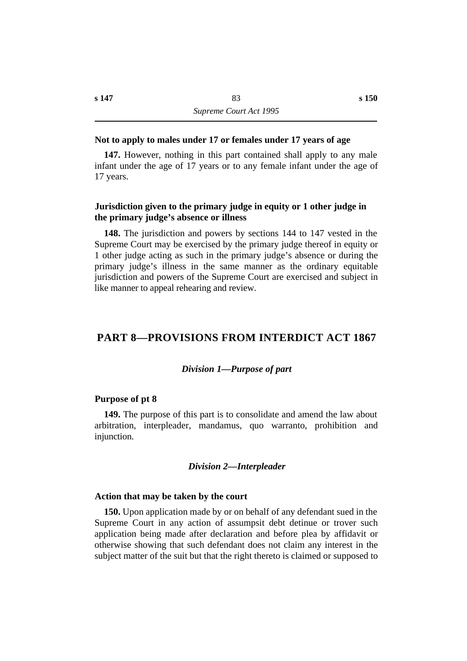## **˙Not to apply to males under 17 or females under 17 years of age**

**147.** However, nothing in this part contained shall apply to any male infant under the age of 17 years or to any female infant under the age of 17 years.

## **˙Jurisdiction given to the primary judge in equity or 1 other judge in the primary judge's absence or illness**

**148.** The jurisdiction and powers by sections 144 to 147 vested in the Supreme Court may be exercised by the primary judge thereof in equity or 1 other judge acting as such in the primary judge's absence or during the primary judge's illness in the same manner as the ordinary equitable jurisdiction and powers of the Supreme Court are exercised and subject in like manner to appeal rehearing and review.

# **†PART 8—PROVISIONS FROM INTERDICT ACT 1867**

#### *†Division 1—Purpose of part*

#### **˙Purpose of pt 8**

**149.** The purpose of this part is to consolidate and amend the law about arbitration, interpleader, mandamus, quo warranto, prohibition and injunction.

### *†Division 2—Interpleader*

#### **˙Action that may be taken by the court**

**150.** Upon application made by or on behalf of any defendant sued in the Supreme Court in any action of assumpsit debt detinue or trover such application being made after declaration and before plea by affidavit or otherwise showing that such defendant does not claim any interest in the subject matter of the suit but that the right thereto is claimed or supposed to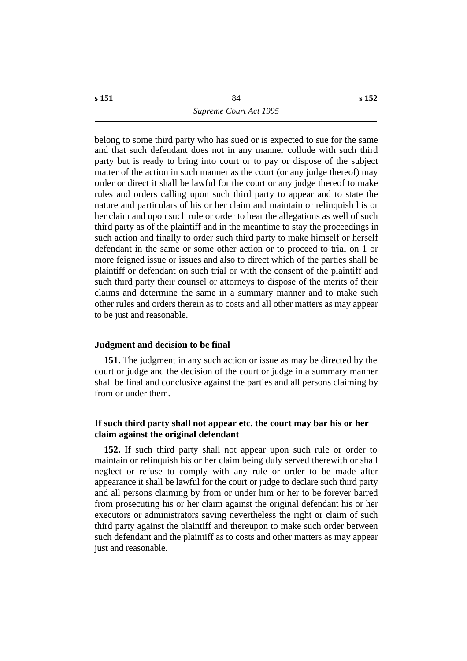belong to some third party who has sued or is expected to sue for the same and that such defendant does not in any manner collude with such third party but is ready to bring into court or to pay or dispose of the subject matter of the action in such manner as the court (or any judge thereof) may order or direct it shall be lawful for the court or any judge thereof to make rules and orders calling upon such third party to appear and to state the nature and particulars of his or her claim and maintain or relinquish his or her claim and upon such rule or order to hear the allegations as well of such third party as of the plaintiff and in the meantime to stay the proceedings in such action and finally to order such third party to make himself or herself defendant in the same or some other action or to proceed to trial on 1 or more feigned issue or issues and also to direct which of the parties shall be plaintiff or defendant on such trial or with the consent of the plaintiff and such third party their counsel or attorneys to dispose of the merits of their claims and determine the same in a summary manner and to make such other rules and orders therein as to costs and all other matters as may appear to be just and reasonable.

# **˙Judgment and decision to be final**

**151.** The judgment in any such action or issue as may be directed by the court or judge and the decision of the court or judge in a summary manner shall be final and conclusive against the parties and all persons claiming by from or under them.

# **˙If such third party shall not appear etc. the court may bar his or her claim against the original defendant**

**152.** If such third party shall not appear upon such rule or order to maintain or relinquish his or her claim being duly served therewith or shall neglect or refuse to comply with any rule or order to be made after appearance it shall be lawful for the court or judge to declare such third party and all persons claiming by from or under him or her to be forever barred from prosecuting his or her claim against the original defendant his or her executors or administrators saving nevertheless the right or claim of such third party against the plaintiff and thereupon to make such order between such defendant and the plaintiff as to costs and other matters as may appear just and reasonable.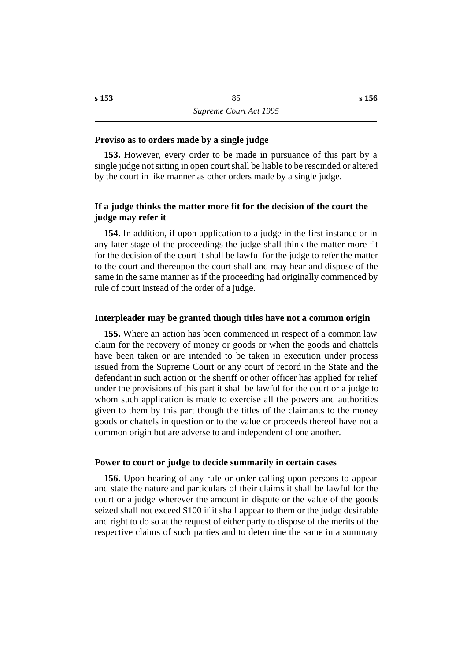### **˙Proviso as to orders made by a single judge**

**153.** However, every order to be made in pursuance of this part by a single judge not sitting in open court shall be liable to be rescinded or altered by the court in like manner as other orders made by a single judge.

# **˙If a judge thinks the matter more fit for the decision of the court the judge may refer it**

**154.** In addition, if upon application to a judge in the first instance or in any later stage of the proceedings the judge shall think the matter more fit for the decision of the court it shall be lawful for the judge to refer the matter to the court and thereupon the court shall and may hear and dispose of the same in the same manner as if the proceeding had originally commenced by rule of court instead of the order of a judge.

### **˙Interpleader may be granted though titles have not a common origin**

**155.** Where an action has been commenced in respect of a common law claim for the recovery of money or goods or when the goods and chattels have been taken or are intended to be taken in execution under process issued from the Supreme Court or any court of record in the State and the defendant in such action or the sheriff or other officer has applied for relief under the provisions of this part it shall be lawful for the court or a judge to whom such application is made to exercise all the powers and authorities given to them by this part though the titles of the claimants to the money goods or chattels in question or to the value or proceeds thereof have not a common origin but are adverse to and independent of one another.

## **˙Power to court or judge to decide summarily in certain cases**

**156.** Upon hearing of any rule or order calling upon persons to appear and state the nature and particulars of their claims it shall be lawful for the court or a judge wherever the amount in dispute or the value of the goods seized shall not exceed \$100 if it shall appear to them or the judge desirable and right to do so at the request of either party to dispose of the merits of the respective claims of such parties and to determine the same in a summary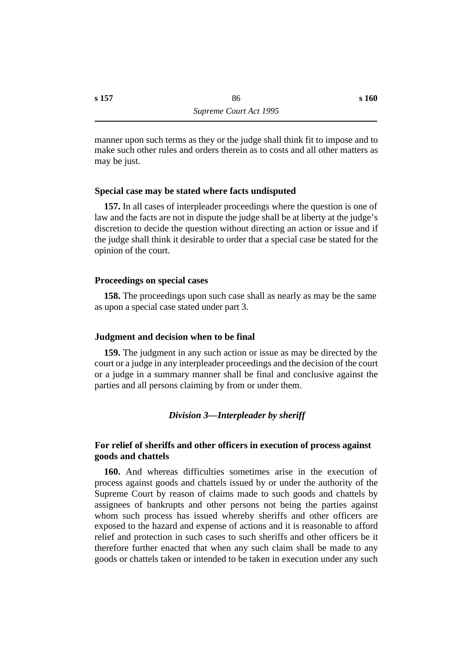manner upon such terms as they or the judge shall think fit to impose and to make such other rules and orders therein as to costs and all other matters as may be just.

# **˙Special case may be stated where facts undisputed**

**157.** In all cases of interpleader proceedings where the question is one of law and the facts are not in dispute the judge shall be at liberty at the judge's discretion to decide the question without directing an action or issue and if the judge shall think it desirable to order that a special case be stated for the opinion of the court.

# **˙Proceedings on special cases**

**158.** The proceedings upon such case shall as nearly as may be the same as upon a special case stated under part 3.

## **˙Judgment and decision when to be final**

**159.** The judgment in any such action or issue as may be directed by the court or a judge in any interpleader proceedings and the decision of the court or a judge in a summary manner shall be final and conclusive against the parties and all persons claiming by from or under them.

# *†Division 3—Interpleader by sheriff*

# **˙For relief of sheriffs and other officers in execution of process against goods and chattels**

**160.** And whereas difficulties sometimes arise in the execution of process against goods and chattels issued by or under the authority of the Supreme Court by reason of claims made to such goods and chattels by assignees of bankrupts and other persons not being the parties against whom such process has issued whereby sheriffs and other officers are exposed to the hazard and expense of actions and it is reasonable to afford relief and protection in such cases to such sheriffs and other officers be it therefore further enacted that when any such claim shall be made to any goods or chattels taken or intended to be taken in execution under any such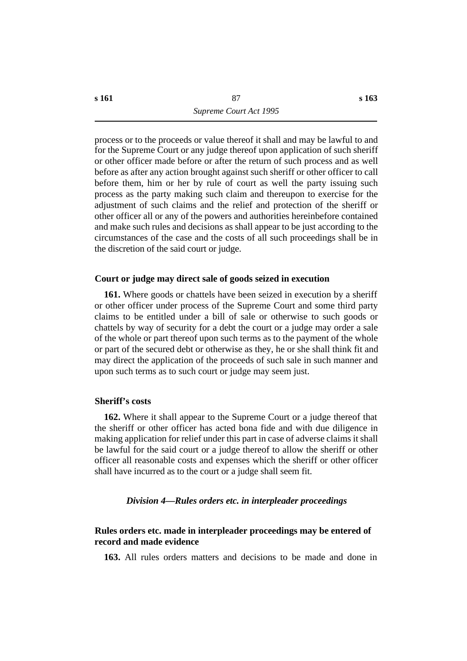process or to the proceeds or value thereof it shall and may be lawful to and for the Supreme Court or any judge thereof upon application of such sheriff or other officer made before or after the return of such process and as well before as after any action brought against such sheriff or other officer to call before them, him or her by rule of court as well the party issuing such process as the party making such claim and thereupon to exercise for the adjustment of such claims and the relief and protection of the sheriff or other officer all or any of the powers and authorities hereinbefore contained and make such rules and decisions as shall appear to be just according to the circumstances of the case and the costs of all such proceedings shall be in the discretion of the said court or judge.

## **˙Court or judge may direct sale of goods seized in execution**

**161.** Where goods or chattels have been seized in execution by a sheriff or other officer under process of the Supreme Court and some third party claims to be entitled under a bill of sale or otherwise to such goods or chattels by way of security for a debt the court or a judge may order a sale of the whole or part thereof upon such terms as to the payment of the whole or part of the secured debt or otherwise as they, he or she shall think fit and may direct the application of the proceeds of such sale in such manner and upon such terms as to such court or judge may seem just.

## **˙Sheriff's costs**

**162.** Where it shall appear to the Supreme Court or a judge thereof that the sheriff or other officer has acted bona fide and with due diligence in making application for relief under this part in case of adverse claims it shall be lawful for the said court or a judge thereof to allow the sheriff or other officer all reasonable costs and expenses which the sheriff or other officer shall have incurred as to the court or a judge shall seem fit.

## *†Division 4—Rules orders etc. in interpleader proceedings*

# **˙Rules orders etc. made in interpleader proceedings may be entered of record and made evidence**

**163.** All rules orders matters and decisions to be made and done in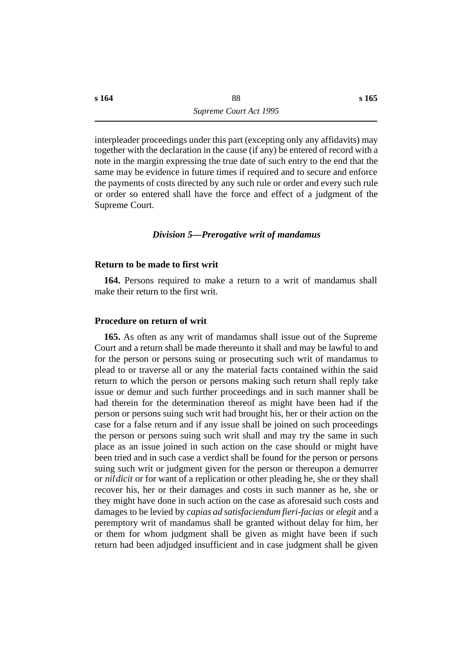interpleader proceedings under this part (excepting only any affidavits) may together with the declaration in the cause (if any) be entered of record with a note in the margin expressing the true date of such entry to the end that the same may be evidence in future times if required and to secure and enforce the payments of costs directed by any such rule or order and every such rule or order so entered shall have the force and effect of a judgment of the Supreme Court.

### *†Division 5—Prerogative writ of mandamus*

#### **˙Return to be made to first writ**

**164.** Persons required to make a return to a writ of mandamus shall make their return to the first writ.

### **˙Procedure on return of writ**

**165.** As often as any writ of mandamus shall issue out of the Supreme Court and a return shall be made thereunto it shall and may be lawful to and for the person or persons suing or prosecuting such writ of mandamus to plead to or traverse all or any the material facts contained within the said return to which the person or persons making such return shall reply take issue or demur and such further proceedings and in such manner shall be had therein for the determination thereof as might have been had if the person or persons suing such writ had brought his, her or their action on the case for a false return and if any issue shall be joined on such proceedings the person or persons suing such writ shall and may try the same in such place as an issue joined in such action on the case should or might have been tried and in such case a verdict shall be found for the person or persons suing such writ or judgment given for the person or thereupon a demurrer or *nil dicit* or for want of a replication or other pleading he, she or they shall recover his, her or their damages and costs in such manner as he, she or they might have done in such action on the case as aforesaid such costs and damages to be levied by *capias ad satisfaciendum fieri-facias* or *elegit* and a peremptory writ of mandamus shall be granted without delay for him, her or them for whom judgment shall be given as might have been if such return had been adjudged insufficient and in case judgment shall be given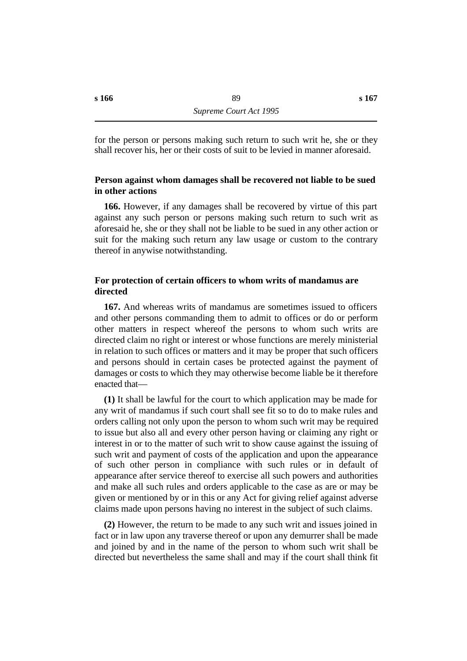for the person or persons making such return to such writ he, she or they shall recover his, her or their costs of suit to be levied in manner aforesaid.

# **˙Person against whom damages shall be recovered not liable to be sued in other actions**

**166.** However, if any damages shall be recovered by virtue of this part against any such person or persons making such return to such writ as aforesaid he, she or they shall not be liable to be sued in any other action or suit for the making such return any law usage or custom to the contrary thereof in anywise notwithstanding.

# **˙For protection of certain officers to whom writs of mandamus are directed**

**167.** And whereas writs of mandamus are sometimes issued to officers and other persons commanding them to admit to offices or do or perform other matters in respect whereof the persons to whom such writs are directed claim no right or interest or whose functions are merely ministerial in relation to such offices or matters and it may be proper that such officers and persons should in certain cases be protected against the payment of damages or costs to which they may otherwise become liable be it therefore enacted that—

**(1)** It shall be lawful for the court to which application may be made for any writ of mandamus if such court shall see fit so to do to make rules and orders calling not only upon the person to whom such writ may be required to issue but also all and every other person having or claiming any right or interest in or to the matter of such writ to show cause against the issuing of such writ and payment of costs of the application and upon the appearance of such other person in compliance with such rules or in default of appearance after service thereof to exercise all such powers and authorities and make all such rules and orders applicable to the case as are or may be given or mentioned by or in this or any Act for giving relief against adverse claims made upon persons having no interest in the subject of such claims.

**(2)** However, the return to be made to any such writ and issues joined in fact or in law upon any traverse thereof or upon any demurrer shall be made and joined by and in the name of the person to whom such writ shall be directed but nevertheless the same shall and may if the court shall think fit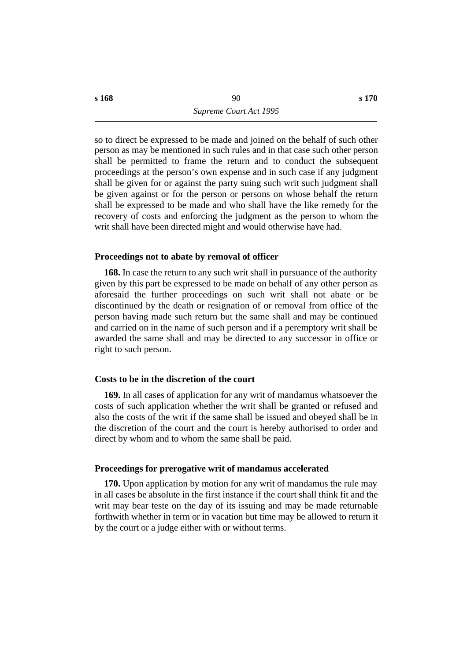so to direct be expressed to be made and joined on the behalf of such other person as may be mentioned in such rules and in that case such other person shall be permitted to frame the return and to conduct the subsequent proceedings at the person's own expense and in such case if any judgment shall be given for or against the party suing such writ such judgment shall be given against or for the person or persons on whose behalf the return shall be expressed to be made and who shall have the like remedy for the recovery of costs and enforcing the judgment as the person to whom the writ shall have been directed might and would otherwise have had.

## **˙Proceedings not to abate by removal of officer**

**168.** In case the return to any such writ shall in pursuance of the authority given by this part be expressed to be made on behalf of any other person as aforesaid the further proceedings on such writ shall not abate or be discontinued by the death or resignation of or removal from office of the person having made such return but the same shall and may be continued and carried on in the name of such person and if a peremptory writ shall be awarded the same shall and may be directed to any successor in office or right to such person.

### **˙Costs to be in the discretion of the court**

**169.** In all cases of application for any writ of mandamus whatsoever the costs of such application whether the writ shall be granted or refused and also the costs of the writ if the same shall be issued and obeyed shall be in the discretion of the court and the court is hereby authorised to order and direct by whom and to whom the same shall be paid.

### **˙Proceedings for prerogative writ of mandamus accelerated**

**170.** Upon application by motion for any writ of mandamus the rule may in all cases be absolute in the first instance if the court shall think fit and the writ may bear teste on the day of its issuing and may be made returnable forthwith whether in term or in vacation but time may be allowed to return it by the court or a judge either with or without terms.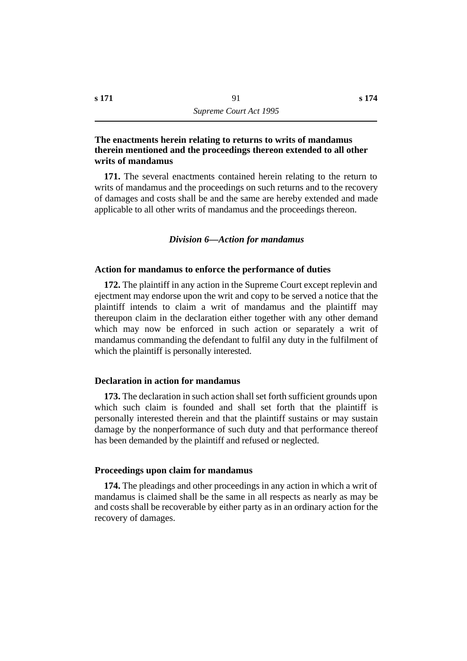# **˙The enactments herein relating to returns to writs of mandamus therein mentioned and the proceedings thereon extended to all other writs of mandamus**

**171.** The several enactments contained herein relating to the return to writs of mandamus and the proceedings on such returns and to the recovery of damages and costs shall be and the same are hereby extended and made applicable to all other writs of mandamus and the proceedings thereon.

### *†Division 6—Action for mandamus*

### **˙Action for mandamus to enforce the performance of duties**

**172.** The plaintiff in any action in the Supreme Court except replevin and ejectment may endorse upon the writ and copy to be served a notice that the plaintiff intends to claim a writ of mandamus and the plaintiff may thereupon claim in the declaration either together with any other demand which may now be enforced in such action or separately a writ of mandamus commanding the defendant to fulfil any duty in the fulfilment of which the plaintiff is personally interested.

## **˙Declaration in action for mandamus**

**173.** The declaration in such action shall set forth sufficient grounds upon which such claim is founded and shall set forth that the plaintiff is personally interested therein and that the plaintiff sustains or may sustain damage by the nonperformance of such duty and that performance thereof has been demanded by the plaintiff and refused or neglected.

#### **˙Proceedings upon claim for mandamus**

**174.** The pleadings and other proceedings in any action in which a writ of mandamus is claimed shall be the same in all respects as nearly as may be and costs shall be recoverable by either party as in an ordinary action for the recovery of damages.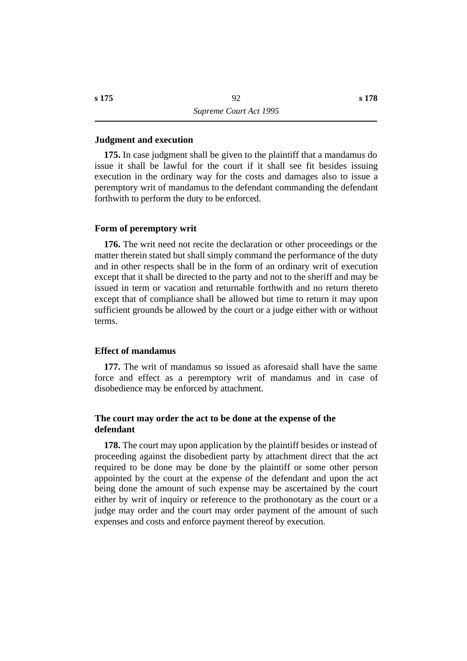### **˙Judgment and execution**

**175.** In case judgment shall be given to the plaintiff that a mandamus do issue it shall be lawful for the court if it shall see fit besides issuing execution in the ordinary way for the costs and damages also to issue a peremptory writ of mandamus to the defendant commanding the defendant forthwith to perform the duty to be enforced.

### **˙Form of peremptory writ**

**176.** The writ need not recite the declaration or other proceedings or the matter therein stated but shall simply command the performance of the duty and in other respects shall be in the form of an ordinary writ of execution except that it shall be directed to the party and not to the sheriff and may be issued in term or vacation and returnable forthwith and no return thereto except that of compliance shall be allowed but time to return it may upon sufficient grounds be allowed by the court or a judge either with or without terms.

## **˙Effect of mandamus**

**177.** The writ of mandamus so issued as aforesaid shall have the same force and effect as a peremptory writ of mandamus and in case of disobedience may be enforced by attachment.

# **˙The court may order the act to be done at the expense of the defendant**

**178.** The court may upon application by the plaintiff besides or instead of proceeding against the disobedient party by attachment direct that the act required to be done may be done by the plaintiff or some other person appointed by the court at the expense of the defendant and upon the act being done the amount of such expense may be ascertained by the court either by writ of inquiry or reference to the prothonotary as the court or a judge may order and the court may order payment of the amount of such expenses and costs and enforce payment thereof by execution.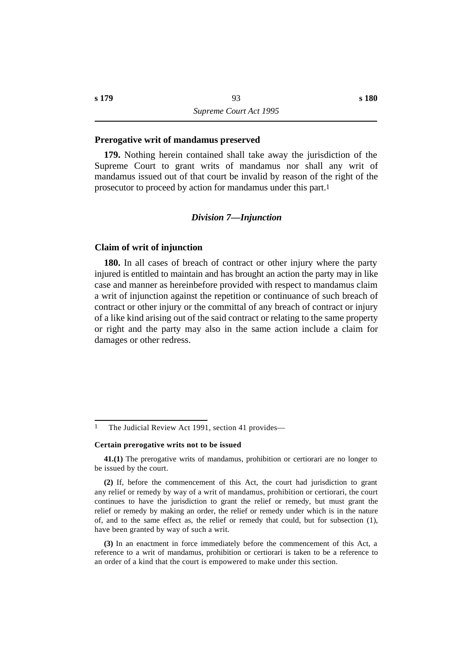### **˙Prerogative writ of mandamus preserved**

**179.** Nothing herein contained shall take away the jurisdiction of the Supreme Court to grant writs of mandamus nor shall any writ of mandamus issued out of that court be invalid by reason of the right of the prosecutor to proceed by action for mandamus under this part.1

#### *†Division 7—Injunction*

### **˙Claim of writ of injunction**

**180.** In all cases of breach of contract or other injury where the party injured is entitled to maintain and has brought an action the party may in like case and manner as hereinbefore provided with respect to mandamus claim a writ of injunction against the repetition or continuance of such breach of contract or other injury or the committal of any breach of contract or injury of a like kind arising out of the said contract or relating to the same property or right and the party may also in the same action include a claim for damages or other redress.

#### **Certain prerogative writs not to be issued**

**41.(1)** The prerogative writs of mandamus, prohibition or certiorari are no longer to be issued by the court.

**(2)** If, before the commencement of this Act, the court had jurisdiction to grant any relief or remedy by way of a writ of mandamus, prohibition or certiorari, the court continues to have the jurisdiction to grant the relief or remedy, but must grant the relief or remedy by making an order, the relief or remedy under which is in the nature of, and to the same effect as, the relief or remedy that could, but for subsection (1), have been granted by way of such a writ.

**(3)** In an enactment in force immediately before the commencement of this Act, a reference to a writ of mandamus, prohibition or certiorari is taken to be a reference to an order of a kind that the court is empowered to make under this section.

<sup>&</sup>lt;sup>1</sup> The Judicial Review Act 1991, section 41 provides—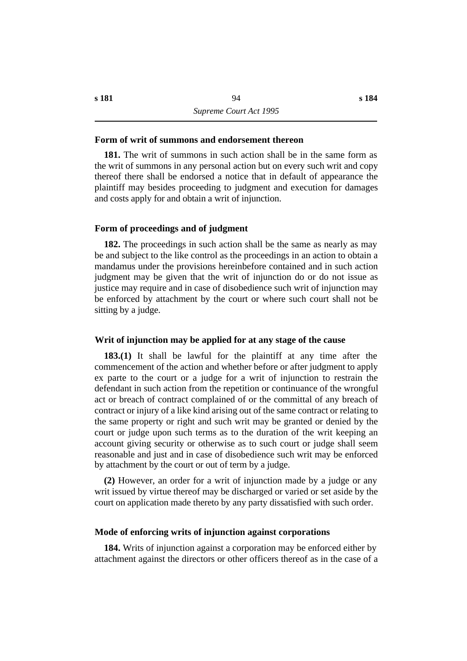**181.** The writ of summons in such action shall be in the same form as the writ of summons in any personal action but on every such writ and copy thereof there shall be endorsed a notice that in default of appearance the plaintiff may besides proceeding to judgment and execution for damages and costs apply for and obtain a writ of injunction.

### **˙Form of proceedings and of judgment**

**182.** The proceedings in such action shall be the same as nearly as may be and subject to the like control as the proceedings in an action to obtain a mandamus under the provisions hereinbefore contained and in such action judgment may be given that the writ of injunction do or do not issue as justice may require and in case of disobedience such writ of injunction may be enforced by attachment by the court or where such court shall not be sitting by a judge.

#### **˙Writ of injunction may be applied for at any stage of the cause**

**183.(1)** It shall be lawful for the plaintiff at any time after the commencement of the action and whether before or after judgment to apply ex parte to the court or a judge for a writ of injunction to restrain the defendant in such action from the repetition or continuance of the wrongful act or breach of contract complained of or the committal of any breach of contract or injury of a like kind arising out of the same contract or relating to the same property or right and such writ may be granted or denied by the court or judge upon such terms as to the duration of the writ keeping an account giving security or otherwise as to such court or judge shall seem reasonable and just and in case of disobedience such writ may be enforced by attachment by the court or out of term by a judge.

**(2)** However, an order for a writ of injunction made by a judge or any writ issued by virtue thereof may be discharged or varied or set aside by the court on application made thereto by any party dissatisfied with such order.

### **˙Mode of enforcing writs of injunction against corporations**

**184.** Writs of injunction against a corporation may be enforced either by attachment against the directors or other officers thereof as in the case of a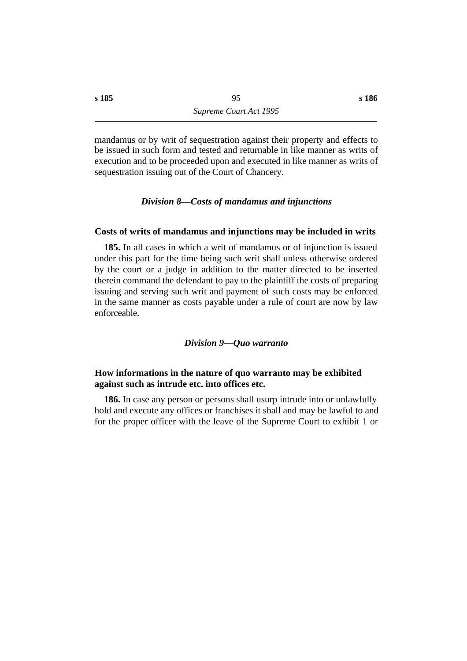mandamus or by writ of sequestration against their property and effects to be issued in such form and tested and returnable in like manner as writs of execution and to be proceeded upon and executed in like manner as writs of sequestration issuing out of the Court of Chancery.

### *†Division 8—Costs of mandamus and injunctions*

## **˙Costs of writs of mandamus and injunctions may be included in writs**

**185.** In all cases in which a writ of mandamus or of injunction is issued under this part for the time being such writ shall unless otherwise ordered by the court or a judge in addition to the matter directed to be inserted therein command the defendant to pay to the plaintiff the costs of preparing issuing and serving such writ and payment of such costs may be enforced in the same manner as costs payable under a rule of court are now by law enforceable.

### *†Division 9—Quo warranto*

## **˙How informations in the nature of quo warranto may be exhibited against such as intrude etc. into offices etc.**

**186.** In case any person or persons shall usurp intrude into or unlawfully hold and execute any offices or franchises it shall and may be lawful to and for the proper officer with the leave of the Supreme Court to exhibit 1 or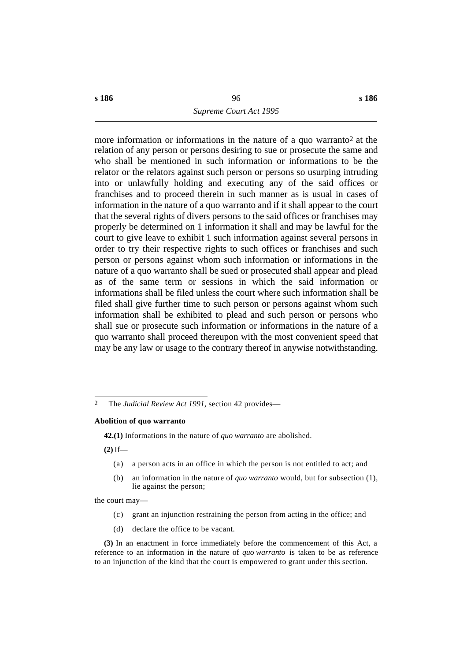more information or informations in the nature of a quo warranto2 at the relation of any person or persons desiring to sue or prosecute the same and who shall be mentioned in such information or informations to be the relator or the relators against such person or persons so usurping intruding into or unlawfully holding and executing any of the said offices or franchises and to proceed therein in such manner as is usual in cases of information in the nature of a quo warranto and if it shall appear to the court that the several rights of divers persons to the said offices or franchises may properly be determined on 1 information it shall and may be lawful for the court to give leave to exhibit 1 such information against several persons in order to try their respective rights to such offices or franchises and such person or persons against whom such information or informations in the nature of a quo warranto shall be sued or prosecuted shall appear and plead as of the same term or sessions in which the said information or informations shall be filed unless the court where such information shall be filed shall give further time to such person or persons against whom such information shall be exhibited to plead and such person or persons who shall sue or prosecute such information or informations in the nature of a quo warranto shall proceed thereupon with the most convenient speed that may be any law or usage to the contrary thereof in anywise notwithstanding.

#### **Abolition of quo warranto**

**42.(1)** Informations in the nature of *quo warranto* are abolished.

**(2)** If—

- (a) a person acts in an office in which the person is not entitled to act; and
- (b) an information in the nature of *quo warranto* would, but for subsection (1), lie against the person;

the court may—

- (c) grant an injunction restraining the person from acting in the office; and
- (d) declare the office to be vacant.

**(3)** In an enactment in force immediately before the commencement of this Act, a reference to an information in the nature of *quo warranto* is taken to be as reference to an injunction of the kind that the court is empowered to grant under this section.

<sup>2</sup> The *Judicial Review Act 1991*, section 42 provides—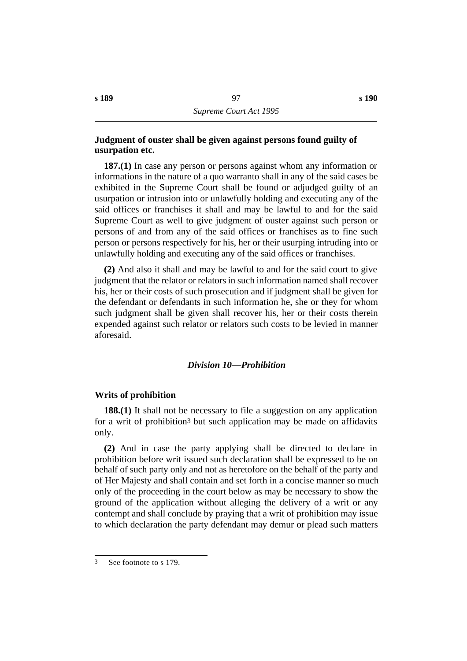# **˙Judgment of ouster shall be given against persons found guilty of usurpation etc.**

**187.(1)** In case any person or persons against whom any information or informations in the nature of a quo warranto shall in any of the said cases be exhibited in the Supreme Court shall be found or adjudged guilty of an usurpation or intrusion into or unlawfully holding and executing any of the said offices or franchises it shall and may be lawful to and for the said Supreme Court as well to give judgment of ouster against such person or persons of and from any of the said offices or franchises as to fine such person or persons respectively for his, her or their usurping intruding into or unlawfully holding and executing any of the said offices or franchises.

**(2)** And also it shall and may be lawful to and for the said court to give judgment that the relator or relators in such information named shall recover his, her or their costs of such prosecution and if judgment shall be given for the defendant or defendants in such information he, she or they for whom such judgment shall be given shall recover his, her or their costs therein expended against such relator or relators such costs to be levied in manner aforesaid.

# *†Division 10—Prohibition*

## **˙Writs of prohibition**

**188.(1)** It shall not be necessary to file a suggestion on any application for a writ of prohibition3 but such application may be made on affidavits only.

**(2)** And in case the party applying shall be directed to declare in prohibition before writ issued such declaration shall be expressed to be on behalf of such party only and not as heretofore on the behalf of the party and of Her Majesty and shall contain and set forth in a concise manner so much only of the proceeding in the court below as may be necessary to show the ground of the application without alleging the delivery of a writ or any contempt and shall conclude by praying that a writ of prohibition may issue to which declaration the party defendant may demur or plead such matters

<sup>3</sup> See footnote to s 179.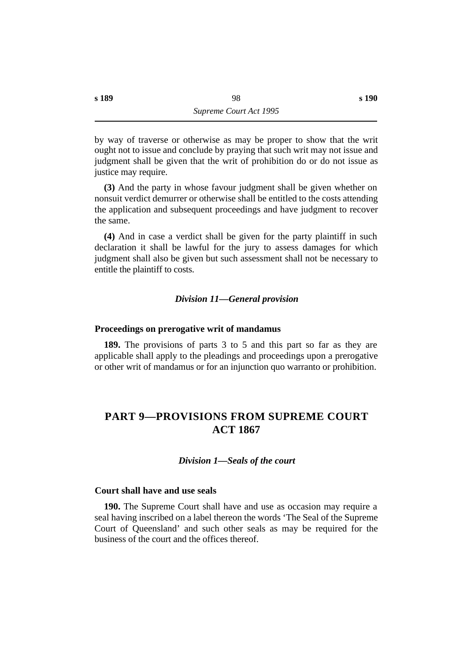by way of traverse or otherwise as may be proper to show that the writ ought not to issue and conclude by praying that such writ may not issue and judgment shall be given that the writ of prohibition do or do not issue as justice may require.

**(3)** And the party in whose favour judgment shall be given whether on nonsuit verdict demurrer or otherwise shall be entitled to the costs attending the application and subsequent proceedings and have judgment to recover the same.

**(4)** And in case a verdict shall be given for the party plaintiff in such declaration it shall be lawful for the jury to assess damages for which judgment shall also be given but such assessment shall not be necessary to entitle the plaintiff to costs.

## *†Division 11—General provision*

### **˙Proceedings on prerogative writ of mandamus**

**189.** The provisions of parts 3 to 5 and this part so far as they are applicable shall apply to the pleadings and proceedings upon a prerogative or other writ of mandamus or for an injunction quo warranto or prohibition.

# **†PART 9—PROVISIONS FROM SUPREME COURT ACT 1867**

#### *†Division 1—Seals of the court*

### **˙Court shall have and use seals**

**190.** The Supreme Court shall have and use as occasion may require a seal having inscribed on a label thereon the words 'The Seal of the Supreme Court of Queensland' and such other seals as may be required for the business of the court and the offices thereof.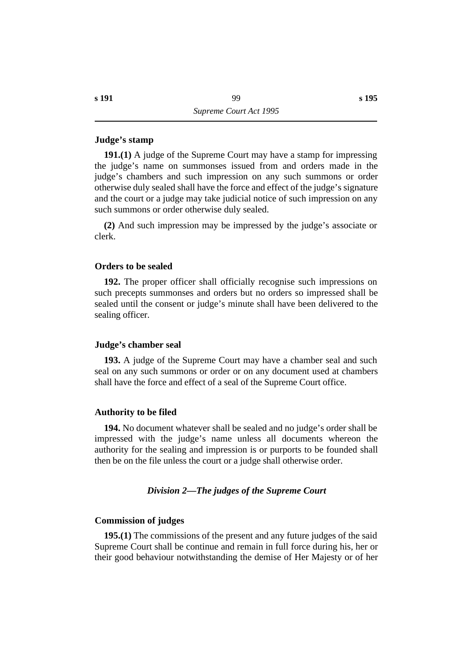### **˙Judge's stamp**

**191.(1)** A judge of the Supreme Court may have a stamp for impressing the judge's name on summonses issued from and orders made in the judge's chambers and such impression on any such summons or order otherwise duly sealed shall have the force and effect of the judge's signature and the court or a judge may take judicial notice of such impression on any such summons or order otherwise duly sealed.

**(2)** And such impression may be impressed by the judge's associate or clerk.

### **˙Orders to be sealed**

**192.** The proper officer shall officially recognise such impressions on such precepts summonses and orders but no orders so impressed shall be sealed until the consent or judge's minute shall have been delivered to the sealing officer.

#### **˙Judge's chamber seal**

**193.** A judge of the Supreme Court may have a chamber seal and such seal on any such summons or order or on any document used at chambers shall have the force and effect of a seal of the Supreme Court office.

#### **˙Authority to be filed**

**194.** No document whatever shall be sealed and no judge's order shall be impressed with the judge's name unless all documents whereon the authority for the sealing and impression is or purports to be founded shall then be on the file unless the court or a judge shall otherwise order.

#### *†Division 2—The judges of the Supreme Court*

### **˙Commission of judges**

**195.(1)** The commissions of the present and any future judges of the said Supreme Court shall be continue and remain in full force during his, her or their good behaviour notwithstanding the demise of Her Majesty or of her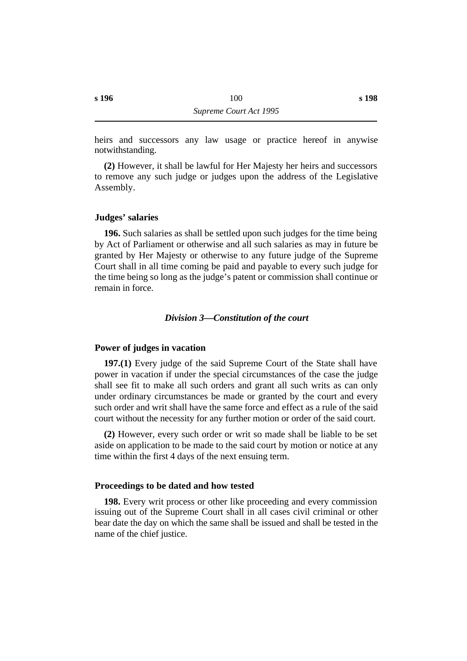heirs and successors any law usage or practice hereof in anywise notwithstanding.

**(2)** However, it shall be lawful for Her Majesty her heirs and successors to remove any such judge or judges upon the address of the Legislative Assembly.

## **˙Judges' salaries**

**196.** Such salaries as shall be settled upon such judges for the time being by Act of Parliament or otherwise and all such salaries as may in future be granted by Her Majesty or otherwise to any future judge of the Supreme Court shall in all time coming be paid and payable to every such judge for the time being so long as the judge's patent or commission shall continue or remain in force.

#### *†Division 3—Constitution of the court*

#### **˙Power of judges in vacation**

**197.(1)** Every judge of the said Supreme Court of the State shall have power in vacation if under the special circumstances of the case the judge shall see fit to make all such orders and grant all such writs as can only under ordinary circumstances be made or granted by the court and every such order and writ shall have the same force and effect as a rule of the said court without the necessity for any further motion or order of the said court.

**(2)** However, every such order or writ so made shall be liable to be set aside on application to be made to the said court by motion or notice at any time within the first 4 days of the next ensuing term.

## **˙Proceedings to be dated and how tested**

**198.** Every writ process or other like proceeding and every commission issuing out of the Supreme Court shall in all cases civil criminal or other bear date the day on which the same shall be issued and shall be tested in the name of the chief justice.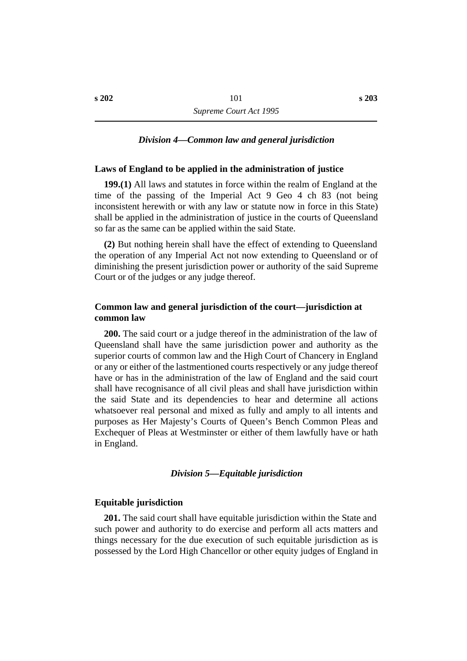### *†Division 4—Common law and general jurisdiction*

## **˙Laws of England to be applied in the administration of justice**

**199.(1)** All laws and statutes in force within the realm of England at the time of the passing of the Imperial Act 9 Geo 4 ch 83 (not being inconsistent herewith or with any law or statute now in force in this State) shall be applied in the administration of justice in the courts of Queensland so far as the same can be applied within the said State.

**(2)** But nothing herein shall have the effect of extending to Queensland the operation of any Imperial Act not now extending to Queensland or of diminishing the present jurisdiction power or authority of the said Supreme Court or of the judges or any judge thereof.

## **˙Common law and general jurisdiction of the court—jurisdiction at common law**

**200.** The said court or a judge thereof in the administration of the law of Queensland shall have the same jurisdiction power and authority as the superior courts of common law and the High Court of Chancery in England or any or either of the lastmentioned courts respectively or any judge thereof have or has in the administration of the law of England and the said court shall have recognisance of all civil pleas and shall have jurisdiction within the said State and its dependencies to hear and determine all actions whatsoever real personal and mixed as fully and amply to all intents and purposes as Her Majesty's Courts of Queen's Bench Common Pleas and Exchequer of Pleas at Westminster or either of them lawfully have or hath in England.

#### *†Division 5—Equitable jurisdiction*

#### **˙Equitable jurisdiction**

**201.** The said court shall have equitable jurisdiction within the State and such power and authority to do exercise and perform all acts matters and things necessary for the due execution of such equitable jurisdiction as is possessed by the Lord High Chancellor or other equity judges of England in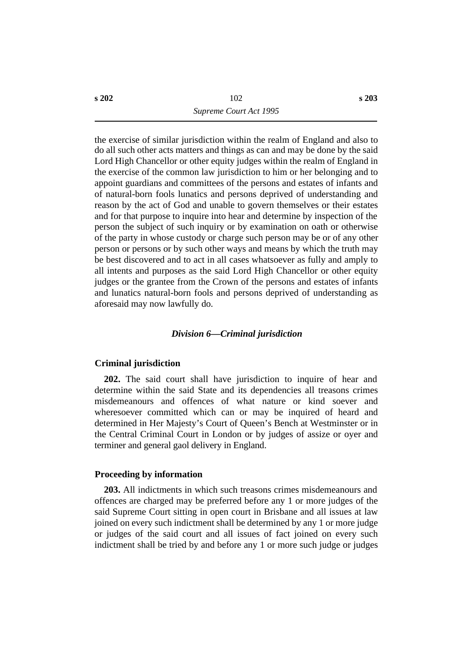the exercise of similar jurisdiction within the realm of England and also to do all such other acts matters and things as can and may be done by the said Lord High Chancellor or other equity judges within the realm of England in the exercise of the common law jurisdiction to him or her belonging and to appoint guardians and committees of the persons and estates of infants and of natural-born fools lunatics and persons deprived of understanding and reason by the act of God and unable to govern themselves or their estates and for that purpose to inquire into hear and determine by inspection of the person the subject of such inquiry or by examination on oath or otherwise of the party in whose custody or charge such person may be or of any other person or persons or by such other ways and means by which the truth may be best discovered and to act in all cases whatsoever as fully and amply to all intents and purposes as the said Lord High Chancellor or other equity judges or the grantee from the Crown of the persons and estates of infants and lunatics natural-born fools and persons deprived of understanding as aforesaid may now lawfully do.

## *†Division 6—Criminal jurisdiction*

### **˙Criminal jurisdiction**

**202.** The said court shall have jurisdiction to inquire of hear and determine within the said State and its dependencies all treasons crimes misdemeanours and offences of what nature or kind soever and wheresoever committed which can or may be inquired of heard and determined in Her Majesty's Court of Queen's Bench at Westminster or in the Central Criminal Court in London or by judges of assize or oyer and terminer and general gaol delivery in England.

## **˙Proceeding by information**

**203.** All indictments in which such treasons crimes misdemeanours and offences are charged may be preferred before any 1 or more judges of the said Supreme Court sitting in open court in Brisbane and all issues at law joined on every such indictment shall be determined by any 1 or more judge or judges of the said court and all issues of fact joined on every such indictment shall be tried by and before any 1 or more such judge or judges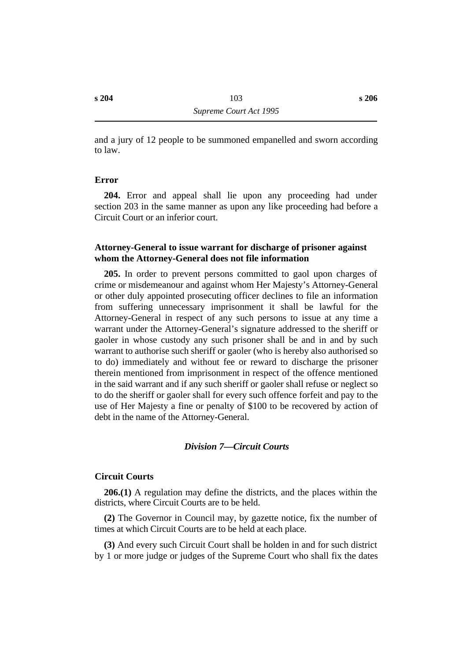and a jury of 12 people to be summoned empanelled and sworn according to law.

## **˙Error**

**204.** Error and appeal shall lie upon any proceeding had under section 203 in the same manner as upon any like proceeding had before a Circuit Court or an inferior court.

# **˙Attorney-General to issue warrant for discharge of prisoner against whom the Attorney-General does not file information**

**205.** In order to prevent persons committed to gaol upon charges of crime or misdemeanour and against whom Her Majesty's Attorney-General or other duly appointed prosecuting officer declines to file an information from suffering unnecessary imprisonment it shall be lawful for the Attorney-General in respect of any such persons to issue at any time a warrant under the Attorney-General's signature addressed to the sheriff or gaoler in whose custody any such prisoner shall be and in and by such warrant to authorise such sheriff or gaoler (who is hereby also authorised so to do) immediately and without fee or reward to discharge the prisoner therein mentioned from imprisonment in respect of the offence mentioned in the said warrant and if any such sheriff or gaoler shall refuse or neglect so to do the sheriff or gaoler shall for every such offence forfeit and pay to the use of Her Majesty a fine or penalty of \$100 to be recovered by action of debt in the name of the Attorney-General.

### *†Division 7—Circuit Courts*

## **˙Circuit Courts**

**206.(1)** A regulation may define the districts, and the places within the districts, where Circuit Courts are to be held.

**(2)** The Governor in Council may, by gazette notice, fix the number of times at which Circuit Courts are to be held at each place.

**(3)** And every such Circuit Court shall be holden in and for such district by 1 or more judge or judges of the Supreme Court who shall fix the dates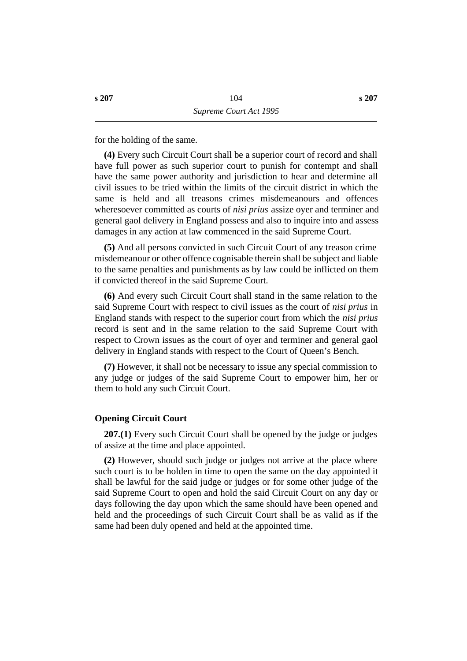for the holding of the same.

**(4)** Every such Circuit Court shall be a superior court of record and shall have full power as such superior court to punish for contempt and shall have the same power authority and jurisdiction to hear and determine all civil issues to be tried within the limits of the circuit district in which the same is held and all treasons crimes misdemeanours and offences wheresoever committed as courts of *nisi prius* assize oyer and terminer and general gaol delivery in England possess and also to inquire into and assess damages in any action at law commenced in the said Supreme Court.

**(5)** And all persons convicted in such Circuit Court of any treason crime misdemeanour or other offence cognisable therein shall be subject and liable to the same penalties and punishments as by law could be inflicted on them if convicted thereof in the said Supreme Court.

**(6)** And every such Circuit Court shall stand in the same relation to the said Supreme Court with respect to civil issues as the court of *nisi prius* in England stands with respect to the superior court from which the *nisi prius* record is sent and in the same relation to the said Supreme Court with respect to Crown issues as the court of oyer and terminer and general gaol delivery in England stands with respect to the Court of Queen's Bench.

**(7)** However, it shall not be necessary to issue any special commission to any judge or judges of the said Supreme Court to empower him, her or them to hold any such Circuit Court.

### **˙Opening Circuit Court**

**207.(1)** Every such Circuit Court shall be opened by the judge or judges of assize at the time and place appointed.

**(2)** However, should such judge or judges not arrive at the place where such court is to be holden in time to open the same on the day appointed it shall be lawful for the said judge or judges or for some other judge of the said Supreme Court to open and hold the said Circuit Court on any day or days following the day upon which the same should have been opened and held and the proceedings of such Circuit Court shall be as valid as if the same had been duly opened and held at the appointed time.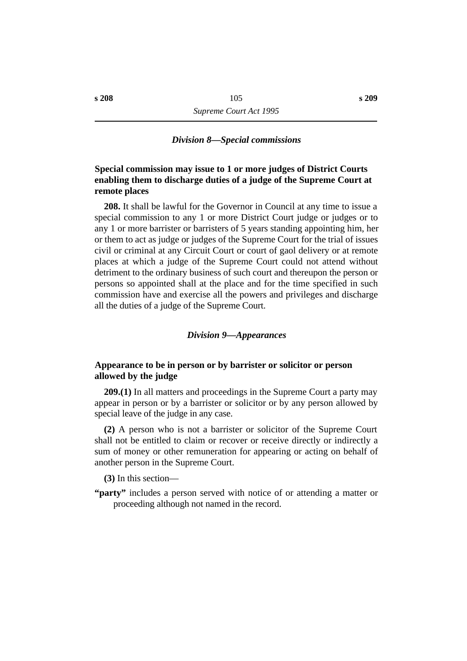## *†Division 8—Special commissions*

# **˙Special commission may issue to 1 or more judges of District Courts enabling them to discharge duties of a judge of the Supreme Court at remote places**

**208.** It shall be lawful for the Governor in Council at any time to issue a special commission to any 1 or more District Court judge or judges or to any 1 or more barrister or barristers of 5 years standing appointing him, her or them to act as judge or judges of the Supreme Court for the trial of issues civil or criminal at any Circuit Court or court of gaol delivery or at remote places at which a judge of the Supreme Court could not attend without detriment to the ordinary business of such court and thereupon the person or persons so appointed shall at the place and for the time specified in such commission have and exercise all the powers and privileges and discharge all the duties of a judge of the Supreme Court.

## *†Division 9—Appearances*

# **˙Appearance to be in person or by barrister or solicitor or person allowed by the judge**

**209.(1)** In all matters and proceedings in the Supreme Court a party may appear in person or by a barrister or solicitor or by any person allowed by special leave of the judge in any case.

**(2)** A person who is not a barrister or solicitor of the Supreme Court shall not be entitled to claim or recover or receive directly or indirectly a sum of money or other remuneration for appearing or acting on behalf of another person in the Supreme Court.

**(3)** In this section—

**"party"** includes a person served with notice of or attending a matter or proceeding although not named in the record.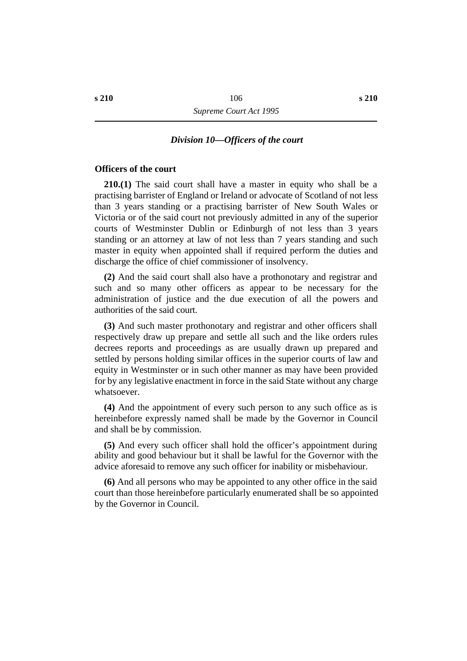## *†Division 10—Officers of the court*

#### **˙Officers of the court**

**210.(1)** The said court shall have a master in equity who shall be a practising barrister of England or Ireland or advocate of Scotland of not less than 3 years standing or a practising barrister of New South Wales or Victoria or of the said court not previously admitted in any of the superior courts of Westminster Dublin or Edinburgh of not less than 3 years standing or an attorney at law of not less than 7 years standing and such master in equity when appointed shall if required perform the duties and discharge the office of chief commissioner of insolvency.

**(2)** And the said court shall also have a prothonotary and registrar and such and so many other officers as appear to be necessary for the administration of justice and the due execution of all the powers and authorities of the said court.

**(3)** And such master prothonotary and registrar and other officers shall respectively draw up prepare and settle all such and the like orders rules decrees reports and proceedings as are usually drawn up prepared and settled by persons holding similar offices in the superior courts of law and equity in Westminster or in such other manner as may have been provided for by any legislative enactment in force in the said State without any charge whatsoever.

**(4)** And the appointment of every such person to any such office as is hereinbefore expressly named shall be made by the Governor in Council and shall be by commission.

**(5)** And every such officer shall hold the officer's appointment during ability and good behaviour but it shall be lawful for the Governor with the advice aforesaid to remove any such officer for inability or misbehaviour.

**(6)** And all persons who may be appointed to any other office in the said court than those hereinbefore particularly enumerated shall be so appointed by the Governor in Council.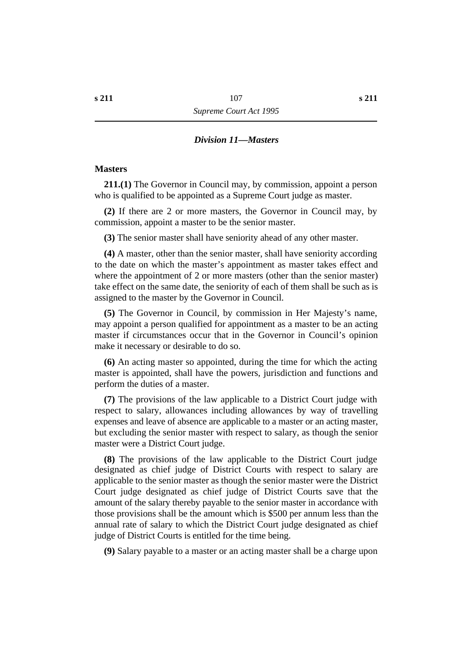#### *†Division 11—Masters*

#### **˙Masters**

**211.(1)** The Governor in Council may, by commission, appoint a person who is qualified to be appointed as a Supreme Court judge as master.

**(2)** If there are 2 or more masters, the Governor in Council may, by commission, appoint a master to be the senior master.

**(3)** The senior master shall have seniority ahead of any other master.

**(4)** A master, other than the senior master, shall have seniority according to the date on which the master's appointment as master takes effect and where the appointment of 2 or more masters (other than the senior master) take effect on the same date, the seniority of each of them shall be such as is assigned to the master by the Governor in Council.

**(5)** The Governor in Council, by commission in Her Majesty's name, may appoint a person qualified for appointment as a master to be an acting master if circumstances occur that in the Governor in Council's opinion make it necessary or desirable to do so.

**(6)** An acting master so appointed, during the time for which the acting master is appointed, shall have the powers, jurisdiction and functions and perform the duties of a master.

**(7)** The provisions of the law applicable to a District Court judge with respect to salary, allowances including allowances by way of travelling expenses and leave of absence are applicable to a master or an acting master, but excluding the senior master with respect to salary, as though the senior master were a District Court judge.

**(8)** The provisions of the law applicable to the District Court judge designated as chief judge of District Courts with respect to salary are applicable to the senior master as though the senior master were the District Court judge designated as chief judge of District Courts save that the amount of the salary thereby payable to the senior master in accordance with those provisions shall be the amount which is \$500 per annum less than the annual rate of salary to which the District Court judge designated as chief judge of District Courts is entitled for the time being.

**(9)** Salary payable to a master or an acting master shall be a charge upon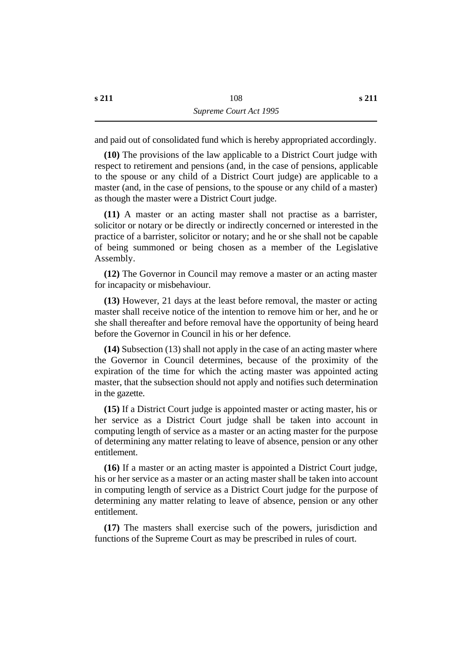and paid out of consolidated fund which is hereby appropriated accordingly.

**(10)** The provisions of the law applicable to a District Court judge with respect to retirement and pensions (and, in the case of pensions, applicable to the spouse or any child of a District Court judge) are applicable to a master (and, in the case of pensions, to the spouse or any child of a master) as though the master were a District Court judge.

**(11)** A master or an acting master shall not practise as a barrister, solicitor or notary or be directly or indirectly concerned or interested in the practice of a barrister, solicitor or notary; and he or she shall not be capable of being summoned or being chosen as a member of the Legislative Assembly.

**(12)** The Governor in Council may remove a master or an acting master for incapacity or misbehaviour.

**(13)** However, 21 days at the least before removal, the master or acting master shall receive notice of the intention to remove him or her, and he or she shall thereafter and before removal have the opportunity of being heard before the Governor in Council in his or her defence.

**(14)** Subsection (13) shall not apply in the case of an acting master where the Governor in Council determines, because of the proximity of the expiration of the time for which the acting master was appointed acting master, that the subsection should not apply and notifies such determination in the gazette.

**(15)** If a District Court judge is appointed master or acting master, his or her service as a District Court judge shall be taken into account in computing length of service as a master or an acting master for the purpose of determining any matter relating to leave of absence, pension or any other entitlement.

**(16)** If a master or an acting master is appointed a District Court judge, his or her service as a master or an acting master shall be taken into account in computing length of service as a District Court judge for the purpose of determining any matter relating to leave of absence, pension or any other entitlement.

**(17)** The masters shall exercise such of the powers, jurisdiction and functions of the Supreme Court as may be prescribed in rules of court.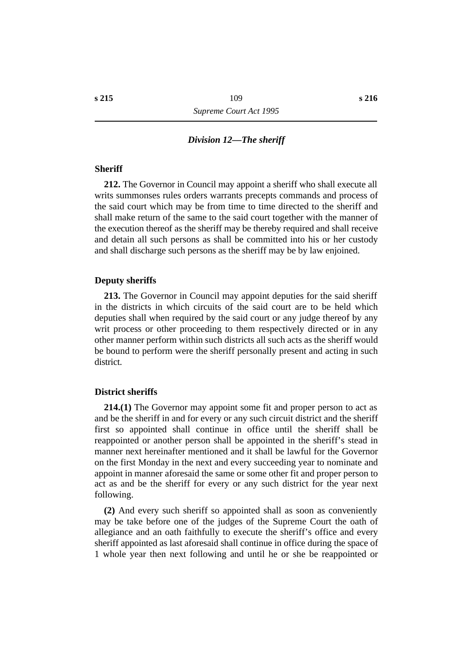# *†Division 12—The sheriff*

#### **˙Sheriff**

**212.** The Governor in Council may appoint a sheriff who shall execute all writs summonses rules orders warrants precepts commands and process of the said court which may be from time to time directed to the sheriff and shall make return of the same to the said court together with the manner of the execution thereof as the sheriff may be thereby required and shall receive and detain all such persons as shall be committed into his or her custody and shall discharge such persons as the sheriff may be by law enjoined.

#### **˙Deputy sheriffs**

**213.** The Governor in Council may appoint deputies for the said sheriff in the districts in which circuits of the said court are to be held which deputies shall when required by the said court or any judge thereof by any writ process or other proceeding to them respectively directed or in any other manner perform within such districts all such acts as the sheriff would be bound to perform were the sheriff personally present and acting in such district.

#### **˙District sheriffs**

**214.(1)** The Governor may appoint some fit and proper person to act as and be the sheriff in and for every or any such circuit district and the sheriff first so appointed shall continue in office until the sheriff shall be reappointed or another person shall be appointed in the sheriff's stead in manner next hereinafter mentioned and it shall be lawful for the Governor on the first Monday in the next and every succeeding year to nominate and appoint in manner aforesaid the same or some other fit and proper person to act as and be the sheriff for every or any such district for the year next following.

**(2)** And every such sheriff so appointed shall as soon as conveniently may be take before one of the judges of the Supreme Court the oath of allegiance and an oath faithfully to execute the sheriff's office and every sheriff appointed as last aforesaid shall continue in office during the space of 1 whole year then next following and until he or she be reappointed or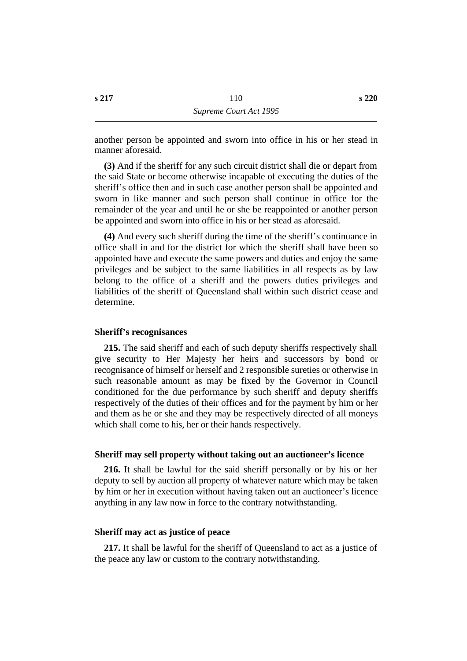**(3)** And if the sheriff for any such circuit district shall die or depart from the said State or become otherwise incapable of executing the duties of the sheriff's office then and in such case another person shall be appointed and sworn in like manner and such person shall continue in office for the remainder of the year and until he or she be reappointed or another person be appointed and sworn into office in his or her stead as aforesaid.

**(4)** And every such sheriff during the time of the sheriff's continuance in office shall in and for the district for which the sheriff shall have been so appointed have and execute the same powers and duties and enjoy the same privileges and be subject to the same liabilities in all respects as by law belong to the office of a sheriff and the powers duties privileges and liabilities of the sheriff of Queensland shall within such district cease and determine.

#### **˙Sheriff's recognisances**

**215.** The said sheriff and each of such deputy sheriffs respectively shall give security to Her Majesty her heirs and successors by bond or recognisance of himself or herself and 2 responsible sureties or otherwise in such reasonable amount as may be fixed by the Governor in Council conditioned for the due performance by such sheriff and deputy sheriffs respectively of the duties of their offices and for the payment by him or her and them as he or she and they may be respectively directed of all moneys which shall come to his, her or their hands respectively.

#### **˙Sheriff may sell property without taking out an auctioneer's licence**

**216.** It shall be lawful for the said sheriff personally or by his or her deputy to sell by auction all property of whatever nature which may be taken by him or her in execution without having taken out an auctioneer's licence anything in any law now in force to the contrary notwithstanding.

#### **˙Sheriff may act as justice of peace**

**217.** It shall be lawful for the sheriff of Queensland to act as a justice of the peace any law or custom to the contrary notwithstanding.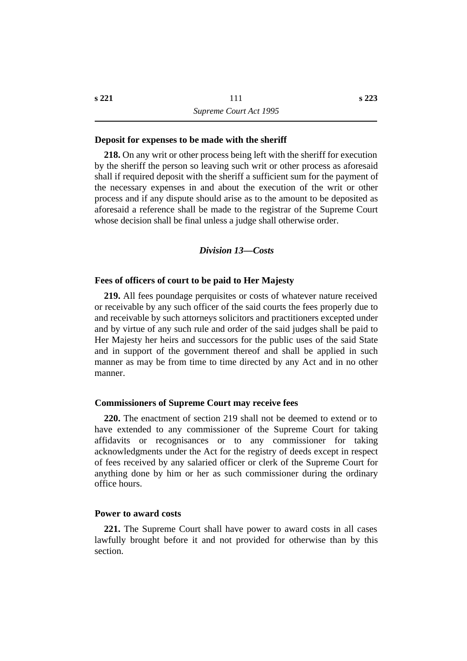#### **˙Deposit for expenses to be made with the sheriff**

**218.** On any writ or other process being left with the sheriff for execution by the sheriff the person so leaving such writ or other process as aforesaid shall if required deposit with the sheriff a sufficient sum for the payment of the necessary expenses in and about the execution of the writ or other process and if any dispute should arise as to the amount to be deposited as aforesaid a reference shall be made to the registrar of the Supreme Court whose decision shall be final unless a judge shall otherwise order.

#### *†Division 13—Costs*

#### **˙Fees of officers of court to be paid to Her Majesty**

**219.** All fees poundage perquisites or costs of whatever nature received or receivable by any such officer of the said courts the fees properly due to and receivable by such attorneys solicitors and practitioners excepted under and by virtue of any such rule and order of the said judges shall be paid to Her Majesty her heirs and successors for the public uses of the said State and in support of the government thereof and shall be applied in such manner as may be from time to time directed by any Act and in no other manner.

# **˙Commissioners of Supreme Court may receive fees**

**220.** The enactment of section 219 shall not be deemed to extend or to have extended to any commissioner of the Supreme Court for taking affidavits or recognisances or to any commissioner for taking acknowledgments under the Act for the registry of deeds except in respect of fees received by any salaried officer or clerk of the Supreme Court for anything done by him or her as such commissioner during the ordinary office hours.

#### **˙Power to award costs**

**221.** The Supreme Court shall have power to award costs in all cases lawfully brought before it and not provided for otherwise than by this section.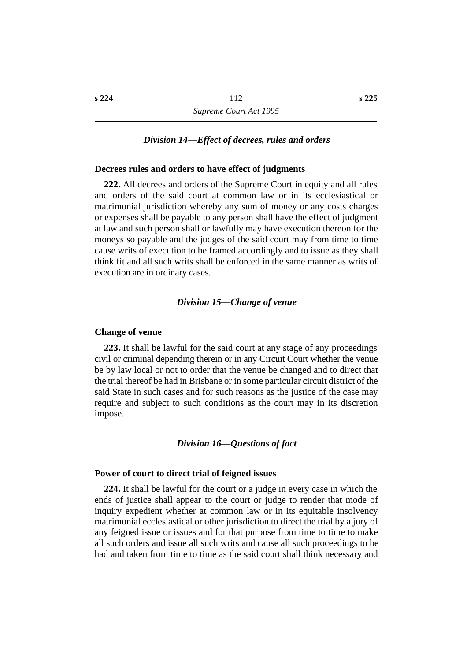# *†Division 14—Effect of decrees, rules and orders*

#### **˙Decrees rules and orders to have effect of judgments**

**222.** All decrees and orders of the Supreme Court in equity and all rules and orders of the said court at common law or in its ecclesiastical or matrimonial jurisdiction whereby any sum of money or any costs charges or expenses shall be payable to any person shall have the effect of judgment at law and such person shall or lawfully may have execution thereon for the moneys so payable and the judges of the said court may from time to time cause writs of execution to be framed accordingly and to issue as they shall think fit and all such writs shall be enforced in the same manner as writs of execution are in ordinary cases.

#### *†Division 15—Change of venue*

#### **˙Change of venue**

**223.** It shall be lawful for the said court at any stage of any proceedings civil or criminal depending therein or in any Circuit Court whether the venue be by law local or not to order that the venue be changed and to direct that the trial thereof be had in Brisbane or in some particular circuit district of the said State in such cases and for such reasons as the justice of the case may require and subject to such conditions as the court may in its discretion impose.

#### *†Division 16—Questions of fact*

#### **˙Power of court to direct trial of feigned issues**

**224.** It shall be lawful for the court or a judge in every case in which the ends of justice shall appear to the court or judge to render that mode of inquiry expedient whether at common law or in its equitable insolvency matrimonial ecclesiastical or other jurisdiction to direct the trial by a jury of any feigned issue or issues and for that purpose from time to time to make all such orders and issue all such writs and cause all such proceedings to be had and taken from time to time as the said court shall think necessary and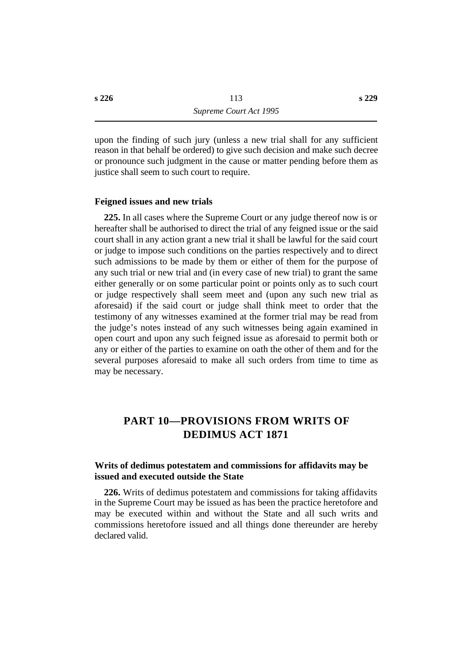upon the finding of such jury (unless a new trial shall for any sufficient reason in that behalf be ordered) to give such decision and make such decree or pronounce such judgment in the cause or matter pending before them as justice shall seem to such court to require.

#### **˙Feigned issues and new trials**

**225.** In all cases where the Supreme Court or any judge thereof now is or hereafter shall be authorised to direct the trial of any feigned issue or the said court shall in any action grant a new trial it shall be lawful for the said court or judge to impose such conditions on the parties respectively and to direct such admissions to be made by them or either of them for the purpose of any such trial or new trial and (in every case of new trial) to grant the same either generally or on some particular point or points only as to such court or judge respectively shall seem meet and (upon any such new trial as aforesaid) if the said court or judge shall think meet to order that the testimony of any witnesses examined at the former trial may be read from the judge's notes instead of any such witnesses being again examined in open court and upon any such feigned issue as aforesaid to permit both or any or either of the parties to examine on oath the other of them and for the several purposes aforesaid to make all such orders from time to time as may be necessary.

# **†PART 10—PROVISIONS FROM WRITS OF DEDIMUS ACT 1871**

# **˙Writs of dedimus potestatem and commissions for affidavits may be issued and executed outside the State**

**226.** Writs of dedimus potestatem and commissions for taking affidavits in the Supreme Court may be issued as has been the practice heretofore and may be executed within and without the State and all such writs and commissions heretofore issued and all things done thereunder are hereby declared valid.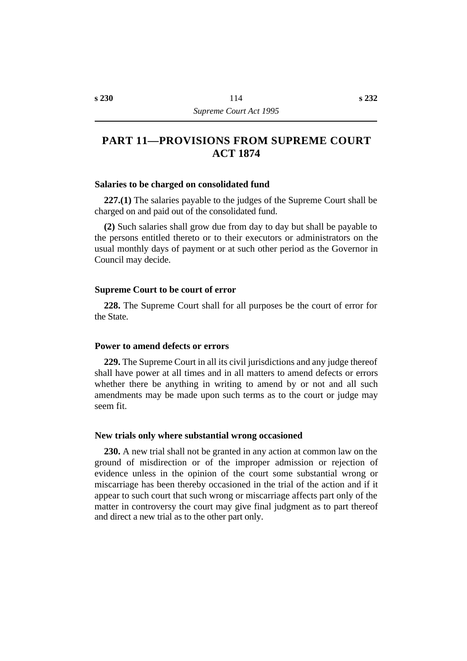# **†PART 11—PROVISIONS FROM SUPREME COURT ACT 1874**

#### **˙Salaries to be charged on consolidated fund**

**227.(1)** The salaries payable to the judges of the Supreme Court shall be charged on and paid out of the consolidated fund.

**(2)** Such salaries shall grow due from day to day but shall be payable to the persons entitled thereto or to their executors or administrators on the usual monthly days of payment or at such other period as the Governor in Council may decide.

#### **˙Supreme Court to be court of error**

**228.** The Supreme Court shall for all purposes be the court of error for the State.

#### **˙Power to amend defects or errors**

**229.** The Supreme Court in all its civil jurisdictions and any judge thereof shall have power at all times and in all matters to amend defects or errors whether there be anything in writing to amend by or not and all such amendments may be made upon such terms as to the court or judge may seem fit.

#### **˙New trials only where substantial wrong occasioned**

**230.** A new trial shall not be granted in any action at common law on the ground of misdirection or of the improper admission or rejection of evidence unless in the opinion of the court some substantial wrong or miscarriage has been thereby occasioned in the trial of the action and if it appear to such court that such wrong or miscarriage affects part only of the matter in controversy the court may give final judgment as to part thereof and direct a new trial as to the other part only.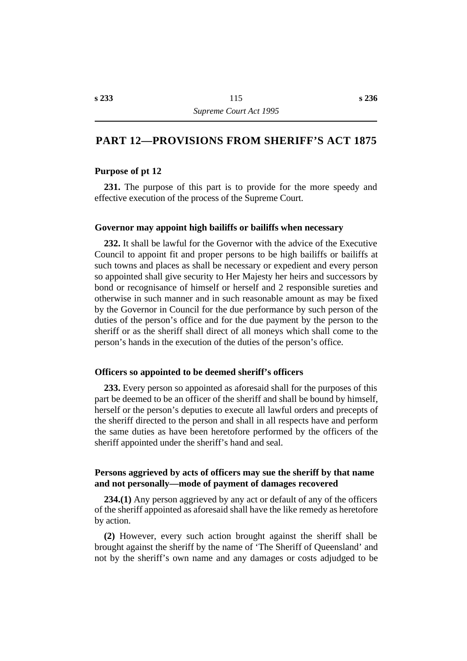# **†PART 12—PROVISIONS FROM SHERIFF'S ACT 1875**

#### **˙Purpose of pt 12**

**231.** The purpose of this part is to provide for the more speedy and effective execution of the process of the Supreme Court.

#### **˙Governor may appoint high bailiffs or bailiffs when necessary**

**232.** It shall be lawful for the Governor with the advice of the Executive Council to appoint fit and proper persons to be high bailiffs or bailiffs at such towns and places as shall be necessary or expedient and every person so appointed shall give security to Her Majesty her heirs and successors by bond or recognisance of himself or herself and 2 responsible sureties and otherwise in such manner and in such reasonable amount as may be fixed by the Governor in Council for the due performance by such person of the duties of the person's office and for the due payment by the person to the sheriff or as the sheriff shall direct of all moneys which shall come to the person's hands in the execution of the duties of the person's office.

#### **˙Officers so appointed to be deemed sheriff's officers**

**233.** Every person so appointed as aforesaid shall for the purposes of this part be deemed to be an officer of the sheriff and shall be bound by himself, herself or the person's deputies to execute all lawful orders and precepts of the sheriff directed to the person and shall in all respects have and perform the same duties as have been heretofore performed by the officers of the sheriff appointed under the sheriff's hand and seal.

## **˙Persons aggrieved by acts of officers may sue the sheriff by that name and not personally—mode of payment of damages recovered**

**234.(1)** Any person aggrieved by any act or default of any of the officers of the sheriff appointed as aforesaid shall have the like remedy as heretofore by action.

**(2)** However, every such action brought against the sheriff shall be brought against the sheriff by the name of 'The Sheriff of Queensland' and not by the sheriff's own name and any damages or costs adjudged to be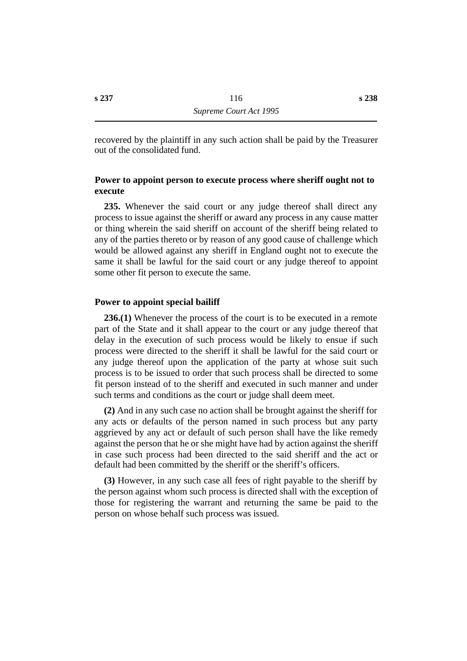recovered by the plaintiff in any such action shall be paid by the Treasurer out of the consolidated fund.

# **˙Power to appoint person to execute process where sheriff ought not to execute**

**235.** Whenever the said court or any judge thereof shall direct any process to issue against the sheriff or award any process in any cause matter or thing wherein the said sheriff on account of the sheriff being related to any of the parties thereto or by reason of any good cause of challenge which would be allowed against any sheriff in England ought not to execute the same it shall be lawful for the said court or any judge thereof to appoint some other fit person to execute the same.

### **˙Power to appoint special bailiff**

**236.(1)** Whenever the process of the court is to be executed in a remote part of the State and it shall appear to the court or any judge thereof that delay in the execution of such process would be likely to ensue if such process were directed to the sheriff it shall be lawful for the said court or any judge thereof upon the application of the party at whose suit such process is to be issued to order that such process shall be directed to some fit person instead of to the sheriff and executed in such manner and under such terms and conditions as the court or judge shall deem meet.

**(2)** And in any such case no action shall be brought against the sheriff for any acts or defaults of the person named in such process but any party aggrieved by any act or default of such person shall have the like remedy against the person that he or she might have had by action against the sheriff in case such process had been directed to the said sheriff and the act or default had been committed by the sheriff or the sheriff's officers.

**(3)** However, in any such case all fees of right payable to the sheriff by the person against whom such process is directed shall with the exception of those for registering the warrant and returning the same be paid to the person on whose behalf such process was issued.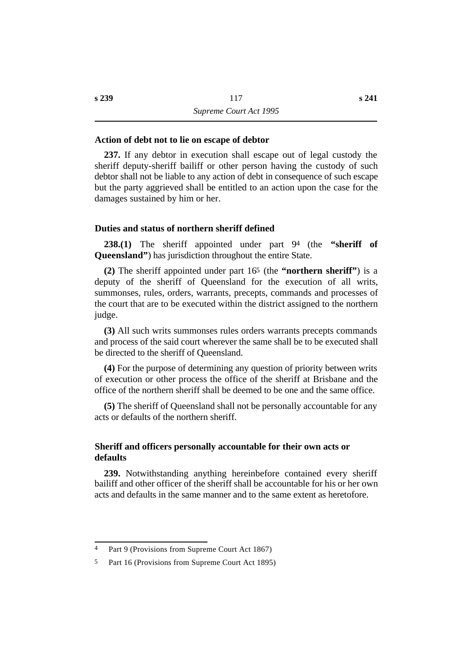#### **˙Action of debt not to lie on escape of debtor**

**237.** If any debtor in execution shall escape out of legal custody the sheriff deputy-sheriff bailiff or other person having the custody of such debtor shall not be liable to any action of debt in consequence of such escape but the party aggrieved shall be entitled to an action upon the case for the damages sustained by him or her.

### **˙Duties and status of northern sheriff defined**

**238.(1)** The sheriff appointed under part 94 (the **"sheriff of Queensland"**) has jurisdiction throughout the entire State.

**(2)** The sheriff appointed under part 165 (the **"northern sheriff"**) is a deputy of the sheriff of Queensland for the execution of all writs, summonses, rules, orders, warrants, precepts, commands and processes of the court that are to be executed within the district assigned to the northern judge.

**(3)** All such writs summonses rules orders warrants precepts commands and process of the said court wherever the same shall be to be executed shall be directed to the sheriff of Queensland.

**(4)** For the purpose of determining any question of priority between writs of execution or other process the office of the sheriff at Brisbane and the office of the northern sheriff shall be deemed to be one and the same office.

**(5)** The sheriff of Queensland shall not be personally accountable for any acts or defaults of the northern sheriff.

# **˙Sheriff and officers personally accountable for their own acts or defaults**

**239.** Notwithstanding anything hereinbefore contained every sheriff bailiff and other officer of the sheriff shall be accountable for his or her own acts and defaults in the same manner and to the same extent as heretofore.

<sup>4</sup> Part 9 (Provisions from Supreme Court Act 1867)

<sup>5</sup> Part 16 (Provisions from Supreme Court Act 1895)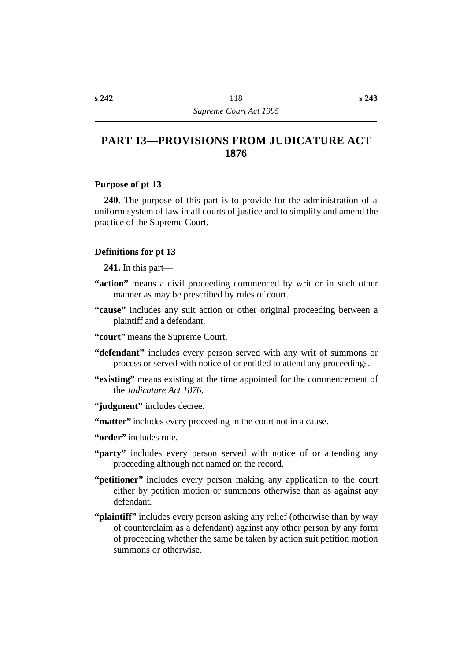# **†PART 13—PROVISIONS FROM JUDICATURE ACT 1876**

### **˙Purpose of pt 13**

**240.** The purpose of this part is to provide for the administration of a uniform system of law in all courts of justice and to simplify and amend the practice of the Supreme Court.

### **˙Definitions for pt 13**

**241.** In this part—

- **"action"** means a civil proceeding commenced by writ or in such other manner as may be prescribed by rules of court.
- **"cause"** includes any suit action or other original proceeding between a plaintiff and a defendant.
- **"court"** means the Supreme Court.
- **"defendant"** includes every person served with any writ of summons or process or served with notice of or entitled to attend any proceedings.
- **"existing"** means existing at the time appointed for the commencement of the *Judicature Act 1876*.
- **"judgment"** includes decree.
- **"matter"** includes every proceeding in the court not in a cause.
- **"order"** includes rule.
- "party" includes every person served with notice of or attending any proceeding although not named on the record.
- **"petitioner"** includes every person making any application to the court either by petition motion or summons otherwise than as against any defendant.
- **"plaintiff"** includes every person asking any relief (otherwise than by way of counterclaim as a defendant) against any other person by any form of proceeding whether the same be taken by action suit petition motion summons or otherwise.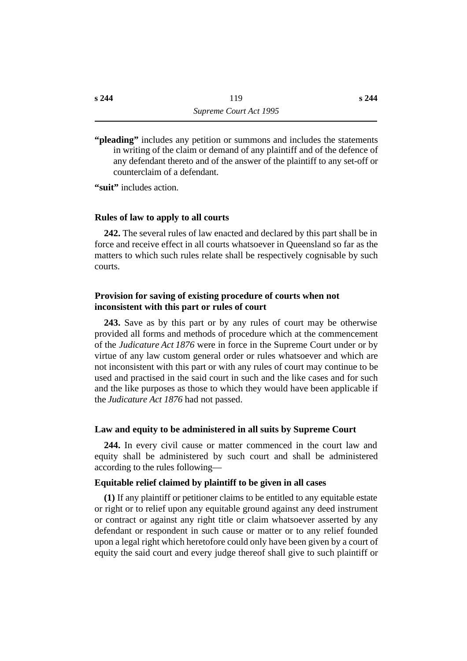**"pleading"** includes any petition or summons and includes the statements in writing of the claim or demand of any plaintiff and of the defence of any defendant thereto and of the answer of the plaintiff to any set-off or counterclaim of a defendant.

**"suit"** includes action.

#### **˙Rules of law to apply to all courts**

**242.** The several rules of law enacted and declared by this part shall be in force and receive effect in all courts whatsoever in Queensland so far as the matters to which such rules relate shall be respectively cognisable by such courts.

# **˙Provision for saving of existing procedure of courts when not inconsistent with this part or rules of court**

**243.** Save as by this part or by any rules of court may be otherwise provided all forms and methods of procedure which at the commencement of the *Judicature Act 1876* were in force in the Supreme Court under or by virtue of any law custom general order or rules whatsoever and which are not inconsistent with this part or with any rules of court may continue to be used and practised in the said court in such and the like cases and for such and the like purposes as those to which they would have been applicable if the *Judicature Act 1876* had not passed.

#### **˙Law and equity to be administered in all suits by Supreme Court**

**244.** In every civil cause or matter commenced in the court law and equity shall be administered by such court and shall be administered according to the rules following—

# **Equitable relief claimed by plaintiff to be given in all cases**

**(1)** If any plaintiff or petitioner claims to be entitled to any equitable estate or right or to relief upon any equitable ground against any deed instrument or contract or against any right title or claim whatsoever asserted by any defendant or respondent in such cause or matter or to any relief founded upon a legal right which heretofore could only have been given by a court of equity the said court and every judge thereof shall give to such plaintiff or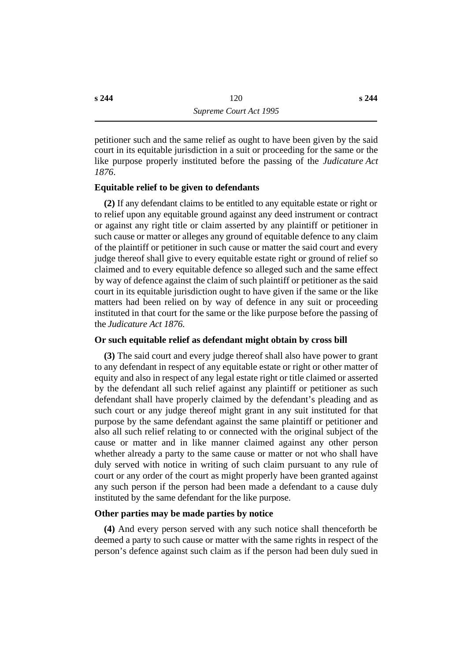petitioner such and the same relief as ought to have been given by the said court in its equitable jurisdiction in a suit or proceeding for the same or the like purpose properly instituted before the passing of the *Judicature Act*

# **Equitable relief to be given to defendants**

**(2)** If any defendant claims to be entitled to any equitable estate or right or to relief upon any equitable ground against any deed instrument or contract or against any right title or claim asserted by any plaintiff or petitioner in such cause or matter or alleges any ground of equitable defence to any claim of the plaintiff or petitioner in such cause or matter the said court and every judge thereof shall give to every equitable estate right or ground of relief so claimed and to every equitable defence so alleged such and the same effect by way of defence against the claim of such plaintiff or petitioner as the said court in its equitable jurisdiction ought to have given if the same or the like matters had been relied on by way of defence in any suit or proceeding instituted in that court for the same or the like purpose before the passing of the *Judicature Act 1876*.

#### **Or such equitable relief as defendant might obtain by cross bill**

**(3)** The said court and every judge thereof shall also have power to grant to any defendant in respect of any equitable estate or right or other matter of equity and also in respect of any legal estate right or title claimed or asserted by the defendant all such relief against any plaintiff or petitioner as such defendant shall have properly claimed by the defendant's pleading and as such court or any judge thereof might grant in any suit instituted for that purpose by the same defendant against the same plaintiff or petitioner and also all such relief relating to or connected with the original subject of the cause or matter and in like manner claimed against any other person whether already a party to the same cause or matter or not who shall have duly served with notice in writing of such claim pursuant to any rule of court or any order of the court as might properly have been granted against any such person if the person had been made a defendant to a cause duly instituted by the same defendant for the like purpose.

## **Other parties may be made parties by notice**

**(4)** And every person served with any such notice shall thenceforth be deemed a party to such cause or matter with the same rights in respect of the person's defence against such claim as if the person had been duly sued in

*1876*.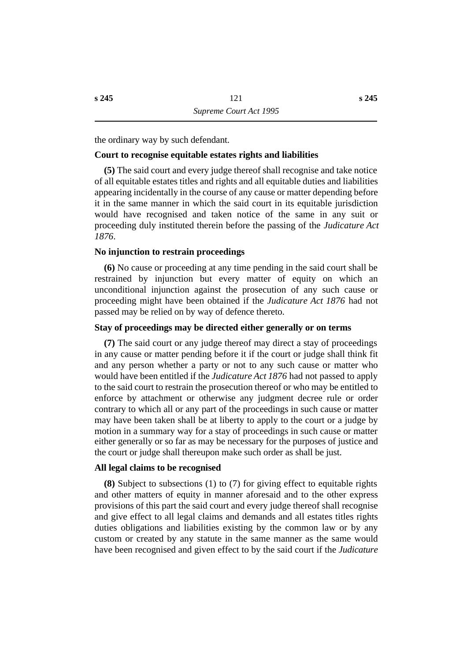the ordinary way by such defendant.

# **Court to recognise equitable estates rights and liabilities**

**(5)** The said court and every judge thereof shall recognise and take notice of all equitable estates titles and rights and all equitable duties and liabilities appearing incidentally in the course of any cause or matter depending before it in the same manner in which the said court in its equitable jurisdiction would have recognised and taken notice of the same in any suit or proceeding duly instituted therein before the passing of the *Judicature Act 1876*.

### **No injunction to restrain proceedings**

**(6)** No cause or proceeding at any time pending in the said court shall be restrained by injunction but every matter of equity on which an unconditional injunction against the prosecution of any such cause or proceeding might have been obtained if the *Judicature Act 1876* had not passed may be relied on by way of defence thereto.

### **Stay of proceedings may be directed either generally or on terms**

**(7)** The said court or any judge thereof may direct a stay of proceedings in any cause or matter pending before it if the court or judge shall think fit and any person whether a party or not to any such cause or matter who would have been entitled if the *Judicature Act 1876* had not passed to apply to the said court to restrain the prosecution thereof or who may be entitled to enforce by attachment or otherwise any judgment decree rule or order contrary to which all or any part of the proceedings in such cause or matter may have been taken shall be at liberty to apply to the court or a judge by motion in a summary way for a stay of proceedings in such cause or matter either generally or so far as may be necessary for the purposes of justice and the court or judge shall thereupon make such order as shall be just.

#### **All legal claims to be recognised**

**(8)** Subject to subsections (1) to (7) for giving effect to equitable rights and other matters of equity in manner aforesaid and to the other express provisions of this part the said court and every judge thereof shall recognise and give effect to all legal claims and demands and all estates titles rights duties obligations and liabilities existing by the common law or by any custom or created by any statute in the same manner as the same would have been recognised and given effect to by the said court if the *Judicature*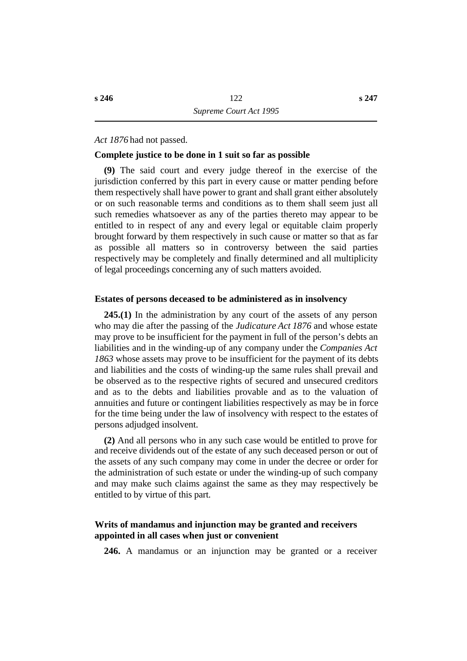*Act 1876* had not passed.

#### **Complete justice to be done in 1 suit so far as possible**

**(9)** The said court and every judge thereof in the exercise of the jurisdiction conferred by this part in every cause or matter pending before them respectively shall have power to grant and shall grant either absolutely or on such reasonable terms and conditions as to them shall seem just all such remedies whatsoever as any of the parties thereto may appear to be entitled to in respect of any and every legal or equitable claim properly brought forward by them respectively in such cause or matter so that as far as possible all matters so in controversy between the said parties respectively may be completely and finally determined and all multiplicity of legal proceedings concerning any of such matters avoided.

#### **˙Estates of persons deceased to be administered as in insolvency**

**245.(1)** In the administration by any court of the assets of any person who may die after the passing of the *Judicature Act 1876* and whose estate may prove to be insufficient for the payment in full of the person's debts an liabilities and in the winding-up of any company under the *Companies Act 1863* whose assets may prove to be insufficient for the payment of its debts and liabilities and the costs of winding-up the same rules shall prevail and be observed as to the respective rights of secured and unsecured creditors and as to the debts and liabilities provable and as to the valuation of annuities and future or contingent liabilities respectively as may be in force for the time being under the law of insolvency with respect to the estates of persons adjudged insolvent.

**(2)** And all persons who in any such case would be entitled to prove for and receive dividends out of the estate of any such deceased person or out of the assets of any such company may come in under the decree or order for the administration of such estate or under the winding-up of such company and may make such claims against the same as they may respectively be entitled to by virtue of this part.

# **˙Writs of mandamus and injunction may be granted and receivers appointed in all cases when just or convenient**

**246.** A mandamus or an injunction may be granted or a receiver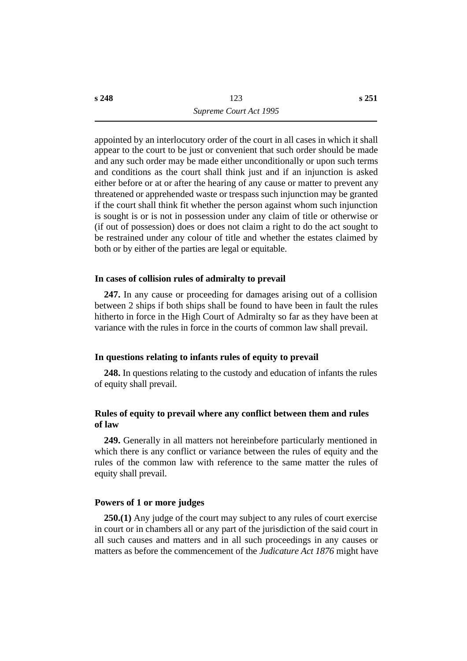appointed by an interlocutory order of the court in all cases in which it shall appear to the court to be just or convenient that such order should be made and any such order may be made either unconditionally or upon such terms and conditions as the court shall think just and if an injunction is asked either before or at or after the hearing of any cause or matter to prevent any threatened or apprehended waste or trespass such injunction may be granted if the court shall think fit whether the person against whom such injunction is sought is or is not in possession under any claim of title or otherwise or (if out of possession) does or does not claim a right to do the act sought to be restrained under any colour of title and whether the estates claimed by both or by either of the parties are legal or equitable.

### **˙In cases of collision rules of admiralty to prevail**

**247.** In any cause or proceeding for damages arising out of a collision between 2 ships if both ships shall be found to have been in fault the rules hitherto in force in the High Court of Admiralty so far as they have been at variance with the rules in force in the courts of common law shall prevail.

#### **˙In questions relating to infants rules of equity to prevail**

**248.** In questions relating to the custody and education of infants the rules of equity shall prevail.

# **˙Rules of equity to prevail where any conflict between them and rules of law**

**249.** Generally in all matters not hereinbefore particularly mentioned in which there is any conflict or variance between the rules of equity and the rules of the common law with reference to the same matter the rules of equity shall prevail.

#### **˙Powers of 1 or more judges**

**250.(1)** Any judge of the court may subject to any rules of court exercise in court or in chambers all or any part of the jurisdiction of the said court in all such causes and matters and in all such proceedings in any causes or matters as before the commencement of the *Judicature Act 1876* might have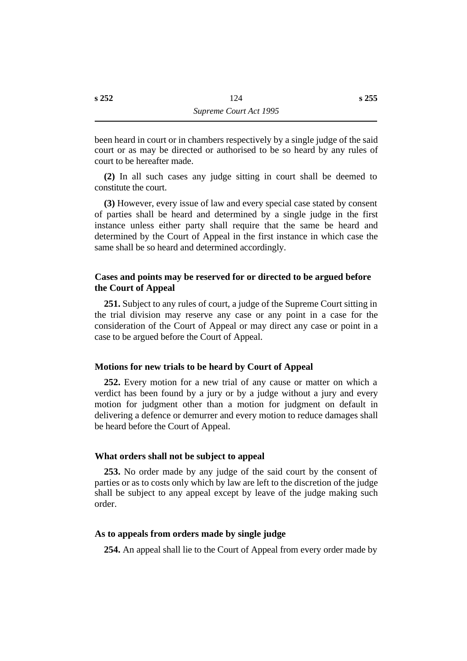been heard in court or in chambers respectively by a single judge of the said court or as may be directed or authorised to be so heard by any rules of court to be hereafter made.

**(2)** In all such cases any judge sitting in court shall be deemed to constitute the court.

**(3)** However, every issue of law and every special case stated by consent of parties shall be heard and determined by a single judge in the first instance unless either party shall require that the same be heard and determined by the Court of Appeal in the first instance in which case the same shall be so heard and determined accordingly.

# **˙Cases and points may be reserved for or directed to be argued before the Court of Appeal**

**251.** Subject to any rules of court, a judge of the Supreme Court sitting in the trial division may reserve any case or any point in a case for the consideration of the Court of Appeal or may direct any case or point in a case to be argued before the Court of Appeal.

# **˙Motions for new trials to be heard by Court of Appeal**

**252.** Every motion for a new trial of any cause or matter on which a verdict has been found by a jury or by a judge without a jury and every motion for judgment other than a motion for judgment on default in delivering a defence or demurrer and every motion to reduce damages shall be heard before the Court of Appeal.

## **˙What orders shall not be subject to appeal**

**253.** No order made by any judge of the said court by the consent of parties or as to costs only which by law are left to the discretion of the judge shall be subject to any appeal except by leave of the judge making such order.

## **˙As to appeals from orders made by single judge**

**254.** An appeal shall lie to the Court of Appeal from every order made by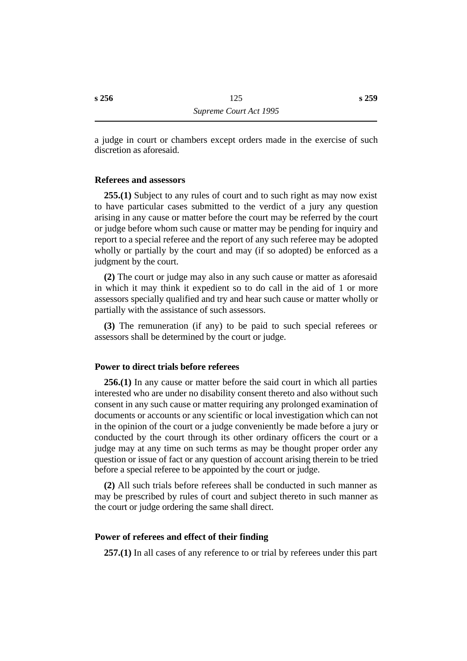a judge in court or chambers except orders made in the exercise of such discretion as aforesaid.

### **˙Referees and assessors**

**255.(1)** Subject to any rules of court and to such right as may now exist to have particular cases submitted to the verdict of a jury any question arising in any cause or matter before the court may be referred by the court or judge before whom such cause or matter may be pending for inquiry and report to a special referee and the report of any such referee may be adopted wholly or partially by the court and may (if so adopted) be enforced as a judgment by the court.

**(2)** The court or judge may also in any such cause or matter as aforesaid in which it may think it expedient so to do call in the aid of 1 or more assessors specially qualified and try and hear such cause or matter wholly or partially with the assistance of such assessors.

**(3)** The remuneration (if any) to be paid to such special referees or assessors shall be determined by the court or judge.

### **˙Power to direct trials before referees**

**256.(1)** In any cause or matter before the said court in which all parties interested who are under no disability consent thereto and also without such consent in any such cause or matter requiring any prolonged examination of documents or accounts or any scientific or local investigation which can not in the opinion of the court or a judge conveniently be made before a jury or conducted by the court through its other ordinary officers the court or a judge may at any time on such terms as may be thought proper order any question or issue of fact or any question of account arising therein to be tried before a special referee to be appointed by the court or judge.

**(2)** All such trials before referees shall be conducted in such manner as may be prescribed by rules of court and subject thereto in such manner as the court or judge ordering the same shall direct.

#### **˙Power of referees and effect of their finding**

**257.(1)** In all cases of any reference to or trial by referees under this part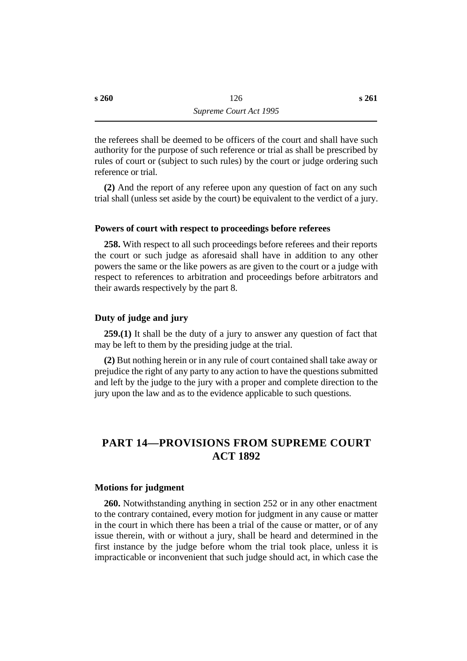the referees shall be deemed to be officers of the court and shall have such authority for the purpose of such reference or trial as shall be prescribed by rules of court or (subject to such rules) by the court or judge ordering such reference or trial.

**(2)** And the report of any referee upon any question of fact on any such trial shall (unless set aside by the court) be equivalent to the verdict of a jury.

#### **˙Powers of court with respect to proceedings before referees**

**258.** With respect to all such proceedings before referees and their reports the court or such judge as aforesaid shall have in addition to any other powers the same or the like powers as are given to the court or a judge with respect to references to arbitration and proceedings before arbitrators and their awards respectively by the part 8.

#### **˙Duty of judge and jury**

**259.(1)** It shall be the duty of a jury to answer any question of fact that may be left to them by the presiding judge at the trial.

**(2)** But nothing herein or in any rule of court contained shall take away or prejudice the right of any party to any action to have the questions submitted and left by the judge to the jury with a proper and complete direction to the jury upon the law and as to the evidence applicable to such questions.

# **†PART 14—PROVISIONS FROM SUPREME COURT ACT 1892**

#### **˙Motions for judgment**

**260.** Notwithstanding anything in section 252 or in any other enactment to the contrary contained, every motion for judgment in any cause or matter in the court in which there has been a trial of the cause or matter, or of any issue therein, with or without a jury, shall be heard and determined in the first instance by the judge before whom the trial took place, unless it is impracticable or inconvenient that such judge should act, in which case the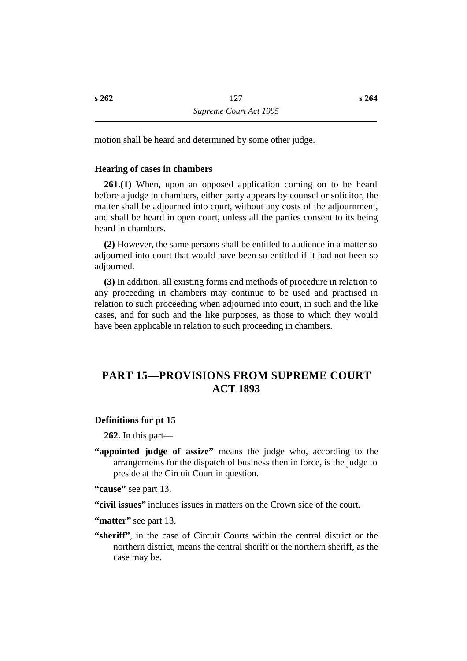motion shall be heard and determined by some other judge.

## **˙Hearing of cases in chambers**

**261.(1)** When, upon an opposed application coming on to be heard before a judge in chambers, either party appears by counsel or solicitor, the matter shall be adjourned into court, without any costs of the adjournment, and shall be heard in open court, unless all the parties consent to its being heard in chambers.

**(2)** However, the same persons shall be entitled to audience in a matter so adjourned into court that would have been so entitled if it had not been so adiourned.

**(3)** In addition, all existing forms and methods of procedure in relation to any proceeding in chambers may continue to be used and practised in relation to such proceeding when adjourned into court, in such and the like cases, and for such and the like purposes, as those to which they would have been applicable in relation to such proceeding in chambers.

# **†PART 15—PROVISIONS FROM SUPREME COURT ACT 1893**

## **˙Definitions for pt 15**

**262.** In this part—

- **"appointed judge of assize"** means the judge who, according to the arrangements for the dispatch of business then in force, is the judge to preside at the Circuit Court in question.
- "cause" see part 13.

**"civil issues"** includes issues in matters on the Crown side of the court.

**"matter"** see part 13.

**"sheriff"**, in the case of Circuit Courts within the central district or the northern district, means the central sheriff or the northern sheriff, as the case may be.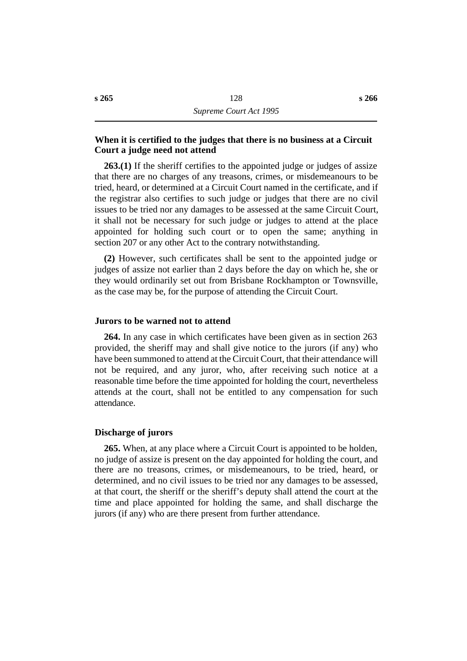# **˙When it is certified to the judges that there is no business at a Circuit Court a judge need not attend**

**263.(1)** If the sheriff certifies to the appointed judge or judges of assize that there are no charges of any treasons, crimes, or misdemeanours to be tried, heard, or determined at a Circuit Court named in the certificate, and if the registrar also certifies to such judge or judges that there are no civil issues to be tried nor any damages to be assessed at the same Circuit Court, it shall not be necessary for such judge or judges to attend at the place appointed for holding such court or to open the same; anything in section 207 or any other Act to the contrary notwithstanding.

**(2)** However, such certificates shall be sent to the appointed judge or judges of assize not earlier than 2 days before the day on which he, she or they would ordinarily set out from Brisbane Rockhampton or Townsville, as the case may be, for the purpose of attending the Circuit Court.

#### **˙Jurors to be warned not to attend**

**264.** In any case in which certificates have been given as in section 263 provided, the sheriff may and shall give notice to the jurors (if any) who have been summoned to attend at the Circuit Court, that their attendance will not be required, and any juror, who, after receiving such notice at a reasonable time before the time appointed for holding the court, nevertheless attends at the court, shall not be entitled to any compensation for such attendance.

#### **˙Discharge of jurors**

**265.** When, at any place where a Circuit Court is appointed to be holden, no judge of assize is present on the day appointed for holding the court, and there are no treasons, crimes, or misdemeanours, to be tried, heard, or determined, and no civil issues to be tried nor any damages to be assessed, at that court, the sheriff or the sheriff's deputy shall attend the court at the time and place appointed for holding the same, and shall discharge the jurors (if any) who are there present from further attendance.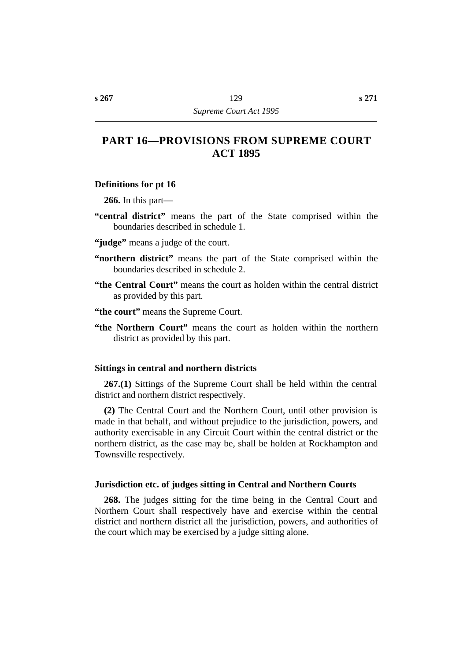# **†PART 16—PROVISIONS FROM SUPREME COURT ACT 1895**

### **˙Definitions for pt 16**

**266.** In this part—

- **"central district"** means the part of the State comprised within the boundaries described in schedule 1.
- **"judge"** means a judge of the court.
- **"northern district"** means the part of the State comprised within the boundaries described in schedule 2.
- **"the Central Court"** means the court as holden within the central district as provided by this part.
- **"the court"** means the Supreme Court.
- **"the Northern Court"** means the court as holden within the northern district as provided by this part.

### **˙Sittings in central and northern districts**

**267.(1)** Sittings of the Supreme Court shall be held within the central district and northern district respectively.

**(2)** The Central Court and the Northern Court, until other provision is made in that behalf, and without prejudice to the jurisdiction, powers, and authority exercisable in any Circuit Court within the central district or the northern district, as the case may be, shall be holden at Rockhampton and Townsville respectively.

#### **˙Jurisdiction etc. of judges sitting in Central and Northern Courts**

**268.** The judges sitting for the time being in the Central Court and Northern Court shall respectively have and exercise within the central district and northern district all the jurisdiction, powers, and authorities of the court which may be exercised by a judge sitting alone.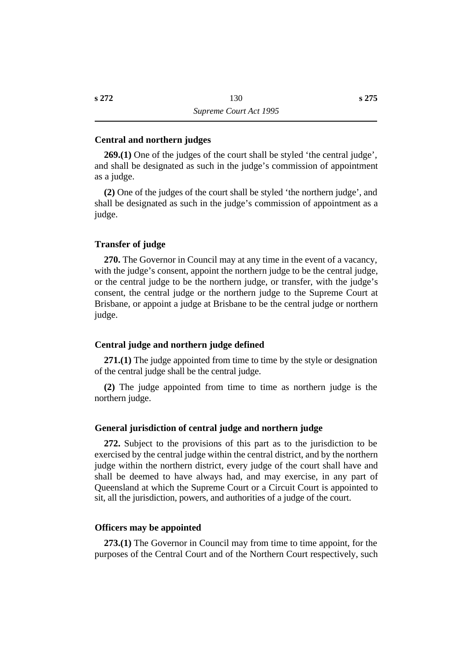### **˙Central and northern judges**

**269.(1)** One of the judges of the court shall be styled 'the central judge', and shall be designated as such in the judge's commission of appointment as a judge.

**(2)** One of the judges of the court shall be styled 'the northern judge', and shall be designated as such in the judge's commission of appointment as a judge.

### **˙Transfer of judge**

**270.** The Governor in Council may at any time in the event of a vacancy, with the judge's consent, appoint the northern judge to be the central judge, or the central judge to be the northern judge, or transfer, with the judge's consent, the central judge or the northern judge to the Supreme Court at Brisbane, or appoint a judge at Brisbane to be the central judge or northern judge.

#### **˙Central judge and northern judge defined**

**271.(1)** The judge appointed from time to time by the style or designation of the central judge shall be the central judge.

**(2)** The judge appointed from time to time as northern judge is the northern judge.

### **˙General jurisdiction of central judge and northern judge**

**272.** Subject to the provisions of this part as to the jurisdiction to be exercised by the central judge within the central district, and by the northern judge within the northern district, every judge of the court shall have and shall be deemed to have always had, and may exercise, in any part of Queensland at which the Supreme Court or a Circuit Court is appointed to sit, all the jurisdiction, powers, and authorities of a judge of the court.

#### **˙Officers may be appointed**

**273.(1)** The Governor in Council may from time to time appoint, for the purposes of the Central Court and of the Northern Court respectively, such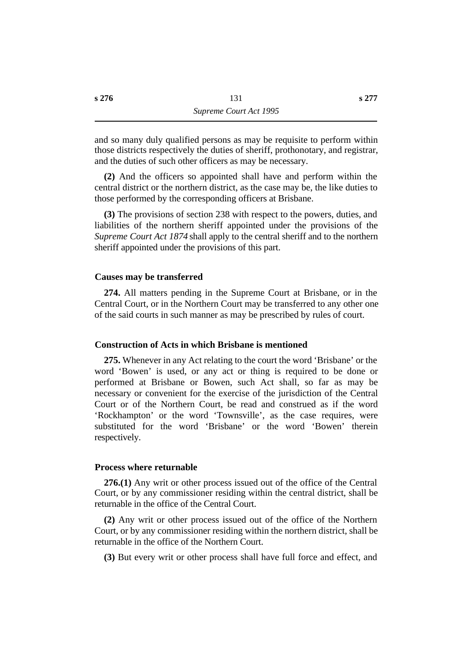and so many duly qualified persons as may be requisite to perform within those districts respectively the duties of sheriff, prothonotary, and registrar, and the duties of such other officers as may be necessary.

**(2)** And the officers so appointed shall have and perform within the central district or the northern district, as the case may be, the like duties to those performed by the corresponding officers at Brisbane.

**(3)** The provisions of section 238 with respect to the powers, duties, and liabilities of the northern sheriff appointed under the provisions of the *Supreme Court Act 1874* shall apply to the central sheriff and to the northern sheriff appointed under the provisions of this part.

### **˙Causes may be transferred**

**274.** All matters pending in the Supreme Court at Brisbane, or in the Central Court, or in the Northern Court may be transferred to any other one of the said courts in such manner as may be prescribed by rules of court.

#### **˙Construction of Acts in which Brisbane is mentioned**

**275.** Whenever in any Act relating to the court the word 'Brisbane' or the word 'Bowen' is used, or any act or thing is required to be done or performed at Brisbane or Bowen, such Act shall, so far as may be necessary or convenient for the exercise of the jurisdiction of the Central Court or of the Northern Court, be read and construed as if the word 'Rockhampton' or the word 'Townsville', as the case requires, were substituted for the word 'Brisbane' or the word 'Bowen' therein respectively.

#### **˙Process where returnable**

**276.(1)** Any writ or other process issued out of the office of the Central Court, or by any commissioner residing within the central district, shall be returnable in the office of the Central Court.

**(2)** Any writ or other process issued out of the office of the Northern Court, or by any commissioner residing within the northern district, shall be returnable in the office of the Northern Court.

**(3)** But every writ or other process shall have full force and effect, and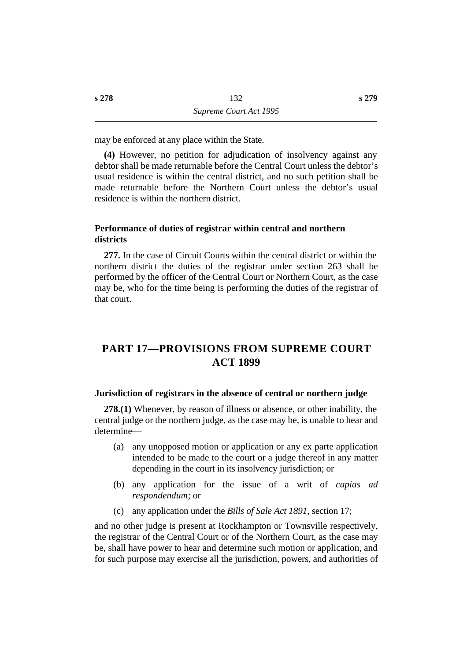may be enforced at any place within the State.

**(4)** However, no petition for adjudication of insolvency against any debtor shall be made returnable before the Central Court unless the debtor's usual residence is within the central district, and no such petition shall be made returnable before the Northern Court unless the debtor's usual residence is within the northern district.

# **˙Performance of duties of registrar within central and northern districts**

**277.** In the case of Circuit Courts within the central district or within the northern district the duties of the registrar under section 263 shall be performed by the officer of the Central Court or Northern Court, as the case may be, who for the time being is performing the duties of the registrar of that court.

# **†PART 17—PROVISIONS FROM SUPREME COURT ACT 1899**

## **˙Jurisdiction of registrars in the absence of central or northern judge**

**278.(1)** Whenever, by reason of illness or absence, or other inability, the central judge or the northern judge, as the case may be, is unable to hear and determine—

- (a) any unopposed motion or application or any ex parte application intended to be made to the court or a judge thereof in any matter depending in the court in its insolvency jurisdiction; or
- (b) any application for the issue of a writ of *capias ad respondendum*; or
- (c) any application under the *Bills of Sale Act 1891*, section 17;

and no other judge is present at Rockhampton or Townsville respectively, the registrar of the Central Court or of the Northern Court, as the case may be, shall have power to hear and determine such motion or application, and for such purpose may exercise all the jurisdiction, powers, and authorities of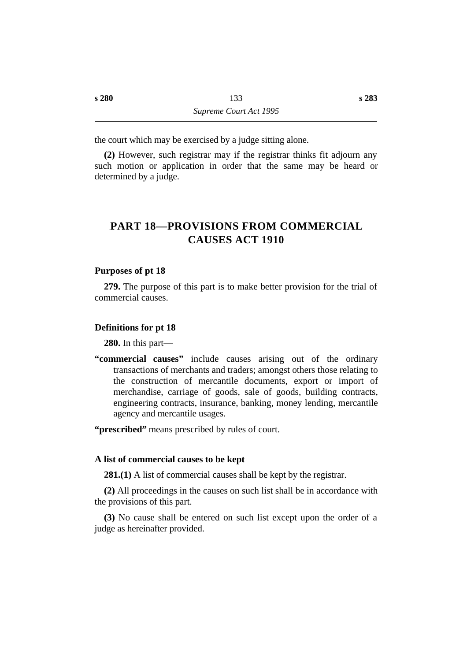the court which may be exercised by a judge sitting alone.

**(2)** However, such registrar may if the registrar thinks fit adjourn any such motion or application in order that the same may be heard or determined by a judge.

# **†PART 18—PROVISIONS FROM COMMERCIAL CAUSES ACT 1910**

### **˙Purposes of pt 18**

**279.** The purpose of this part is to make better provision for the trial of commercial causes.

#### **˙Definitions for pt 18**

**280.** In this part—

**"commercial causes"** include causes arising out of the ordinary transactions of merchants and traders; amongst others those relating to the construction of mercantile documents, export or import of merchandise, carriage of goods, sale of goods, building contracts, engineering contracts, insurance, banking, money lending, mercantile agency and mercantile usages.

**"prescribed"** means prescribed by rules of court.

#### **˙A list of commercial causes to be kept**

**281.(1)** A list of commercial causes shall be kept by the registrar.

**(2)** All proceedings in the causes on such list shall be in accordance with the provisions of this part.

**(3)** No cause shall be entered on such list except upon the order of a judge as hereinafter provided.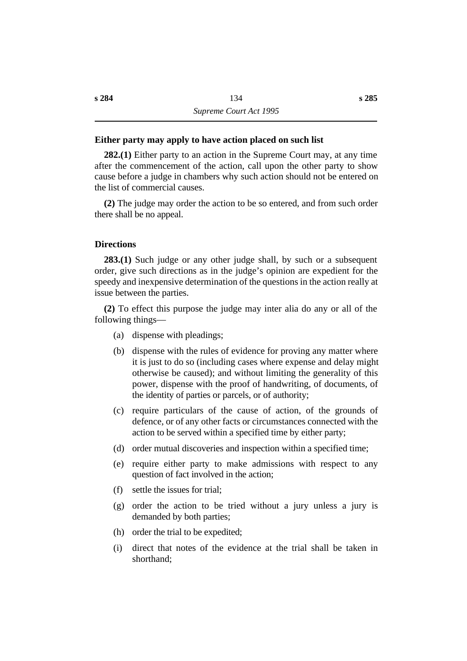# **˙Either party may apply to have action placed on such list**

**282.(1)** Either party to an action in the Supreme Court may, at any time after the commencement of the action, call upon the other party to show cause before a judge in chambers why such action should not be entered on the list of commercial causes.

**(2)** The judge may order the action to be so entered, and from such order there shall be no appeal.

### **˙Directions**

**283.(1)** Such judge or any other judge shall, by such or a subsequent order, give such directions as in the judge's opinion are expedient for the speedy and inexpensive determination of the questions in the action really at issue between the parties.

**(2)** To effect this purpose the judge may inter alia do any or all of the following things—

- (a) dispense with pleadings;
- (b) dispense with the rules of evidence for proving any matter where it is just to do so (including cases where expense and delay might otherwise be caused); and without limiting the generality of this power, dispense with the proof of handwriting, of documents, of the identity of parties or parcels, or of authority;
- (c) require particulars of the cause of action, of the grounds of defence, or of any other facts or circumstances connected with the action to be served within a specified time by either party;
- (d) order mutual discoveries and inspection within a specified time;
- (e) require either party to make admissions with respect to any question of fact involved in the action;
- (f) settle the issues for trial;
- (g) order the action to be tried without a jury unless a jury is demanded by both parties;
- (h) order the trial to be expedited;
- (i) direct that notes of the evidence at the trial shall be taken in shorthand;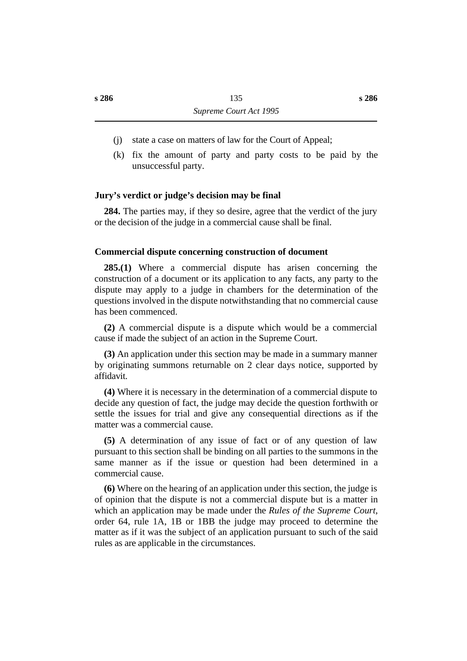- (j) state a case on matters of law for the Court of Appeal;
- (k) fix the amount of party and party costs to be paid by the unsuccessful party.

# **˙Jury's verdict or judge's decision may be final**

**284.** The parties may, if they so desire, agree that the verdict of the jury or the decision of the judge in a commercial cause shall be final.

## **˙Commercial dispute concerning construction of document**

**285.(1)** Where a commercial dispute has arisen concerning the construction of a document or its application to any facts, any party to the dispute may apply to a judge in chambers for the determination of the questions involved in the dispute notwithstanding that no commercial cause has been commenced.

**(2)** A commercial dispute is a dispute which would be a commercial cause if made the subject of an action in the Supreme Court.

**(3)** An application under this section may be made in a summary manner by originating summons returnable on 2 clear days notice, supported by affidavit.

**(4)** Where it is necessary in the determination of a commercial dispute to decide any question of fact, the judge may decide the question forthwith or settle the issues for trial and give any consequential directions as if the matter was a commercial cause.

**(5)** A determination of any issue of fact or of any question of law pursuant to this section shall be binding on all parties to the summons in the same manner as if the issue or question had been determined in a commercial cause.

**(6)** Where on the hearing of an application under this section, the judge is of opinion that the dispute is not a commercial dispute but is a matter in which an application may be made under the *Rules of the Supreme Court*, order 64, rule 1A, 1B or 1BB the judge may proceed to determine the matter as if it was the subject of an application pursuant to such of the said rules as are applicable in the circumstances.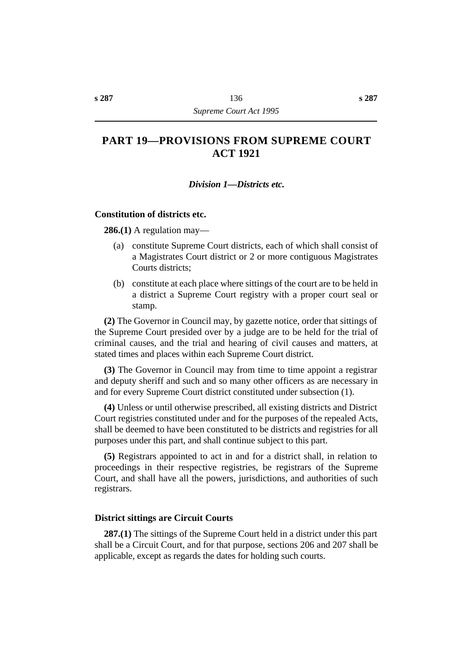# **†PART 19—PROVISIONS FROM SUPREME COURT ACT 1921**

### *†Division 1—Districts etc.*

#### **˙Constitution of districts etc.**

**286.(1)** A regulation may—

- (a) constitute Supreme Court districts, each of which shall consist of a Magistrates Court district or 2 or more contiguous Magistrates Courts districts;
- (b) constitute at each place where sittings of the court are to be held in a district a Supreme Court registry with a proper court seal or stamp.

**(2)** The Governor in Council may, by gazette notice, order that sittings of the Supreme Court presided over by a judge are to be held for the trial of criminal causes, and the trial and hearing of civil causes and matters, at stated times and places within each Supreme Court district.

**(3)** The Governor in Council may from time to time appoint a registrar and deputy sheriff and such and so many other officers as are necessary in and for every Supreme Court district constituted under subsection (1).

**(4)** Unless or until otherwise prescribed, all existing districts and District Court registries constituted under and for the purposes of the repealed Acts, shall be deemed to have been constituted to be districts and registries for all purposes under this part, and shall continue subject to this part.

**(5)** Registrars appointed to act in and for a district shall, in relation to proceedings in their respective registries, be registrars of the Supreme Court, and shall have all the powers, jurisdictions, and authorities of such registrars.

#### **˙District sittings are Circuit Courts**

**287.(1)** The sittings of the Supreme Court held in a district under this part shall be a Circuit Court, and for that purpose, sections 206 and 207 shall be applicable, except as regards the dates for holding such courts.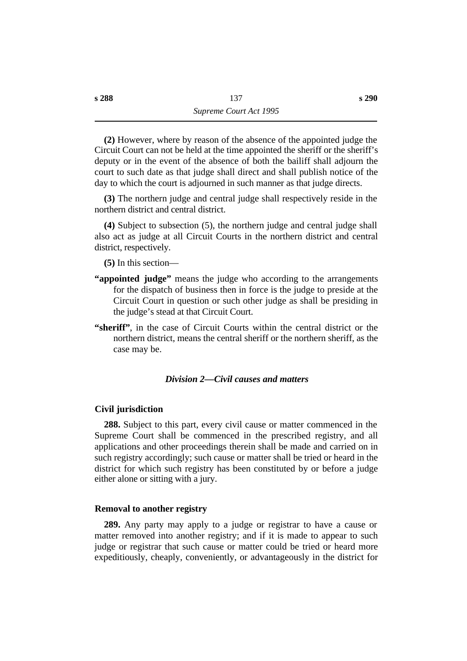**(2)** However, where by reason of the absence of the appointed judge the Circuit Court can not be held at the time appointed the sheriff or the sheriff's deputy or in the event of the absence of both the bailiff shall adjourn the court to such date as that judge shall direct and shall publish notice of the day to which the court is adjourned in such manner as that judge directs.

**(3)** The northern judge and central judge shall respectively reside in the northern district and central district.

**(4)** Subject to subsection (5), the northern judge and central judge shall also act as judge at all Circuit Courts in the northern district and central district, respectively.

**(5)** In this section—

- **"appointed judge"** means the judge who according to the arrangements for the dispatch of business then in force is the judge to preside at the Circuit Court in question or such other judge as shall be presiding in the judge's stead at that Circuit Court.
- **"sheriff"**, in the case of Circuit Courts within the central district or the northern district, means the central sheriff or the northern sheriff, as the case may be.

# *†Division 2—Civil causes and matters*

#### **˙Civil jurisdiction**

**288.** Subject to this part, every civil cause or matter commenced in the Supreme Court shall be commenced in the prescribed registry, and all applications and other proceedings therein shall be made and carried on in such registry accordingly; such cause or matter shall be tried or heard in the district for which such registry has been constituted by or before a judge either alone or sitting with a jury.

#### **˙Removal to another registry**

**289.** Any party may apply to a judge or registrar to have a cause or matter removed into another registry; and if it is made to appear to such judge or registrar that such cause or matter could be tried or heard more expeditiously, cheaply, conveniently, or advantageously in the district for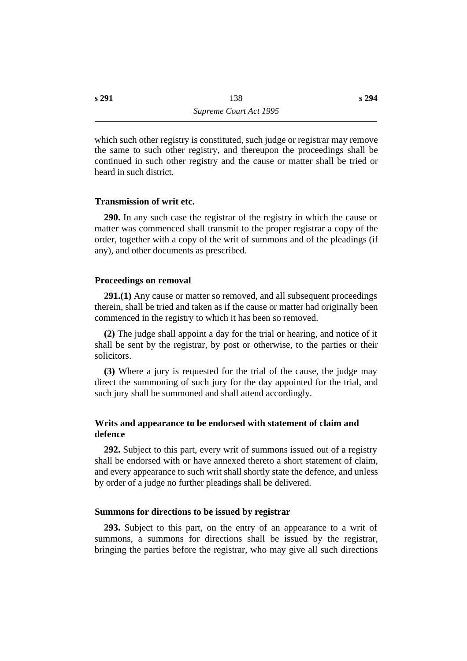which such other registry is constituted, such judge or registrar may remove the same to such other registry, and thereupon the proceedings shall be continued in such other registry and the cause or matter shall be tried or heard in such district.

#### **˙Transmission of writ etc.**

**290.** In any such case the registrar of the registry in which the cause or matter was commenced shall transmit to the proper registrar a copy of the order, together with a copy of the writ of summons and of the pleadings (if any), and other documents as prescribed.

#### **˙Proceedings on removal**

**291.(1)** Any cause or matter so removed, and all subsequent proceedings therein, shall be tried and taken as if the cause or matter had originally been commenced in the registry to which it has been so removed.

**(2)** The judge shall appoint a day for the trial or hearing, and notice of it shall be sent by the registrar, by post or otherwise, to the parties or their solicitors.

**(3)** Where a jury is requested for the trial of the cause, the judge may direct the summoning of such jury for the day appointed for the trial, and such jury shall be summoned and shall attend accordingly.

# **˙Writs and appearance to be endorsed with statement of claim and defence**

**292.** Subject to this part, every writ of summons issued out of a registry shall be endorsed with or have annexed thereto a short statement of claim, and every appearance to such writ shall shortly state the defence, and unless by order of a judge no further pleadings shall be delivered.

#### **˙Summons for directions to be issued by registrar**

**293.** Subject to this part, on the entry of an appearance to a writ of summons, a summons for directions shall be issued by the registrar, bringing the parties before the registrar, who may give all such directions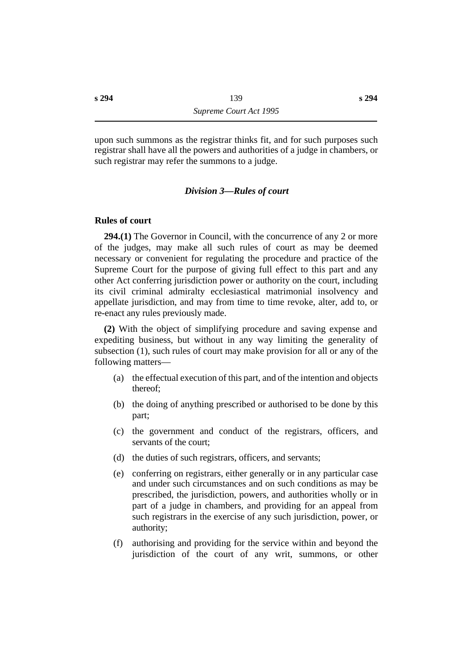upon such summons as the registrar thinks fit, and for such purposes such registrar shall have all the powers and authorities of a judge in chambers, or such registrar may refer the summons to a judge.

### *†Division 3—Rules of court*

#### **˙Rules of court**

**294.(1)** The Governor in Council, with the concurrence of any 2 or more of the judges, may make all such rules of court as may be deemed necessary or convenient for regulating the procedure and practice of the Supreme Court for the purpose of giving full effect to this part and any other Act conferring jurisdiction power or authority on the court, including its civil criminal admiralty ecclesiastical matrimonial insolvency and appellate jurisdiction, and may from time to time revoke, alter, add to, or re-enact any rules previously made.

**(2)** With the object of simplifying procedure and saving expense and expediting business, but without in any way limiting the generality of subsection (1), such rules of court may make provision for all or any of the following matters—

- (a) the effectual execution of this part, and of the intention and objects thereof;
- (b) the doing of anything prescribed or authorised to be done by this part;
- (c) the government and conduct of the registrars, officers, and servants of the court;
- (d) the duties of such registrars, officers, and servants;
- (e) conferring on registrars, either generally or in any particular case and under such circumstances and on such conditions as may be prescribed, the jurisdiction, powers, and authorities wholly or in part of a judge in chambers, and providing for an appeal from such registrars in the exercise of any such jurisdiction, power, or authority;
- (f) authorising and providing for the service within and beyond the jurisdiction of the court of any writ, summons, or other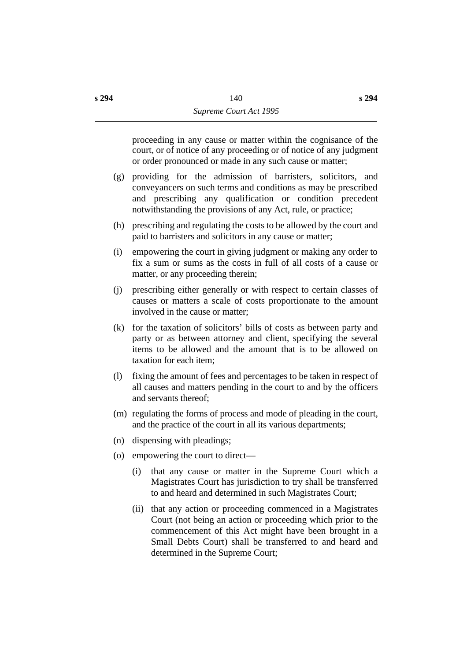proceeding in any cause or matter within the cognisance of the court, or of notice of any proceeding or of notice of any judgment or order pronounced or made in any such cause or matter;

- (g) providing for the admission of barristers, solicitors, and conveyancers on such terms and conditions as may be prescribed and prescribing any qualification or condition precedent notwithstanding the provisions of any Act, rule, or practice;
- (h) prescribing and regulating the costs to be allowed by the court and paid to barristers and solicitors in any cause or matter;
- (i) empowering the court in giving judgment or making any order to fix a sum or sums as the costs in full of all costs of a cause or matter, or any proceeding therein;
- (j) prescribing either generally or with respect to certain classes of causes or matters a scale of costs proportionate to the amount involved in the cause or matter;
- (k) for the taxation of solicitors' bills of costs as between party and party or as between attorney and client, specifying the several items to be allowed and the amount that is to be allowed on taxation for each item;
- (l) fixing the amount of fees and percentages to be taken in respect of all causes and matters pending in the court to and by the officers and servants thereof;
- (m) regulating the forms of process and mode of pleading in the court, and the practice of the court in all its various departments;
- (n) dispensing with pleadings;
- (o) empowering the court to direct—
	- (i) that any cause or matter in the Supreme Court which a Magistrates Court has jurisdiction to try shall be transferred to and heard and determined in such Magistrates Court;
	- (ii) that any action or proceeding commenced in a Magistrates Court (not being an action or proceeding which prior to the commencement of this Act might have been brought in a Small Debts Court) shall be transferred to and heard and determined in the Supreme Court;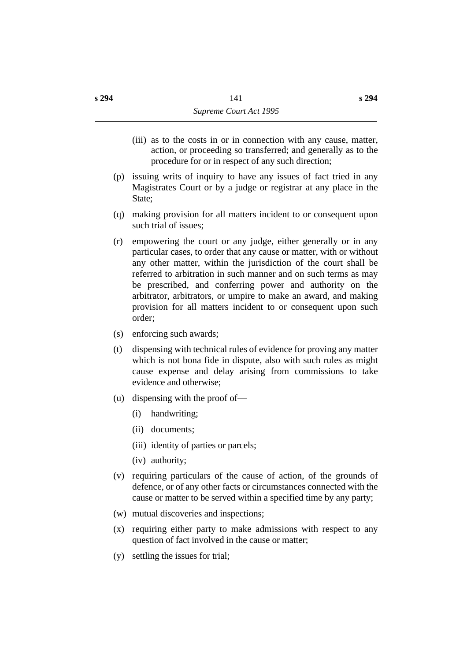- (iii) as to the costs in or in connection with any cause, matter, action, or proceeding so transferred; and generally as to the procedure for or in respect of any such direction;
- (p) issuing writs of inquiry to have any issues of fact tried in any Magistrates Court or by a judge or registrar at any place in the State:
- (q) making provision for all matters incident to or consequent upon such trial of issues;
- (r) empowering the court or any judge, either generally or in any particular cases, to order that any cause or matter, with or without any other matter, within the jurisdiction of the court shall be referred to arbitration in such manner and on such terms as may be prescribed, and conferring power and authority on the arbitrator, arbitrators, or umpire to make an award, and making provision for all matters incident to or consequent upon such order;
- (s) enforcing such awards;
- (t) dispensing with technical rules of evidence for proving any matter which is not bona fide in dispute, also with such rules as might cause expense and delay arising from commissions to take evidence and otherwise;
- (u) dispensing with the proof of—
	- (i) handwriting;
	- (ii) documents;
	- (iii) identity of parties or parcels;
	- (iv) authority;
- (v) requiring particulars of the cause of action, of the grounds of defence, or of any other facts or circumstances connected with the cause or matter to be served within a specified time by any party;
- (w) mutual discoveries and inspections;
- (x) requiring either party to make admissions with respect to any question of fact involved in the cause or matter;
- (y) settling the issues for trial;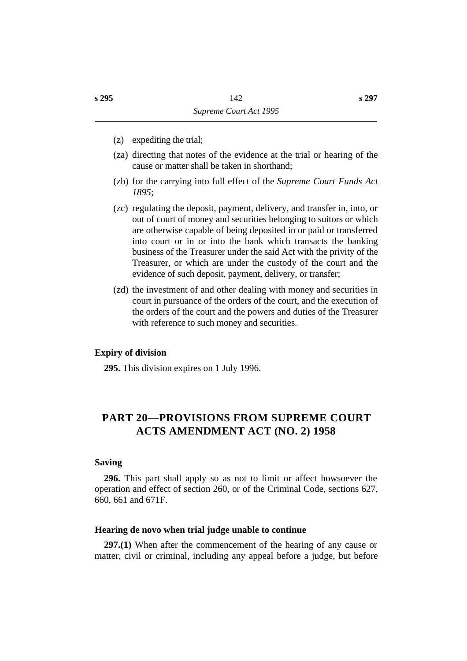- (z) expediting the trial;
- (za) directing that notes of the evidence at the trial or hearing of the cause or matter shall be taken in shorthand;
- (zb) for the carrying into full effect of the *Supreme Court Funds Act 1895*;
- (zc) regulating the deposit, payment, delivery, and transfer in, into, or out of court of money and securities belonging to suitors or which are otherwise capable of being deposited in or paid or transferred into court or in or into the bank which transacts the banking business of the Treasurer under the said Act with the privity of the Treasurer, or which are under the custody of the court and the evidence of such deposit, payment, delivery, or transfer;
- (zd) the investment of and other dealing with money and securities in court in pursuance of the orders of the court, and the execution of the orders of the court and the powers and duties of the Treasurer with reference to such money and securities.

#### **˙Expiry of division**

**295.** This division expires on 1 July 1996.

# **†PART 20—PROVISIONS FROM SUPREME COURT ACTS AMENDMENT ACT (NO. 2) 1958**

#### **˙Saving**

**296.** This part shall apply so as not to limit or affect howsoever the operation and effect of section 260, or of the Criminal Code, sections 627, 660, 661 and 671F.

#### **˙Hearing de novo when trial judge unable to continue**

**297.(1)** When after the commencement of the hearing of any cause or matter, civil or criminal, including any appeal before a judge, but before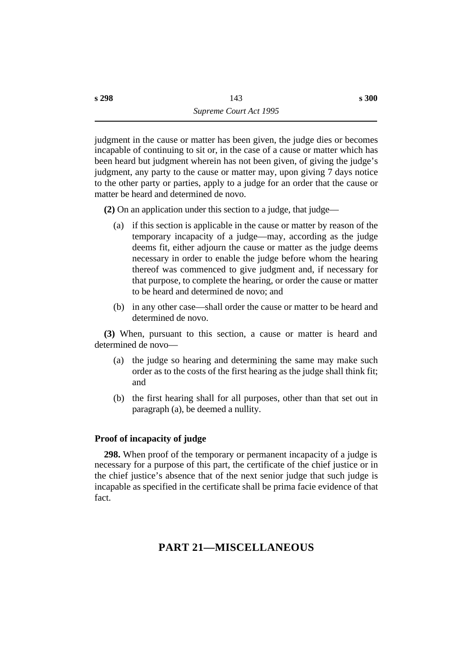judgment in the cause or matter has been given, the judge dies or becomes incapable of continuing to sit or, in the case of a cause or matter which has been heard but judgment wherein has not been given, of giving the judge's judgment, any party to the cause or matter may, upon giving 7 days notice to the other party or parties, apply to a judge for an order that the cause or matter be heard and determined de novo.

**(2)** On an application under this section to a judge, that judge—

- (a) if this section is applicable in the cause or matter by reason of the temporary incapacity of a judge—may, according as the judge deems fit, either adjourn the cause or matter as the judge deems necessary in order to enable the judge before whom the hearing thereof was commenced to give judgment and, if necessary for that purpose, to complete the hearing, or order the cause or matter to be heard and determined de novo; and
- (b) in any other case—shall order the cause or matter to be heard and determined de novo.

**(3)** When, pursuant to this section, a cause or matter is heard and determined de novo—

- (a) the judge so hearing and determining the same may make such order as to the costs of the first hearing as the judge shall think fit; and
- (b) the first hearing shall for all purposes, other than that set out in paragraph (a), be deemed a nullity.

## **˙Proof of incapacity of judge**

**298.** When proof of the temporary or permanent incapacity of a judge is necessary for a purpose of this part, the certificate of the chief justice or in the chief justice's absence that of the next senior judge that such judge is incapable as specified in the certificate shall be prima facie evidence of that fact.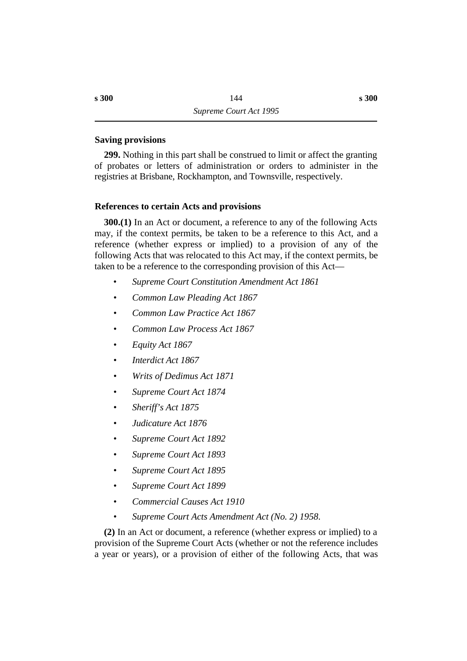### **˙Saving provisions**

**299.** Nothing in this part shall be construed to limit or affect the granting of probates or letters of administration or orders to administer in the registries at Brisbane, Rockhampton, and Townsville, respectively.

### **˙References to certain Acts and provisions**

**300.(1)** In an Act or document, a reference to any of the following Acts may, if the context permits, be taken to be a reference to this Act, and a reference (whether express or implied) to a provision of any of the following Acts that was relocated to this Act may, if the context permits, be taken to be a reference to the corresponding provision of this Act—

- *Supreme Court Constitution Amendment Act 1861*
- *• Common Law Pleading Act 1867*
- *• Common Law Practice Act 1867*
- *• Common Law Process Act 1867*
- *• Equity Act 1867*
- *• Interdict Act 1867*
- *• Writs of Dedimus Act 1871*
- *• Supreme Court Act 1874*
- *• Sheriff's Act 1875*
- *• Judicature Act 1876*
- *• Supreme Court Act 1892*
- *• Supreme Court Act 1893*
- *• Supreme Court Act 1895*
- *• Supreme Court Act 1899*
- *• Commercial Causes Act 1910*
- *• Supreme Court Acts Amendment Act (No. 2) 1958*.

**(2)** In an Act or document, a reference (whether express or implied) to a provision of the Supreme Court Acts (whether or not the reference includes a year or years), or a provision of either of the following Acts, that was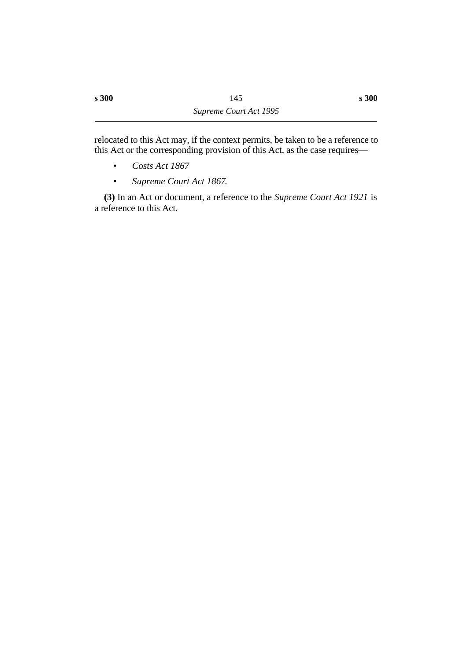relocated to this Act may, if the context permits, be taken to be a reference to this Act or the corresponding provision of this Act, as the case requires—

- *Costs Act 1867*
- *Supreme Court Act 1867*.

**(3)** In an Act or document, a reference to the *Supreme Court Act 1921* is a reference to this Act.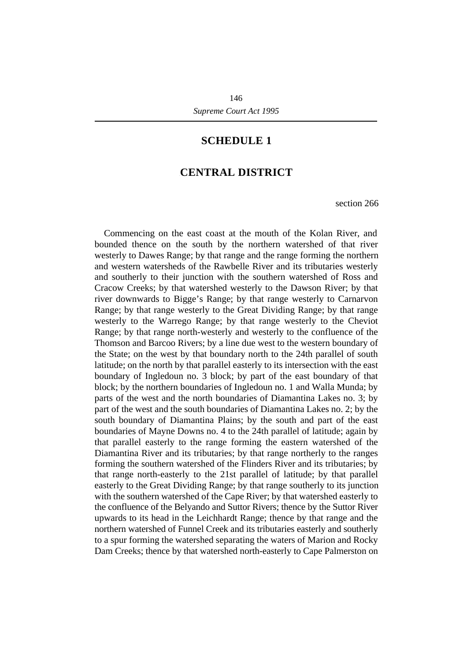## **¡SCHEDULE 1**

## **†CENTRAL DISTRICT**

section 266

Commencing on the east coast at the mouth of the Kolan River, and bounded thence on the south by the northern watershed of that river westerly to Dawes Range; by that range and the range forming the northern and western watersheds of the Rawbelle River and its tributaries westerly and southerly to their junction with the southern watershed of Ross and Cracow Creeks; by that watershed westerly to the Dawson River; by that river downwards to Bigge's Range; by that range westerly to Carnarvon Range; by that range westerly to the Great Dividing Range; by that range westerly to the Warrego Range; by that range westerly to the Cheviot Range; by that range north-westerly and westerly to the confluence of the Thomson and Barcoo Rivers; by a line due west to the western boundary of the State; on the west by that boundary north to the 24th parallel of south latitude; on the north by that parallel easterly to its intersection with the east boundary of Ingledoun no. 3 block; by part of the east boundary of that block; by the northern boundaries of Ingledoun no. 1 and Walla Munda; by parts of the west and the north boundaries of Diamantina Lakes no. 3; by part of the west and the south boundaries of Diamantina Lakes no. 2; by the south boundary of Diamantina Plains; by the south and part of the east boundaries of Mayne Downs no. 4 to the 24th parallel of latitude; again by that parallel easterly to the range forming the eastern watershed of the Diamantina River and its tributaries; by that range northerly to the ranges forming the southern watershed of the Flinders River and its tributaries; by that range north-easterly to the 21st parallel of latitude; by that parallel easterly to the Great Dividing Range; by that range southerly to its junction with the southern watershed of the Cape River; by that watershed easterly to the confluence of the Belyando and Suttor Rivers; thence by the Suttor River upwards to its head in the Leichhardt Range; thence by that range and the northern watershed of Funnel Creek and its tributaries easterly and southerly to a spur forming the watershed separating the waters of Marion and Rocky Dam Creeks; thence by that watershed north-easterly to Cape Palmerston on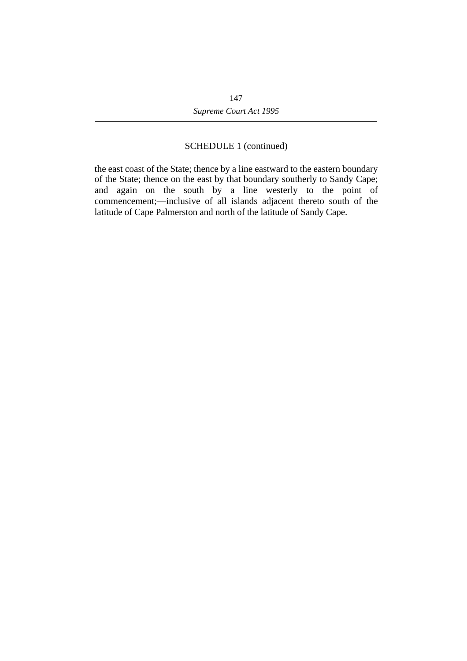## SCHEDULE 1 (continued)

the east coast of the State; thence by a line eastward to the eastern boundary of the State; thence on the east by that boundary southerly to Sandy Cape; and again on the south by a line westerly to the point of commencement;—inclusive of all islands adjacent thereto south of the latitude of Cape Palmerston and north of the latitude of Sandy Cape.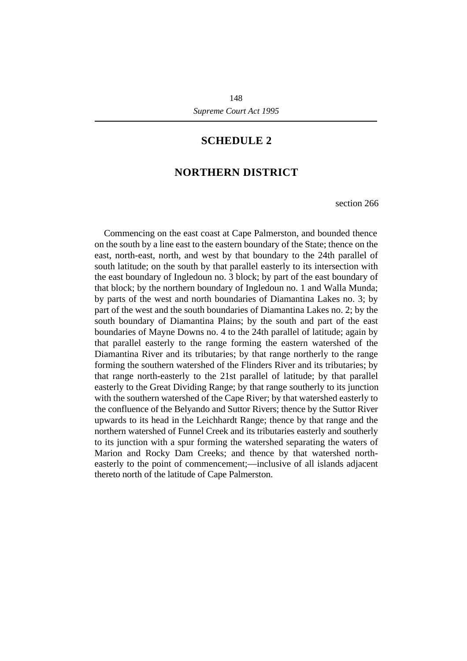## **¡SCHEDULE 2**

## **†NORTHERN DISTRICT**

section 266

Commencing on the east coast at Cape Palmerston, and bounded thence on the south by a line east to the eastern boundary of the State; thence on the east, north-east, north, and west by that boundary to the 24th parallel of south latitude; on the south by that parallel easterly to its intersection with the east boundary of Ingledoun no. 3 block; by part of the east boundary of that block; by the northern boundary of Ingledoun no. 1 and Walla Munda; by parts of the west and north boundaries of Diamantina Lakes no. 3; by part of the west and the south boundaries of Diamantina Lakes no. 2; by the south boundary of Diamantina Plains; by the south and part of the east boundaries of Mayne Downs no. 4 to the 24th parallel of latitude; again by that parallel easterly to the range forming the eastern watershed of the Diamantina River and its tributaries; by that range northerly to the range forming the southern watershed of the Flinders River and its tributaries; by that range north-easterly to the 21st parallel of latitude; by that parallel easterly to the Great Dividing Range; by that range southerly to its junction with the southern watershed of the Cape River; by that watershed easterly to the confluence of the Belyando and Suttor Rivers; thence by the Suttor River upwards to its head in the Leichhardt Range; thence by that range and the northern watershed of Funnel Creek and its tributaries easterly and southerly to its junction with a spur forming the watershed separating the waters of Marion and Rocky Dam Creeks; and thence by that watershed northeasterly to the point of commencement;—inclusive of all islands adjacent thereto north of the latitude of Cape Palmerston.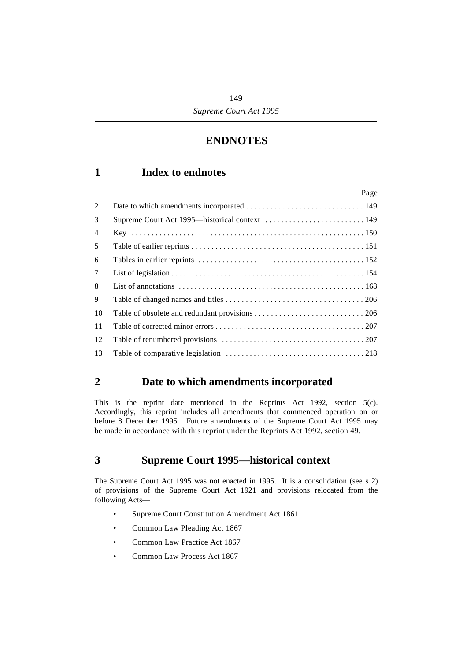## **†ENDNOTES**

## **´1 Index to endnotes**

|                | Page |
|----------------|------|
| 2              |      |
| 3              |      |
| $\overline{4}$ |      |
| 5              |      |
| 6              |      |
| $\tau$         |      |
| 8              |      |
| 9              |      |
| 10             |      |
| 11             |      |
| 12             |      |
| 13             |      |

## **´2 Date to which amendments incorporated**

This is the reprint date mentioned in the Reprints Act 1992, section  $5(c)$ . Accordingly, this reprint includes all amendments that commenced operation on or before 8 December 1995. Future amendments of the Supreme Court Act 1995 may be made in accordance with this reprint under the Reprints Act 1992, section 49.

## **´3 Supreme Court 1995—historical context**

The Supreme Court Act 1995 was not enacted in 1995. It is a consolidation (see s 2) of provisions of the Supreme Court Act 1921 and provisions relocated from the following Acts—

- Supreme Court Constitution Amendment Act 1861
- Common Law Pleading Act 1867
- Common Law Practice Act 1867
- Common Law Process Act 1867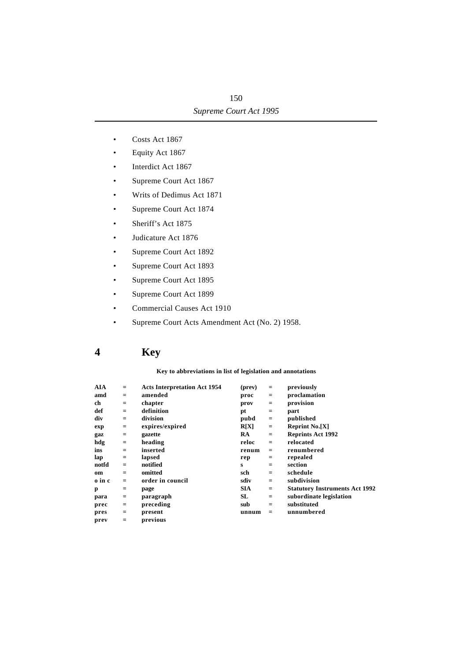- Costs Act 1867
- Equity Act 1867
- Interdict Act 1867
- Supreme Court Act 1867
- Writs of Dedimus Act 1871
- Supreme Court Act 1874
- Sheriff's Act 1875
- Judicature Act 1876
- Supreme Court Act 1892
- Supreme Court Act 1893
- Supreme Court Act 1895
- Supreme Court Act 1899
- Commercial Causes Act 1910
- Supreme Court Acts Amendment Act (No. 2) 1958.

## **´4 Key**

#### **Key to abbreviations in list of legislation and annotations**

| AIA    | $=$             | <b>Acts Interpretation Act 1954</b> | (prev)     | $=$ | previously                            |
|--------|-----------------|-------------------------------------|------------|-----|---------------------------------------|
| amd    | $=$             | amended                             | proc       | $=$ | proclamation                          |
| ch     | $=$             | chapter                             | prov       | $=$ | provision                             |
| def    | $=$             | definition                          | pt         | $=$ | part                                  |
| div    | $=$             | division                            | pubd       | $=$ | published                             |
| exp    | $\quad = \quad$ | expires/expired                     | R[X]       | $=$ | <b>Reprint No.[X]</b>                 |
| gaz    | $\quad = \quad$ | gazette                             | <b>RA</b>  | $=$ | <b>Reprints Act 1992</b>              |
| hdg    | $=$             | heading                             | reloc      | $=$ | relocated                             |
| ins    | $=$             | inserted                            | renum      | $=$ | renumbered                            |
| lap    | $=$             | lapsed                              | rep        | $=$ | repealed                              |
| notfd  | $=$             | notified                            | S          | $=$ | section                               |
| om     | $=$             | omitted                             | sch        | $=$ | schedule                              |
| o in c | $=$             | order in council                    | sdiv       | $=$ | subdivision                           |
| p      | $=$             | page                                | <b>SIA</b> | $=$ | <b>Statutory Instruments Act 1992</b> |
| para   | $\equiv$        | paragraph                           | SL         | $=$ | subordinate legislation               |
| prec   | $\equiv$        | preceding                           | sub        | $=$ | substituted                           |
| pres   | $\equiv$        | present                             | unnum      | $=$ | unnumbered                            |
| prev   | $=$             | previous                            |            |     |                                       |
|        |                 |                                     |            |     |                                       |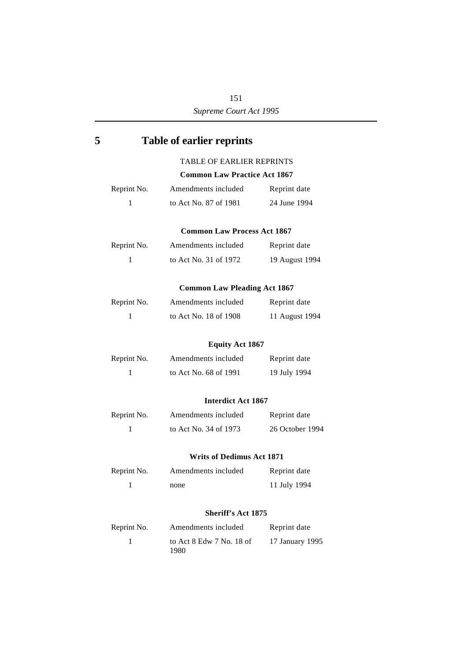151 *Supreme Court Act 1995*

# **´5 Table of earlier reprints** TABLE OF EARLIER REPRINTS **Common Law Practice Act 1867** Reprint No. Amendments included Reprint date 1 to Act No. 87 of 1981 24 June 1994 **Common Law Process Act 1867** Reprint No. Amendments included Reprint date 1 to Act No. 31 of 1972 19 August 1994 **Common Law Pleading Act 1867** Reprint No. Amendments included Reprint date 1 to Act No. 18 of 1908 11 August 1994 **Equity Act 1867** Reprint No. Amendments included Reprint date 1 to Act No. 68 of 1991 19 July 1994 **Interdict Act 1867** Reprint No. Amendments included Reprint date 1 to Act No. 34 of 1973 26 October 1994 **Writs of Dedimus Act 1871** Reprint No. Amendments included Reprint date 1 none 11 July 1994 **Sheriff's Act 1875** Reprint No. Amendments included Reprint date 1 to Act 8 Edw 7 No. 18 of 17 January 1995

1980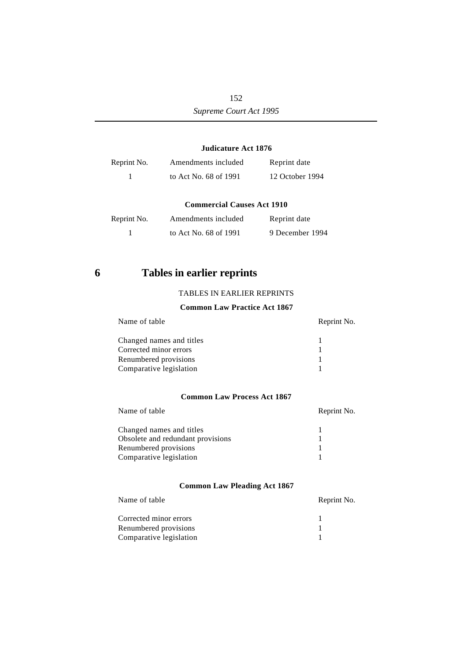#### **Judicature Act 1876**

| Reprint No. | Amendments included   | Reprint date    |
|-------------|-----------------------|-----------------|
|             | to Act No. 68 of 1991 | 12 October 1994 |

#### **Commercial Causes Act 1910**

| Reprint No. | Amendments included   | Reprint date    |
|-------------|-----------------------|-----------------|
|             | to Act No. 68 of 1991 | 9 December 1994 |

## **´6 Tables in earlier reprints**

#### TABLES IN EARLIER REPRINTS

#### **Common Law Practice Act 1867**

| Name of table            | Reprint No. |
|--------------------------|-------------|
| Changed names and titles |             |
| Corrected minor errors   |             |
| Renumbered provisions    |             |
| Comparative legislation  |             |
|                          |             |

#### **Common Law Process Act 1867**

| Name of table                     | Reprint No. |
|-----------------------------------|-------------|
| Changed names and titles          |             |
| Obsolete and redundant provisions |             |
| Renumbered provisions             |             |
| Comparative legislation           |             |

#### **Common Law Pleading Act 1867**

| Name of table           | Reprint No. |
|-------------------------|-------------|
| Corrected minor errors  |             |
| Renumbered provisions   |             |
| Comparative legislation |             |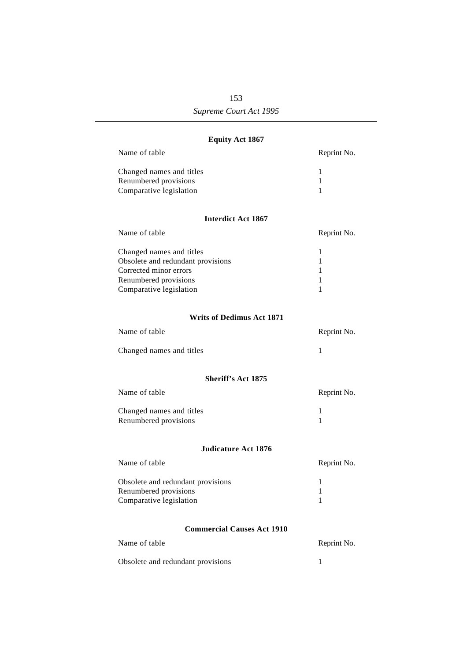## 153 *Supreme Court Act 1995*

### **Equity Act 1867**

| Name of table                                                                                                                               | Reprint No.            |
|---------------------------------------------------------------------------------------------------------------------------------------------|------------------------|
| Changed names and titles<br>Renumbered provisions<br>Comparative legislation                                                                | 1<br>1<br>1            |
| <b>Interdict Act 1867</b>                                                                                                                   |                        |
| Name of table                                                                                                                               | Reprint No.            |
| Changed names and titles<br>Obsolete and redundant provisions<br>Corrected minor errors<br>Renumbered provisions<br>Comparative legislation | 1<br>1<br>1<br>1<br>1  |
| <b>Writs of Dedimus Act 1871</b>                                                                                                            |                        |
| Name of table                                                                                                                               | Reprint No.            |
| Changed names and titles                                                                                                                    | 1                      |
| <b>Sheriff's Act 1875</b>                                                                                                                   |                        |
| Name of table                                                                                                                               | Reprint No.            |
| Changed names and titles<br>Renumbered provisions                                                                                           | 1<br>1                 |
| Judicature Act 1876                                                                                                                         |                        |
| Name of table                                                                                                                               | Reprint No.            |
| Obsolete and redundant provisions<br>Renumbered provisions<br>Comparative legislation                                                       | 1<br>1<br>$\mathbf{1}$ |
| <b>Commercial Causes Act 1910</b>                                                                                                           |                        |
| Name of table                                                                                                                               | Reprint No.            |
| Obsolete and redundant provisions                                                                                                           | 1                      |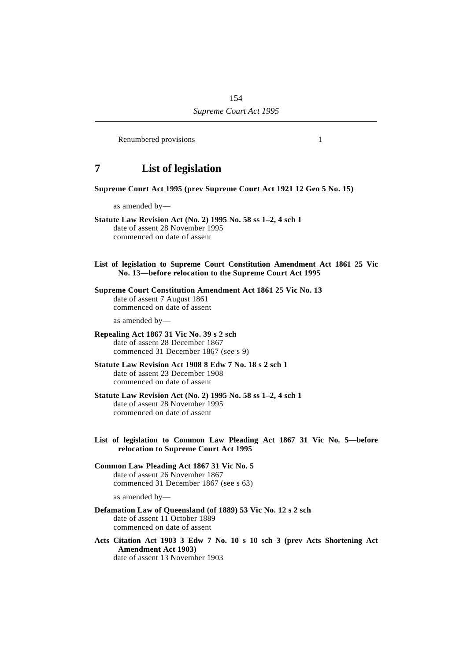Renumbered provisions 1

## **´7 List of legislation**

#### **Supreme Court Act 1995 (prev Supreme Court Act 1921 12 Geo 5 No. 15)**

as amended by—

**Statute Law Revision Act (No. 2) 1995 No. 58 ss 1–2, 4 sch 1** date of assent 28 November 1995 commenced on date of assent

**List of legislation to Supreme Court Constitution Amendment Act 1861 25 Vic No. 13—before relocation to the Supreme Court Act 1995**

#### **Supreme Court Constitution Amendment Act 1861 25 Vic No. 13** date of assent 7 August 1861 commenced on date of assent

as amended by—

#### **Repealing Act 1867 31 Vic No. 39 s 2 sch** date of assent 28 December 1867 commenced 31 December 1867 (see s 9)

**Statute Law Revision Act 1908 8 Edw 7 No. 18 s 2 sch 1** date of assent 23 December 1908 commenced on date of assent

#### **Statute Law Revision Act (No. 2) 1995 No. 58 ss 1–2, 4 sch 1** date of assent 28 November 1995 commenced on date of assent

**List of legislation to Common Law Pleading Act 1867 31 Vic No. 5—before relocation to Supreme Court Act 1995**

#### **Common Law Pleading Act 1867 31 Vic No. 5** date of assent 26 November 1867 commenced 31 December 1867 (see s 63)

as amended by—

**Defamation Law of Queensland (of 1889) 53 Vic No. 12 s 2 sch** date of assent 11 October 1889 commenced on date of assent

**Acts Citation Act 1903 3 Edw 7 No. 10 s 10 sch 3 (prev Acts Shortening Act Amendment Act 1903)** date of assent 13 November 1903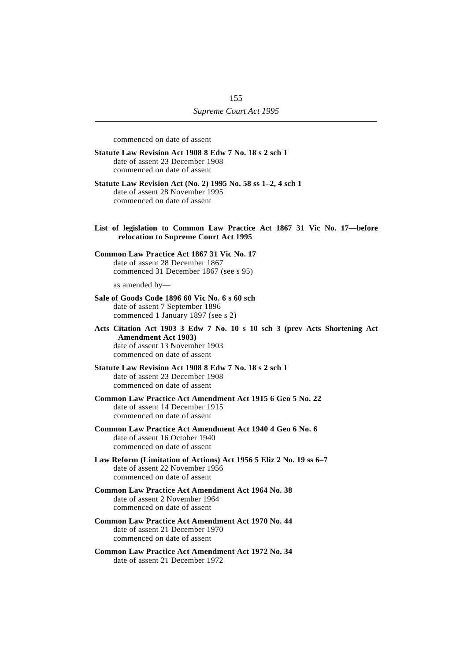commenced on date of assent

- **Statute Law Revision Act 1908 8 Edw 7 No. 18 s 2 sch 1** date of assent 23 December 1908 commenced on date of assent
- **Statute Law Revision Act (No. 2) 1995 No. 58 ss 1–2, 4 sch 1** date of assent 28 November 1995 commenced on date of assent
- **List of legislation to Common Law Practice Act 1867 31 Vic No. 17—before relocation to Supreme Court Act 1995**

#### **Common Law Practice Act 1867 31 Vic No. 17** date of assent 28 December 1867 commenced 31 December 1867 (see s 95)

as amended by—

- **Sale of Goods Code 1896 60 Vic No. 6 s 60 sch** date of assent 7 September 1896 commenced 1 January 1897 (see s 2)
- **Acts Citation Act 1903 3 Edw 7 No. 10 s 10 sch 3 (prev Acts Shortening Act Amendment Act 1903)** date of assent 13 November 1903 commenced on date of assent
- **Statute Law Revision Act 1908 8 Edw 7 No. 18 s 2 sch 1** date of assent 23 December 1908 commenced on date of assent
- **Common Law Practice Act Amendment Act 1915 6 Geo 5 No. 22** date of assent 14 December 1915 commenced on date of assent
- **Common Law Practice Act Amendment Act 1940 4 Geo 6 No. 6** date of assent 16 October 1940 commenced on date of assent
- **Law Reform (Limitation of Actions) Act 1956 5 Eliz 2 No. 19 ss 6–7** date of assent 22 November 1956 commenced on date of assent
- **Common Law Practice Act Amendment Act 1964 No. 38** date of assent 2 November 1964 commenced on date of assent
- **Common Law Practice Act Amendment Act 1970 No. 44** date of assent 21 December 1970 commenced on date of assent
- **Common Law Practice Act Amendment Act 1972 No. 34** date of assent 21 December 1972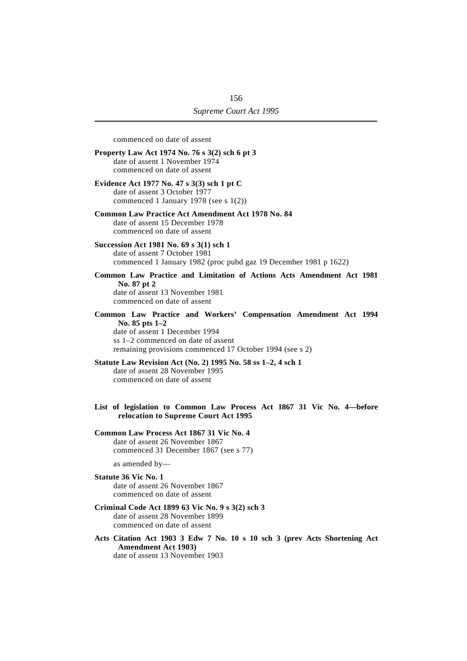commenced on date of assent **Property Law Act 1974 No. 76 s 3(2) sch 6 pt 3** date of assent 1 November 1974 commenced on date of assent **Evidence Act 1977 No. 47 s 3(3) sch 1 pt C** date of assent 3 October 1977 commenced 1 January 1978 (see s 1(2)) **Common Law Practice Act Amendment Act 1978 No. 84** date of assent 15 December 1978 commenced on date of assent **Succession Act 1981 No. 69 s 3(1) sch 1** date of assent 7 October 1981 commenced 1 January 1982 (proc pubd gaz 19 December 1981 p 1622) **Common Law Practice and Limitation of Actions Acts Amendment Act 1981 No. 87 pt 2** date of assent 13 November 1981 commenced on date of assent **Common Law Practice and Workers' Compensation Amendment Act 1994 No. 85 pts 1–2** date of assent 1 December 1994 ss 1–2 commenced on date of assent remaining provisions commenced 17 October 1994 (see s 2) **Statute Law Revision Act (No. 2) 1995 No. 58 ss 1–2, 4 sch 1** date of assent 28 November 1995 commenced on date of assent **List of legislation to Common Law Process Act 1867 31 Vic No. 4—before relocation to Supreme Court Act 1995 Common Law Process Act 1867 31 Vic No. 4** date of assent 26 November 1867 commenced 31 December 1867 (see s 77) as amended by— **Statute 36 Vic No. 1** date of assent 26 November 1867 commenced on date of assent **Criminal Code Act 1899 63 Vic No. 9 s 3(2) sch 3** date of assent 28 November 1899 commenced on date of assent

**Acts Citation Act 1903 3 Edw 7 No. 10 s 10 sch 3 (prev Acts Shortening Act Amendment Act 1903)** date of assent 13 November 1903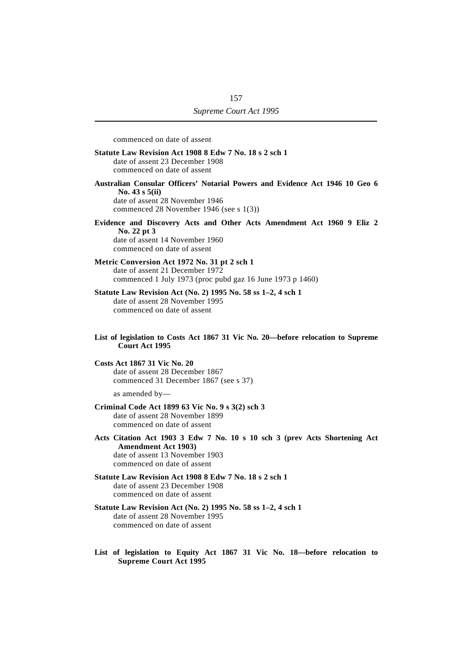commenced on date of assent

- **Statute Law Revision Act 1908 8 Edw 7 No. 18 s 2 sch 1** date of assent 23 December 1908 commenced on date of assent
- **Australian Consular Officers' Notarial Powers and Evidence Act 1946 10 Geo 6 No. 43 s 5(ii)** date of assent 28 November 1946 commenced 28 November 1946 (see s 1(3))
- **Evidence and Discovery Acts and Other Acts Amendment Act 1960 9 Eliz 2 No. 22 pt 3** date of assent 14 November 1960 commenced on date of assent
- **Metric Conversion Act 1972 No. 31 pt 2 sch 1** date of assent 21 December 1972 commenced 1 July 1973 (proc pubd gaz 16 June 1973 p 1460)
- **Statute Law Revision Act (No. 2) 1995 No. 58 ss 1–2, 4 sch 1** date of assent 28 November 1995 commenced on date of assent
- **List of legislation to Costs Act 1867 31 Vic No. 20—before relocation to Supreme Court Act 1995**
- **Costs Act 1867 31 Vic No. 20** date of assent 28 December 1867 commenced 31 December 1867 (see s 37)

as amended by—

- **Criminal Code Act 1899 63 Vic No. 9 s 3(2) sch 3** date of assent 28 November 1899 commenced on date of assent
- **Acts Citation Act 1903 3 Edw 7 No. 10 s 10 sch 3 (prev Acts Shortening Act Amendment Act 1903)** date of assent 13 November 1903

commenced on date of assent

- **Statute Law Revision Act 1908 8 Edw 7 No. 18 s 2 sch 1** date of assent 23 December 1908 commenced on date of assent
- **Statute Law Revision Act (No. 2) 1995 No. 58 ss 1–2, 4 sch 1** date of assent 28 November 1995 commenced on date of assent
- **List of legislation to Equity Act 1867 31 Vic No. 18—before relocation to Supreme Court Act 1995**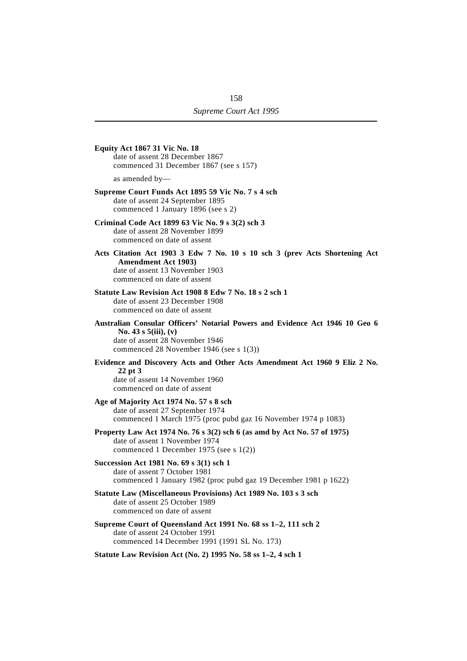| <b>Equity Act 1867 31 Vic No. 18</b><br>date of assent 28 December 1867<br>commenced 31 December 1867 (see s 157)                                                                        |
|------------------------------------------------------------------------------------------------------------------------------------------------------------------------------------------|
| as amended by—                                                                                                                                                                           |
| Supreme Court Funds Act 1895 59 Vic No. 7 s 4 sch<br>date of assent 24 September 1895<br>commenced 1 January 1896 (see s 2)                                                              |
| Criminal Code Act 1899 63 Vic No. 9 s 3(2) sch 3<br>date of assent 28 November 1899<br>commenced on date of assent                                                                       |
| Acts Citation Act 1903 3 Edw 7 No. 10 s 10 sch 3 (prev Acts Shortening Act<br><b>Amendment Act 1903)</b><br>date of assent 13 November 1903<br>commenced on date of assent               |
| Statute Law Revision Act 1908 8 Edw 7 No. 18 s 2 sch 1<br>date of assent 23 December 1908<br>commenced on date of assent                                                                 |
| Australian Consular Officers' Notarial Powers and Evidence Act 1946 10 Geo 6<br>No. 43 s $5(iii)$ , (v)<br>date of assent 28 November 1946<br>commenced 28 November 1946 (see s $1(3)$ ) |
| Evidence and Discovery Acts and Other Acts Amendment Act 1960 9 Eliz 2 No.<br>22 pt 3<br>date of assent 14 November 1960<br>commenced on date of assent                                  |
| Age of Majority Act 1974 No. 57 s 8 sch<br>date of assent 27 September 1974<br>commenced 1 March 1975 (proc pubd gaz 16 November 1974 p 1083)                                            |
| Property Law Act 1974 No. 76 s 3(2) sch 6 (as amd by Act No. 57 of 1975)<br>date of assent 1 November 1974<br>commenced 1 December 1975 (see s $1(2)$ )                                  |
| Succession Act 1981 No. 69 s 3(1) sch 1<br>date of assent 7 October 1981<br>commenced 1 January 1982 (proc pubd gaz 19 December 1981 p 1622)                                             |
| Statute Law (Miscellaneous Provisions) Act 1989 No. 103 s 3 sch<br>date of assent 25 October 1989<br>commenced on date of assent                                                         |
| Supreme Court of Queensland Act 1991 No. 68 ss 1-2, 111 sch 2<br>date of assent 24 October 1991<br>commenced 14 December 1991 (1991 SL No. 173)                                          |
| Statute Law Revision Act (No. 2) 1995 No. 58 ss 1–2, 4 sch 1                                                                                                                             |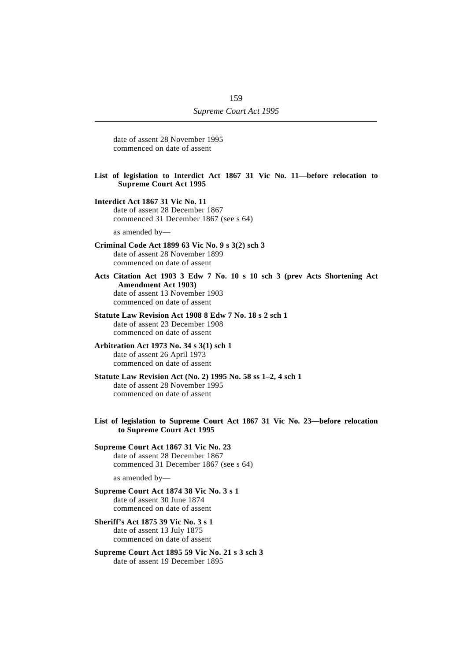date of assent 28 November 1995 commenced on date of assent

#### **List of legislation to Interdict Act 1867 31 Vic No. 11—before relocation to Supreme Court Act 1995**

#### **Interdict Act 1867 31 Vic No. 11** date of assent 28 December 1867 commenced 31 December 1867 (see s 64)

as amended by—

#### **Criminal Code Act 1899 63 Vic No. 9 s 3(2) sch 3** date of assent 28 November 1899 commenced on date of assent

**Acts Citation Act 1903 3 Edw 7 No. 10 s 10 sch 3 (prev Acts Shortening Act Amendment Act 1903)** date of assent 13 November 1903 commenced on date of assent

#### **Statute Law Revision Act 1908 8 Edw 7 No. 18 s 2 sch 1** date of assent 23 December 1908 commenced on date of assent

#### **Arbitration Act 1973 No. 34 s 3(1) sch 1** date of assent 26 April 1973 commenced on date of assent

#### **Statute Law Revision Act (No. 2) 1995 No. 58 ss 1–2, 4 sch 1** date of assent 28 November 1995 commenced on date of assent

**List of legislation to Supreme Court Act 1867 31 Vic No. 23—before relocation to Supreme Court Act 1995**

### **Supreme Court Act 1867 31 Vic No. 23** date of assent 28 December 1867 commenced 31 December 1867 (see s 64)

as amended by—

#### **Supreme Court Act 1874 38 Vic No. 3 s 1** date of assent 30 June 1874 commenced on date of assent

#### **Sheriff's Act 1875 39 Vic No. 3 s 1** date of assent 13 July 1875 commenced on date of assent

**Supreme Court Act 1895 59 Vic No. 21 s 3 sch 3** date of assent 19 December 1895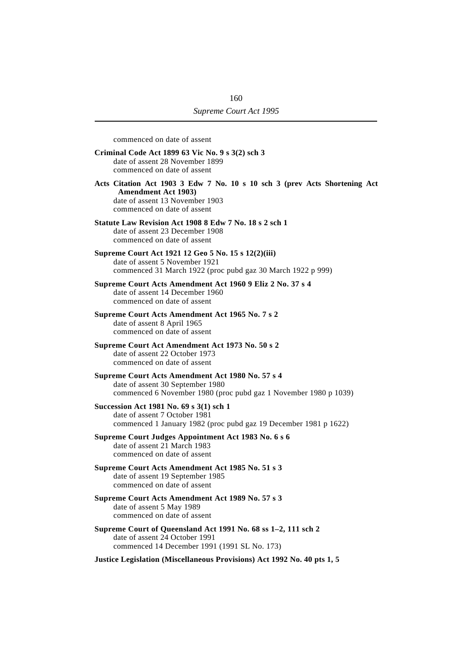commenced on date of assent **Criminal Code Act 1899 63 Vic No. 9 s 3(2) sch 3** date of assent 28 November 1899 commenced on date of assent **Acts Citation Act 1903 3 Edw 7 No. 10 s 10 sch 3 (prev Acts Shortening Act Amendment Act 1903)** date of assent 13 November 1903 commenced on date of assent **Statute Law Revision Act 1908 8 Edw 7 No. 18 s 2 sch 1** date of assent 23 December 1908 commenced on date of assent **Supreme Court Act 1921 12 Geo 5 No. 15 s 12(2)(iii)** date of assent 5 November 1921 commenced 31 March 1922 (proc pubd gaz 30 March 1922 p 999) **Supreme Court Acts Amendment Act 1960 9 Eliz 2 No. 37 s 4** date of assent 14 December 1960 commenced on date of assent **Supreme Court Acts Amendment Act 1965 No. 7 s 2** date of assent 8 April 1965 commenced on date of assent **Supreme Court Act Amendment Act 1973 No. 50 s 2** date of assent 22 October 1973 commenced on date of assent **Supreme Court Acts Amendment Act 1980 No. 57 s 4** date of assent 30 September 1980 commenced 6 November 1980 (proc pubd gaz 1 November 1980 p 1039) **Succession Act 1981 No. 69 s 3(1) sch 1** date of assent 7 October 1981 commenced 1 January 1982 (proc pubd gaz 19 December 1981 p 1622) **Supreme Court Judges Appointment Act 1983 No. 6 s 6** date of assent 21 March 1983 commenced on date of assent **Supreme Court Acts Amendment Act 1985 No. 51 s 3** date of assent 19 September 1985 commenced on date of assent **Supreme Court Acts Amendment Act 1989 No. 57 s 3** date of assent 5 May 1989 commenced on date of assent **Supreme Court of Queensland Act 1991 No. 68 ss 1–2, 111 sch 2** date of assent 24 October 1991 commenced 14 December 1991 (1991 SL No. 173)

**Justice Legislation (Miscellaneous Provisions) Act 1992 No. 40 pts 1, 5**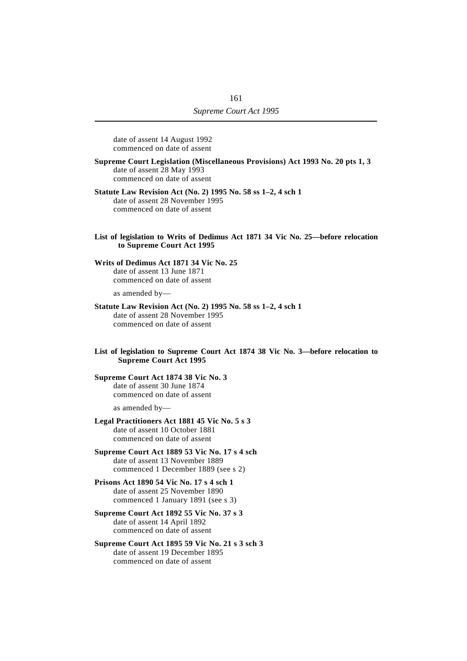date of assent 14 August 1992 commenced on date of assent

**Supreme Court Legislation (Miscellaneous Provisions) Act 1993 No. 20 pts 1, 3** date of assent 28 May 1993 commenced on date of assent

#### **Statute Law Revision Act (No. 2) 1995 No. 58 ss 1–2, 4 sch 1** date of assent 28 November 1995 commenced on date of assent

List of legislation to Writs of Dedimus Act 1871 34 Vic No. 25—before relocation **to Supreme Court Act 1995**

#### **Writs of Dedimus Act 1871 34 Vic No. 25**

date of assent 13 June 1871 commenced on date of assent

as amended by—

#### **Statute Law Revision Act (No. 2) 1995 No. 58 ss 1–2, 4 sch 1**

date of assent 28 November 1995 commenced on date of assent

#### **List of legislation to Supreme Court Act 1874 38 Vic No. 3—before relocation to Supreme Court Act 1995**

#### **Supreme Court Act 1874 38 Vic No. 3** date of assent 30 June 1874 commenced on date of assent

as amended by—

#### **Legal Practitioners Act 1881 45 Vic No. 5 s 3** date of assent 10 October 1881 commenced on date of assent

**Supreme Court Act 1889 53 Vic No. 17 s 4 sch** date of assent 13 November 1889 commenced 1 December 1889 (see s 2)

#### **Prisons Act 1890 54 Vic No. 17 s 4 sch 1** date of assent 25 November 1890 commenced 1 January 1891 (see s 3)

**Supreme Court Act 1892 55 Vic No. 37 s 3** date of assent 14 April 1892 commenced on date of assent

**Supreme Court Act 1895 59 Vic No. 21 s 3 sch 3** date of assent 19 December 1895 commenced on date of assent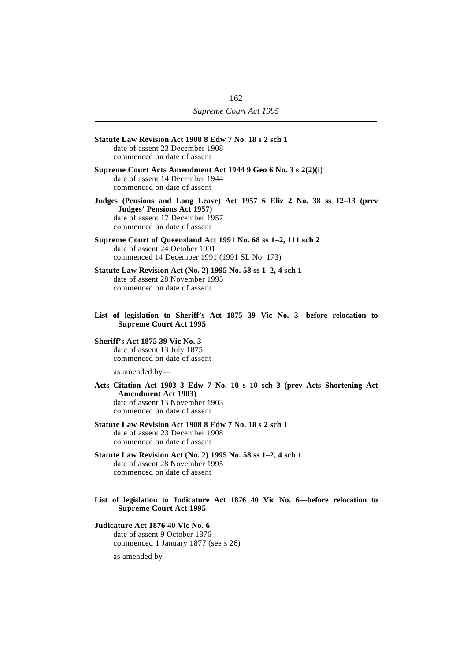| Statute Law Revision Act 1908 8 Edw 7 No. 18 s 2 sch 1<br>date of assent 23 December 1908<br>commenced on date of assent                                                     |
|------------------------------------------------------------------------------------------------------------------------------------------------------------------------------|
| Supreme Court Acts Amendment Act 1944 9 Geo 6 No. 3 s 2(2)(i)<br>date of assent 14 December 1944<br>commenced on date of assent                                              |
| Judges (Pensions and Long Leave) Act 1957 6 Eliz 2 No. 38 ss 12-13 (prev<br>Judges' Pensions Act 1957)<br>date of assent 17 December 1957<br>commenced on date of assent     |
| Supreme Court of Queensland Act 1991 No. 68 ss 1-2, 111 sch 2<br>date of assent 24 October 1991<br>commenced 14 December 1991 (1991 SL No. 173)                              |
| Statute Law Revision Act (No. 2) 1995 No. 58 ss 1-2, 4 sch 1<br>date of assent 28 November 1995<br>commenced on date of assent                                               |
| List of legislation to Sheriff's Act 1875 39 Vic No. 3-before relocation to<br><b>Supreme Court Act 1995</b>                                                                 |
| <b>Sheriff's Act 1875 39 Vic No. 3</b><br>date of assent 13 July 1875<br>commenced on date of assent                                                                         |
| as amended by-                                                                                                                                                               |
| Acts Citation Act 1903 3 Edw 7 No. 10 s 10 sch 3 (prev Acts Shortening Act<br><b>Amendment Act 1903)</b><br>date of assent 13 November 1903<br>commenced on date of assent   |
| Statute Law Revision Act 1908 8 Edw 7 No. 18 s 2 sch 1<br>date of assent 23 December 1908<br>commenced on date of assent                                                     |
| Statute Law Revision Act (No. 2) 1995 No. 58 ss 1-2, 4 sch 1<br>date of assent 28 November 1995<br>commenced on date of assent                                               |
| $T_{\rm{tot}}$ of Let-Let- $L_{\rm{tot}}$ is $T_{\rm{tot}}$ the $L_{\rm{tot}}$ in $L_{\rm{tot}}$ and $T_{\rm{tot}}$ is $T_{\rm{tot}}$ is $T_{\rm{tot}}$ . The $L_{\rm{tot}}$ |

**List of legislation to Judicature Act 1876 40 Vic No. 6—before relocation to Supreme Court Act 1995**

#### **Judicature Act 1876 40 Vic No. 6** date of assent 9 October 1876 commenced 1 January 1877 (see s 26)

as amended by—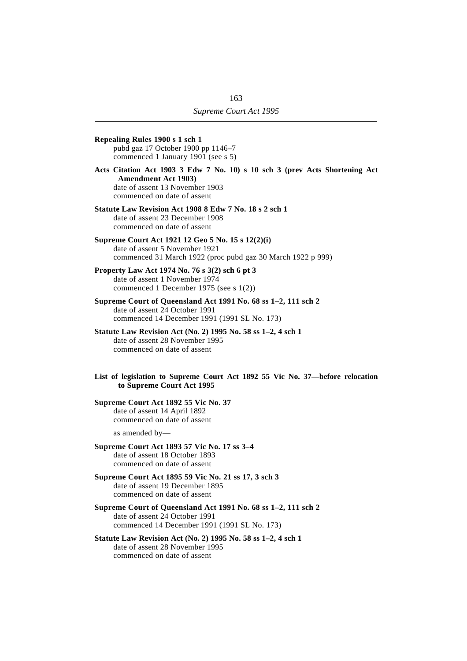**Repealing Rules 1900 s 1 sch 1** pubd gaz 17 October 1900 pp 1146–7 commenced 1 January 1901 (see s 5) **Acts Citation Act 1903 3 Edw 7 No. 10) s 10 sch 3 (prev Acts Shortening Act Amendment Act 1903)** date of assent 13 November 1903 commenced on date of assent **Statute Law Revision Act 1908 8 Edw 7 No. 18 s 2 sch 1** date of assent 23 December 1908 commenced on date of assent **Supreme Court Act 1921 12 Geo 5 No. 15 s 12(2)(i)** date of assent 5 November 1921 commenced 31 March 1922 (proc pubd gaz 30 March 1922 p 999) **Property Law Act 1974 No. 76 s 3(2) sch 6 pt 3** date of assent 1 November 1974 commenced 1 December 1975 (see s 1(2)) **Supreme Court of Queensland Act 1991 No. 68 ss 1–2, 111 sch 2** date of assent 24 October 1991 commenced 14 December 1991 (1991 SL No. 173) **Statute Law Revision Act (No. 2) 1995 No. 58 ss 1–2, 4 sch 1** date of assent 28 November 1995 commenced on date of assent **List of legislation to Supreme Court Act 1892 55 Vic No. 37—before relocation to Supreme Court Act 1995 Supreme Court Act 1892 55 Vic No. 37** date of assent 14 April 1892 commenced on date of assent as amended by— **Supreme Court Act 1893 57 Vic No. 17 ss 3–4** date of assent 18 October 1893 commenced on date of assent **Supreme Court Act 1895 59 Vic No. 21 ss 17, 3 sch 3** date of assent 19 December 1895 commenced on date of assent **Supreme Court of Queensland Act 1991 No. 68 ss 1–2, 111 sch 2** date of assent 24 October 1991 commenced 14 December 1991 (1991 SL No. 173) **Statute Law Revision Act (No. 2) 1995 No. 58 ss 1–2, 4 sch 1** date of assent 28 November 1995 commenced on date of assent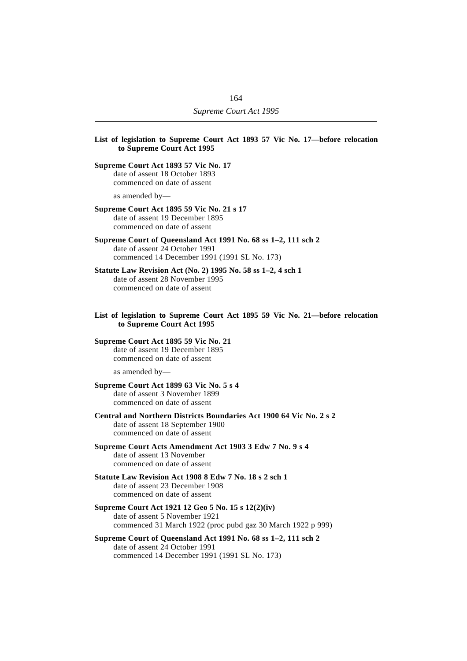| List of legislation to Supreme Court Act 1893 57 Vic No. 17—before relocation<br>to Supreme Court Act 1995                                          |
|-----------------------------------------------------------------------------------------------------------------------------------------------------|
| Supreme Court Act 1893 57 Vic No. 17<br>date of assent 18 October 1893<br>commenced on date of assent                                               |
| as amended by—                                                                                                                                      |
| Supreme Court Act 1895 59 Vic No. 21 s 17<br>date of assent 19 December 1895<br>commenced on date of assent                                         |
| Supreme Court of Queensland Act 1991 No. 68 ss 1-2, 111 sch 2<br>date of assent 24 October 1991<br>commenced 14 December 1991 (1991 SL No. 173)     |
| Statute Law Revision Act (No. 2) 1995 No. 58 ss 1-2, 4 sch 1<br>date of assent 28 November 1995<br>commenced on date of assent                      |
| List of legislation to Supreme Court Act 1895 59 Vic No. 21—before relocation<br>to Supreme Court Act 1995                                          |
| Supreme Court Act 1895 59 Vic No. 21<br>date of assent 19 December 1895<br>commenced on date of assent                                              |
| as amended by-                                                                                                                                      |
| Supreme Court Act 1899 63 Vic No. 5 s 4<br>date of assent 3 November 1899<br>commenced on date of assent                                            |
| Central and Northern Districts Boundaries Act 1900 64 Vic No. 2 s 2<br>date of assent 18 September 1900<br>commenced on date of assent              |
| Supreme Court Acts Amendment Act 1903 3 Edw 7 No. 9 s 4<br>date of assent 13 November<br>commenced on date of assent                                |
| Statute Law Revision Act 1908 8 Edw 7 No. 18 s 2 sch 1<br>date of assent 23 December 1908<br>commenced on date of assent                            |
| Supreme Court Act 1921 12 Geo 5 No. 15 s 12(2)(iv)<br>date of assent 5 November 1921<br>commenced 31 March 1922 (proc pubd gaz 30 March 1922 p 999) |
| Supreme Court of Queensland Act 1991 No. 68 ss 1-2, 111 sch 2<br>date of assent 24 October 1991<br>commenced 14 December 1991 (1991 SL No. 173)     |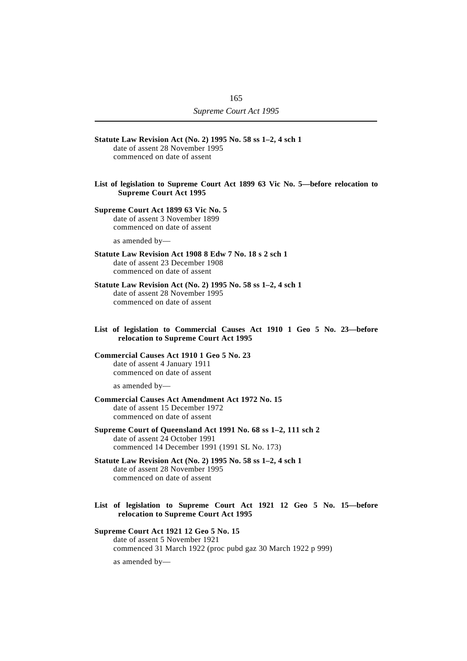| Statute Law Revision Act (No. 2) 1995 No. 58 ss 1-2, 4 sch 1<br>date of assent 28 November 1995<br>commenced on date of assent                  |
|-------------------------------------------------------------------------------------------------------------------------------------------------|
| List of legislation to Supreme Court Act 1899 63 Vic No. 5—before relocation to<br><b>Supreme Court Act 1995</b>                                |
| Supreme Court Act 1899 63 Vic No. 5<br>date of assent 3 November 1899<br>commenced on date of assent                                            |
| as amended by-                                                                                                                                  |
| Statute Law Revision Act 1908 8 Edw 7 No. 18 s 2 sch 1<br>date of assent 23 December 1908<br>commenced on date of assent                        |
| Statute Law Revision Act (No. 2) 1995 No. 58 ss 1-2, 4 sch 1<br>date of assent 28 November 1995<br>commenced on date of assent                  |
| List of legislation to Commercial Causes Act 1910 1 Geo 5 No. 23-before<br>relocation to Supreme Court Act 1995                                 |
| Commercial Causes Act 1910 1 Geo 5 No. 23<br>date of assent 4 January 1911<br>commenced on date of assent                                       |
| as amended $by$ —                                                                                                                               |
| <b>Commercial Causes Act Amendment Act 1972 No. 15</b><br>date of assent 15 December 1972<br>commenced on date of assent                        |
| Supreme Court of Queensland Act 1991 No. 68 ss 1-2, 111 sch 2<br>date of assent 24 October 1991<br>commenced 14 December 1991 (1991 SL No. 173) |
| Statute Law Revision Act (No. 2) 1995 No. 58 ss 1-2, 4 sch 1<br>date of assent 28 November 1995<br>commenced on date of assent                  |
| List of legislation to Supreme Court Act 1921 12 Geo 5 No. 15-before<br>relocation to Supreme Court Act 1995                                    |
| Supreme Court Act 1921 12 Geo 5 No. 15                                                                                                          |

date of assent 5 November 1921 commenced 31 March 1922 (proc pubd gaz 30 March 1922 p 999)

as amended by—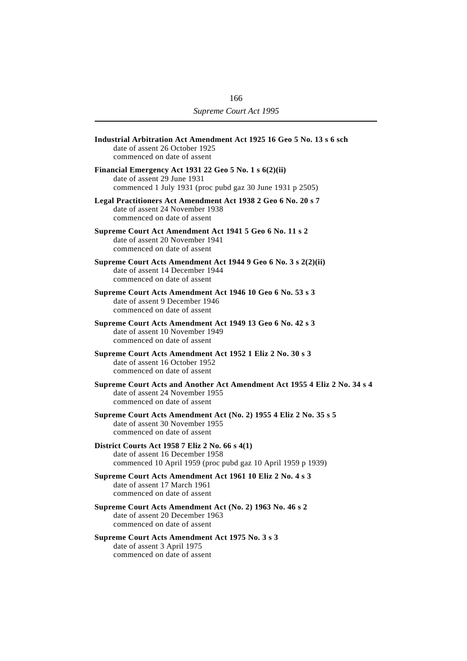| Industrial Arbitration Act Amendment Act 1925 16 Geo 5 No. 13 s 6 sch<br>date of assent 26 October 1925<br>commenced on date of assent             |  |
|----------------------------------------------------------------------------------------------------------------------------------------------------|--|
| Financial Emergency Act 1931 22 Geo 5 No. 1 s 6(2)(ii)<br>date of assent 29 June 1931<br>commenced 1 July 1931 (proc pubd gaz 30 June 1931 p 2505) |  |
| Legal Practitioners Act Amendment Act 1938 2 Geo 6 No. 20 s 7<br>date of assent 24 November 1938<br>commenced on date of assent                    |  |
| Supreme Court Act Amendment Act 1941 5 Geo 6 No. 11 s 2<br>date of assent 20 November 1941<br>commenced on date of assent                          |  |
| Supreme Court Acts Amendment Act 1944 9 Geo 6 No. 3 s 2(2)(ii)<br>date of assent 14 December 1944<br>commenced on date of assent                   |  |
| Supreme Court Acts Amendment Act 1946 10 Geo 6 No. 53 s 3<br>date of assent 9 December 1946<br>commenced on date of assent                         |  |
| Supreme Court Acts Amendment Act 1949 13 Geo 6 No. 42 s 3<br>date of assent 10 November 1949<br>commenced on date of assent                        |  |
| Supreme Court Acts Amendment Act 1952 1 Eliz 2 No. 30 s 3<br>date of assent 16 October 1952<br>commenced on date of assent                         |  |
| Supreme Court Acts and Another Act Amendment Act 1955 4 Eliz 2 No. 34 s 4<br>date of assent 24 November 1955<br>commenced on date of assent        |  |
| Supreme Court Acts Amendment Act (No. 2) 1955 4 Eliz 2 No. 35 s 5<br>date of assent 30 November 1955<br>commenced on date of assent                |  |
| District Courts Act 1958 7 Eliz 2 No. 66 s 4(1)<br>date of assent 16 December 1958<br>commenced 10 April 1959 (proc pubd gaz 10 April 1959 p 1939) |  |
| Supreme Court Acts Amendment Act 1961 10 Eliz 2 No. 4 s 3<br>date of assent 17 March 1961<br>commenced on date of assent                           |  |
| Supreme Court Acts Amendment Act (No. 2) 1963 No. 46 s 2<br>date of assent 20 December 1963<br>commenced on date of assent                         |  |
| Supreme Court Acts Amendment Act 1975 No. 3 s 3<br>date of assent 3 April 1975<br>commenced on date of assent                                      |  |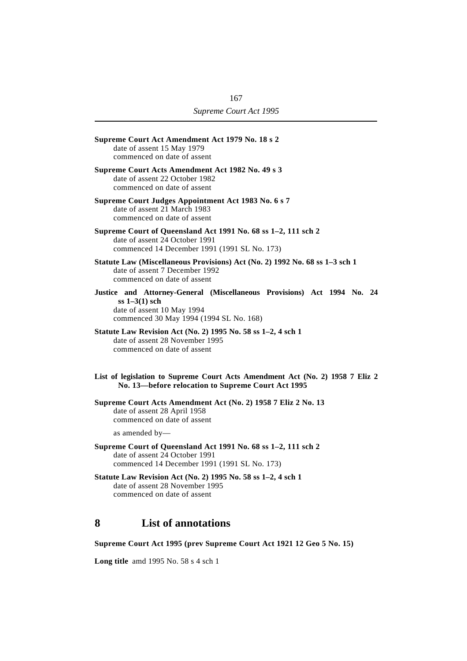| Supreme Court Act Amendment Act 1979 No. 18 s 2<br>date of assent 15 May 1979<br>commenced on date of assent                                                        |
|---------------------------------------------------------------------------------------------------------------------------------------------------------------------|
| Supreme Court Acts Amendment Act 1982 No. 49 s 3<br>date of assent 22 October 1982<br>commenced on date of assent                                                   |
| Supreme Court Judges Appointment Act 1983 No. 6 s 7<br>date of assent 21 March 1983<br>commenced on date of assent                                                  |
| Supreme Court of Queensland Act 1991 No. 68 ss 1-2, 111 sch 2<br>date of assent 24 October 1991<br>commenced 14 December 1991 (1991 SL No. 173)                     |
| Statute Law (Miscellaneous Provisions) Act (No. 2) 1992 No. 68 ss 1-3 sch 1<br>date of assent 7 December 1992<br>commenced on date of assent                        |
| Justice and Attorney-General (Miscellaneous Provisions) Act 1994 No. 24<br>$ss 1-3(1) sch$<br>date of assent 10 May 1994<br>commenced 30 May 1994 (1994 SL No. 168) |
| Statute Law Revision Act (No. 2) 1995 No. 58 ss 1–2, 4 sch 1<br>date of assent 28 November 1995<br>commenced on date of assent                                      |
| List of legislation to Supreme Court Acts Amendment Act (No. 2) 1958 7 Eliz 2<br>No. 13-before relocation to Supreme Court Act 1995                                 |
| Supreme Court Acts Amendment Act (No. 2) 1958 7 Eliz 2 No. 13<br>date of assent 28 April 1958<br>commenced on date of assent                                        |
| as amended $by$ —                                                                                                                                                   |
| Supreme Court of Queensland Act 1991 No. 68 ss 1-2, 111 sch 2<br>date of assent 24 October 1991<br>commenced 14 December 1991 (1991 SL No. 173)                     |
| Statute Law Revision Act (No. 2) 1995 No. 58 ss 1-2, 4 sch 1<br>date of assent 28 November 1995<br>commenced on date of assent                                      |
| <b>List of annotations</b><br>8                                                                                                                                     |

**Supreme Court Act 1995 (prev Supreme Court Act 1921 12 Geo 5 No. 15)**

**Long title** amd 1995 No. 58 s 4 sch 1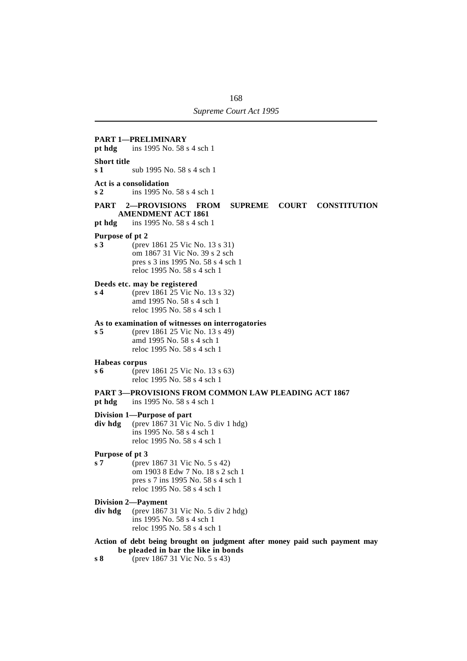### **PART 1—PRELIMINARY pt hdg** ins 1995 No. 58 s 4 sch 1 **Short title s 1** sub 1995 No. 58 s 4 sch 1 **Act is a consolidation s 2** ins 1995 No. 58 s 4 sch 1 **PART 2—PROVISIONS FROM SUPREME COURT CONSTITUTION AMENDMENT ACT 1861 pt hdg** ins 1995 No. 58 s 4 sch 1 **Purpose of pt 2 s 3** (prev 1861 25 Vic No. 13 s 31) om 1867 31 Vic No. 39 s 2 sch pres s 3 ins 1995 No. 58 s 4 sch 1 reloc 1995 No. 58 s 4 sch 1 **Deeds etc. may be registered s 4** (prev 1861 25 Vic No. 13 s 32) amd 1995 No. 58 s 4 sch 1 reloc 1995 No. 58 s 4 sch 1 **As to examination of witnesses on interrogatories s 5** (prev 1861 25 Vic No. 13 s 49) amd 1995 No. 58 s 4 sch 1 reloc 1995 No. 58 s 4 sch 1 **Habeas corpus s 6** (prev 1861 25 Vic No. 13 s 63) reloc 1995 No. 58 s 4 sch 1 **PART 3—PROVISIONS FROM COMMON LAW PLEADING ACT 1867 pt hdg** ins 1995 No. 58 s 4 sch 1 **Division 1—Purpose of part div hdg** (prev 1867 31 Vic No. 5 div 1 hdg) ins 1995 No. 58 s 4 sch 1 reloc 1995 No. 58 s 4 sch 1 **Purpose of pt 3 s 7** (prev 1867 31 Vic No. 5 s 42) om 1903 8 Edw 7 No. 18 s 2 sch 1 pres s 7 ins 1995 No. 58 s 4 sch 1 reloc 1995 No. 58 s 4 sch 1 **Division 2—Payment div hdg** (prev 1867 31 Vic No. 5 div 2 hdg) ins 1995 No. 58 s 4 sch 1 reloc 1995 No. 58 s 4 sch 1 **Action of debt being brought on judgment after money paid such payment may be pleaded in bar the like in bonds**

**s 8** (prev 1867 31 Vic No. 5 s 43)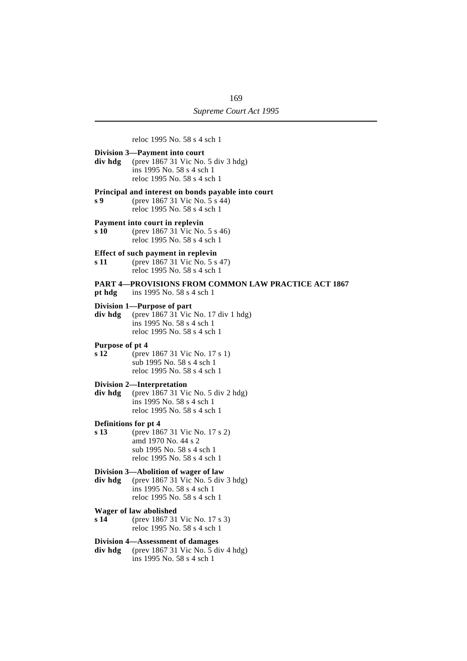reloc 1995 No. 58 s 4 sch 1 **Division 3—Payment into court div hdg** (prev 1867 31 Vic No. 5 div 3 hdg) ins 1995 No. 58 s 4 sch 1 reloc 1995 No. 58 s 4 sch 1 **Principal and interest on bonds payable into court s 9** (prev 1867 31 Vic No. 5 s 44) reloc 1995 No. 58 s 4 sch 1 **Payment into court in replevin s 10** (prev 1867 31 Vic No. 5 s 46) reloc 1995 No. 58 s 4 sch 1 **Effect of such payment in replevin s 11** (prev 1867 31 Vic No. 5 s 47) reloc 1995 No. 58 s 4 sch 1 **PART 4—PROVISIONS FROM COMMON LAW PRACTICE ACT 1867 pt hdg** ins 1995 No. 58 s 4 sch 1 **Division 1—Purpose of part div hdg** (prev 1867 31 Vic No. 17 div 1 hdg) ins 1995 No. 58 s 4 sch 1 reloc 1995 No. 58 s 4 sch 1 **Purpose of pt 4 s 12** (prev 1867 31 Vic No. 17 s 1) sub 1995 No. 58 s 4 sch 1 reloc 1995 No. 58 s 4 sch 1 **Division 2—Interpretation div hdg** (prev 1867 31 Vic No. 5 div 2 hdg) ins 1995 No. 58 s 4 sch 1 reloc 1995 No. 58 s 4 sch 1 **Definitions for pt 4 s 13** (prev 1867 31 Vic No. 17 s 2) amd 1970 No. 44 s 2 sub 1995 No. 58 s 4 sch 1 reloc 1995 No. 58 s 4 sch 1 **Division 3—Abolition of wager of law div hdg** (prev 1867 31 Vic No. 5 div 3 hdg) ins 1995 No. 58 s 4 sch 1 reloc 1995 No. 58 s 4 sch 1 **Wager of law abolished s 14** (prev 1867 31 Vic No. 17 s 3) reloc 1995 No. 58 s 4 sch 1 **Division 4—Assessment of damages**

**div hdg** (prev 1867 31 Vic No. 5 div 4 hdg) ins 1995 No. 58 s 4 sch 1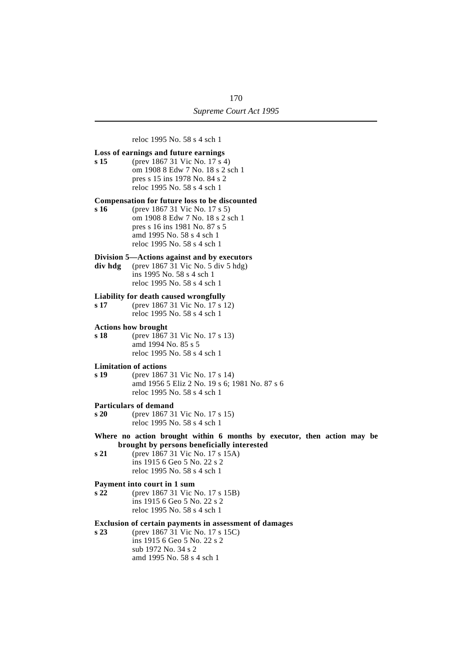reloc 1995 No. 58 s 4 sch 1

#### **Loss of earnings and future earnings**

**s 15** (prev 1867 31 Vic No. 17 s 4) om 1908 8 Edw 7 No. 18 s 2 sch 1 pres s 15 ins 1978 No. 84 s 2 reloc 1995 No. 58 s 4 sch 1

#### **Compensation for future loss to be discounted**

**s 16** (prev 1867 31 Vic No. 17 s 5) om 1908 8 Edw 7 No. 18 s 2 sch 1 pres s 16 ins 1981 No. 87 s 5 amd 1995 No. 58 s 4 sch 1 reloc 1995 No. 58 s 4 sch 1

#### **Division 5—Actions against and by executors**

**div hdg** (prev 1867 31 Vic No. 5 div 5 hdg) ins 1995 No. 58 s 4 sch 1 reloc 1995 No. 58 s 4 sch 1

#### **Liability for death caused wrongfully**

**s 17** (prev 1867 31 Vic No. 17 s 12) reloc 1995 No. 58 s 4 sch 1

#### **Actions how brought**

**s 18** (prev 1867 31 Vic No. 17 s 13) amd 1994 No. 85 s 5 reloc 1995 No. 58 s 4 sch 1

#### **Limitation of actions**

**s 19** (prev 1867 31 Vic No. 17 s 14) amd 1956 5 Eliz 2 No. 19 s 6; 1981 No. 87 s 6 reloc 1995 No. 58 s 4 sch 1

#### **Particulars of demand**

**s 20** (prev 1867 31 Vic No. 17 s 15) reloc 1995 No. 58 s 4 sch 1

#### **Where no action brought within 6 months by executor, then action may be brought by persons beneficially interested**

**s 21** (prev 1867 31 Vic No. 17 s 15A) ins 1915 6 Geo 5 No. 22 s 2 reloc 1995 No. 58 s 4 sch 1

#### **Payment into court in 1 sum**

**s 22** (prev 1867 31 Vic No. 17 s 15B) ins 1915 6 Geo 5 No. 22 s 2 reloc 1995 No. 58 s 4 sch 1

#### **Exclusion of certain payments in assessment of damages**

**s 23** (prev 1867 31 Vic No. 17 s 15C) ins 1915 6 Geo 5 No. 22 s 2 sub 1972 No. 34 s 2 amd 1995 No. 58 s 4 sch 1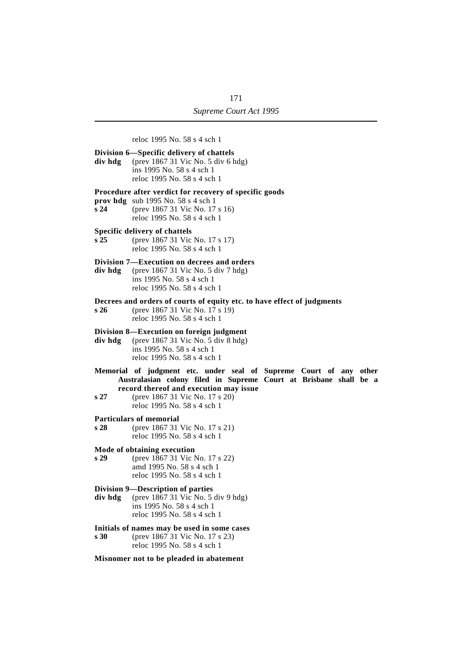reloc 1995 No. 58 s 4 sch 1 **Division 6—Specific delivery of chattels div hdg** (prev 1867 31 Vic No. 5 div 6 hdg) ins 1995 No. 58 s 4 sch 1 reloc 1995 No. 58 s 4 sch 1 **Procedure after verdict for recovery of specific goods prov hdg** sub 1995 No. 58 s 4 sch 1 **s 24** (prev 1867 31 Vic No. 17 s 16) reloc 1995 No. 58 s 4 sch 1 **Specific delivery of chattels s 25** (prev 1867 31 Vic No. 17 s 17) reloc 1995 No. 58 s 4 sch 1 **Division 7—Execution on decrees and orders div hdg** (prev 1867 31 Vic No. 5 div 7 hdg) ins 1995 No. 58 s 4 sch 1 reloc 1995 No. 58 s 4 sch 1 **Decrees and orders of courts of equity etc. to have effect of judgments s 26** (prev 1867 31 Vic No. 17 s 19) reloc 1995 No. 58 s 4 sch 1 **Division 8—Execution on foreign judgment div hdg** (prev 1867 31 Vic No. 5 div 8 hdg) ins 1995 No. 58 s 4 sch 1 reloc 1995 No. 58 s 4 sch 1 **Memorial of judgment etc. under seal of Supreme Court of any other Australasian colony filed in Supreme Court at Brisbane shall be a record thereof and execution may issue s 27** (prev 1867 31 Vic No. 17 s 20) reloc 1995 No. 58 s 4 sch 1 **Particulars of memorial**<br>s 28 (prev 1867 31) **s 28** (prev 1867 31 Vic No. 17 s 21) reloc 1995 No. 58 s 4 sch 1 **Mode of obtaining execution s 29** (prev 1867 31 Vic No. 17 s 22) amd 1995 No. 58 s 4 sch 1 reloc 1995 No. 58 s 4 sch 1 **Division 9—Description of parties div hdg** (prev 1867 31 Vic No. 5 div 9 hdg) ins 1995 No. 58 s 4 sch 1 reloc 1995 No. 58 s 4 sch 1 **Initials of names may be used in some cases s 30** (prev 1867 31 Vic No. 17 s 23) reloc 1995 No. 58 s 4 sch 1

#### **Misnomer not to be pleaded in abatement**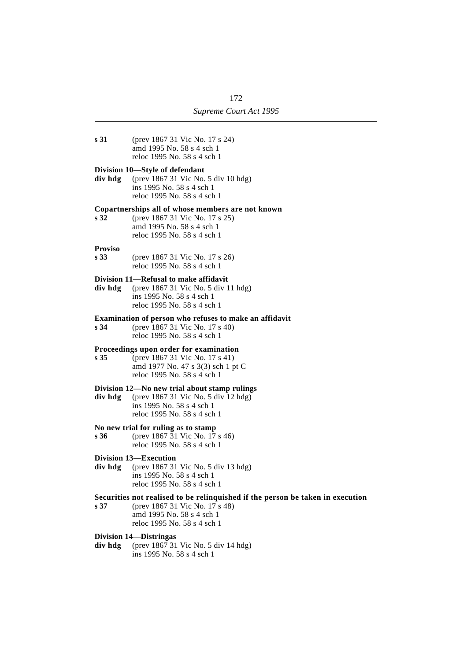**s 31** (prev 1867 31 Vic No. 17 s 24) amd 1995 No. 58 s 4 sch 1 reloc 1995 No. 58 s 4 sch 1

#### **Division 10—Style of defendant**

**div hdg** (prev 1867 31 Vic No. 5 div 10 hdg) ins 1995 No. 58 s 4 sch 1 reloc 1995 No. 58 s 4 sch 1

# **Copartnerships all of whose members are not known**

**s 32** (prev 1867 31 Vic No. 17 s 25) amd 1995 No. 58 s 4 sch 1 reloc 1995 No. 58 s 4 sch 1

# **Proviso**

**s 33** (prev 1867 31 Vic No. 17 s 26) reloc 1995 No. 58 s 4 sch 1

#### **Division 11—Refusal to make affidavit**

**div hdg** (prev 1867 31 Vic No. 5 div 11 hdg) ins 1995 No. 58 s 4 sch 1 reloc 1995 No. 58 s 4 sch 1

#### **Examination of person who refuses to make an affidavit**

**s 34** (prev 1867 31 Vic No. 17 s 40) reloc 1995 No. 58 s 4 sch 1

#### **Proceedings upon order for examination**

**s 35** (prev 1867 31 Vic No. 17 s 41) amd 1977 No. 47 s 3(3) sch 1 pt C reloc 1995 No. 58 s 4 sch 1

#### **Division 12—No new trial about stamp rulings**

**div hdg** (prev 1867 31 Vic No. 5 div 12 hdg) ins 1995 No. 58 s 4 sch 1 reloc 1995 No. 58 s 4 sch 1

#### **No new trial for ruling as to stamp**

**s 36** (prev 1867 31 Vic No. 17 s 46) reloc 1995 No. 58 s 4 sch 1

#### **Division 13—Execution**

**div hdg** (prev 1867 31 Vic No. 5 div 13 hdg) ins 1995 No. 58 s 4 sch 1 reloc 1995 No. 58 s 4 sch 1

#### **Securities not realised to be relinquished if the person be taken in execution**

**s 37** (prev 1867 31 Vic No. 17 s 48) amd 1995 No. 58 s 4 sch 1 reloc 1995 No. 58 s 4 sch 1

#### **Division 14—Distringas**

**div hdg** (prev 1867 31 Vic No. 5 div 14 hdg) ins 1995 No. 58 s 4 sch 1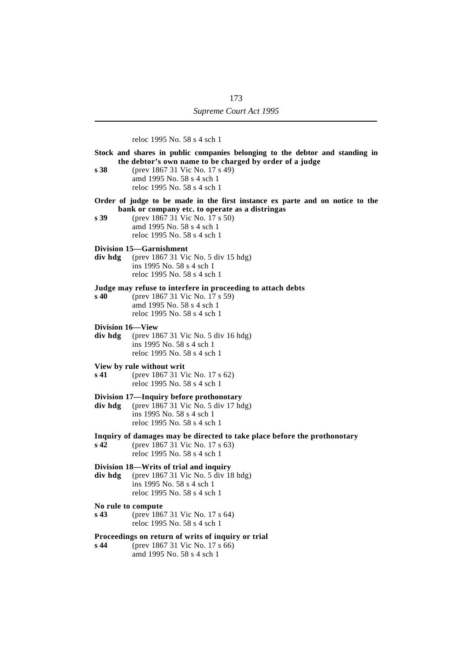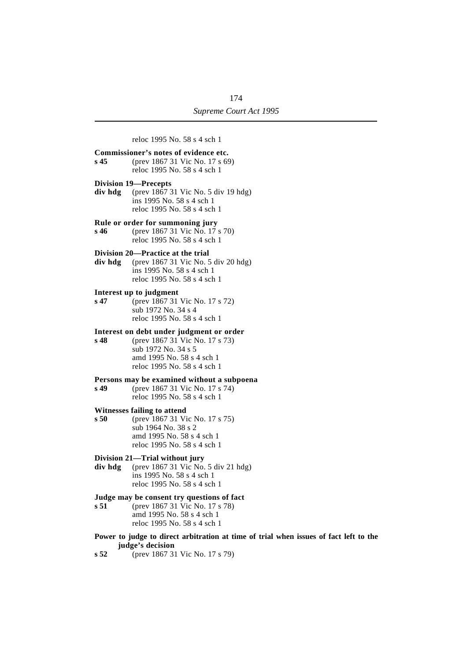

**judge's decision**

**s 52** (prev 1867 31 Vic No. 17 s 79)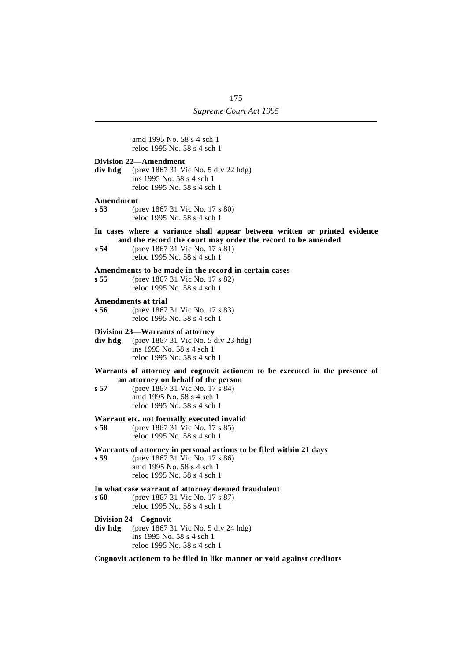|                  | amd 1995 No. 58 s 4 sch 1<br>reloc 1995 No. 58 s 4 sch 1                                                                                                                                                          |
|------------------|-------------------------------------------------------------------------------------------------------------------------------------------------------------------------------------------------------------------|
| div hdg          | <b>Division 22—Amendment</b><br>(prev 1867 31 Vic No. 5 div 22 hdg)<br>ins 1995 No. 58 s 4 sch 1<br>reloc 1995 No. 58 s 4 sch 1                                                                                   |
| Amendment<br>s53 | (prev 1867 31 Vic No. 17 s 80)<br>reloc 1995 No. 58 s 4 sch 1                                                                                                                                                     |
| s 54             | In cases where a variance shall appear between written or printed evidence<br>and the record the court may order the record to be amended<br>(prev 1867 31 Vic No. 17 s 81)<br>reloc 1995 No. 58 s 4 sch 1        |
| s 55             | Amendments to be made in the record in certain cases<br>(prev 1867 31 Vic No. 17 s 82)<br>reloc 1995 No. 58 s 4 sch 1                                                                                             |
| s56              | Amendments at trial<br>(prev 1867 31 Vic No. 17 s 83)<br>reloc 1995 No. 58 s 4 sch 1                                                                                                                              |
| div hdg          | Division 23—Warrants of attorney<br>(prev 1867 31 Vic No. 5 div 23 hdg)<br>ins 1995 No. 58 s 4 sch 1<br>reloc 1995 No. 58 s 4 sch 1                                                                               |
| s 57             | Warrants of attorney and cognovit actionem to be executed in the presence of<br>an attorney on behalf of the person<br>(prev 1867 31 Vic No. 17 s 84)<br>amd 1995 No. 58 s 4 sch 1<br>reloc 1995 No. 58 s 4 sch 1 |
| s 58             | Warrant etc. not formally executed invalid<br>(prev 1867 31 Vic No. 17 s 85)<br>reloc 1995 No. 58 s 4 sch 1                                                                                                       |
| s 59             | Warrants of attorney in personal actions to be filed within 21 days<br>(prev 1867 31 Vic No. 17 s 86)<br>amd 1995 No. 58 s 4 sch 1<br>reloc 1995 No. 58 s 4 sch 1                                                 |
| s 60             | In what case warrant of attorney deemed fraudulent<br>(prev 1867 31 Vic No. 17 s 87)<br>reloc 1995 No. 58 s 4 sch 1                                                                                               |
| div hdg          | Division 24—Cognovit<br>(prev 1867 31 Vic No. 5 div 24 hdg)<br>ins 1995 No. 58 s 4 sch 1<br>reloc 1995 No. 58 s 4 sch 1                                                                                           |
|                  | Cognovit actionem to be filed in like manner or void against creditors                                                                                                                                            |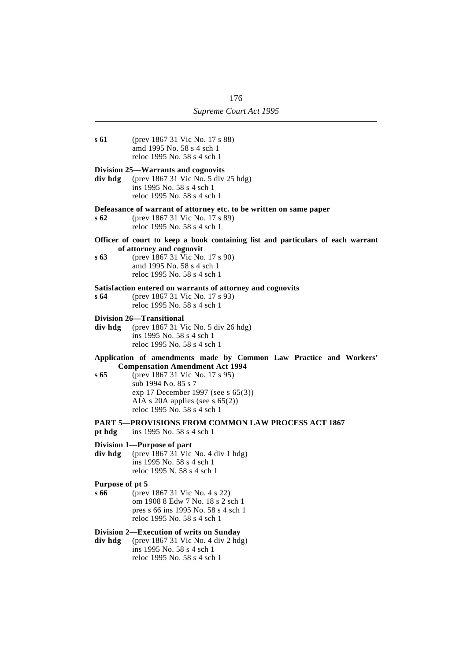**s 61** (prev 1867 31 Vic No. 17 s 88) amd 1995 No. 58 s 4 sch 1 reloc 1995 No. 58 s 4 sch 1 **Division 25—Warrants and cognovits div hdg** (prev 1867 31 Vic No. 5 div 25 hdg) ins 1995 No. 58 s 4 sch 1 reloc 1995 No. 58 s 4 sch 1 **Defeasance of warrant of attorney etc. to be written on same paper s 62** (prev 1867 31 Vic No. 17 s 89) reloc 1995 No. 58 s 4 sch 1 **Officer of court to keep a book containing list and particulars of each warrant of attorney and cognovit s 63** (prev 1867 31 Vic No. 17 s 90) amd 1995 No. 58 s 4 sch 1 reloc 1995 No. 58 s 4 sch 1 **Satisfaction entered on warrants of attorney and cognovits s 64** (prev 1867 31 Vic No. 17 s 93) reloc 1995 No. 58 s 4 sch 1 **Division 26—Transitional div hdg** (prev 1867 31 Vic No. 5 div 26 hdg) ins 1995 No. 58 s 4 sch 1 reloc 1995 No. 58 s 4 sch 1 **Application of amendments made by Common Law Practice and Workers' Compensation Amendment Act 1994 s 65** (prev 1867 31 Vic No. 17 s 95) sub 1994 No. 85 s 7 exp 17 December 1997 (see s 65(3)) AIA s 20A applies (see s 65(2)) reloc 1995 No. 58 s 4 sch 1 **PART 5—PROVISIONS FROM COMMON LAW PROCESS ACT 1867 pt hdg** ins 1995 No. 58 s 4 sch 1 **Division 1—Purpose of part div hdg** (prev 1867 31 Vic No. 4 div 1 hdg) ins 1995 No. 58 s 4 sch 1 reloc 1995 N. 58 s 4 sch 1 **Purpose of pt 5 s 66** (prev 1867 31 Vic No. 4 s 22) om 1908 8 Edw 7 No. 18 s 2 sch 1 pres s 66 ins 1995 No. 58 s 4 sch 1 reloc 1995 No. 58 s 4 sch 1 **Division 2—Execution of writs on Sunday div hdg** (prev 1867 31 Vic No. 4 div 2 hdg) ins 1995 No. 58 s 4 sch 1 reloc 1995 No. 58 s 4 sch 1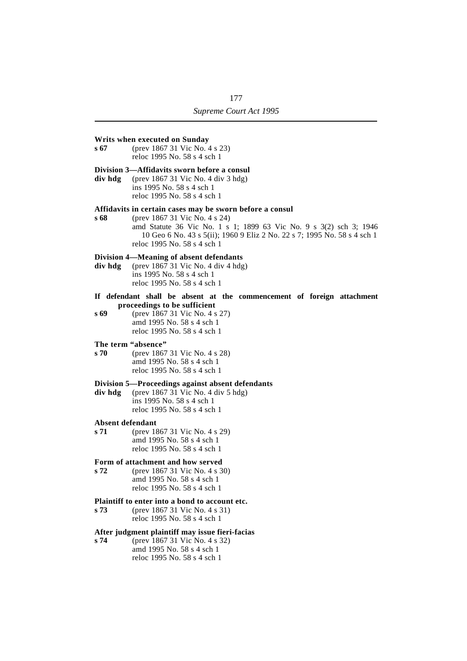### **Writs when executed on Sunday s 67** (prev 1867 31 Vic No. 4 s 23) reloc 1995 No. 58 s 4 sch 1 **Division 3—Affidavits sworn before a consul div hdg** (prev 1867 31 Vic No. 4 div 3 hdg) ins 1995 No. 58 s 4 sch 1 reloc 1995 No. 58 s 4 sch 1 **Affidavits in certain cases may be sworn before a consul s 68** (prev 1867 31 Vic No. 4 s 24) amd Statute 36 Vic No. 1 s 1; 1899 63 Vic No. 9 s 3(2) sch 3; 1946 10 Geo 6 No. 43 s 5(ii); 1960 9 Eliz 2 No. 22 s 7; 1995 No. 58 s 4 sch 1 reloc 1995 No. 58 s 4 sch 1 **Division 4—Meaning of absent defendants div hdg** (prev 1867 31 Vic No. 4 div 4 hdg) ins 1995 No. 58 s 4 sch 1 reloc 1995 No. 58 s 4 sch 1 **If defendant shall be absent at the commencement of foreign attachment proceedings to be sufficient s 69** (prev 1867 31 Vic No. 4 s 27) amd 1995 No. 58 s 4 sch 1 reloc 1995 No. 58 s 4 sch 1 **The term "absence" s 70** (prev 1867 31 Vic No. 4 s 28) amd 1995 No. 58 s 4 sch 1 reloc 1995 No. 58 s 4 sch 1 **Division 5—Proceedings against absent defendants div hdg** (prev 1867 31 Vic No. 4 div 5 hdg) ins 1995 No. 58 s 4 sch 1 reloc 1995 No. 58 s 4 sch 1 **Absent defendant s 71** (prev 1867 31 Vic No. 4 s 29) amd 1995 No. 58 s 4 sch 1 reloc 1995 No. 58 s 4 sch 1 **Form of attachment and how served s 72** (prev 1867 31 Vic No. 4 s 30) amd 1995 No. 58 s 4 sch 1 reloc 1995 No. 58 s 4 sch 1 **Plaintiff to enter into a bond to account etc. s 73** (prev 1867 31 Vic No. 4 s 31) reloc 1995 No. 58 s 4 sch 1 **After judgment plaintiff may issue fieri-facias**

**s 74** (prev 1867 31 Vic No. 4 s 32) amd 1995 No. 58 s 4 sch 1 reloc 1995 No. 58 s 4 sch 1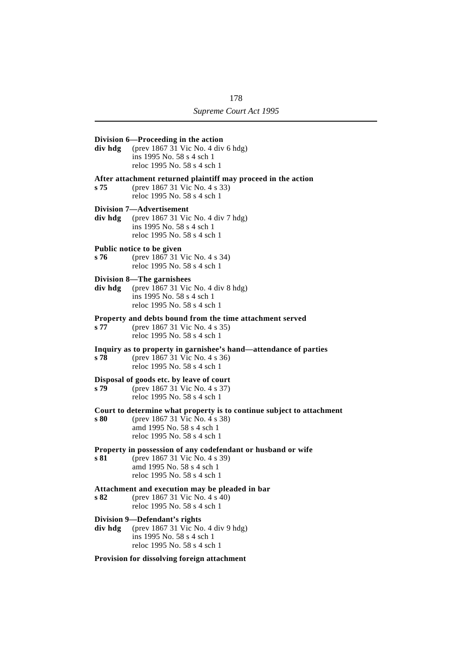### **Division 6—Proceeding in the action div hdg** (prev 1867 31 Vic No. 4 div 6 hdg) ins 1995 No. 58 s 4 sch 1 reloc 1995 No. 58 s 4 sch 1 **After attachment returned plaintiff may proceed in the action s 75** (prev 1867 31 Vic No. 4 s 33) reloc 1995 No. 58 s 4 sch 1 **Division 7—Advertisement div hdg** (prev 1867 31 Vic No. 4 div 7 hdg) ins 1995 No. 58 s 4 sch 1 reloc 1995 No. 58 s 4 sch 1 **Public notice to be given s 76** (prev 1867 31 Vic No. 4 s 34) reloc 1995 No. 58 s 4 sch 1 **Division 8—The garnishees div hdg** (prev 1867 31 Vic No. 4 div 8 hdg) ins 1995 No. 58 s 4 sch 1 reloc 1995 No. 58 s 4 sch 1 **Property and debts bound from the time attachment served s 77** (prev 1867 31 Vic No. 4 s 35) reloc 1995 No. 58 s 4 sch 1 **Inquiry as to property in garnishee's hand—attendance of parties s 78** (prev 1867 31 Vic No. 4 s 36) reloc 1995 No. 58 s 4 sch 1 **Disposal of goods etc. by leave of court**<br>s **79** (prev 1867 31 Vic No. 4 s 37) **s 79** (prev 1867 31 Vic No. 4 s 37) reloc 1995 No. 58 s 4 sch 1 **Court to determine what property is to continue subject to attachment**<br>s 80 (prev 1867 31 Vic No. 4 s 38) **s 80** (prev 1867 31 Vic No. 4 s 38) amd 1995 No. 58 s 4 sch 1 reloc 1995 No. 58 s 4 sch 1 **Property in possession of any codefendant or husband or wife s 81** (prev 1867 31 Vic No. 4 s 39) amd 1995 No. 58 s 4 sch 1 reloc 1995 No. 58 s 4 sch 1 **Attachment and execution may be pleaded in bar s 82** (prev 1867 31 Vic No. 4 s 40) reloc 1995 No. 58 s 4 sch 1 **Division 9—Defendant's rights div hdg** (prev 1867 31 Vic No. 4 div 9 hdg) ins 1995 No. 58 s 4 sch 1 reloc 1995 No. 58 s 4 sch 1 **Provision for dissolving foreign attachment**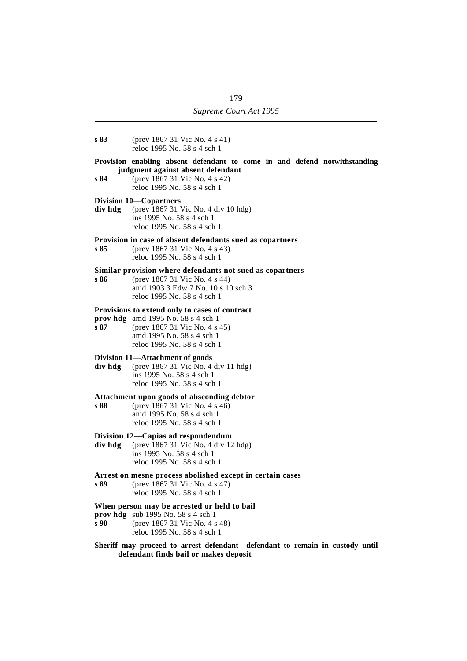- **s 83** (prev 1867 31 Vic No. 4 s 41) reloc 1995 No. 58 s 4 sch 1
- **Provision enabling absent defendant to come in and defend notwithstanding judgment against absent defendant**
- **s 84** (prev 1867 31 Vic No. 4 s 42) reloc 1995 No. 58 s 4 sch 1

# **Division 10—Copartners**<br>**div hdg** (prev 1867 31)

**div hdg** (prev 1867 31 Vic No. 4 div 10 hdg) ins 1995 No. 58 s 4 sch 1 reloc 1995 No. 58 s 4 sch 1

# **Provision in case of absent defendants sued as copartners**

**s 85** (prev 1867 31 Vic No. 4 s 43) reloc 1995 No. 58 s 4 sch 1

# **Similar provision where defendants not sued as copartners**

**s 86** (prev 1867 31 Vic No. 4 s 44) amd 1903 3 Edw 7 No. 10 s 10 sch 3 reloc 1995 No. 58 s 4 sch 1

# **Provisions to extend only to cases of contract**

- **prov hdg** amd 1995 No. 58 s 4 sch 1 **s 87** (prev 1867 31 Vic No. 4 s 45)
	- amd 1995 No. 58 s 4 sch 1 reloc 1995 No. 58 s 4 sch 1

# **Division 11—Attachment of goods**

**div hdg** (prev 1867 31 Vic No. 4 div 11 hdg) ins 1995 No. 58 s 4 sch 1 reloc 1995 No. 58 s 4 sch 1

# **Attachment upon goods of absconding debtor**

**s 88** (prev 1867 31 Vic No. 4 s 46) amd 1995 No. 58 s 4 sch 1 reloc 1995 No. 58 s 4 sch 1

# **Division 12—Capias ad respondendum**

- **div hdg** (prev 1867 31 Vic No. 4 div 12 hdg) ins 1995 No. 58 s 4 sch 1 reloc 1995 No. 58 s 4 sch 1
- **Arrest on mesne process abolished except in certain cases**
- **s 89** (prev 1867 31 Vic No. 4 s 47) reloc 1995 No. 58 s 4 sch 1

# **When person may be arrested or held to bail**

- **prov hdg** sub 1995 No. 58 s 4 sch 1
- **s 90** (prev 1867 31 Vic No. 4 s 48) reloc 1995 No. 58 s 4 sch 1

# **Sheriff may proceed to arrest defendant—defendant to remain in custody until defendant finds bail or makes deposit**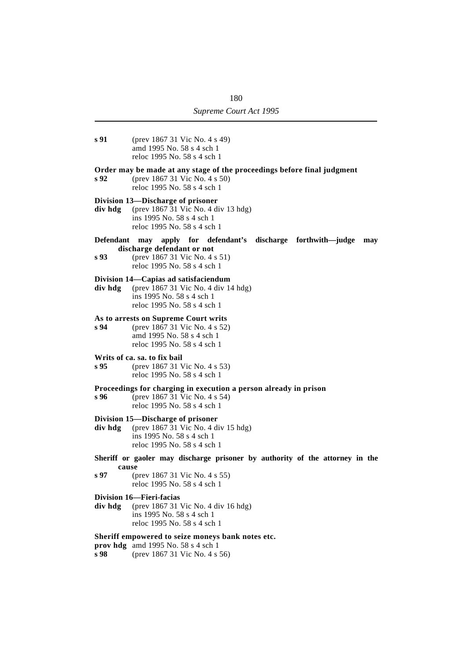- **s 91** (prev 1867 31 Vic No. 4 s 49) amd 1995 No. 58 s 4 sch 1 reloc 1995 No. 58 s 4 sch 1 **Order may be made at any stage of the proceedings before final judgment s 92** (prev 1867 31 Vic No. 4 s 50) reloc 1995 No. 58 s 4 sch 1 **Division 13—Discharge of prisoner div hdg** (prev 1867 31 Vic No. 4 div 13 hdg) ins 1995 No. 58 s 4 sch 1 reloc 1995 No. 58 s 4 sch 1 **Defendant may apply for defendant's discharge forthwith—judge may discharge defendant or not s 93** (prev 1867 31 Vic No. 4 s 51)
	- reloc 1995 No. 58 s 4 sch 1

# **Division 14—Capias ad satisfaciendum**

**div hdg** (prev 1867 31 Vic No. 4 div 14 hdg) ins 1995 No. 58 s 4 sch 1 reloc 1995 No. 58 s 4 sch 1

# **As to arrests on Supreme Court writs**

**s 94** (prev 1867 31 Vic No. 4 s 52) amd 1995 No. 58 s 4 sch 1 reloc 1995 No. 58 s 4 sch 1

# **Writs of ca. sa. to fix bail**

**s 95** (prev 1867 31 Vic No. 4 s 53) reloc 1995 No. 58 s 4 sch 1

# **Proceedings for charging in execution a person already in prison**

**s 96** (prev 1867 31 Vic No. 4 s 54) reloc 1995 No. 58 s 4 sch 1

# **Division 15—Discharge of prisoner**

**div hdg** (prev 1867 31 Vic No. 4 div 15 hdg) ins 1995 No. 58 s 4 sch 1 reloc 1995 No. 58 s 4 sch 1

- **Sheriff or gaoler may discharge prisoner by authority of the attorney in the cause**
- **s 97** (prev 1867 31 Vic No. 4 s 55) reloc 1995 No. 58 s 4 sch 1
- **Division 16—Fieri-facias**
- **div hdg** (prev 1867 31 Vic No. 4 div 16 hdg) ins 1995 No. 58 s 4 sch 1 reloc 1995 No. 58 s 4 sch 1

# **Sheriff empowered to seize moneys bank notes etc.**

- **prov hdg** amd 1995 No. 58 s 4 sch 1
- **s 98** (prev 1867 31 Vic No. 4 s 56)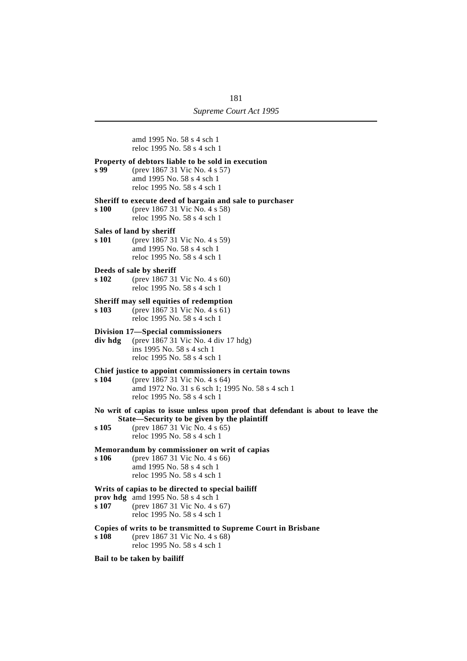amd 1995 No. 58 s 4 sch 1 reloc 1995 No. 58 s 4 sch 1

# **Property of debtors liable to be sold in execution**

**s 99** (prev 1867 31 Vic No. 4 s 57) amd 1995 No. 58 s 4 sch 1 reloc 1995 No. 58 s 4 sch 1

# **Sheriff to execute deed of bargain and sale to purchaser**<br>**s** 100 (prev 1867 31 Vic No. 4 s 58)

- **s 100** (prev 1867 31 Vic No. 4 s 58) reloc 1995 No. 58 s 4 sch 1
- **Sales of land by sheriff**

**s 101** (prev 1867 31 Vic No. 4 s 59) amd 1995 No. 58 s 4 sch 1 reloc 1995 No. 58 s 4 sch 1

### **Deeds of sale by sheriff**

**s 102** (prev 1867 31 Vic No. 4 s 60) reloc 1995 No. 58 s 4 sch 1

#### **Sheriff may sell equities of redemption**

**s 103** (prev 1867 31 Vic No. 4 s 61) reloc 1995 No. 58 s 4 sch 1

#### **Division 17—Special commissioners**

**div hdg** (prev 1867 31 Vic No. 4 div 17 hdg) ins 1995 No. 58 s 4 sch 1 reloc 1995 No. 58 s 4 sch 1

# **Chief justice to appoint commissioners in certain towns**

**s 104** (prev 1867 31 Vic No. 4 s 64) amd 1972 No. 31 s 6 sch 1; 1995 No. 58 s 4 sch 1 reloc 1995 No. 58 s 4 sch 1

# **No writ of capias to issue unless upon proof that defendant is about to leave the State—Security to be given by the plaintiff**

**s 105** (prev 1867 31 Vic No. 4 s 65) reloc 1995 No. 58 s 4 sch 1

# **Memorandum by commissioner on writ of capias**

**s 106** (prev 1867 31 Vic No. 4 s 66) amd 1995 No. 58 s 4 sch 1 reloc 1995 No. 58 s 4 sch 1

### **Writs of capias to be directed to special bailiff**

- **prov hdg** amd 1995 No. 58 s 4 sch 1 **s 107** (prev 1867 31 Vic No. 4 s 67)
- reloc 1995 No. 58 s 4 sch 1

# **Copies of writs to be transmitted to Supreme Court in Brisbane**

**s 108** (prev 1867 31 Vic No. 4 s 68) reloc 1995 No. 58 s 4 sch 1

#### **Bail to be taken by bailiff**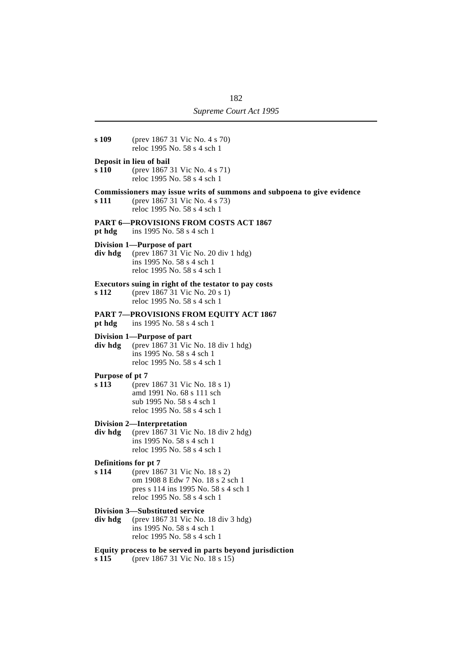| s 109                         | (prev 1867 31 Vic No. 4 s 70)<br>reloc 1995 No. 58 s 4 sch 1                                                                             |
|-------------------------------|------------------------------------------------------------------------------------------------------------------------------------------|
| s 110                         | Deposit in lieu of bail<br>(prev 1867 31 Vic No. 4 s 71)<br>reloc 1995 No. 58 s 4 sch 1                                                  |
| s 111                         | Commissioners may issue writs of summons and subpoena to give evidence<br>(prev 1867 31 Vic No. 4 s 73)<br>reloc 1995 No. 58 s 4 sch 1   |
| pt hdg                        | <b>PART 6-PROVISIONS FROM COSTS ACT 1867</b><br>ins 1995 No. 58 s 4 sch 1                                                                |
| div hdg                       | Division 1—Purpose of part<br>(prev 1867 31 Vic No. 20 div 1 hdg)<br>ins 1995 No. 58 s 4 sch 1<br>reloc 1995 No. 58 s 4 sch 1            |
| s 112                         | Executors suing in right of the testator to pay costs<br>(prev 1867 31 Vic No. 20 s 1)<br>reloc 1995 No. 58 s 4 sch 1                    |
|                               | <b>PART 7-PROVISIONS FROM EQUITY ACT 1867</b><br><b>pt hdg</b> ins 1995 No. 58 s 4 sch 1                                                 |
| div hdg                       | Division 1—Purpose of part<br>(prev 1867 31 Vic No. 18 div 1 hdg)<br>ins 1995 No. 58 s 4 sch 1<br>reloc 1995 No. 58 s 4 sch 1            |
| Purpose of pt 7<br>s 113      | (prev 1867 31 Vic No. 18 s 1)<br>amd 1991 No. 68 s 111 sch<br>sub 1995 No. 58 s 4 sch 1<br>reloc 1995 No. 58 s 4 sch 1                   |
| div hdg                       | Division 2—Interpretation<br>(prev 1867 31 Vic No. 18 div 2 hdg)<br>ins 1995 No. 58 s 4 sch 1<br>reloc 1995 No. 58 s 4 sch 1             |
| Definitions for pt 7<br>s 114 | (prev 1867 31 Vic No. 18 s 2)<br>om 1908 8 Edw 7 No. 18 s 2 sch 1<br>pres s 114 ins 1995 No. 58 s 4 sch 1<br>reloc 1995 No. 58 s 4 sch 1 |
| div hdg                       | Division 3—Substituted service<br>(prev 1867 31 Vic No. 18 div 3 hdg)<br>ins 1995 No. 58 s 4 sch 1<br>reloc 1995 No. 58 s 4 sch 1        |
| s 115                         | Equity process to be served in parts beyond jurisdiction<br>(prev 1867 31 Vic No. 18 s 15)                                               |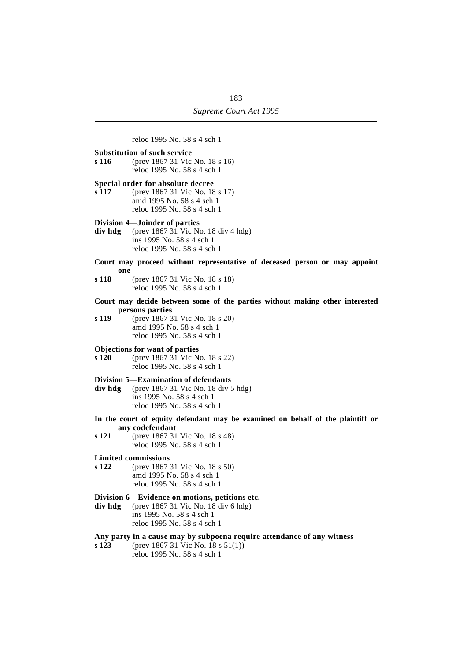reloc 1995 No. 58 s 4 sch 1 **Substitution of such service s 116** (prev 1867 31 Vic No. 18 s 16) reloc 1995 No. 58 s 4 sch 1 **Special order for absolute decree s 117** (prev 1867 31 Vic No. 18 s 17) amd 1995 No. 58 s 4 sch 1 reloc 1995 No. 58 s 4 sch 1 **Division 4—Joinder of parties div hdg** (prev 1867 31 Vic No. 18 div 4 hdg) ins 1995 No. 58 s 4 sch 1 reloc 1995 No. 58 s 4 sch 1 **Court may proceed without representative of deceased person or may appoint one s 118** (prev 1867 31 Vic No. 18 s 18) reloc 1995 No. 58 s 4 sch 1 **Court may decide between some of the parties without making other interested persons parties s 119** (prev 1867 31 Vic No. 18 s 20) amd 1995 No. 58 s 4 sch 1 reloc 1995 No. 58 s 4 sch 1 **Objections for want of parties s 120** (prev 1867 31 Vic No. 18 s 22) reloc 1995 No. 58 s 4 sch 1 **Division 5—Examination of defendants div hdg** (prev 1867 31 Vic No. 18 div 5 hdg) ins 1995 No. 58 s 4 sch 1 reloc 1995 No. 58 s 4 sch 1 **In the court of equity defendant may be examined on behalf of the plaintiff or any codefendant s 121** (prev 1867 31 Vic No. 18 s 48) reloc 1995 No. 58 s 4 sch 1 **Limited commissions s 122** (prev 1867 31 Vic No. 18 s 50) amd 1995 No. 58 s 4 sch 1 reloc 1995 No. 58 s 4 sch 1 **Division 6—Evidence on motions, petitions etc. div hdg** (prev 1867 31 Vic No. 18 div 6 hdg) ins 1995 No. 58 s 4 sch 1 reloc 1995 No. 58 s 4 sch 1 **Any party in a cause may by subpoena require attendance of any witness s 123** (prev 1867 31 Vic No. 18 s 51(1))

reloc 1995 No. 58 s 4 sch 1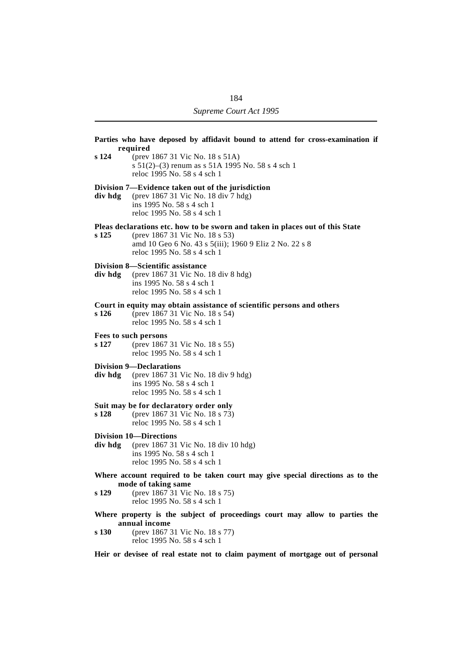**Parties who have deposed by affidavit bound to attend for cross-examination if required s 124** (prev 1867 31 Vic No. 18 s 51A) s 51(2)–(3) renum as s 51A 1995 No. 58 s 4 sch 1 reloc 1995 No. 58 s 4 sch 1 **Division 7—Evidence taken out of the jurisdiction div hdg** (prev 1867 31 Vic No. 18 div 7 hdg) ins 1995 No. 58 s 4 sch 1 reloc 1995 No. 58 s 4 sch 1 **Pleas declarations etc. how to be sworn and taken in places out of this State s 125** (prev 1867 31 Vic No. 18 s 53) amd 10 Geo 6 No. 43 s 5(iii); 1960 9 Eliz 2 No. 22 s 8 reloc 1995 No. 58 s 4 sch 1 **Division 8—Scientific assistance div hdg** (prev 1867 31 Vic No. 18 div 8 hdg) ins 1995 No. 58 s 4 sch 1 reloc 1995 No. 58 s 4 sch 1 **Court in equity may obtain assistance of scientific persons and others s 126** (prev 1867 31 Vic No. 18 s 54) reloc 1995 No. 58 s 4 sch 1 **Fees to such persons s 127** (prev 1867 31 Vic No. 18 s 55) reloc 1995 No. 58 s 4 sch 1 **Division 9—Declarations div hdg** (prev 1867 31 Vic No. 18 div 9 hdg) ins 1995 No. 58 s 4 sch 1 reloc 1995 No. 58 s 4 sch 1 **Suit may be for declaratory order only s 128** (prev 1867 31 Vic No. 18 s 73) reloc 1995 No. 58 s 4 sch 1 **Division 10—Directions div hdg** (prev 1867 31 Vic No. 18 div 10 hdg) ins 1995 No. 58 s 4 sch 1 reloc 1995 No. 58 s 4 sch 1 **Where account required to be taken court may give special directions as to the mode of taking same s 129** (prev 1867 31 Vic No. 18 s 75) reloc 1995 No. 58 s 4 sch 1 **Where property is the subject of proceedings court may allow to parties the annual income s 130** (prev 1867 31 Vic No. 18 s 77) reloc 1995 No. 58 s 4 sch 1

**Heir or devisee of real estate not to claim payment of mortgage out of personal**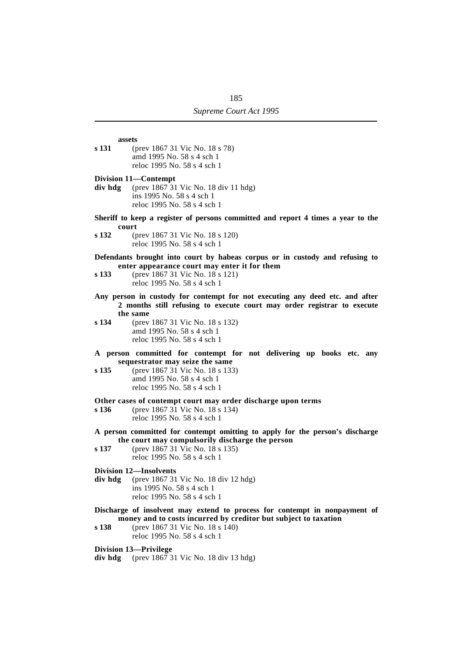**assets s 131** (prev 1867 31 Vic No. 18 s 78) amd 1995 No. 58 s 4 sch 1 reloc 1995 No. 58 s 4 sch 1

**Division 11—Contempt**

- **div hdg** (prev 1867 31 Vic No. 18 div 11 hdg) ins 1995 No. 58 s 4 sch 1 reloc 1995 No. 58 s 4 sch 1
- **Sheriff to keep a register of persons committed and report 4 times a year to the court**
- **s 132** (prev 1867 31 Vic No. 18 s 120) reloc 1995 No. 58 s 4 sch 1
- **Defendants brought into court by habeas corpus or in custody and refusing to enter appearance court may enter it for them**
- **s 133** (prev 1867 31 Vic No. 18 s 121) reloc 1995 No. 58 s 4 sch 1
- **Any person in custody for contempt for not executing any deed etc. and after 2 months still refusing to execute court may order registrar to execute the same**
- **s 134** (prev 1867 31 Vic No. 18 s 132) amd 1995 No. 58 s 4 sch 1 reloc 1995 No. 58 s 4 sch 1
- **A person committed for contempt for not delivering up books etc. any sequestrator may seize the same**
- **s 135** (prev 1867 31 Vic No. 18 s 133) amd 1995 No. 58 s 4 sch 1 reloc 1995 No. 58 s 4 sch 1

**Other cases of contempt court may order discharge upon terms**

- **s 136** (prev 1867 31 Vic No. 18 s 134) reloc 1995 No. 58 s 4 sch 1
- **A person committed for contempt omitting to apply for the person's discharge the court may compulsorily discharge the person**
- **s 137** (prev 1867 31 Vic No. 18 s 135) reloc 1995 No. 58 s 4 sch 1
- **Division 12—Insolvents**
- **div hdg** (prev 1867 31 Vic No. 18 div 12 hdg) ins 1995 No. 58 s 4 sch 1 reloc 1995 No. 58 s 4 sch 1
- **Discharge of insolvent may extend to process for contempt in nonpayment of money and to costs incurred by creditor but subject to taxation**
- **s 138** (prev 1867 31 Vic No. 18 s 140) reloc 1995 No. 58 s 4 sch 1

**Division 13—Privilege**

**div hdg** (prev 1867 31 Vic No. 18 div 13 hdg)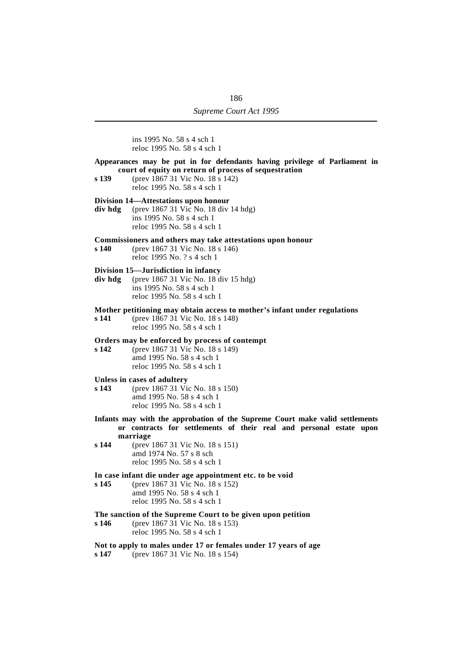ins 1995 No. 58 s 4 sch 1 reloc 1995 No. 58 s 4 sch 1

**Appearances may be put in for defendants having privilege of Parliament in court of equity on return of process of sequestration**

**s 139** (prev 1867 31 Vic No. 18 s 142) reloc 1995 No. 58 s 4 sch 1

#### **Division 14—Attestations upon honour**

**div hdg** (prev 1867 31 Vic No. 18 div 14 hdg) ins 1995 No. 58 s 4 sch 1 reloc 1995 No. 58 s 4 sch 1

# **Commissioners and others may take attestations upon honour**

**s 140** (prev 1867 31 Vic No. 18 s 146) reloc 1995 No. ? s 4 sch 1

# **Division 15—Jurisdiction in infancy**

**div hdg** (prev 1867 31 Vic No. 18 div 15 hdg) ins 1995 No. 58 s 4 sch 1 reloc 1995 No. 58 s 4 sch 1

### **Mother petitioning may obtain access to mother's infant under regulations**

**s 141** (prev 1867 31 Vic No. 18 s 148) reloc 1995 No. 58 s 4 sch 1

# **Orders may be enforced by process of contempt**

**s 142** (prev 1867 31 Vic No. 18 s 149) amd 1995 No. 58 s 4 sch 1 reloc 1995 No. 58 s 4 sch 1

# **Unless in cases of adultery**

- **s 143** (prev 1867 31 Vic No. 18 s 150) amd 1995 No. 58 s 4 sch 1 reloc 1995 No. 58 s 4 sch 1
- **Infants may with the approbation of the Supreme Court make valid settlements or contracts for settlements of their real and personal estate upon marriage**
- **s 144** (prev 1867 31 Vic No. 18 s 151) amd 1974 No. 57 s 8 sch reloc 1995 No. 58 s 4 sch 1

### **In case infant die under age appointment etc. to be void**

**s 145** (prev 1867 31 Vic No. 18 s 152) amd 1995 No. 58 s 4 sch 1 reloc 1995 No. 58 s 4 sch 1

# **The sanction of the Supreme Court to be given upon petition**

**s 146** (prev 1867 31 Vic No. 18 s 153) reloc 1995 No. 58 s 4 sch 1

# **Not to apply to males under 17 or females under 17 years of age**

**s 147** (prev 1867 31 Vic No. 18 s 154)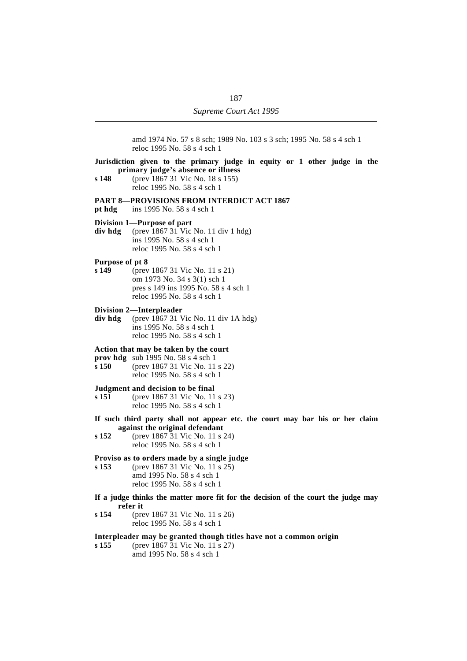amd 1974 No. 57 s 8 sch; 1989 No. 103 s 3 sch; 1995 No. 58 s 4 sch 1 reloc 1995 No. 58 s 4 sch 1

# **Jurisdiction given to the primary judge in equity or 1 other judge in the primary judge's absence or illness**

**s 148** (prev 1867 31 Vic No. 18 s 155) reloc 1995 No. 58 s 4 sch 1

# **PART 8—PROVISIONS FROM INTERDICT ACT 1867**

**pt hdg** ins 1995 No. 58 s 4 sch 1

## **Division 1—Purpose of part**

**div hdg** (prev 1867 31 Vic No. 11 div 1 hdg) ins 1995 No. 58 s 4 sch 1 reloc 1995 No. 58 s 4 sch 1

### **Purpose of pt 8**

- **s 149** (prev 1867 31 Vic No. 11 s 21) om 1973 No. 34 s 3(1) sch 1 pres s 149 ins 1995 No. 58 s 4 sch 1 reloc 1995 No. 58 s 4 sch 1
- **Division 2—Interpleader**

**div hdg** (prev 1867 31 Vic No. 11 div 1A hdg) ins 1995 No. 58 s 4 sch 1 reloc 1995 No. 58 s 4 sch 1

# **Action that may be taken by the court**

- **prov hdg** sub 1995 No. 58 s 4 sch 1
- **s 150** (prev 1867 31 Vic No. 11 s 22) reloc 1995 No. 58 s 4 sch 1

# **Judgment and decision to be final<br>s 151** (prev 1867 31 Vic No. 11)

- **s 151** (prev 1867 31 Vic No. 11 s 23) reloc 1995 No. 58 s 4 sch 1
- **If such third party shall not appear etc. the court may bar his or her claim against the original defendant**
- **s 152** (prev 1867 31 Vic No. 11 s 24) reloc 1995 No. 58 s 4 sch 1

# **Proviso as to orders made by a single judge**

**s 153** (prev 1867 31 Vic No. 11 s 25) amd 1995 No. 58 s 4 sch 1 reloc 1995 No. 58 s 4 sch 1

- **If a judge thinks the matter more fit for the decision of the court the judge may refer it**
- **s 154** (prev 1867 31 Vic No. 11 s 26) reloc 1995 No. 58 s 4 sch 1

# **Interpleader may be granted though titles have not a common origin**

**s 155** (prev 1867 31 Vic No. 11 s 27) amd 1995 No. 58 s 4 sch 1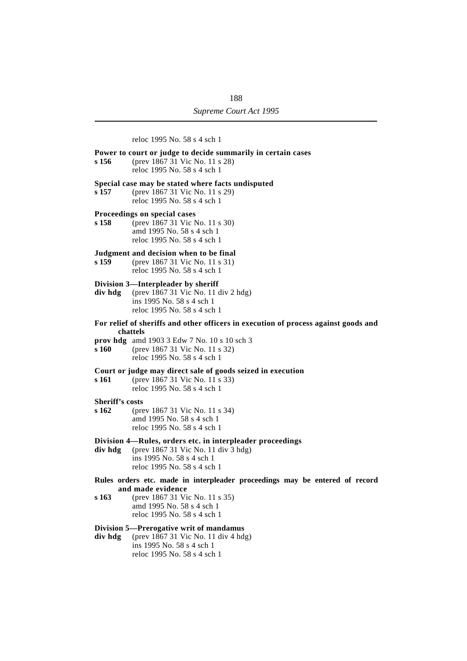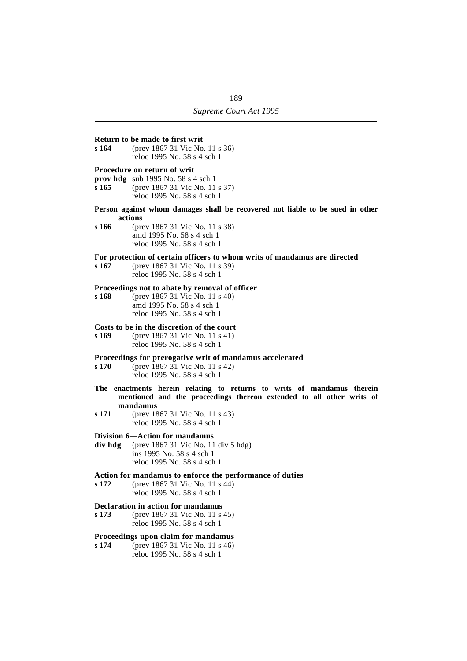#### **Return to be made to first writ**

**s 164** (prev 1867 31 Vic No. 11 s 36) reloc 1995 No. 58 s 4 sch 1

### **Procedure on return of writ**

- **prov hdg** sub 1995 No. 58 s 4 sch 1
- **s 165** (prev 1867 31 Vic No. 11 s 37) reloc 1995 No. 58 s 4 sch 1
- **Person against whom damages shall be recovered not liable to be sued in other actions**

**s 166** (prev 1867 31 Vic No. 11 s 38) amd 1995 No. 58 s 4 sch 1 reloc 1995 No. 58 s 4 sch 1

# **For protection of certain officers to whom writs of mandamus are directed s 167** (prev 1867 31 Vic No. 11 s 39)

**s 167** (prev 1867 31 Vic No. 11 s 39) reloc 1995 No. 58 s 4 sch 1

#### **Proceedings not to abate by removal of officer**

**s 168** (prev 1867 31 Vic No. 11 s 40) amd 1995 No. 58 s 4 sch 1 reloc 1995 No. 58 s 4 sch 1

# **Costs to be in the discretion of the court**

**s 169** (prev 1867 31 Vic No. 11 s 41) reloc 1995 No. 58 s 4 sch 1

# **Proceedings for prerogative writ of mandamus accelerated**

- **s 170** (prev 1867 31 Vic No. 11 s 42) reloc 1995 No. 58 s 4 sch 1
- **The enactments herein relating to returns to writs of mandamus therein mentioned and the proceedings thereon extended to all other writs of mandamus**
- **s 171** (prev 1867 31 Vic No. 11 s 43) reloc 1995 No. 58 s 4 sch 1

# **Division 6—Action for mandamus**

- **div hdg** (prev 1867 31 Vic No. 11 div 5 hdg) ins 1995 No. 58 s 4 sch 1 reloc 1995 No. 58 s 4 sch 1
- **Action for mandamus to enforce the performance of duties**
- **s 172** (prev 1867 31 Vic No. 11 s 44) reloc 1995 No. 58 s 4 sch 1

### **Declaration in action for mandamus**

**s 173** (prev 1867 31 Vic No. 11 s 45) reloc 1995 No. 58 s 4 sch 1

# **Proceedings upon claim for mandamus**

**s 174** (prev 1867 31 Vic No. 11 s 46) reloc 1995 No. 58 s 4 sch 1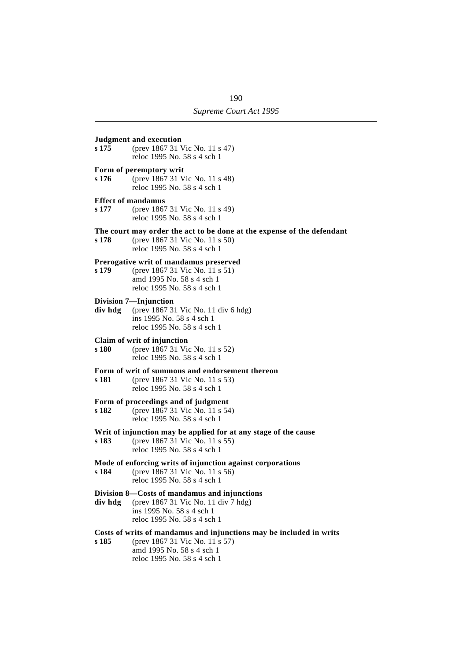# **Judgment and execution s 175** (prev 1867 31 Vic No. 11 s 47) reloc 1995 No. 58 s 4 sch 1 **Form of peremptory writ**<br>**s** 176 (prev 1867 31 V **s 176** (prev 1867 31 Vic No. 11 s 48) reloc 1995 No. 58 s 4 sch 1 **Effect of mandamus**<br>**s** 177 (prev 1867) **s 177** (prev 1867 31 Vic No. 11 s 49) reloc 1995 No. 58 s 4 sch 1 **The court may order the act to be done at the expense of the defendant s 178** (prev 1867 31 Vic No. 11 s 50) reloc 1995 No. 58 s 4 sch 1 **Prerogative writ of mandamus preserved s 179** (prev 1867 31 Vic No. 11 s 51) amd 1995 No. 58 s 4 sch 1 reloc 1995 No. 58 s 4 sch 1 **Division 7—Injunction div hdg** (prev 1867 31 Vic No. 11 div 6 hdg) ins 1995 No. 58 s 4 sch 1 reloc 1995 No. 58 s 4 sch 1 **Claim of writ of injunction s 180** (prev 1867 31 Vic No. 11 s 52) reloc 1995 No. 58 s 4 sch 1 **Form of writ of summons and endorsement thereon s 181** (prev 1867 31 Vic No. 11 s 53) reloc 1995 No. 58 s 4 sch 1 **Form of proceedings and of judgment s 182** (prev 1867 31 Vic No. 11 s 54) reloc 1995 No. 58 s 4 sch 1 **Writ of injunction may be applied for at any stage of the cause s 183** (prev 1867 31 Vic No. 11 s 55) reloc 1995 No. 58 s 4 sch 1 **Mode of enforcing writs of injunction against corporations s 184** (prev 1867 31 Vic No. 11 s 56) reloc 1995 No. 58 s 4 sch 1 **Division 8—Costs of mandamus and injunctions div hdg** (prev 1867 31 Vic No. 11 div 7 hdg) ins 1995 No. 58 s 4 sch 1 reloc 1995 No. 58 s 4 sch 1 **Costs of writs of mandamus and injunctions may be included in writs s 185** (prev 1867 31 Vic No. 11 s 57) amd 1995 No. 58 s 4 sch 1 reloc 1995 No. 58 s 4 sch 1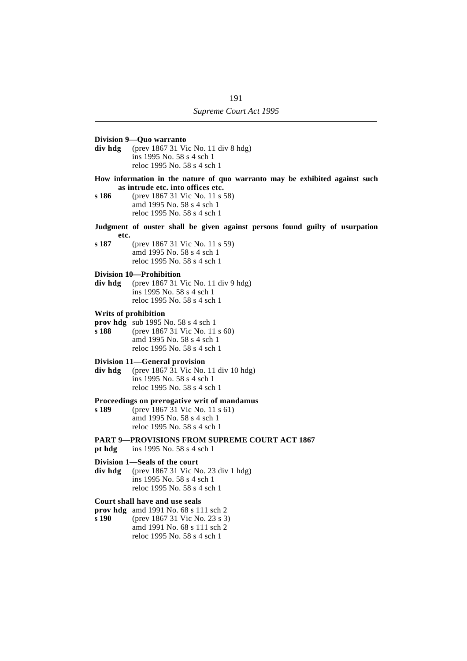- **Division 9—Quo warranto div hdg** (prev 1867 31 Vic No. 11 div 8 hdg) ins 1995 No. 58 s 4 sch 1 reloc 1995 No. 58 s 4 sch 1 **How information in the nature of quo warranto may be exhibited against such as intrude etc. into offices etc. s 186** (prev 1867 31 Vic No. 11 s 58) amd 1995 No. 58 s 4 sch 1 reloc 1995 No. 58 s 4 sch 1 **Judgment of ouster shall be given against persons found guilty of usurpation etc. s 187** (prev 1867 31 Vic No. 11 s 59) amd 1995 No. 58 s 4 sch 1 reloc 1995 No. 58 s 4 sch 1 **Division 10—Prohibition div hdg** (prev 1867 31 Vic No. 11 div 9 hdg) ins 1995 No. 58 s 4 sch 1 reloc 1995 No. 58 s 4 sch 1 **Writs of prohibition prov hdg** sub 1995 No. 58 s 4 sch 1<br>**s 188** (prev 1867 31 Vic No. 11) **s 188** (prev 1867 31 Vic No. 11 s 60) amd 1995 No. 58 s 4 sch 1 reloc 1995 No. 58 s 4 sch 1 **Division 11—General provision div hdg** (prev 1867 31 Vic No. 11 div 10 hdg) ins 1995 No. 58 s 4 sch 1 reloc 1995 No. 58 s 4 sch 1 **Proceedings on prerogative writ of mandamus**<br>s 189 (prev 1867 31 Vic No. 11 s 61) **s 189** (prev 1867 31 Vic No. 11 s 61) amd 1995 No. 58 s 4 sch 1 reloc 1995 No. 58 s 4 sch 1 **PART 9—PROVISIONS FROM SUPREME COURT ACT 1867 pt hdg** ins 1995 No. 58 s 4 sch 1 **Division 1—Seals of the court div hdg** (prev 1867 31 Vic No. 23 div 1 hdg) ins 1995 No. 58 s 4 sch 1 reloc 1995 No. 58 s 4 sch 1 **Court shall have and use seals prov hdg** amd 1991 No. 68 s 111 sch 2 **s 190** (prev 1867 31 Vic No. 23 s 3) amd 1991 No. 68 s 111 sch 2
	- reloc 1995 No. 58 s 4 sch 1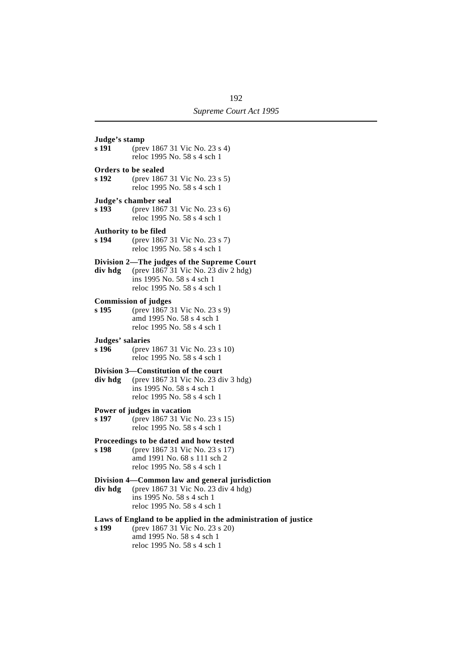**Judge's stamp s 191** (prev 1867 31 Vic No. 23 s 4) reloc 1995 No. 58 s 4 sch 1 **Orders to be sealed<br>s 192** (prev 186) **s 192** (prev 1867 31 Vic No. 23 s 5) reloc 1995 No. 58 s 4 sch 1 **Judge's chamber seal s 193** (prev 1867 31 Vic No. 23 s 6) reloc 1995 No. 58 s 4 sch 1 **Authority to be filed s 194** (prev 1867 31 Vic No. 23 s 7) reloc 1995 No. 58 s 4 sch 1 **Division 2—The judges of the Supreme Court div hdg** (prev 1867 31 Vic No. 23 div 2 hdg) ins 1995 No. 58 s 4 sch 1 reloc 1995 No. 58 s 4 sch 1 **Commission of judges s 195** (prev 1867 31 Vic No. 23 s 9) amd 1995 No. 58 s 4 sch 1 reloc 1995 No. 58 s 4 sch 1 **Judges' salaries s 196** (prev 1867 31 Vic No. 23 s 10) reloc 1995 No. 58 s 4 sch 1 **Division 3—Constitution of the court div hdg** (prev 1867 31 Vic No. 23 div 3 hdg) ins 1995 No. 58 s 4 sch 1 reloc 1995 No. 58 s 4 sch 1 **Power of judges in vacation s 197** (prev 1867 31 Vic No. 23 s 15) reloc 1995 No. 58 s 4 sch 1 **Proceedings to be dated and how tested<br>s 198** (prev 1867 31 Vic No. 23 s 17) **s 198** (prev 1867 31 Vic No. 23 s 17) amd 1991 No. 68 s 111 sch 2 reloc 1995 No. 58 s 4 sch 1 **Division 4—Common law and general jurisdiction div hdg** (prev 1867 31 Vic No. 23 div 4 hdg) ins 1995 No. 58 s 4 sch 1 reloc 1995 No. 58 s 4 sch 1 **Laws of England to be applied in the administration of justice**

- 
- **s 199** (prev 1867 31 Vic No. 23 s 20) amd 1995 No. 58 s 4 sch 1 reloc 1995 No. 58 s 4 sch 1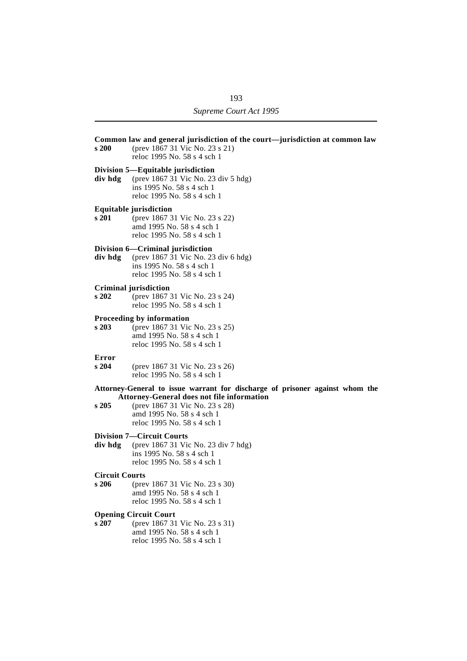| s 200                          | Common law and general jurisdiction of the court—jurisdiction at common law<br>(prev 1867 31 Vic No. 23 s 21)<br>reloc 1995 No. 58 s 4 sch 1                                                                                    |
|--------------------------------|---------------------------------------------------------------------------------------------------------------------------------------------------------------------------------------------------------------------------------|
| div hdg                        | Division 5—Equitable jurisdiction<br>(prev 1867 31 Vic No. 23 div 5 hdg)<br>ins 1995 No. 58 s 4 sch 1<br>reloc 1995 No. 58 s 4 sch 1                                                                                            |
| s 201                          | <b>Equitable jurisdiction</b><br>(prev 1867 31 Vic No. 23 s 22)<br>amd 1995 No. 58 s 4 sch 1<br>reloc 1995 No. 58 s 4 sch 1                                                                                                     |
| div hdg                        | Division 6-Criminal jurisdiction<br>(prev 1867 31 Vic No. 23 div 6 hdg)<br>ins 1995 No. 58 s 4 sch 1<br>reloc 1995 No. 58 s 4 sch 1                                                                                             |
| s202                           | Criminal jurisdiction<br>(prev 1867 31 Vic No. 23 s 24)<br>reloc 1995 No. 58 s 4 sch 1                                                                                                                                          |
| s 203                          | Proceeding by information<br>(prev 1867 31 Vic No. 23 s 25)<br>amd 1995 No. 58 s 4 sch 1<br>reloc 1995 No. 58 s 4 sch 1                                                                                                         |
| Error<br>s204                  | (prev 1867 31 Vic No. 23 s 26)<br>reloc 1995 No. 58 s 4 sch 1                                                                                                                                                                   |
| s205                           | Attorney-General to issue warrant for discharge of prisoner against whom the<br><b>Attorney-General does not file information</b><br>(prev 1867 31 Vic No. 23 s 28)<br>amd 1995 No. 58 s 4 sch 1<br>reloc 1995 No. 58 s 4 sch 1 |
| div hdg                        | <b>Division 7—Circuit Courts</b><br>(prev 1867 31 Vic No. 23 div 7 hdg)<br>ins 1995 No. 58 s 4 sch 1<br>reloc 1995 No. 58 s 4 sch 1                                                                                             |
| <b>Circuit Courts</b><br>s 206 | (prev 1867 31 Vic No. 23 s 30)<br>amd 1995 No. 58 s 4 sch 1<br>reloc 1995 No. 58 s 4 sch 1                                                                                                                                      |
| s 207                          | <b>Opening Circuit Court</b><br>(prev 1867 31 Vic No. 23 s 31)<br>amd 1995 No. 58 s 4 sch 1                                                                                                                                     |

reloc 1995 No. 58 s 4 sch 1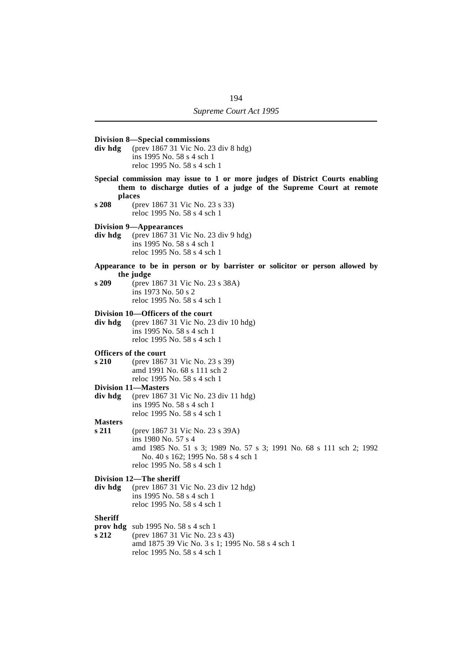# **Division 8—Special commissions div hdg** (prev 1867 31 Vic No. 23 div 8 hdg) ins 1995 No. 58 s 4 sch 1 reloc 1995 No. 58 s 4 sch 1 **Special commission may issue to 1 or more judges of District Courts enabling them to discharge duties of a judge of the Supreme Court at remote places s 208** (prev 1867 31 Vic No. 23 s 33) reloc 1995 No. 58 s 4 sch 1 **Division 9—Appearances div hdg** (prev 1867 31 Vic No. 23 div 9 hdg) ins 1995 No. 58 s 4 sch 1 reloc 1995 No. 58 s 4 sch 1 **Appearance to be in person or by barrister or solicitor or person allowed by the judge s 209** (prev 1867 31 Vic No. 23 s 38A) ins 1973 No. 50 s 2 reloc 1995 No. 58 s 4 sch 1 **Division 10—Officers of the court div hdg** (prev 1867 31 Vic No. 23 div 10 hdg) ins 1995 No. 58 s 4 sch 1 reloc 1995 No. 58 s 4 sch 1 **Officers of the court s 210** (prev 1867 31 Vic No. 23 s 39) amd 1991 No. 68 s 111 sch 2 reloc 1995 No. 58 s 4 sch 1 **Division 11—Masters div hdg** (prev 1867 31 Vic No. 23 div 11 hdg) ins 1995 No. 58 s 4 sch 1 reloc 1995 No. 58 s 4 sch 1 **Masters s 211** (prev 1867 31 Vic No. 23 s 39A) ins 1980 No. 57 s 4 amd 1985 No. 51 s 3; 1989 No. 57 s 3; 1991 No. 68 s 111 sch 2; 1992 No. 40 s 162; 1995 No. 58 s 4 sch 1 reloc 1995 No. 58 s 4 sch 1 **Division 12—The sheriff div hdg** (prev 1867 31 Vic No. 23 div 12 hdg) ins 1995 No. 58 s 4 sch 1 reloc 1995 No. 58 s 4 sch 1 **Sheriff prov hdg** sub 1995 No. 58 s 4 sch 1 **s 212** (prev 1867 31 Vic No. 23 s 43) amd 1875 39 Vic No. 3 s 1; 1995 No. 58 s 4 sch 1 reloc 1995 No. 58 s 4 sch 1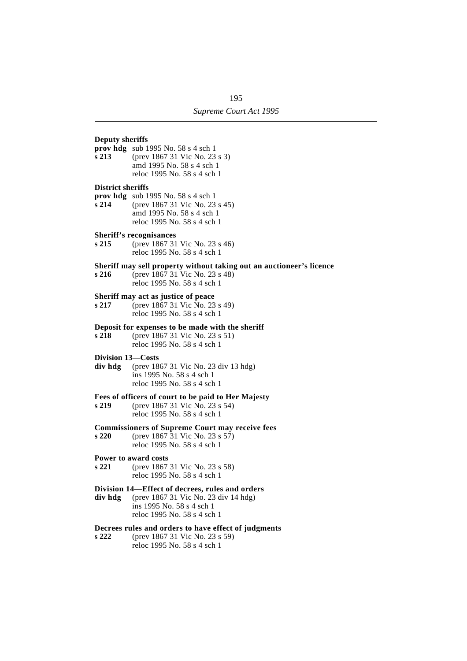# **Deputy sheriffs**

- **prov hdg** sub 1995 No. 58 s 4 sch 1
- **s 213** (prev 1867 31 Vic No. 23 s 3) amd 1995 No. 58 s 4 sch 1 reloc 1995 No. 58 s 4 sch 1

# **District sheriffs**

- **prov hdg** sub 1995 No. 58 s 4 sch 1
- **s 214** (prev 1867 31 Vic No. 23 s 45) amd 1995 No. 58 s 4 sch 1 reloc 1995 No. 58 s 4 sch 1

# **Sheriff's recognisances**

**s 215** (prev 1867 31 Vic No. 23 s 46) reloc 1995 No. 58 s 4 sch 1

# **Sheriff may sell property without taking out an auctioneer's licence**<br>s 216 (prev 1867 31 Vic No. 23 s 48)

**s 216** (prev 1867 31 Vic No. 23 s 48) reloc 1995 No. 58 s 4 sch 1

# **Sheriff may act as justice of peace**

**s 217** (prev 1867 31 Vic No. 23 s 49) reloc 1995 No. 58 s 4 sch 1

# **Deposit for expenses to be made with the sheriff**

**s 218** (prev 1867 31 Vic No. 23 s 51) reloc 1995 No. 58 s 4 sch 1

# **Division 13—Costs**

**div hdg** (prev 1867 31 Vic No. 23 div 13 hdg) ins 1995 No. 58 s 4 sch 1 reloc 1995 No. 58 s 4 sch 1

## **Fees of officers of court to be paid to Her Majesty**

**s 219** (prev 1867 31 Vic No. 23 s 54) reloc 1995 No. 58 s 4 sch 1

### **Commissioners of Supreme Court may receive fees**

**s 220** (prev 1867 31 Vic No. 23 s 57) reloc 1995 No. 58 s 4 sch 1

# **Power to award costs**

**s 221** (prev 1867 31 Vic No. 23 s 58) reloc 1995 No. 58 s 4 sch 1

# **Division 14—Effect of decrees, rules and orders**

**div hdg** (prev 1867 31 Vic No. 23 div 14 hdg) ins 1995 No. 58 s 4 sch 1 reloc 1995 No. 58 s 4 sch 1

# **Decrees rules and orders to have effect of judgments**

**s 222** (prev 1867 31 Vic No. 23 s 59) reloc 1995 No. 58 s 4 sch 1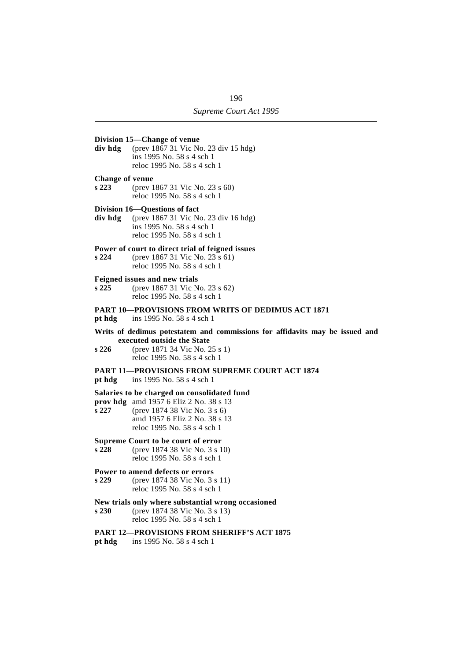# **Division 15—Change of venue div hdg** (prev 1867 31 Vic No. 23 div 15 hdg) ins 1995 No. 58 s 4 sch 1 reloc 1995 No. 58 s 4 sch 1 **Change of venue s 223** (prev 1867 31 Vic No. 23 s 60) reloc 1995 No. 58 s 4 sch 1 **Division 16—Questions of fact div hdg** (prev 1867 31 Vic No. 23 div 16 hdg) ins 1995 No. 58 s 4 sch 1 reloc 1995 No. 58 s 4 sch 1 **Power of court to direct trial of feigned issues s 224** (prev 1867 31 Vic No. 23 s 61) reloc 1995 No. 58 s 4 sch 1 **Feigned issues and new trials s 225** (prev 1867 31 Vic No. 23 s 62) reloc 1995 No. 58 s 4 sch 1 **PART 10—PROVISIONS FROM WRITS OF DEDIMUS ACT 1871 pt hdg** ins 1995 No. 58 s 4 sch 1 **Writs of dedimus potestatem and commissions for affidavits may be issued and executed outside the State s 226** (prev 1871 34 Vic No. 25 s 1) reloc 1995 No. 58 s 4 sch 1 **PART 11—PROVISIONS FROM SUPREME COURT ACT 1874 pt hdg** ins 1995 No. 58 s 4 sch 1 **Salaries to be charged on consolidated fund prov hdg** amd 1957 6 Eliz 2 No. 38 s 13 **s 227** (prev 1874 38 Vic No. 3 s 6) amd 1957 6 Eliz 2 No. 38 s 13 reloc 1995 No. 58 s 4 sch 1 **Supreme Court to be court of error s 228** (prev 1874 38 Vic No. 3 s 10) reloc 1995 No. 58 s 4 sch 1 **Power to amend defects or errors s 229** (prev 1874 38 Vic No. 3 s 11) reloc 1995 No. 58 s 4 sch 1 **New trials only where substantial wrong occasioned s 230** (prev 1874 38 Vic No. 3 s 13) reloc 1995 No. 58 s 4 sch 1 **PART 12—PROVISIONS FROM SHERIFF'S ACT 1875 pt hdg** ins 1995 No. 58 s 4 sch 1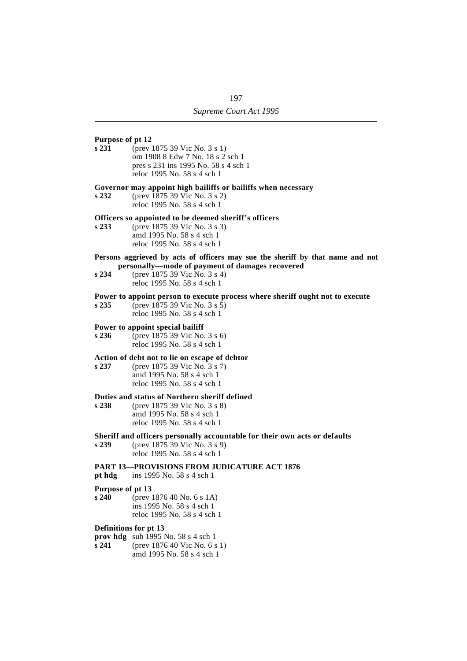# **Purpose of pt 12**

**s 231** (prev 1875 39 Vic No. 3 s 1) om 1908 8 Edw 7 No. 18 s 2 sch 1 pres s 231 ins 1995 No. 58 s 4 sch 1 reloc 1995 No. 58 s 4 sch 1

# **Governor may appoint high bailiffs or bailiffs when necessary**

**s 232** (prev 1875 39 Vic No. 3 s 2) reloc 1995 No. 58 s 4 sch 1

## **Officers so appointed to be deemed sheriff's officers**

- **s 233** (prev 1875 39 Vic No. 3 s 3) amd 1995 No. 58 s 4 sch 1 reloc 1995 No. 58 s 4 sch 1
- **Persons aggrieved by acts of officers may sue the sheriff by that name and not personally—mode of payment of damages recovered**
- **s 234** (prev 1875 39 Vic No. 3 s 4) reloc 1995 No. 58 s 4 sch 1

### **Power to appoint person to execute process where sheriff ought not to execute**

**s 235** (prev 1875 39 Vic No. 3 s 5) reloc 1995 No. 58 s 4 sch 1

# **Power to appoint special bailiff**<br>**s** 236 (prev 1875 39 Vic No.

**s 236** (prev 1875 39 Vic No. 3 s 6) reloc 1995 No. 58 s 4 sch 1

# **Action of debt not to lie on escape of debtor**

**s 237** (prev 1875 39 Vic No. 3 s 7) amd 1995 No. 58 s 4 sch 1 reloc 1995 No. 58 s 4 sch 1

# **Duties and status of Northern sheriff defined**

**s 238** (prev 1875 39 Vic No. 3 s 8) amd 1995 No. 58 s 4 sch 1 reloc 1995 No. 58 s 4 sch 1

# **Sheriff and officers personally accountable for their own acts or defaults**

**s 239** (prev 1875 39 Vic No. 3 s 9) reloc 1995 No. 58 s 4 sch 1

### **PART 13—PROVISIONS FROM JUDICATURE ACT 1876**

**pt hdg** ins 1995 No. 58 s 4 sch 1

#### **Purpose of pt 13**

**s 240** (prev 1876 40 No. 6 s 1A) ins 1995 No. 58 s 4 sch 1 reloc 1995 No. 58 s 4 sch 1

# **Definitions for pt 13**

- **prov hdg** sub 1995 No. 58 s 4 sch 1
- **s 241** (prev 1876 40 Vic No. 6 s 1) amd 1995 No. 58 s 4 sch 1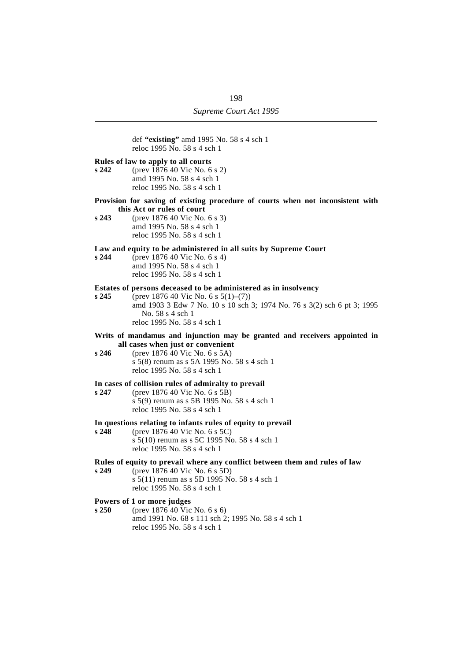|       | def "existing" amd 1995 No. 58 s 4 sch 1<br>reloc 1995 No. 58 s 4 sch 1                                                                                              |  |
|-------|----------------------------------------------------------------------------------------------------------------------------------------------------------------------|--|
| s 242 | Rules of law to apply to all courts<br>(prev 1876 40 Vic No. 6 s 2)<br>amd 1995 No. 58 s 4 sch 1<br>reloc 1995 No. 58 s 4 sch 1                                      |  |
|       | Provision for saving of existing procedure of courts when not inconsistent with<br>this Act or rules of court                                                        |  |
| s 243 | (prev 1876 40 Vic No. 6 s 3)<br>amd 1995 No. 58 s 4 sch 1<br>reloc 1995 No. 58 s 4 sch 1                                                                             |  |
|       | Law and equity to be administered in all suits by Supreme Court                                                                                                      |  |
| s244  | (prev 1876 40 Vic No. 6 s 4)<br>amd 1995 No. 58 s 4 sch 1<br>reloc 1995 No. 58 s 4 sch 1                                                                             |  |
|       | Estates of persons deceased to be administered as in insolvency                                                                                                      |  |
| s245  | (prev 1876 40 Vic No. 6 s $5(1)$ –(7))<br>amd 1903 3 Edw 7 No. 10 s 10 sch 3; 1974 No. 76 s 3(2) sch 6 pt 3; 1995<br>No. 58 s 4 sch 1<br>reloc 1995 No. 58 s 4 sch 1 |  |
|       | Writs of mandamus and injunction may be granted and receivers appointed in                                                                                           |  |
| s 246 | all cases when just or convenient<br>(prev 1876 40 Vic No. 6 s 5A)<br>s 5(8) renum as s 5A 1995 No. 58 s 4 sch 1<br>reloc 1995 No. 58 s 4 sch 1                      |  |
|       | In cases of collision rules of admiralty to prevail                                                                                                                  |  |
| s 247 | (prev 1876 40 Vic No. 6 s 5B)<br>s 5(9) renum as s 5B 1995 No. 58 s 4 sch 1<br>reloc 1995 No. 58 s 4 sch 1                                                           |  |
|       | In questions relating to infants rules of equity to prevail                                                                                                          |  |
| s 248 | (prev 1876 40 Vic No. 6 s 5C)<br>s 5(10) renum as s 5C 1995 No. 58 s 4 sch 1<br>reloc 1995 No. 58 s 4 sch 1                                                          |  |
|       | Rules of equity to prevail where any conflict between them and rules of law                                                                                          |  |
| s 249 | (prev 1876 40 Vic No. 6 s 5D)<br>s 5(11) renum as s 5D 1995 No. 58 s 4 sch 1<br>reloc 1995 No. 58 s 4 sch 1                                                          |  |
| s 250 | Powers of 1 or more judges<br>(prev 1876 40 Vic No. 6 s 6)                                                                                                           |  |
|       | $100537 - 50 - 1 - 1$                                                                                                                                                |  |

amd 1991 No. 68 s 111 sch 2; 1995 No. 58 s 4 sch 1 reloc 1995 No. 58 s 4 sch 1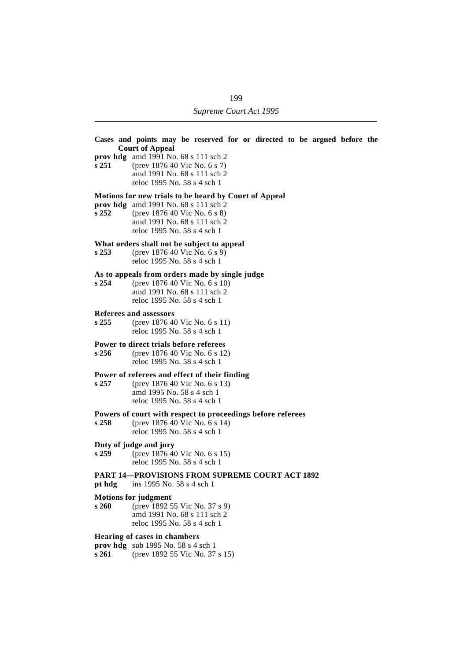| s251             | Cases and points may be reserved for or directed to be argued before the<br><b>Court of Appeal</b><br>prov hdg amd 1991 No. $68 s 111 sch 2$<br>(prev 1876 40 Vic No. 6 s 7)<br>amd 1991 No. 68 s 111 sch 2<br>reloc 1995 No. 58 s 4 sch 1 |
|------------------|--------------------------------------------------------------------------------------------------------------------------------------------------------------------------------------------------------------------------------------------|
| s252             | Motions for new trials to be heard by Court of Appeal<br>prov hdg amd 1991 No. 68 s 111 sch 2<br>(prev 1876 40 Vic No. 6 s 8)<br>amd 1991 No. 68 s 111 sch 2<br>reloc 1995 No. 58 s 4 sch 1                                                |
| s <sub>253</sub> | What orders shall not be subject to appeal<br>(prev 1876 40 Vic No. 6 s 9)<br>reloc 1995 No. 58 s 4 sch 1                                                                                                                                  |
| s254             | As to appeals from orders made by single judge<br>(prev 1876 40 Vic No. 6 s 10)<br>amd 1991 No. 68 s 111 sch 2<br>reloc 1995 No. 58 s 4 sch 1                                                                                              |
| s255             | Referees and assessors<br>(prev 1876 40 Vic No. 6 s 11)<br>reloc 1995 No. 58 s 4 sch 1                                                                                                                                                     |
| s256             | Power to direct trials before referees<br>(prev 1876 40 Vic No. 6 s 12)<br>reloc 1995 No. 58 s 4 sch 1                                                                                                                                     |
| s257             | Power of referees and effect of their finding<br>(prev 1876 40 Vic No. 6 s 13)<br>amd 1995 No. 58 s 4 sch 1<br>reloc 1995 No. 58 s 4 sch 1                                                                                                 |
| s <sub>258</sub> | Powers of court with respect to proceedings before referees<br>(prev 1876 40 Vic No. 6 s 14)<br>reloc 1995 No. 58 s 4 sch 1                                                                                                                |
| s <sub>259</sub> | Duty of judge and jury<br>(prev 1876 40 Vic No. 6 s 15)<br>reloc 1995 No. 58 s 4 sch 1                                                                                                                                                     |
| pt hdg           | <b>PART 14-PROVISIONS FROM SUPREME COURT ACT 1892</b><br>ins 1995 No. 58 s 4 sch 1                                                                                                                                                         |
| s 260            | <b>Motions for judgment</b><br>(prev 1892 55 Vic No. 37 s 9)<br>amd 1991 No. 68 s 111 sch 2<br>reloc 1995 No. 58 s 4 sch 1                                                                                                                 |
| s 261            | <b>Hearing of cases in chambers</b><br><b>prov hdg</b> sub 1995 No. 58 s 4 sch 1<br>(prev 1892 55 Vic No. 37 s 15)                                                                                                                         |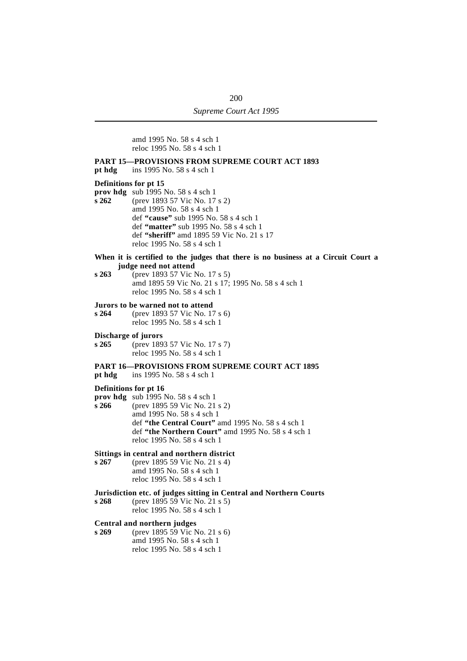amd 1995 No. 58 s 4 sch 1 reloc 1995 No. 58 s 4 sch 1

# **PART 15—PROVISIONS FROM SUPREME COURT ACT 1893**

**pt hdg** ins 1995 No. 58 s 4 sch 1

# **Definitions for pt 15**

**prov hdg** sub 1995 No. 58 s 4 sch 1

- **s 262** (prev 1893 57 Vic No. 17 s 2) amd 1995 No. 58 s 4 sch 1 def **"cause"** sub 1995 No. 58 s 4 sch 1 def **"matter"** sub 1995 No. 58 s 4 sch 1 def **"sheriff"** amd 1895 59 Vic No. 21 s 17 reloc 1995 No. 58 s 4 sch 1
- **When it is certified to the judges that there is no business at a Circuit Court a judge need not attend**
- **s 263** (prev 1893 57 Vic No. 17 s 5) amd 1895 59 Vic No. 21 s 17; 1995 No. 58 s 4 sch 1 reloc 1995 No. 58 s 4 sch 1

# **Jurors to be warned not to attend**

**s 264** (prev 1893 57 Vic No. 17 s 6) reloc 1995 No. 58 s 4 sch 1

#### **Discharge of jurors**

**s 265** (prev 1893 57 Vic No. 17 s 7) reloc 1995 No. 58 s 4 sch 1

# **PART 16—PROVISIONS FROM SUPREME COURT ACT 1895**

**pt hdg** ins 1995 No. 58 s 4 sch 1

# **Definitions for pt 16**

- **prov hdg** sub 1995 No. 58 s 4 sch 1
- **s 266** (prev 1895 59 Vic No. 21 s 2) amd 1995 No. 58 s 4 sch 1 def **"the Central Court"** amd 1995 No. 58 s 4 sch 1 def **"the Northern Court"** amd 1995 No. 58 s 4 sch 1 reloc 1995 No. 58 s 4 sch 1

# **Sittings in central and northern district**

**s 267** (prev 1895 59 Vic No. 21 s 4) amd 1995 No. 58 s 4 sch 1 reloc 1995 No. 58 s 4 sch 1

# **Jurisdiction etc. of judges sitting in Central and Northern Courts**

**s 268** (prev 1895 59 Vic No. 21 s 5) reloc 1995 No. 58 s 4 sch 1

# **Central and northern judges**

**s 269** (prev 1895 59 Vic No. 21 s 6) amd 1995 No. 58 s 4 sch 1 reloc 1995 No. 58 s 4 sch 1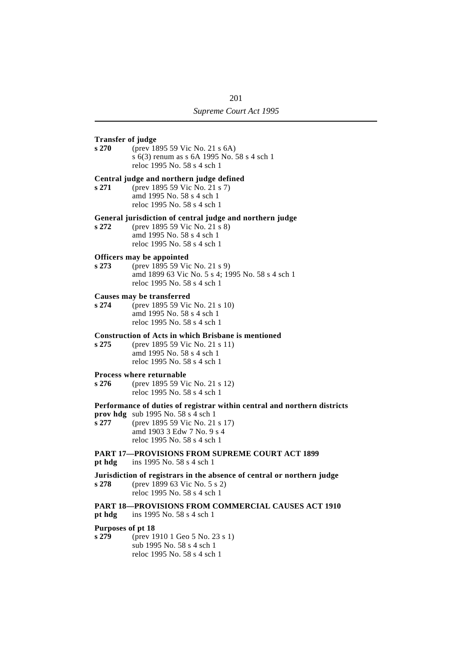# **Transfer of judge**

**s 270** (prev 1895 59 Vic No. 21 s 6A) s 6(3) renum as s 6A 1995 No. 58 s 4 sch 1 reloc 1995 No. 58 s 4 sch 1

# **Central judge and northern judge defined**

**s 271** (prev 1895 59 Vic No. 21 s 7) amd 1995 No. 58 s 4 sch 1 reloc 1995 No. 58 s 4 sch 1

# **General jurisdiction of central judge and northern judge**

**s 272** (prev 1895 59 Vic No. 21 s 8) amd 1995 No. 58 s 4 sch 1 reloc 1995 No. 58 s 4 sch 1

# **Officers may be appointed**<br>s 273 (prev 1895 59 Vice

**s 273** (prev 1895 59 Vic No. 21 s 9) amd 1899 63 Vic No. 5 s 4; 1995 No. 58 s 4 sch 1 reloc 1995 No. 58 s 4 sch 1

# **Causes may be transferred**

**s 274** (prev 1895 59 Vic No. 21 s 10) amd 1995 No. 58 s 4 sch 1 reloc 1995 No. 58 s 4 sch 1

# **Construction of Acts in which Brisbane is mentioned**

**s 275** (prev 1895 59 Vic No. 21 s 11) amd 1995 No. 58 s 4 sch 1 reloc 1995 No. 58 s 4 sch 1

# **Process where returnable**

**s 276** (prev 1895 59 Vic No. 21 s 12) reloc 1995 No. 58 s 4 sch 1

# **Performance of duties of registrar within central and northern districts**

- **prov hdg** sub 1995 No. 58 s 4 sch 1<br>**s 277** (prev 1895 59 Vic No. 21)
- **s 277** (prev 1895 59 Vic No. 21 s 17) amd 1903 3 Edw 7 No. 9 s 4 reloc 1995 No. 58 s 4 sch 1

# **PART 17—PROVISIONS FROM SUPREME COURT ACT 1899**

- **pt hdg** ins 1995 No. 58 s 4 sch 1
- **Jurisdiction of registrars in the absence of central or northern judge s 278** (prev 1899 63 Vic No. 5 s 2) reloc 1995 No. 58 s 4 sch 1

# **PART 18—PROVISIONS FROM COMMERCIAL CAUSES ACT 1910**

**pt hdg** ins 1995 No. 58 s 4 sch 1

# **Purposes of pt 18**

**s 279** (prev 1910 1 Geo 5 No. 23 s 1) sub 1995 No. 58 s 4 sch 1 reloc 1995 No. 58 s 4 sch 1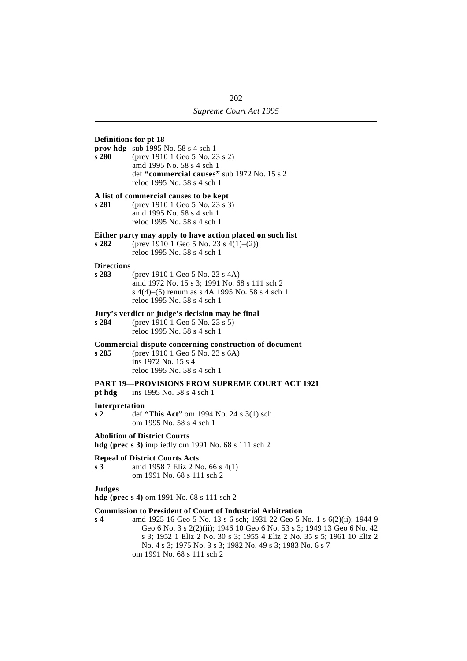# **Definitions for pt 18**

**prov hdg** sub 1995 No. 58 s 4 sch 1

**s 280** (prev 1910 1 Geo 5 No. 23 s 2) amd 1995 No. 58 s 4 sch 1 def **"commercial causes"** sub 1972 No. 15 s 2 reloc 1995 No. 58 s 4 sch 1

# **A list of commercial causes to be kept**

**s 281** (prev 1910 1 Geo 5 No. 23 s 3) amd 1995 No. 58 s 4 sch 1 reloc 1995 No. 58 s 4 sch 1

# **Either party may apply to have action placed on such list**<br> $s 282$  (prev 1910 1 Geo 5 No. 23  $s 4(1)$ –(2))

**s 282** (prev 1910 1 Geo 5 No. 23 s 4(1)–(2)) reloc 1995 No. 58 s 4 sch 1

# **Directions**

**s 283** (prev 1910 1 Geo 5 No. 23 s 4A) amd 1972 No. 15 s 3; 1991 No. 68 s 111 sch 2 s 4(4)–(5) renum as s 4A 1995 No. 58 s 4 sch 1 reloc 1995 No. 58 s 4 sch 1

# **Jury's verdict or judge's decision may be final**<br>s 284 (prev 1910 1 Geo 5 No. 23 s 5)

**s 284** (prev 1910 1 Geo 5 No. 23 s 5) reloc 1995 No. 58 s 4 sch 1

# **Commercial dispute concerning construction of document**

**s 285** (prev 1910 1 Geo 5 No. 23 s 6A) ins 1972 No. 15 s 4 reloc 1995 No. 58 s 4 sch 1

# **PART 19—PROVISIONS FROM SUPREME COURT ACT 1921**

**pt hdg** ins 1995 No. 58 s 4 sch 1

# **Interpretation**

**s 2** def **"This Act"** om 1994 No. 24 s 3(1) sch om 1995 No. 58 s 4 sch 1

#### **Abolition of District Courts**

**hdg (prec s 3)** impliedly om 1991 No. 68 s 111 sch 2

# **Repeal of District Courts Acts**

**s 3** amd 1958 7 Eliz 2 No. 66 s 4(1) om 1991 No. 68 s 111 sch 2

# **Judges**

**hdg (prec s 4)** om 1991 No. 68 s 111 sch 2

# **Commission to President of Court of Industrial Arbitration**

**s 4** amd 1925 16 Geo 5 No. 13 s 6 sch; 1931 22 Geo 5 No. 1 s 6(2)(ii); 1944 9 Geo 6 No. 3 s 2(2)(ii); 1946 10 Geo 6 No. 53 s 3; 1949 13 Geo 6 No. 42 s 3; 1952 1 Eliz 2 No. 30 s 3; 1955 4 Eliz 2 No. 35 s 5; 1961 10 Eliz 2 No. 4 s 3; 1975 No. 3 s 3; 1982 No. 49 s 3; 1983 No. 6 s 7 om 1991 No. 68 s 111 sch 2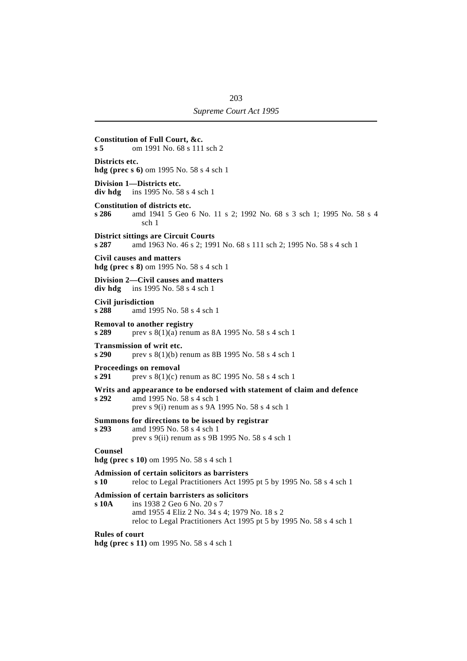| s 5                        | Constitution of Full Court, &c.<br>om 1991 No. 68 s 111 sch 2                                                                                                                                        |
|----------------------------|------------------------------------------------------------------------------------------------------------------------------------------------------------------------------------------------------|
| Districts etc.             | <b>hdg</b> (prec s 6) om 1995 No. 58 s 4 sch 1                                                                                                                                                       |
| div hdg                    | Division 1-Districts etc.<br>ins 1995 No. 58 s 4 sch 1                                                                                                                                               |
| s 286                      | Constitution of districts etc.<br>amd 1941 5 Geo 6 No. 11 s 2; 1992 No. 68 s 3 sch 1; 1995 No. 58 s 4<br>sch 1                                                                                       |
| s 287                      | <b>District sittings are Circuit Courts</b><br>amd 1963 No. 46 s 2; 1991 No. 68 s 111 sch 2; 1995 No. 58 s 4 sch 1                                                                                   |
|                            | Civil causes and matters<br><b>hdg</b> (prec s 8) om 1995 No. 58 s 4 sch 1                                                                                                                           |
| div hdg                    | Division 2—Civil causes and matters<br>ins 1995 No. 58 s 4 sch 1                                                                                                                                     |
| Civil jurisdiction<br>s288 | amd 1995 No. 58 s 4 sch 1                                                                                                                                                                            |
| s 289                      | <b>Removal to another registry</b><br>prev s 8(1)(a) renum as 8A 1995 No. 58 s 4 sch 1                                                                                                               |
| s 290                      | <b>Transmission of writ etc.</b><br>prev s 8(1)(b) renum as 8B 1995 No. 58 s 4 sch 1                                                                                                                 |
| s 291                      | Proceedings on removal<br>prev s $8(1)(c)$ renum as 8C 1995 No. 58 s 4 sch 1                                                                                                                         |
| s 292                      | Writs and appearance to be endorsed with statement of claim and defence<br>amd 1995 No. 58 s 4 sch 1<br>prev s 9(i) renum as s 9A 1995 No. 58 s 4 sch 1                                              |
| s 293                      | Summons for directions to be issued by registrar<br>amd 1995 No. 58 s 4 sch 1<br>prev s 9(ii) renum as s 9B 1995 No. 58 s 4 sch 1                                                                    |
| Counsel                    | <b>hdg</b> (prec s 10) om 1995 No. 58 s 4 sch 1                                                                                                                                                      |
| s 10                       | Admission of certain solicitors as barristers<br>reloc to Legal Practitioners Act 1995 pt 5 by 1995 No. 58 s 4 sch 1                                                                                 |
| s 10A                      | Admission of certain barristers as solicitors<br>ins 1938 2 Geo 6 No. 20 s 7<br>amd 1955 4 Eliz 2 No. 34 s 4; 1979 No. 18 s 2<br>reloc to Legal Practitioners Act 1995 pt 5 by 1995 No. 58 s 4 sch 1 |
| <b>Rules of court</b>      | <b>hdg (prec s 11)</b> om 1995 No. 58 s 4 sch 1                                                                                                                                                      |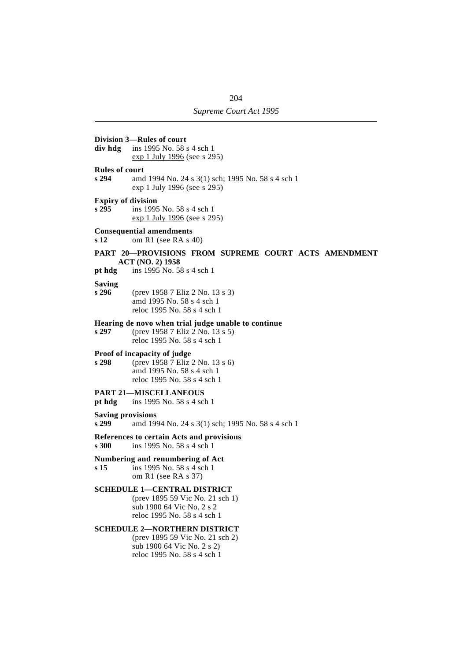| div hdg                           | Division 3-Rules of court<br>ins 1995 No. 58 s 4 sch 1                                                                              |
|-----------------------------------|-------------------------------------------------------------------------------------------------------------------------------------|
|                                   | exp 1 July 1996 (see s 295)                                                                                                         |
| <b>Rules of court</b><br>s294     | amd 1994 No. 24 s 3(1) sch; 1995 No. 58 s 4 sch 1<br>$\frac{\text{exp }1 \text{ July } 1996}{\text{ (see } 295)}$                   |
| <b>Expiry of division</b><br>s295 | ins 1995 No. 58 s 4 sch 1<br>exp 1 July 1996 (see s 295)                                                                            |
| s 12                              | <b>Consequential amendments</b><br>om R1 (see RA s 40)                                                                              |
|                                   | PART 20-PROVISIONS FROM SUPREME COURT ACTS AMENDMENT<br><b>ACT (NO. 2) 1958</b>                                                     |
| pt hdg                            | ins 1995 No. 58 s 4 sch 1                                                                                                           |
| <b>Saving</b><br>s296             | (prev 1958 7 Eliz 2 No. 13 s 3)<br>amd 1995 No. 58 s 4 sch 1<br>reloc 1995 No. 58 s 4 sch 1                                         |
| s 297                             | Hearing de novo when trial judge unable to continue<br>(prev 1958 7 Eliz 2 No. 13 s 5)<br>reloc 1995 No. 58 s 4 sch 1               |
| s 298                             | Proof of incapacity of judge<br>(prev 1958 7 Eliz 2 No. 13 s 6)<br>amd 1995 No. 58 s 4 sch 1<br>reloc 1995 No. 58 s 4 sch 1         |
| pt hdg                            | <b>PART 21-MISCELLANEOUS</b><br>ins 1995 No. 58 s 4 sch 1                                                                           |
| <b>Saving provisions</b><br>s 299 | amd 1994 No. 24 s 3(1) sch; 1995 No. 58 s 4 sch 1                                                                                   |
| s <sub>300</sub>                  | References to certain Acts and provisions<br>ins 1995 No. 58 s 4 sch 1                                                              |
| s <sub>15</sub>                   | Numbering and renumbering of Act<br>ins 1995 No. 58 s 4 sch 1<br>om R1 (see RA s $37$ )                                             |
|                                   | <b>SCHEDULE 1-CENTRAL DISTRICT</b><br>(prev 1895 59 Vic No. 21 sch 1)<br>sub 1900 64 Vic No. 2 s 2<br>reloc 1995 No. 58 s 4 sch 1   |
|                                   | <b>SCHEDULE 2-NORTHERN DISTRICT</b><br>(prev 1895 59 Vic No. 21 sch 2)<br>sub 1900 64 Vic No. 2 s 2)<br>reloc 1995 No. 58 s 4 sch 1 |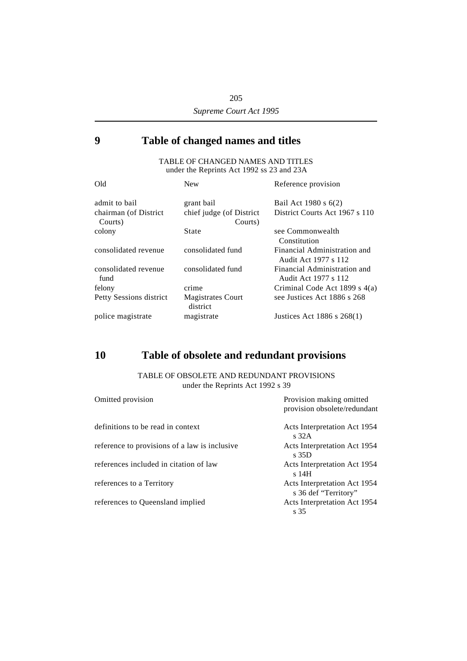# **´9 Table of changed names and titles**

# TABLE OF CHANGED NAMES AND TITLES under the Reprints Act 1992 ss 23 and 23A

| Old                              | <b>New</b>                           | Reference provision                                  |
|----------------------------------|--------------------------------------|------------------------------------------------------|
| admit to bail                    | grant bail                           | Bail Act 1980 s 6(2)                                 |
| chairman (of District<br>Courts) | chief judge (of District<br>Courts)  | District Courts Act 1967 s 110                       |
| colony                           | State                                | see Commonwealth<br>Constitution                     |
| consolidated revenue             | consolidated fund                    | Financial Administration and<br>Audit Act 1977 s 112 |
| consolidated revenue<br>fund     | consolidated fund                    | Financial Administration and<br>Audit Act 1977 s 112 |
| felony                           | crime                                | Criminal Code Act 1899 s $4(a)$                      |
| Petty Sessions district          | <b>Magistrates Court</b><br>district | see Justices Act 1886 s 268                          |
| police magistrate                | magistrate                           | Justices Act 1886 s 268(1)                           |

# **´10 Table of obsolete and redundant provisions**

TABLE OF OBSOLETE AND REDUNDANT PROVISIONS under the Reprints Act 1992 s 39

| Omitted provision                             | Provision making omitted<br>provision obsolete/redundant |
|-----------------------------------------------|----------------------------------------------------------|
| definitions to be read in context             | Acts Interpretation Act 1954<br>s <sub>32A</sub>         |
| reference to provisions of a law is inclusive | Acts Interpretation Act 1954<br>$\sqrt{35D}$             |
| references included in citation of law        | Acts Interpretation Act 1954<br>s 14H                    |
| references to a Territory                     | Acts Interpretation Act 1954<br>s 36 def "Territory"     |
| references to Queensland implied              | Acts Interpretation Act 1954<br>s 35                     |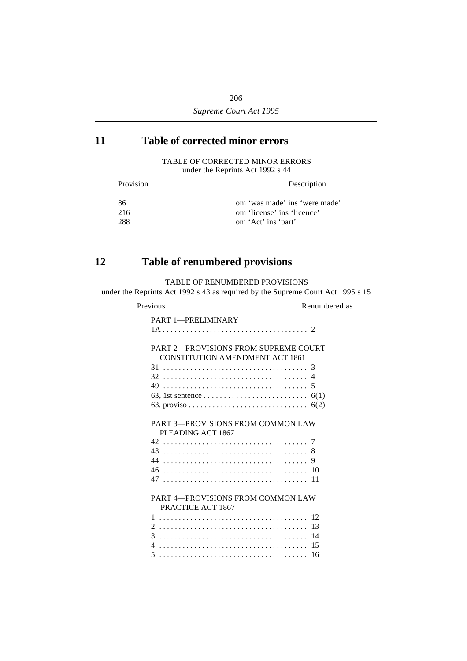# **´11 Table of corrected minor errors**

TABLE OF CORRECTED MINOR ERRORS under the Reprints Act 1992 s 44

| Provision | Description                   |
|-----------|-------------------------------|
| -86       | om 'was made' ins 'were made' |
| 216       | om 'license' ins 'licence'    |
| 288       | om 'Act' ins 'part'           |

# **´12 Table of renumbered provisions**

TABLE OF RENUMBERED PROVISIONS

under the Reprints Act 1992 s 43 as required by the Supreme Court Act 1995 s 15

| Previous                                                                              | Renumbered as |
|---------------------------------------------------------------------------------------|---------------|
| <b>PART 1-PRELIMINARY</b>                                                             |               |
|                                                                                       |               |
| <b>PART 2-PROVISIONS FROM SUPREME COURT</b><br><b>CONSTITUTION AMENDMENT ACT 1861</b> |               |
|                                                                                       |               |
|                                                                                       |               |
|                                                                                       |               |
|                                                                                       |               |
|                                                                                       |               |
|                                                                                       |               |
| <b>PART 3-PROVISIONS FROM COMMON LAW</b><br>PLEADING ACT 1867                         |               |
|                                                                                       |               |
|                                                                                       | 8             |
|                                                                                       |               |
|                                                                                       |               |
|                                                                                       |               |
|                                                                                       |               |
| <b>PART 4-PROVISIONS FROM COMMON LAW</b><br>PRACTICE ACT 1867                         |               |
| $\mathbf{1}$                                                                          | 12            |
|                                                                                       |               |
|                                                                                       |               |
|                                                                                       |               |
|                                                                                       |               |
|                                                                                       |               |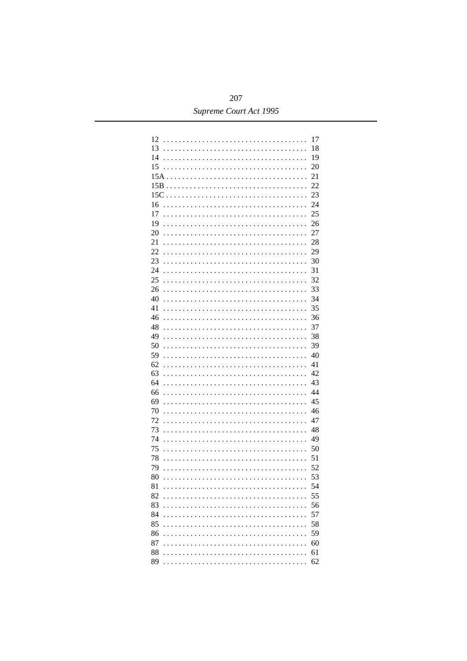| 12                                                                                                                                                                                                                                                                                                                   | 17 |
|----------------------------------------------------------------------------------------------------------------------------------------------------------------------------------------------------------------------------------------------------------------------------------------------------------------------|----|
| 13                                                                                                                                                                                                                                                                                                                   | 18 |
| 14                                                                                                                                                                                                                                                                                                                   | 19 |
| 15<br>$\ddot{\phantom{0}}$                                                                                                                                                                                                                                                                                           | 20 |
| $15A$<br>.<br>$\overline{a}$<br>$\overline{a}$<br>$\mathbb{R}^2$<br>$\overline{a}$                                                                                                                                                                                                                                   | 21 |
| $15B$<br>.<br>1.1.1.1.1<br>$\overline{a}$<br>$\overline{a}$<br>$\overline{a}$<br>$\ddot{\phantom{0}}$<br>$\ddot{\phantom{0}}$<br>$\overline{a}$                                                                                                                                                                      | 22 |
| $15C \ldots \ldots$<br>.<br>$\overline{a}$<br>$\overline{a}$<br>$\overline{a}$<br>$\overline{a}$<br>$\ddot{\phantom{0}}$<br>$\ddot{\phantom{0}}$<br>$\overline{a}$                                                                                                                                                   | 23 |
| 16<br>.<br>$\mathbb{R}^2$<br>.<br>$\overline{a}$<br>$\overline{a}$<br>$\overline{a}$<br>$\cdot$<br>$\overline{a}$                                                                                                                                                                                                    | 24 |
| 17<br>.<br>$\overline{a}$<br>$\ldots$<br>.<br>$\overline{a}$<br>$\overline{a}$<br>$\overline{a}$<br>$\cdot$<br>$\overline{a}$                                                                                                                                                                                        | 25 |
| 19<br>.<br>in L<br>.<br>$\overline{a}$<br>$\overline{a}$<br>$\overline{a}$<br>$\overline{a}$<br>$\cdot$<br>$\overline{a}$                                                                                                                                                                                            | 26 |
| 20<br>.<br>$\mathbf{1}$<br>.<br>$\overline{a}$<br>$\overline{a}$<br>$\overline{a}$<br>$\overline{a}$<br>$\overline{1}$ $\overline{1}$ $\overline{1}$ $\overline{1}$ $\overline{1}$<br>$\overline{a}$                                                                                                                 | 27 |
| 21<br>$\ldots$<br>.<br>$\overline{a}$<br>.<br>$\overline{a}$<br>$\overline{a}$<br>$\overline{a}$<br>$\ldots$<br>$\overline{a}$                                                                                                                                                                                       | 28 |
| 22<br>$\ldots$<br>.<br>$\overline{a}$                                                                                                                                                                                                                                                                                | 29 |
| .<br>$\overline{a}$<br>$\overline{a}$<br>$\overline{a}$<br>$\overline{1}$ $\overline{1}$ $\overline{1}$ $\overline{1}$ $\overline{1}$ $\overline{1}$<br>$\overline{a}$                                                                                                                                               | 30 |
| 23<br>.<br>$\ldots$<br>.<br>$\overline{a}$<br>$\overline{a}$<br>$\overline{a}$<br>$\overline{a}$<br>$\overline{1}$ $\overline{1}$ $\overline{1}$ $\overline{1}$ $\overline{1}$ $\overline{1}$                                                                                                                        |    |
| 24<br>.<br>$\ldots$<br>.<br>$\overline{a}$<br>$\overline{a}$<br>$\overline{a}$<br>$\overline{a}$<br>$\overline{1}$ $\overline{1}$ $\overline{1}$ $\overline{1}$ $\overline{1}$ $\overline{1}$                                                                                                                        | 31 |
| 25<br>.<br>$\mathbf{1}$<br>.<br>$\overline{a}$<br>$\overline{a}$<br>$\overline{a}$<br>$\overline{a}$<br>$\overline{1}$ $\overline{1}$ $\overline{1}$ $\overline{1}$ $\overline{1}$ $\overline{1}$                                                                                                                    | 32 |
| 26<br>.<br>in L<br>.<br>$\overline{a}$<br>$\overline{a}$<br>$\overline{a}$<br>$\overline{a}$<br>a a a a a                                                                                                                                                                                                            | 33 |
| 40<br>.<br>in L<br>.<br>$\overline{a}$<br>$\overline{a}$<br>$\overline{a}$<br>$\overline{a}$<br>a a a a a                                                                                                                                                                                                            | 34 |
| 41<br>$\ldots$<br>.<br>.<br>$\overline{a}$<br>$\overline{a}$<br>$\overline{a}$<br>$\overline{a}$<br>a a a a a                                                                                                                                                                                                        | 35 |
| 46<br>.<br>$\ldots$<br>.<br>$\overline{a}$<br>$\overline{a}$<br>$\overline{a}$<br>$\overline{a}$<br>$\overline{1}$ $\overline{1}$ $\overline{1}$ $\overline{1}$ $\overline{1}$                                                                                                                                       | 36 |
| 48<br>.<br>$\ldots$<br>.<br>$\overline{a}$<br>$\overline{a}$<br>$\overline{a}$<br>$\overline{a}$<br>a a a a a                                                                                                                                                                                                        | 37 |
| 49<br>.<br>in L<br>.<br>$\overline{a}$<br>$\overline{a}$<br>$\overline{a}$<br>$\overline{a}$<br>$\overline{1}$ $\overline{1}$ $\overline{1}$ $\overline{1}$ $\overline{1}$ $\overline{1}$                                                                                                                            | 38 |
| 50<br>$\mathbf{1}$<br>.<br>.<br>$\overline{a}$<br>$\overline{a}$<br>$\overline{a}$<br>$\overline{a}$<br>a a a a a                                                                                                                                                                                                    | 39 |
| 59<br>.<br>in L<br>.<br>$\overline{a}$<br>$\overline{a}$<br>$\overline{a}$<br>$\overline{a}$<br>$\overline{1}$ $\overline{1}$ $\overline{1}$ $\overline{1}$ $\overline{1}$ $\overline{1}$                                                                                                                            | 40 |
| 62<br>$\ldots$<br>.<br>.<br>$\overline{a}$<br>$\overline{a}$<br>$\overline{a}$<br>$\overline{a}$<br>$\overline{1}$ $\overline{1}$ $\overline{1}$ $\overline{1}$ $\overline{1}$ $\overline{1}$                                                                                                                        | 41 |
| 63<br>$\cdots$<br>.<br>$\overline{a}$<br>$\overline{a}$<br>$\overline{a}$<br>$\overline{a}$<br>$\overline{a}$<br>$\overline{a}$                                                                                                                                                                                      | 42 |
| 64<br>$\ddotsc$<br>$\ddotsc$<br>$\ddot{\phantom{a}}$<br>.<br>$\overline{a}$<br>$\overline{a}$<br>$\overline{a}$<br>$\overline{a}$                                                                                                                                                                                    | 43 |
| 66<br>$\ddot{\phantom{a}}$<br>$\ddotsc$<br>$\ddot{\phantom{a}}$<br>1.1.1.1.1<br>1.1.1.1.1<br>$\overline{\phantom{a}}$<br>$\overline{a}$<br>$\overline{a}$<br>$\overline{a}$<br>$\overline{a}$                                                                                                                        | 44 |
| 69<br>$\ddot{\phantom{a}}$<br>$\ddotsc$<br>1.1.1.1.1<br>1.1.1.1.1<br>$\overline{a}$<br>$\overline{a}$<br>$\ddot{\phantom{a}}$<br>$\overline{\phantom{a}}$<br>$\overline{a}$<br>$\overline{a}$                                                                                                                        | 45 |
| 70<br>$\ddot{\phantom{a}}$<br>$\ddotsc$<br>1.1.1.1.1<br>1.1.1.1<br>$\overline{a}$<br>$\ddot{\phantom{a}}$<br>$\overline{\phantom{a}}$<br>$\overline{a}$<br>$\overline{a}$                                                                                                                                            | 46 |
| 72<br>$\ddot{\phantom{a}}$<br>$\ddotsc$<br>1.1.1.1.1<br>1.1.1.1<br>$\overline{a}$<br>$\ddot{\phantom{a}}$<br>$\ddot{\phantom{a}}$<br>$\overline{a}$<br>$\overline{a}$                                                                                                                                                | 47 |
| 73<br>$\ddot{\phantom{a}}$<br>$\ddotsc$<br>.<br>1.1.1.1<br>$\overline{a}$<br>$\ddot{\phantom{a}}$<br>$\ddot{\phantom{a}}$<br>$\overline{a}$<br>$\overline{a}$                                                                                                                                                        | 48 |
| 74<br>$\ddot{\phantom{a}}$<br>$\ddotsc$<br>$\ddot{\phantom{a}}$<br>$\ldots$<br>$\ldots$ .<br>$\overline{a}$<br>$\ddot{\phantom{a}}$<br>$\ddot{\phantom{a}}$<br>$\ddot{\phantom{a}}$<br>$\overline{a}$<br>$\overline{a}$                                                                                              | 49 |
| 75<br>$\ddot{\phantom{a}}$<br>$\ddotsc$<br>$\ldots$<br>$\ldots$<br>$\overline{1}$<br>$\overline{a}$<br>$\ddot{\phantom{a}}$<br>$\overline{\phantom{a}}$<br>$\overline{a}$<br>$\overline{a}$<br>$\overline{a}$<br>$\overline{a}$                                                                                      | 50 |
| 78<br>$\overline{a}$<br>$\ddot{\phantom{a}}$<br>$\ddot{\phantom{a}}$<br>$\overline{a}$<br>$\overline{a}$<br>$\overline{a}$<br>$\overline{a}$<br>$\ddot{\phantom{a}}$<br>$\ddot{\phantom{0}}$<br>$\ddot{\phantom{a}}$<br>$\ldots$<br>$\ddot{\phantom{a}}$<br>$\ddot{\phantom{a}}$<br>$\overline{a}$<br>$\overline{a}$ | 51 |
| 79<br>$\overline{a}$<br>$\ddot{\phantom{a}}$<br>$\ddotsc$<br>$\ddots$<br>$\ddot{\phantom{a}}$<br>$\overline{a}$<br>$\overline{a}$<br>$\overline{a}$<br>$\overline{a}$<br>$\overline{a}$<br>$\overline{a}$<br>$\ddot{\phantom{a}}$<br>$\overline{a}$<br>$\overline{a}$<br>$\overline{a}$<br>$\overline{a}$            | 52 |
| 80<br>$\overline{a}$<br>$\overline{a}$<br>$\overline{a}$<br>$\overline{a}$<br>$\overline{a}$                                                                                                                                                                                                                         | 53 |
| $\ddot{\phantom{a}}$<br>$\ddot{\phantom{a}}$<br>$\overline{\phantom{a}}$<br>$\ddot{\phantom{a}}$<br>$\overline{\phantom{a}}$<br>$\ddot{\phantom{a}}$<br>$\overline{a}$<br>$\overline{a}$                                                                                                                             | 54 |
| 81<br>$\cdots$<br>1.1.1.1.1.1<br>$\overline{\phantom{a}}$<br>$\overline{a}$<br>$\overline{\phantom{a}}$<br>$\overline{a}$                                                                                                                                                                                            |    |
| 82                                                                                                                                                                                                                                                                                                                   | 55 |
| 83<br>$\ddot{\phantom{0}}$                                                                                                                                                                                                                                                                                           | 56 |
| 84                                                                                                                                                                                                                                                                                                                   | 57 |
| 85                                                                                                                                                                                                                                                                                                                   | 58 |
| 86<br>$\ddot{\phantom{0}}$                                                                                                                                                                                                                                                                                           | 59 |
| 87                                                                                                                                                                                                                                                                                                                   | 60 |
| 88                                                                                                                                                                                                                                                                                                                   | 61 |
| 89                                                                                                                                                                                                                                                                                                                   | 62 |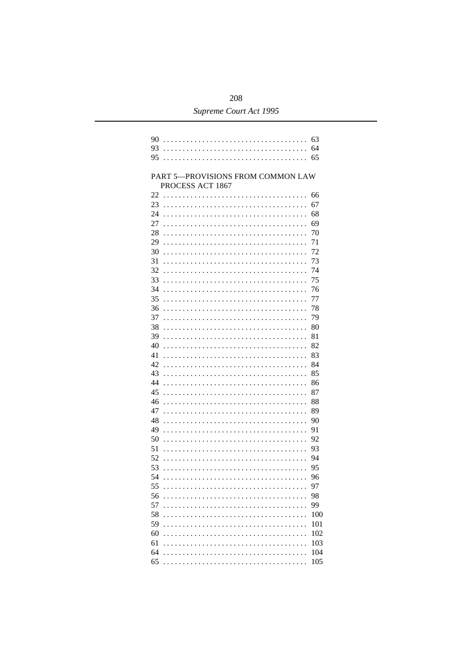| 90                                | 63  |
|-----------------------------------|-----|
| 93                                | 64  |
| 95                                |     |
|                                   |     |
| PART 5-PROVISIONS FROM COMMON LAW |     |
| PROCESS ACT 1867                  |     |
| 22                                | 66  |
| 23                                | 67  |
| 24                                | 68  |
| 27                                | 69  |
| 28                                | 70  |
| 29                                | 71  |
| 30                                | 72  |
| 31                                | 73  |
| 32                                | 74  |
| 33                                | 75  |
| 34                                | 76  |
| 35                                | 77  |
| 36                                | 78  |
| 37                                | 79  |
| 38                                | 80  |
| 39                                | 81  |
| 40                                | 82  |
| 41                                | 83  |
| 42                                | 84  |
| 43                                | 85  |
| 44                                | 86  |
| 45                                | 87  |
| 46                                | 88  |
| 47                                | 89  |
| 48                                | 90  |
| 49                                | 91  |
| 50                                | 92  |
| 51                                | 93  |
| 52                                | 94  |
| 53                                | 95  |
| 54                                | 96  |
| 55<br>.                           | 97  |
| 56                                | 98  |
| 57                                | 99  |
| 58                                | 100 |
| 59<br>$\mathbb{R}^2$              | 101 |
| 60                                | 102 |
| 61                                | 103 |
| 64<br>.                           | 104 |
| 65                                | 105 |
|                                   |     |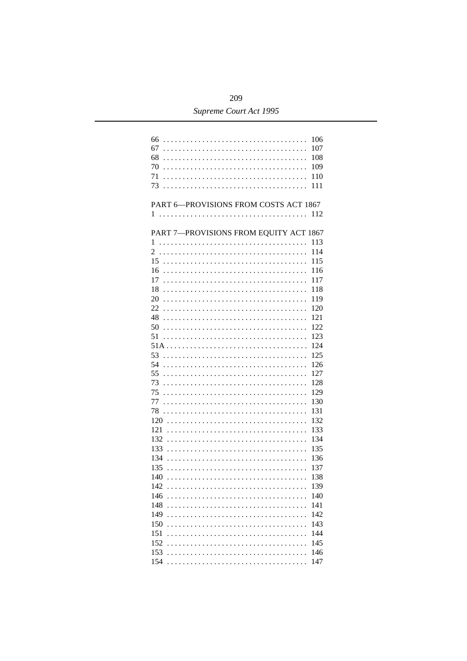| 66<br>106<br>67<br>107<br>68<br>108<br>70<br>109<br>71<br>110<br>73<br>111 |
|----------------------------------------------------------------------------|
| PART 6-PROVISIONS FROM COSTS ACT 1867<br>112                               |
| PART 7-PROVISIONS FROM EQUITY ACT 1867                                     |
| 113                                                                        |
| 114                                                                        |
| 15<br>115                                                                  |
| 16<br>116                                                                  |
| 17<br>117                                                                  |
| 18<br>118                                                                  |
| 20<br>119                                                                  |
| 120<br>22                                                                  |
| 121<br>48                                                                  |
| 122<br>50                                                                  |
| 123                                                                        |
| 51                                                                         |
| 124                                                                        |
| 53<br>125                                                                  |
| 54<br>126                                                                  |
| 55<br>127                                                                  |
| 73<br>128                                                                  |
| 75<br>129                                                                  |
| 77<br>130                                                                  |
| 131<br>78                                                                  |
| 132                                                                        |
| 121<br>133                                                                 |
| 132<br>134                                                                 |
| 133<br>135                                                                 |
| 134<br>136                                                                 |
| 135<br>137                                                                 |
| 140<br>138                                                                 |
| 142<br>139                                                                 |
| 146<br>140                                                                 |
| 141<br>148                                                                 |
| 149<br>142                                                                 |
| 143<br>150                                                                 |
| 151<br>144                                                                 |
| 145<br>152                                                                 |
| 146                                                                        |
| 153                                                                        |
| 147<br>154                                                                 |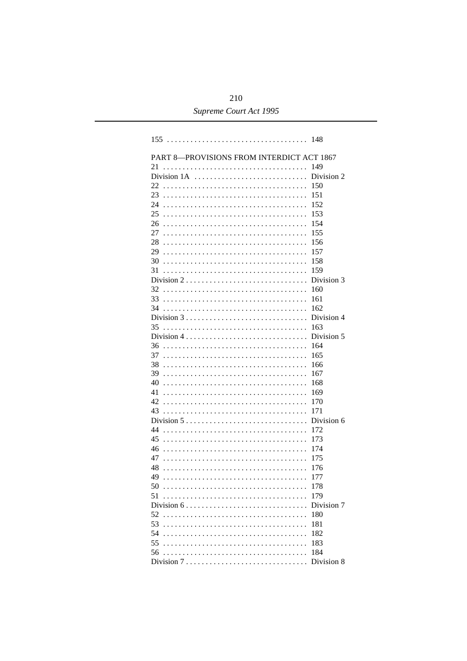|                                                                             | 148        |  |
|-----------------------------------------------------------------------------|------------|--|
| PART 8-PROVISIONS FROM INTERDICT ACT 1867                                   |            |  |
| 21                                                                          | 149        |  |
|                                                                             | Division 2 |  |
| 22                                                                          | 150        |  |
| 23                                                                          | 151        |  |
| 24                                                                          | 152        |  |
| 25                                                                          | 153        |  |
| 26                                                                          | 154        |  |
| 27                                                                          | 155        |  |
| 28                                                                          | 156        |  |
| 29                                                                          | 157        |  |
| 30                                                                          | 158        |  |
| 31                                                                          | 159        |  |
| Division $2 \ldots \ldots \ldots \ldots \ldots \ldots \ldots \ldots \ldots$ | Division 3 |  |
| 32                                                                          | 160        |  |
| 33                                                                          | 161        |  |
| 34                                                                          | 162        |  |
| Division $3 \ldots \ldots \ldots \ldots \ldots \ldots \ldots \ldots \ldots$ | Division 4 |  |
| 35                                                                          | 163        |  |
| Division $4 \ldots \ldots \ldots \ldots \ldots \ldots \ldots \ldots$        | Division 5 |  |
| 36                                                                          | 164        |  |
| 37                                                                          | 165        |  |
| 38                                                                          | 166        |  |
| 39                                                                          | 167        |  |
| 40                                                                          | 168        |  |
| 41                                                                          | 169        |  |
| 42                                                                          | 170        |  |
| 43                                                                          | 171        |  |
| Division $5 \ldots \ldots \ldots \ldots \ldots \ldots \ldots \ldots \ldots$ | Division 6 |  |
| 44                                                                          | 172        |  |
| 45                                                                          | 173        |  |
| 46                                                                          | 174        |  |
| 47                                                                          | 175        |  |
| 48                                                                          | 176        |  |
| 49                                                                          | 177        |  |
| 50                                                                          | 178        |  |
| 51                                                                          | 179        |  |
| Division $6 \ldots \ldots \ldots \ldots \ldots \ldots \ldots \ldots \ldots$ | Division 7 |  |
| 52                                                                          | 180        |  |
| 53                                                                          | 181        |  |
| 54                                                                          | 182        |  |
| 55                                                                          | 183        |  |
| 56                                                                          | 184        |  |
|                                                                             |            |  |
|                                                                             | Division 8 |  |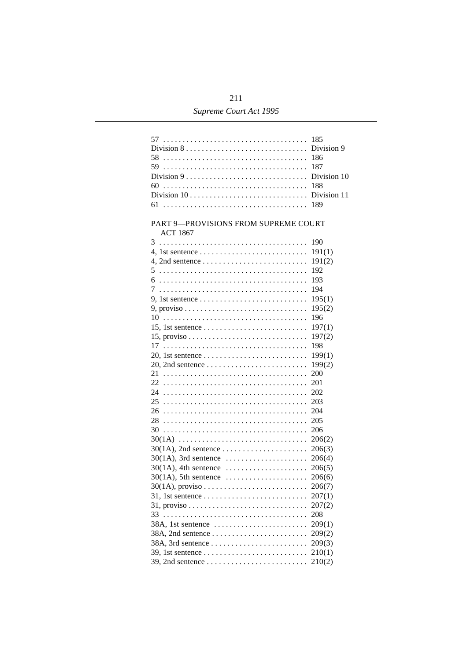| Division $8 \ldots \ldots \ldots \ldots \ldots \ldots \ldots \ldots \ldots$<br>Division $9 \ldots \ldots \ldots \ldots \ldots \ldots \ldots \ldots \ldots$<br>60<br>Division $10 \ldots \ldots \ldots \ldots \ldots \ldots \ldots \ldots \ldots$<br>PART 9-PROVISIONS FROM SUPREME COURT | 185<br>Division 9<br>186<br>187<br>Division 10<br>188<br>Division 11<br>189 |
|------------------------------------------------------------------------------------------------------------------------------------------------------------------------------------------------------------------------------------------------------------------------------------------|-----------------------------------------------------------------------------|
| <b>ACT 1867</b>                                                                                                                                                                                                                                                                          |                                                                             |
| 3                                                                                                                                                                                                                                                                                        | 190                                                                         |
| 4, 1st sentence $\dots \dots \dots \dots \dots \dots \dots \dots \dots$                                                                                                                                                                                                                  | 191(1)                                                                      |
|                                                                                                                                                                                                                                                                                          | 191(2)                                                                      |
|                                                                                                                                                                                                                                                                                          | 192                                                                         |
|                                                                                                                                                                                                                                                                                          | 193                                                                         |
|                                                                                                                                                                                                                                                                                          | 194                                                                         |
|                                                                                                                                                                                                                                                                                          | 195(1)                                                                      |
| $9, proviso \ldots \ldots \ldots \ldots \ldots \ldots \ldots \ldots \ldots$                                                                                                                                                                                                              | 195(2)                                                                      |
|                                                                                                                                                                                                                                                                                          | 196                                                                         |
| 15, 1st sentence $\dots \dots \dots \dots \dots \dots \dots \dots \dots$                                                                                                                                                                                                                 | 197(1)                                                                      |
|                                                                                                                                                                                                                                                                                          | 197(2)                                                                      |
|                                                                                                                                                                                                                                                                                          | 198                                                                         |
|                                                                                                                                                                                                                                                                                          | 199(1)                                                                      |
|                                                                                                                                                                                                                                                                                          | 199(2)                                                                      |
|                                                                                                                                                                                                                                                                                          | 200                                                                         |
|                                                                                                                                                                                                                                                                                          | 201                                                                         |
|                                                                                                                                                                                                                                                                                          | 202                                                                         |
|                                                                                                                                                                                                                                                                                          | 203                                                                         |
|                                                                                                                                                                                                                                                                                          | 204                                                                         |
|                                                                                                                                                                                                                                                                                          | 205                                                                         |
|                                                                                                                                                                                                                                                                                          | 206                                                                         |
| $30(1A)$                                                                                                                                                                                                                                                                                 | 206(2)                                                                      |
|                                                                                                                                                                                                                                                                                          | 206(3)                                                                      |
| $30(1A)$ , 3rd sentence                                                                                                                                                                                                                                                                  | 206(4)                                                                      |
| $30(1A)$ , 4th sentence                                                                                                                                                                                                                                                                  | 206(5)                                                                      |
| $30(1A)$ , 5th sentence $\dots\dots\dots\dots\dots\dots\dots$                                                                                                                                                                                                                            | 206(6)                                                                      |
|                                                                                                                                                                                                                                                                                          | 206(7)                                                                      |
|                                                                                                                                                                                                                                                                                          | 207(1)                                                                      |
| $31, \text{ proviso} \dots \dots \dots \dots \dots \dots \dots \dots \dots \dots$                                                                                                                                                                                                        | 207(2)                                                                      |
| 33                                                                                                                                                                                                                                                                                       | 208                                                                         |
|                                                                                                                                                                                                                                                                                          | 209(1)                                                                      |
|                                                                                                                                                                                                                                                                                          | 209(2)                                                                      |
|                                                                                                                                                                                                                                                                                          | 209(3)                                                                      |
|                                                                                                                                                                                                                                                                                          | 210(1)                                                                      |
|                                                                                                                                                                                                                                                                                          | 210(2)                                                                      |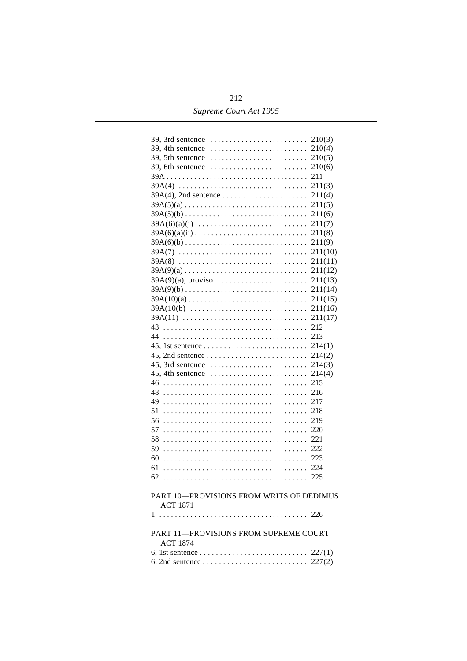| 39, 3rd sentence                                                      | 210(3)        |
|-----------------------------------------------------------------------|---------------|
| 39, 4th sentence                                                      | 210(4)        |
| 39, 5th sentence                                                      | 210(5)        |
| 39, 6th sentence $\dots\dots\dots\dots\dots\dots\dots\dots\dots\dots$ | 210(6)        |
|                                                                       | 211           |
| $39A(4)$                                                              | 211(3)        |
| $39A(4)$ , 2nd sentence                                               | 211(4)        |
| $39A(5)(a)$                                                           | 211(5)        |
| $39A(5)(b)$                                                           | 211(6)        |
| $39A(6)(a)(i)$                                                        | 211(7)        |
| $39A(6)(a)(ii)$                                                       | 211(8)        |
| $39A(6)(b)$                                                           | 211(9)        |
| $39A(7)$                                                              | 211(10)       |
|                                                                       |               |
| $39A(8)$                                                              | 211(11)       |
| $39A(9)(a)$                                                           | 211(12)       |
| $39A(9)(a)$ , proviso                                                 | 211(13)       |
| $39A(9)(b)$                                                           | 211(14)       |
| $39A(10)(a)$                                                          | 211(15)       |
| $39A(10(b)$                                                           | 211(16)       |
| $39A(11)$                                                             | 211(17)       |
| 43                                                                    | 212           |
| 44                                                                    | 213           |
|                                                                       | 214(1)        |
|                                                                       |               |
|                                                                       | 214(2)        |
| $45$ , 3rd sentence                                                   |               |
|                                                                       | 214(3)        |
| 46                                                                    | 214(4)<br>215 |
|                                                                       |               |
| 48                                                                    | 216           |
| 49                                                                    | 217           |
| 51                                                                    | 218           |
| 56                                                                    | 219           |
| 57                                                                    | 220           |
| 58                                                                    | 221           |
| 59                                                                    | 222           |
| 60                                                                    | 223           |
| 61                                                                    | 224           |
| 62                                                                    | 225           |
|                                                                       |               |
| PART 10-PROVISIONS FROM WRITS OF DEDIMUS                              |               |
| <b>ACT 1871</b>                                                       |               |
| 1                                                                     |               |
|                                                                       |               |
| PART 11-PROVISIONS FROM SUPREME COURT                                 |               |
| <b>ACT 1874</b>                                                       |               |
|                                                                       |               |
|                                                                       |               |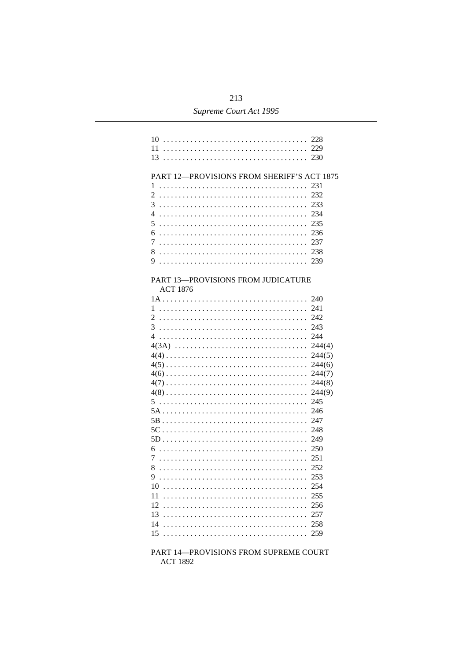| 10<br>11                                                                                | 228<br>229<br>230                                                                                                                                                                             |
|-----------------------------------------------------------------------------------------|-----------------------------------------------------------------------------------------------------------------------------------------------------------------------------------------------|
| PART 12-PROVISIONS FROM SHERIFF'S ACT 1875<br>1<br>2<br>3<br>4<br>5<br>6<br>7<br>8<br>9 | 231<br>232<br>233<br>234<br>235<br>236<br>237<br>238                                                                                                                                          |
| PART 13-PROVISIONS FROM JUDICATURE<br><b>ACT 1876</b>                                   |                                                                                                                                                                                               |
| 1<br>2<br>3<br>4<br>6<br>$\tau$<br>8<br>9.<br>10<br>11<br>12<br>13<br>14                | 240<br>241<br>242<br>243<br>244<br>244(4)<br>244(5)<br>244(6)<br>244(7)<br>244(8)<br>244(9)<br>245<br>246<br>247<br>248<br>249<br>250<br>251<br>252<br>253<br>254<br>255<br>256<br>257<br>258 |
| 15                                                                                      | 259                                                                                                                                                                                           |

PART 14-PROVISIONS FROM SUPREME COURT **ACT 1892**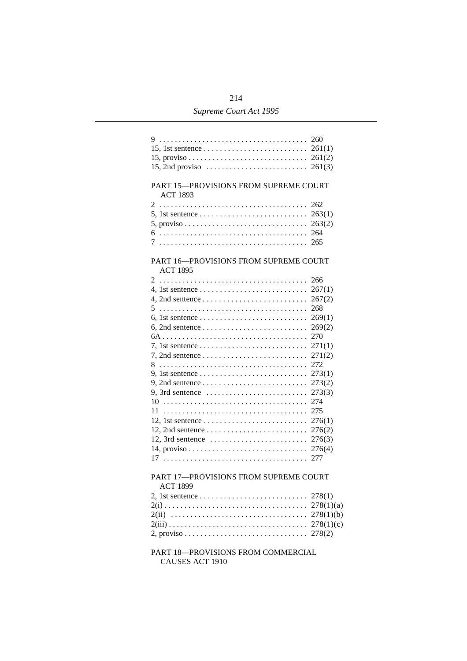| PART 15-PROVISIONS FROM SUPREME COURT<br><b>ACT 1893</b>                                         |     |
|--------------------------------------------------------------------------------------------------|-----|
|                                                                                                  | 262 |
| 5, 1st sentence $\ldots \ldots \ldots \ldots \ldots \ldots \ldots \ldots \ldots$ 263(1)          |     |
|                                                                                                  |     |
|                                                                                                  |     |
|                                                                                                  |     |
|                                                                                                  |     |
| PART 16-PROVISIONS FROM SUPREME COURT<br><b>ACT 1895</b>                                         |     |
|                                                                                                  | 266 |
| 4, 1st sentence $\ldots \ldots \ldots \ldots \ldots \ldots \ldots \ldots \ldots 267(1)$          |     |
|                                                                                                  |     |
|                                                                                                  | 268 |
|                                                                                                  |     |
| 6, 2nd sentence $\ldots \ldots \ldots \ldots \ldots \ldots \ldots \ldots \ldots$ 269(2)          |     |
|                                                                                                  |     |
|                                                                                                  |     |
|                                                                                                  |     |
|                                                                                                  |     |
| 9, 1st sentence $\ldots \ldots \ldots \ldots \ldots \ldots \ldots \ldots \ldots$ 273(1)          |     |
| 9, 2nd sentence $\dots \dots \dots \dots \dots \dots \dots \dots \dots \dots \dots$ 273(2)       |     |
|                                                                                                  |     |
|                                                                                                  |     |
|                                                                                                  |     |
|                                                                                                  |     |
|                                                                                                  |     |
| 12, 3rd sentence $\ldots \ldots \ldots \ldots \ldots \ldots \ldots \ldots 276(3)$                |     |
|                                                                                                  |     |
|                                                                                                  |     |
| PART 17-PROVISIONS FROM SUPREME COURT<br><b>ACT 1899</b>                                         |     |
|                                                                                                  |     |
|                                                                                                  |     |
|                                                                                                  |     |
|                                                                                                  |     |
| 2, proviso $\ldots \ldots \ldots \ldots \ldots \ldots \ldots \ldots \ldots \ldots \ldots$ 278(2) |     |
| PART 18-PROVISIONS FROM COMMERCIAL                                                               |     |

CAUSES ACT 1910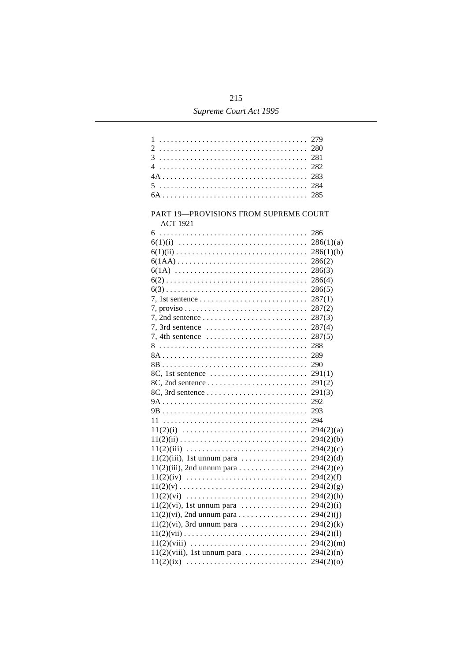## 215 Supreme Court Act 1995

|                                                                      | 279       |  |
|----------------------------------------------------------------------|-----------|--|
|                                                                      | 280       |  |
|                                                                      | 281       |  |
|                                                                      | 282       |  |
|                                                                      | 283       |  |
|                                                                      | 284       |  |
|                                                                      | 285       |  |
| PART 19-PROVISIONS FROM SUPREME COURT<br><b>ACT 1921</b>             |           |  |
|                                                                      | 286       |  |
|                                                                      | 286(1)(a) |  |
|                                                                      | 286(1)(b) |  |
| $6(1AA)$                                                             | 286(2)    |  |
|                                                                      | 286(3)    |  |
|                                                                      | 286(4)    |  |
|                                                                      | 286(5)    |  |
|                                                                      | 287(1)    |  |
|                                                                      | 287(2)    |  |
|                                                                      | 287(3)    |  |
|                                                                      | 287(4)    |  |
| $7, 4$ th sentence $\dots \dots \dots \dots \dots \dots \dots \dots$ | 287(5)    |  |
|                                                                      | 288       |  |
|                                                                      | 289       |  |
|                                                                      | 290       |  |
|                                                                      | 291(1)    |  |
|                                                                      | 291(2)    |  |
|                                                                      | 291(3)    |  |
|                                                                      | 292       |  |
|                                                                      | 293       |  |
|                                                                      | 294       |  |
|                                                                      | 294(2)(a) |  |
|                                                                      | 294(2)(b) |  |
|                                                                      | 294(2)(c) |  |
|                                                                      |           |  |
| $11(2)(iii)$ , 2nd unnum para 294(2)(e)                              |           |  |
| $11(2)(iv)$                                                          | 294(2)(f) |  |
|                                                                      | 294(2)(g) |  |
| $11(2)(vi)$                                                          | 294(2)(h) |  |
| $11(2)(vi)$ , 1st unnum para                                         | 294(2)(i) |  |
|                                                                      | 294(2)(j) |  |
| $11(2)(vi)$ , 3rd unnum para                                         | 294(2)(k) |  |
|                                                                      | 294(2)(1) |  |
| $11(2)(viii)$                                                        | 294(2)(m) |  |
| $11(2)$ (viii), 1st unnum para                                       | 294(2)(n) |  |
| $11(2)(ix)$                                                          | 294(2)(o) |  |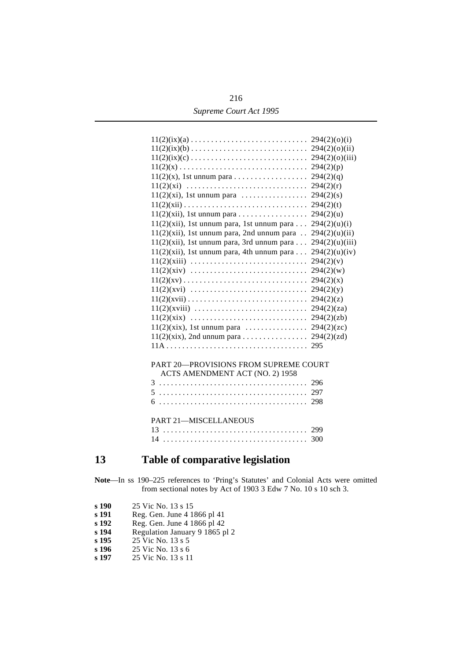| 216                    |
|------------------------|
| Supreme Court Act 1995 |

| $11(2)(ix)(a) \ldots \ldots \ldots \ldots \ldots \ldots \ldots \ldots \ldots \ldots \quad 294(2)(o)(i)$  |                |
|----------------------------------------------------------------------------------------------------------|----------------|
| $11(2)(ix)(b) \ldots \ldots \ldots \ldots \ldots \ldots \ldots \ldots \ldots \ldots \quad 294(2)(o)(ii)$ |                |
| $11(2)(ix)(c)$                                                                                           | 294(2)(o)(iii) |
|                                                                                                          |                |
|                                                                                                          |                |
|                                                                                                          |                |
| $11(2)(xi)$ , 1st unnum para                                                                             | 294(2)(s)      |
|                                                                                                          | 294(2)(t)      |
| $11(2)(xii)$ , 1st unnum para                                                                            | 294(2)(u)      |
| $11(2)(xii)$ , 1st unnum para, 1st unnum para                                                            | 294(2)(u)(i)   |
| $11(2)(xii)$ , 1st unnum para, 2nd unnum para                                                            | 294(2)(u)(ii)  |
| $11(2)(xii)$ , 1st unnum para, 3rd unnum para                                                            | 294(2)(u)(iii) |
| $11(2)(xii)$ , 1st unnum para, 4th unnum para                                                            | 294(2)(u)(iv)  |
|                                                                                                          | 294(2)(v)      |
|                                                                                                          |                |
|                                                                                                          |                |
|                                                                                                          |                |
|                                                                                                          |                |
|                                                                                                          |                |
|                                                                                                          |                |
| $11(2)(\text{six})$ , 1st unnum para                                                                     | 294(2)(zc)     |
| $11(2)(xix)$ , 2nd unnum para 294(2)(zd)                                                                 |                |
|                                                                                                          | 295            |
|                                                                                                          |                |
| <b>PART 20-PROVISIONS FROM SUPREME COURT</b>                                                             |                |
| ACTS AMENDMENT ACT (NO. 2) 1958                                                                          |                |
|                                                                                                          |                |
|                                                                                                          |                |
|                                                                                                          | 298            |
|                                                                                                          |                |
| <b>PART 21-MISCELLANEOUS</b>                                                                             |                |
|                                                                                                          |                |
|                                                                                                          |                |
|                                                                                                          |                |

## **´13 Table of comparative legislation**

**Note**—In ss 190–225 references to 'Pring's Statutes' and Colonial Acts were omitted from sectional notes by Act of 1903 3 Edw 7 No. 10 s 10 sch 3.

- **s 190** 25 Vic No. 13 s 15<br>**s 191** Reg. Gen. June 4 1
- **s 191** Reg. Gen. June 4 1866 pl 41
- **s 192** Reg. Gen. June 4 1866 pl 42
- **s 194** Regulation January 9 1865 pl 2
- **s 195** 25 Vic No. 13 s 5
- **s 196** 25 Vic No. 13 s 6<br>**s 197** 25 Vic No. 13 s 11
- **s 197** 25 Vic No. 13 s 11